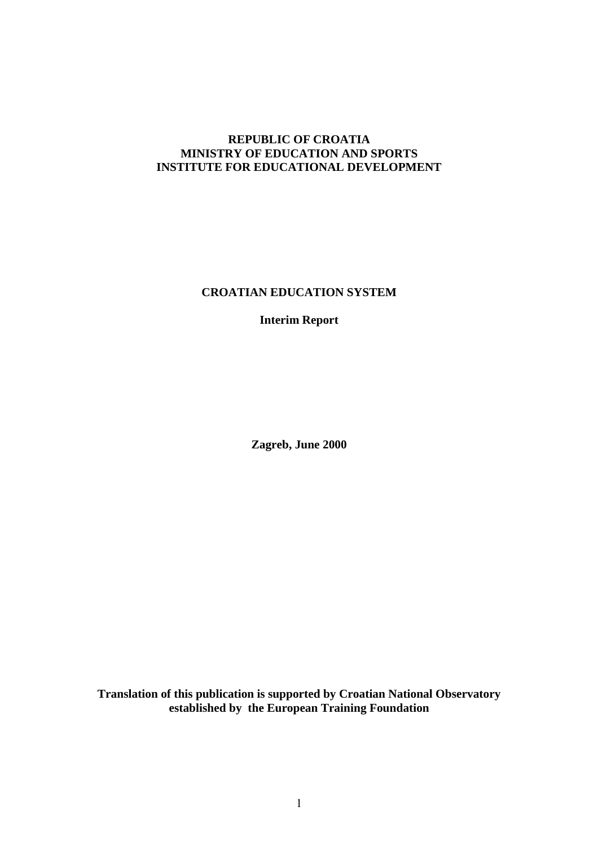#### **REPUBLIC OF CROATIA MINISTRY OF EDUCATION AND SPORTS INSTITUTE FOR EDUCATIONAL DEVELOPMENT**

**CROATIAN EDUCATION SYSTEM**

**Interim Report**

**Zagreb, June 2000**

**Translation of this publication is supported by Croatian National Observatory established by the European Training Foundation**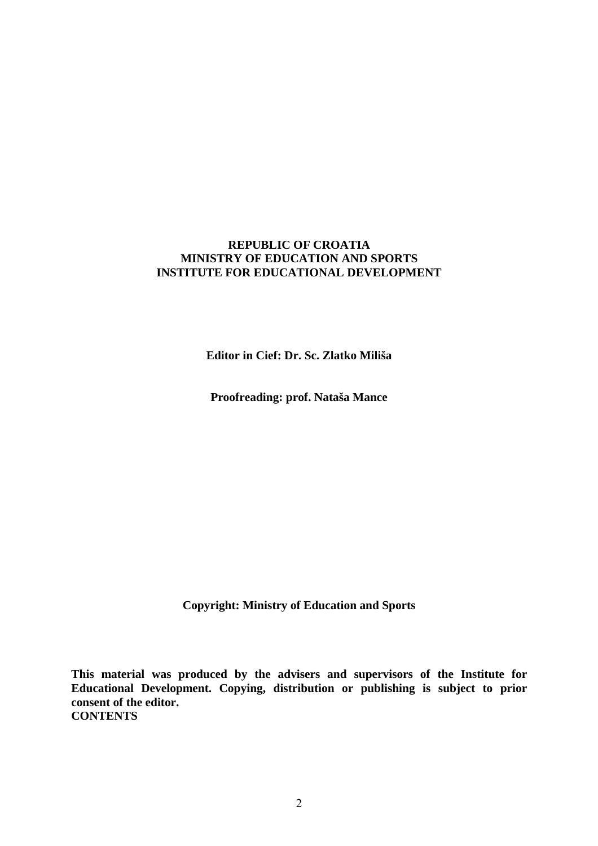#### **REPUBLIC OF CROATIA MINISTRY OF EDUCATION AND SPORTS INSTITUTE FOR EDUCATIONAL DEVELOPMENT**

**Editor in Cief: Dr. Sc. Zlatko Miliša**

**Proofreading: prof. Nataša Mance**

**Copyright: Ministry of Education and Sports**

**This material was produced by the advisers and supervisors of the Institute for Educational Development. Copying, distribution or publishing is subject to prior consent of the editor. CONTENTS**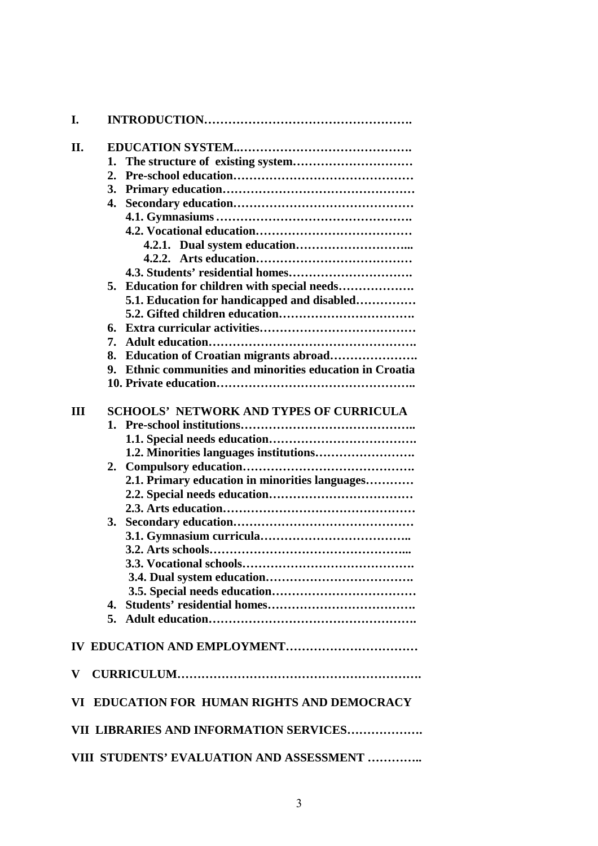| I.        |                                                              |
|-----------|--------------------------------------------------------------|
| П.        |                                                              |
|           | 1.                                                           |
|           | $\overline{2}$ .                                             |
|           | 3.                                                           |
|           | 4.                                                           |
|           |                                                              |
|           |                                                              |
|           |                                                              |
|           | 4.2.2.                                                       |
|           |                                                              |
|           | Education for children with special needs<br>5.              |
|           | 5.1. Education for handicapped and disabled                  |
|           |                                                              |
|           | 6.                                                           |
|           | 7.                                                           |
|           | Education of Croatian migrants abroad<br>8.                  |
|           | Ethnic communities and minorities education in Croatia<br>9. |
|           |                                                              |
|           |                                                              |
| Ш         | <b>SCHOOLS' NETWORK AND TYPES OF CURRICULA</b>               |
|           |                                                              |
|           |                                                              |
|           |                                                              |
|           | 2.                                                           |
|           | 2.1. Primary education in minorities languages               |
|           |                                                              |
|           |                                                              |
|           | 3.                                                           |
|           |                                                              |
|           |                                                              |
|           |                                                              |
|           |                                                              |
|           |                                                              |
|           | 4.                                                           |
|           |                                                              |
|           |                                                              |
|           |                                                              |
| ${\bf V}$ |                                                              |
|           | VI EDUCATION FOR HUMAN RIGHTS AND DEMOCRACY                  |
|           | VII LIBRARIES AND INFORMATION SERVICES                       |
|           |                                                              |
|           | VIII STUDENTS' EVALUATION AND ASSESSMENT                     |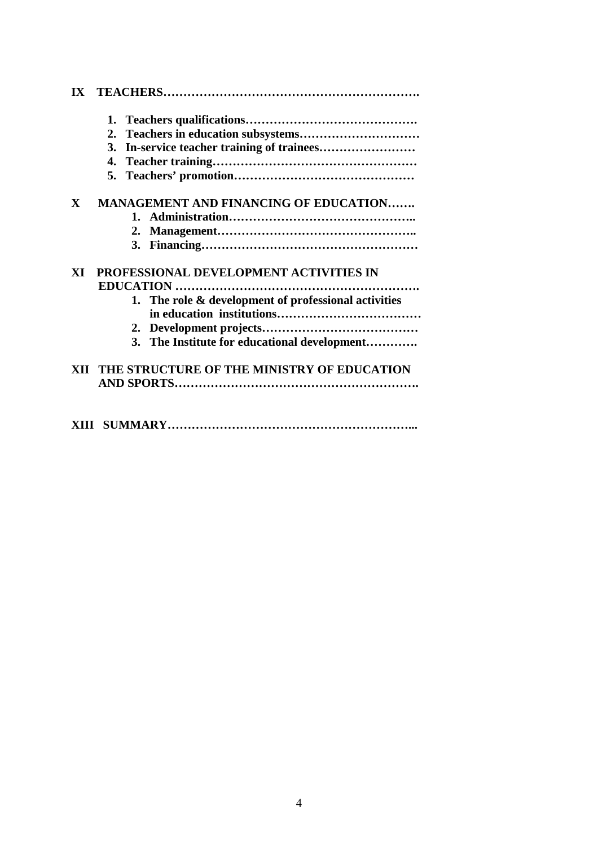|              | 2.                                                   |
|--------------|------------------------------------------------------|
|              | 3.                                                   |
|              |                                                      |
|              |                                                      |
| $\mathbf{X}$ | <b>MANAGEMENT AND FINANCING OF EDUCATION</b>         |
|              |                                                      |
|              |                                                      |
|              |                                                      |
| XI           | PROFESSIONAL DEVELOPMENT ACTIVITIES IN               |
|              |                                                      |
|              | 1. The role & development of professional activities |
|              |                                                      |
|              | 3. The Institute for educational development         |
|              | XII THE STRUCTURE OF THE MINISTRY OF EDUCATION       |
|              |                                                      |
|              |                                                      |
|              |                                                      |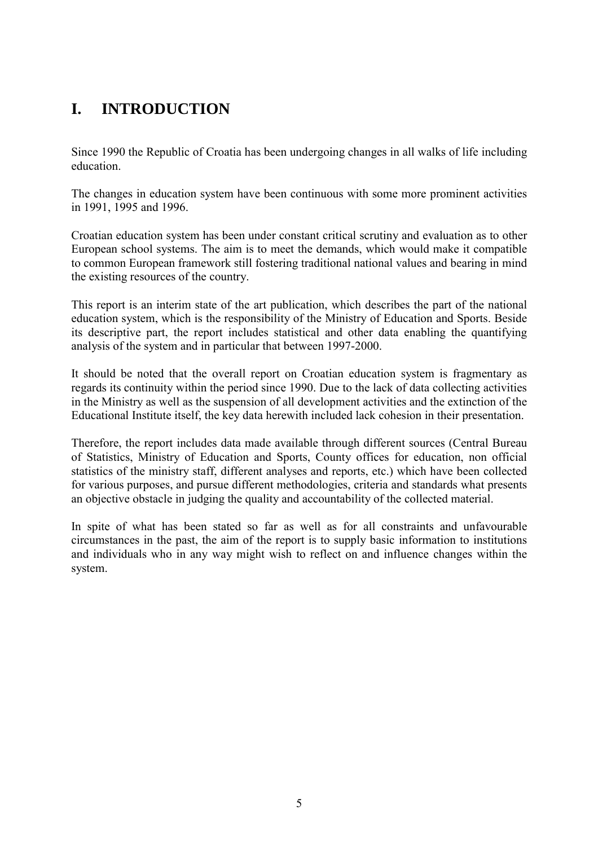# **I. INTRODUCTION**

Since 1990 the Republic of Croatia has been undergoing changes in all walks of life including education.

The changes in education system have been continuous with some more prominent activities in 1991, 1995 and 1996.

Croatian education system has been under constant critical scrutiny and evaluation as to other European school systems. The aim is to meet the demands, which would make it compatible to common European framework still fostering traditional national values and bearing in mind the existing resources of the country.

This report is an interim state of the art publication, which describes the part of the national education system, which is the responsibility of the Ministry of Education and Sports. Beside its descriptive part, the report includes statistical and other data enabling the quantifying analysis of the system and in particular that between 1997-2000.

It should be noted that the overall report on Croatian education system is fragmentary as regards its continuity within the period since 1990. Due to the lack of data collecting activities in the Ministry as well as the suspension of all development activities and the extinction of the Educational Institute itself, the key data herewith included lack cohesion in their presentation.

Therefore, the report includes data made available through different sources (Central Bureau of Statistics, Ministry of Education and Sports, County offices for education, non official statistics of the ministry staff, different analyses and reports, etc.) which have been collected for various purposes, and pursue different methodologies, criteria and standards what presents an objective obstacle in judging the quality and accountability of the collected material.

In spite of what has been stated so far as well as for all constraints and unfavourable circumstances in the past, the aim of the report is to supply basic information to institutions and individuals who in any way might wish to reflect on and influence changes within the system.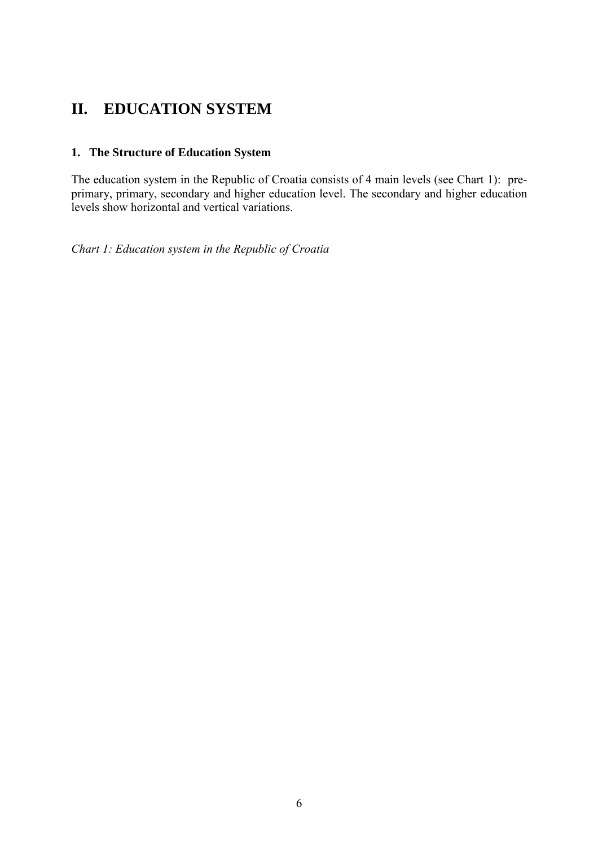# **II. EDUCATION SYSTEM**

# **1. The Structure of Education System**

The education system in the Republic of Croatia consists of 4 main levels (see Chart 1): preprimary, primary, secondary and higher education level. The secondary and higher education levels show horizontal and vertical variations.

*Chart 1: Education system in the Republic of Croatia*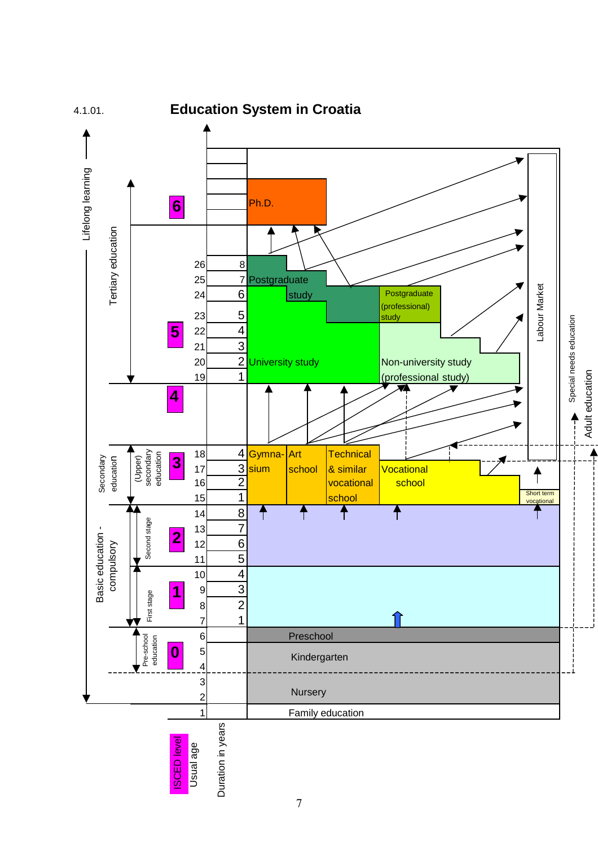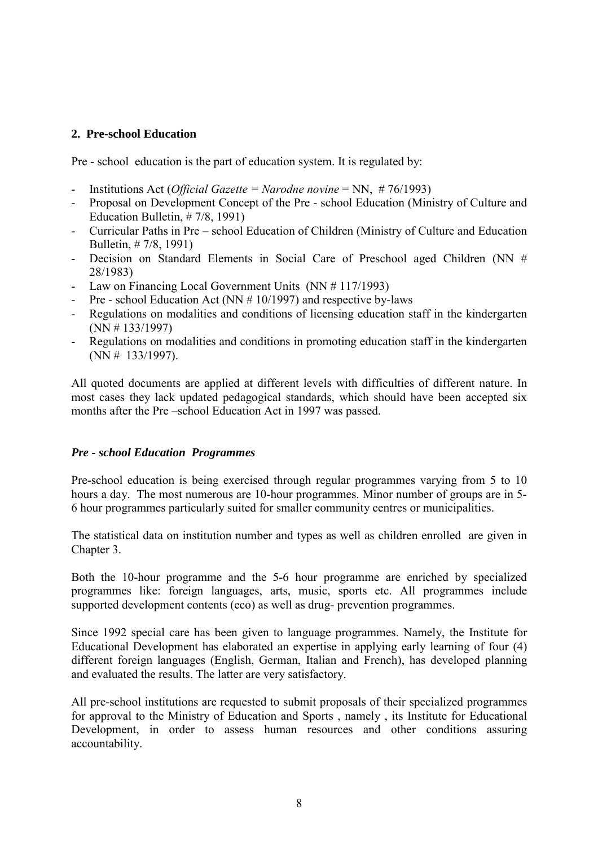#### **2. Pre-school Education**

Pre - school education is the part of education system. It is regulated by:

- Institutions Act (*Official Gazette = Narodne novine* = NN, # 76/1993)
- Proposal on Development Concept of the Pre school Education (Ministry of Culture and Education Bulletin, # 7/8, 1991)
- Curricular Paths in Pre school Education of Children (Ministry of Culture and Education Bulletin, # 7/8, 1991)
- Decision on Standard Elements in Social Care of Preschool aged Children (NN # 28/1983)
- Law on Financing Local Government Units (NN # 117/1993)
- Pre school Education Act (NN  $# 10/1997$ ) and respective by-laws
- Regulations on modalities and conditions of licensing education staff in the kindergarten (NN # 133/1997)
- Regulations on modalities and conditions in promoting education staff in the kindergarten (NN # 133/1997).

All quoted documents are applied at different levels with difficulties of different nature. In most cases they lack updated pedagogical standards, which should have been accepted six months after the Pre-school Education Act in 1997 was passed.

#### *Pre - school Education Programmes*

Pre-school education is being exercised through regular programmes varying from 5 to 10 hours a day. The most numerous are 10-hour programmes. Minor number of groups are in 5- 6 hour programmes particularly suited for smaller community centres or municipalities.

The statistical data on institution number and types as well as children enrolled are given in Chapter 3.

Both the 10-hour programme and the 5-6 hour programme are enriched by specialized programmes like: foreign languages, arts, music, sports etc. All programmes include supported development contents (eco) as well as drug- prevention programmes.

Since 1992 special care has been given to language programmes. Namely, the Institute for Educational Development has elaborated an expertise in applying early learning of four (4) different foreign languages (English, German, Italian and French), has developed planning and evaluated the results. The latter are very satisfactory.

All pre-school institutions are requested to submit proposals of their specialized programmes for approval to the Ministry of Education and Sports , namely , its Institute for Educational Development, in order to assess human resources and other conditions assuring accountability.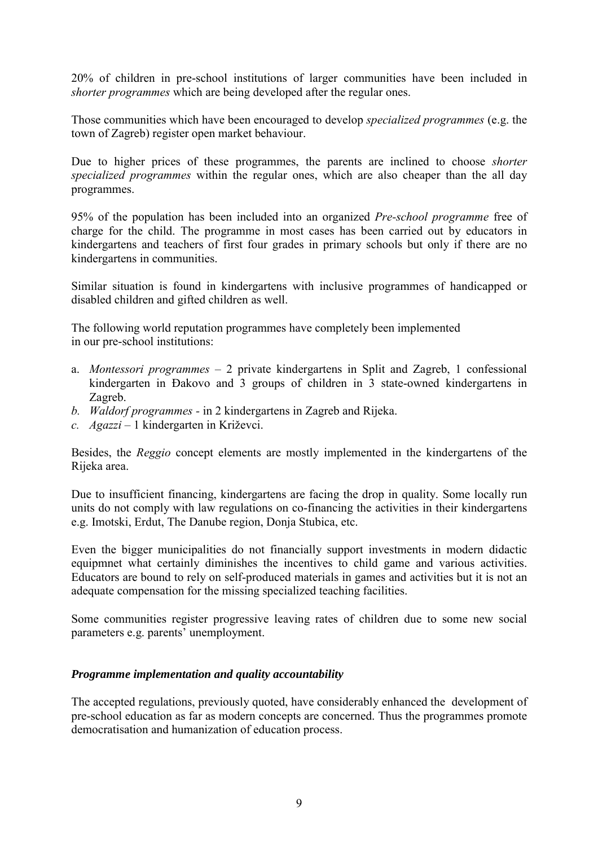20% of children in pre-school institutions of larger communities have been included in *shorter programmes* which are being developed after the regular ones.

Those communities which have been encouraged to develop *specialized programmes* (e.g. the town of Zagreb) register open market behaviour.

Due to higher prices of these programmes, the parents are inclined to choose *shorter specialized programmes* within the regular ones, which are also cheaper than the all day programmes.

95% of the population has been included into an organized *Pre-school programme* free of charge for the child. The programme in most cases has been carried out by educators in kindergartens and teachers of first four grades in primary schools but only if there are no kindergartens in communities.

Similar situation is found in kindergartens with inclusive programmes of handicapped or disabled children and gifted children as well.

The following world reputation programmes have completely been implemented in our pre-school institutions:

- a. *Montessori programmes 2* private kindergartens in Split and Zagreb, 1 confessional kindergarten in Đakovo and 3 groups of children in 3 state-owned kindergartens in Zagreb.
- *b. Waldorf programmes* in 2 kindergartens in Zagreb and Rijeka.
- *c. Agazzi* 1 kindergarten in Križevci.

Besides, the *Reggio* concept elements are mostly implemented in the kindergartens of the Rijeka area.

Due to insufficient financing, kindergartens are facing the drop in quality. Some locally run units do not comply with law regulations on co-financing the activities in their kindergartens e.g. Imotski, Erdut, The Danube region, Donja Stubica, etc.

Even the bigger municipalities do not financially support investments in modern didactic equipmnet what certainly diminishes the incentives to child game and various activities. Educators are bound to rely on self-produced materials in games and activities but it is not an adequate compensation for the missing specialized teaching facilities.

Some communities register progressive leaving rates of children due to some new social parameters e.g. parents' unemployment.

## *Programme implementation and quality accountability*

The accepted regulations, previously quoted, have considerably enhanced the development of pre-school education as far as modern concepts are concerned. Thus the programmes promote democratisation and humanization of education process.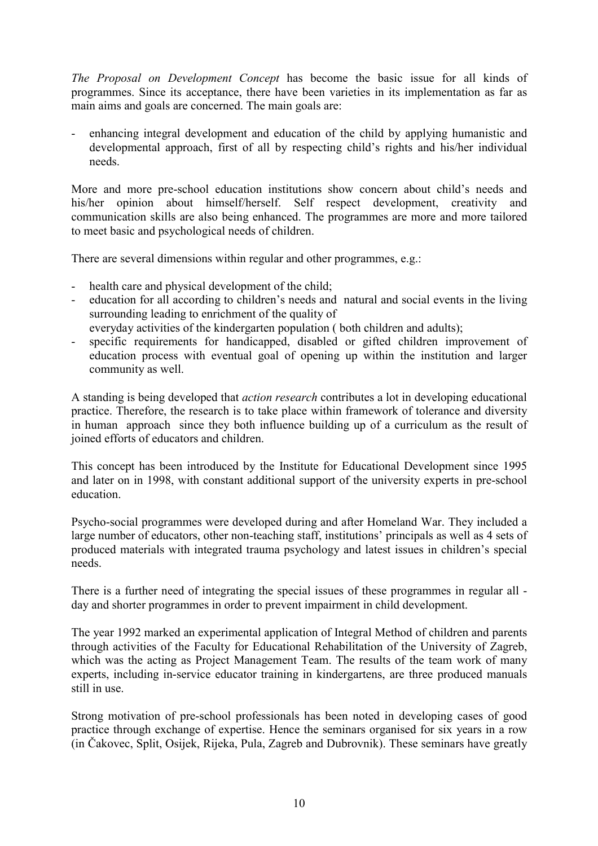*The Proposal on Development Concept* has become the basic issue for all kinds of programmes. Since its acceptance, there have been varieties in its implementation as far as main aims and goals are concerned. The main goals are:

- enhancing integral development and education of the child by applying humanistic and developmental approach, first of all by respecting child's rights and his/her individual needs.

More and more pre-school education institutions show concern about child's needs and his/her opinion about himself/herself. Self respect development, creativity and communication skills are also being enhanced. The programmes are more and more tailored to meet basic and psychological needs of children.

There are several dimensions within regular and other programmes, e.g.:

- health care and physical development of the child;
- education for all according to children's needs and natural and social events in the living surrounding leading to enrichment of the quality of
- everyday activities of the kindergarten population ( both children and adults);
- specific requirements for handicapped, disabled or gifted children improvement of education process with eventual goal of opening up within the institution and larger community as well.

A standing is being developed that *action research* contributes a lot in developing educational practice. Therefore, the research is to take place within framework of tolerance and diversity in human approach since they both influence building up of a curriculum as the result of joined efforts of educators and children.

This concept has been introduced by the Institute for Educational Development since 1995 and later on in 1998, with constant additional support of the university experts in pre-school education.

Psycho-social programmes were developed during and after Homeland War. They included a large number of educators, other non-teaching staff, institutions' principals as well as 4 sets of produced materials with integrated trauma psychology and latest issues in children's special needs.

There is a further need of integrating the special issues of these programmes in regular all day and shorter programmes in order to prevent impairment in child development.

The year 1992 marked an experimental application of Integral Method of children and parents through activities of the Faculty for Educational Rehabilitation of the University of Zagreb, which was the acting as Project Management Team. The results of the team work of many experts, including in-service educator training in kindergartens, are three produced manuals still in use.

Strong motivation of pre-school professionals has been noted in developing cases of good practice through exchange of expertise. Hence the seminars organised for six years in a row (in Čakovec, Split, Osijek, Rijeka, Pula, Zagreb and Dubrovnik). These seminars have greatly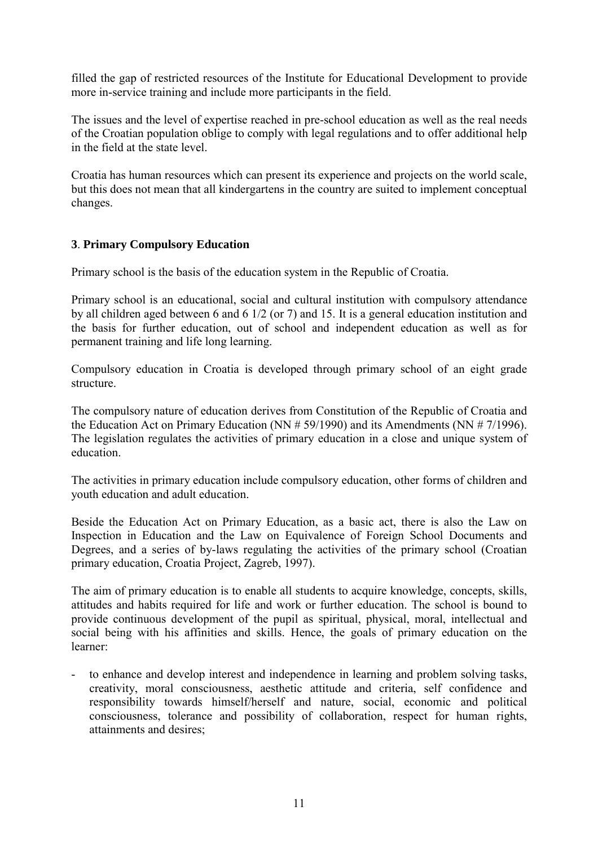filled the gap of restricted resources of the Institute for Educational Development to provide more in-service training and include more participants in the field.

The issues and the level of expertise reached in pre-school education as well as the real needs of the Croatian population oblige to comply with legal regulations and to offer additional help in the field at the state level.

Croatia has human resources which can present its experience and projects on the world scale, but this does not mean that all kindergartens in the country are suited to implement conceptual changes.

## **3**. **Primary Compulsory Education**

Primary school is the basis of the education system in the Republic of Croatia.

Primary school is an educational, social and cultural institution with compulsory attendance by all children aged between 6 and 6 1/2 (or 7) and 15. It is a general education institution and the basis for further education, out of school and independent education as well as for permanent training and life long learning.

Compulsory education in Croatia is developed through primary school of an eight grade structure.

The compulsory nature of education derives from Constitution of the Republic of Croatia and the Education Act on Primary Education (NN # 59/1990) and its Amendments (NN # 7/1996). The legislation regulates the activities of primary education in a close and unique system of education.

The activities in primary education include compulsory education, other forms of children and youth education and adult education.

Beside the Education Act on Primary Education, as a basic act, there is also the Law on Inspection in Education and the Law on Equivalence of Foreign School Documents and Degrees, and a series of by-laws regulating the activities of the primary school (Croatian primary education, Croatia Project, Zagreb, 1997).

The aim of primary education is to enable all students to acquire knowledge, concepts, skills, attitudes and habits required for life and work or further education. The school is bound to provide continuous development of the pupil as spiritual, physical, moral, intellectual and social being with his affinities and skills. Hence, the goals of primary education on the learner:

to enhance and develop interest and independence in learning and problem solving tasks, creativity, moral consciousness, aesthetic attitude and criteria, self confidence and responsibility towards himself/herself and nature, social, economic and political consciousness, tolerance and possibility of collaboration, respect for human rights, attainments and desires;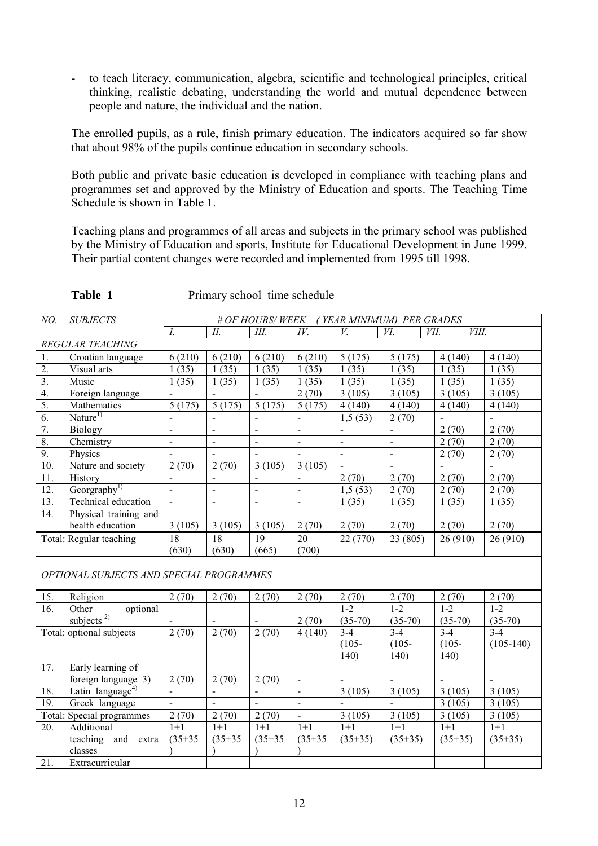to teach literacy, communication, algebra, scientific and technological principles, critical thinking, realistic debating, understanding the world and mutual dependence between people and nature, the individual and the nation.

The enrolled pupils, as a rule, finish primary education. The indicators acquired so far show that about 98% of the pupils continue education in secondary schools.

Both public and private basic education is developed in compliance with teaching plans and programmes set and approved by the Ministry of Education and sports. The Teaching Time Schedule is shown in Table 1.

Teaching plans and programmes of all areas and subjects in the primary school was published by the Ministry of Education and sports, Institute for Educational Development in June 1999. Their partial content changes were recorded and implemented from 1995 till 1998.

| NO.              | <b>SUBJECTS</b>                          | (YEAR MINIMUM) PER GRADES<br># OF HOURS/WEEK |                          |                |                          |                |                |                     |                |  |  |  |  |
|------------------|------------------------------------------|----------------------------------------------|--------------------------|----------------|--------------------------|----------------|----------------|---------------------|----------------|--|--|--|--|
|                  |                                          | $I_{\cdot}$                                  | II.                      | Ш.             | IV.                      | V.             | VI.<br>VII.    | VIII.               |                |  |  |  |  |
|                  | REGULAR TEACHING                         |                                              |                          |                |                          |                |                |                     |                |  |  |  |  |
| 1.               | Croatian language                        | 6(210)                                       | 6(210)                   | 6(210)         | 6(210)                   | 5(175)         | 5(175)         | 4(140)              | 4(140)         |  |  |  |  |
| $\overline{2}$ . | Visual arts                              | 1(35)                                        | 1(35)                    | 1(35)          | 1(35)                    | 1(35)          | 1(35)          | 1(35)               | 1(35)          |  |  |  |  |
| $\overline{3}$ . | Music                                    | 1(35)                                        | 1(35)                    | 1(35)          | 1(35)                    | 1(35)          | 1(35)          | 1(35)               | 1(35)          |  |  |  |  |
| $\overline{4}$ . | Foreign language                         |                                              |                          |                | 2(70)                    | 3(105)         | 3(105)         | 3(105)              | 3(105)         |  |  |  |  |
| 5.               | Mathematics                              | 5(175)                                       | 5(175)                   | 5(175)         | 5(175)                   | 4(140)         | 4(140)         | 4(140)              | 4(140)         |  |  |  |  |
| 6.               | Nature <sup>1)</sup>                     | $\overline{a}$                               |                          | $\blacksquare$ | $\blacksquare$           | 1,5(53)        | 2(70)          |                     |                |  |  |  |  |
| 7.               | <b>Biology</b>                           | $\frac{1}{2}$                                | $\blacksquare$           | $\blacksquare$ | $\blacksquare$           |                | $\blacksquare$ | 2(70)               | 2(70)          |  |  |  |  |
| 8.               | Chemistry                                | $\frac{1}{2}$                                | $\overline{\phantom{a}}$ | $\blacksquare$ | $\overline{\phantom{a}}$ | $\frac{1}{2}$  | $\frac{1}{2}$  | 2(70)               | 2(70)          |  |  |  |  |
| 9.               | Physics                                  | $\overline{a}$                               | $\overline{a}$           |                | $\overline{a}$           | $\overline{a}$ | $\overline{a}$ | 2(70)               | 2(70)          |  |  |  |  |
| 10.              | Nature and society                       | 2(70)                                        | 2(70)                    | 3(105)         | 3(105)                   | $\overline{a}$ | $\overline{a}$ | $\mathbf{r}$        | $\overline{a}$ |  |  |  |  |
| 11.              | History                                  | $\overline{a}$                               | $\overline{a}$           | $\overline{a}$ | $\overline{a}$           | 2(70)          | 2(70)          | $\overline{2}$ (70) | 2(70)          |  |  |  |  |
| 12.              | Georgraphy <sup>1)</sup>                 | $\overline{a}$                               | $\overline{a}$           | $\blacksquare$ | $\overline{a}$           | 1,5(53)        | 2(70)          | 2(70)               | 2(70)          |  |  |  |  |
| 13.              | Technical education                      | $\blacksquare$                               | $\overline{a}$           | $\blacksquare$ | $\mathbf{r}$             | 1(35)          | 1(35)          | 1(35)               | 1(35)          |  |  |  |  |
| 14.              | Physical training and                    |                                              |                          |                |                          |                |                |                     |                |  |  |  |  |
|                  | health education                         | 3(105)                                       | 3(105)                   | 3(105)         | 2(70)                    | 2(70)          | 2(70)          | 2(70)               | 2(70)          |  |  |  |  |
|                  | Total: Regular teaching                  | 18                                           | 18                       | 19             | 20                       | 22 (770)       | 23 (805)       | 26(910)             | 26 (910)       |  |  |  |  |
|                  |                                          | (630)                                        | (630)                    | (665)          | (700)                    |                |                |                     |                |  |  |  |  |
|                  |                                          |                                              |                          |                |                          |                |                |                     |                |  |  |  |  |
|                  | OPTIONAL SUBJECTS AND SPECIAL PROGRAMMES |                                              |                          |                |                          |                |                |                     |                |  |  |  |  |
| 15.              | Religion                                 | 2(70)                                        | 2(70)                    | 2(70)          | 2(70)                    | 2(70)          | 2(70)          | 2(70)               | 2(70)          |  |  |  |  |
| 16.              | Other<br>optional                        |                                              |                          |                |                          | $1 - 2$        | $1 - 2$        | $1 - 2$             | $1 - 2$        |  |  |  |  |
|                  | subjects $^{2)}$                         |                                              |                          |                | 2(70)                    | $(35-70)$      | $(35-70)$      | $(35-70)$           | $(35-70)$      |  |  |  |  |
|                  | Total: optional subjects                 | 2(70)                                        | 2(70)                    | 2(70)          | 4(140)                   | $3-4$          | $3 - 4$        | $3 - 4$             | $3 - 4$        |  |  |  |  |
|                  |                                          |                                              |                          |                |                          | $(105 -$       | $(105 -$       | $(105 -$            | $(105-140)$    |  |  |  |  |
|                  |                                          |                                              |                          |                |                          | 140)           | 140)           | 140)                |                |  |  |  |  |
| 17.              | Early learning of                        |                                              |                          |                |                          |                |                |                     |                |  |  |  |  |
|                  | foreign language 3)                      | 2(70)                                        | 2(70)                    | 2(70)          | $\blacksquare$           |                | $\blacksquare$ |                     |                |  |  |  |  |
| 18.              | Latin language <sup>4)</sup>             | $\overline{\phantom{a}}$                     | $\overline{\phantom{a}}$ | $\blacksquare$ | $\overline{a}$           | 3(105)         | 3(105)         | 3(105)              | 3(105)         |  |  |  |  |
| 19.              | Greek language                           | $\overline{a}$                               | $\blacksquare$           | $\blacksquare$ | $\mathbf{r}$             | $\blacksquare$ | $\blacksquare$ | 3(105)              | 3(105)         |  |  |  |  |
|                  | Total: Special programmes                | 2(70)                                        | 2(70)                    | 2(70)          | $\omega$                 | 3(105)         | 3(105)         | 3(105)              | 3(105)         |  |  |  |  |
| 20.              | Additional                               | $1+1$                                        | $1+1$                    | $1 + 1$        | $1+1$                    | $1 + 1$        | $1+1$          | $1+1$               | $1 + 1$        |  |  |  |  |
|                  | teaching and extra                       | $(35+35)$                                    | $(35+35)$                | $(35+35)$      | $(35+35)$                | $(35+35)$      | $(35+35)$      | $(35+35)$           | $(35+35)$      |  |  |  |  |
|                  | classes                                  |                                              |                          |                |                          |                |                |                     |                |  |  |  |  |
| 21.              | Extracurricular                          |                                              |                          |                |                          |                |                |                     |                |  |  |  |  |

**Table 1** Primary school time schedule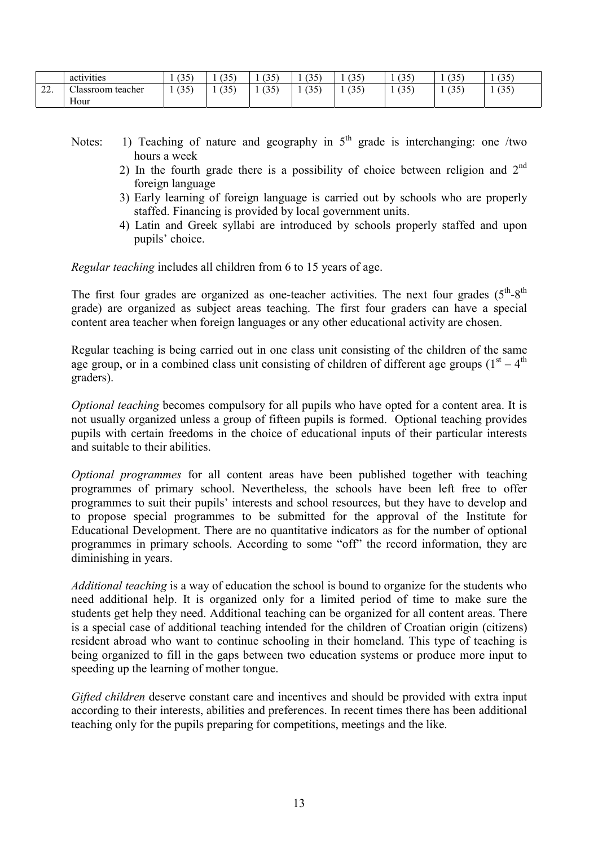|                  | $\bullet$ . $\bullet$<br>activities | (25)<br>l J J | (25)<br>ر ر ۱ | (2.5)<br>ーー<br>л.                          | ت ہے۔<br>ーンン              | (25)<br>1 J J | (2.5)<br>1 J J | (2.5)<br>ししい | (35) |
|------------------|-------------------------------------|---------------|---------------|--------------------------------------------|---------------------------|---------------|----------------|--------------|------|
| $\bigcap$<br>44. | m,<br>teacher<br>Classroom<br>Hour  | (35)          | (35)          | (2.5)<br>. J J<br>$\overline{\phantom{a}}$ | $\cap$ $\subset$<br>. J J | (35)          | (2.5)<br>ر. ر  | (35)         | (35) |

- Notes: 1) Teaching of nature and geography in  $5<sup>th</sup>$  grade is interchanging: one /two hours a week
	- 2) In the fourth grade there is a possibility of choice between religion and  $2<sup>nd</sup>$ foreign language
	- 3) Early learning of foreign language is carried out by schools who are properly staffed. Financing is provided by local government units.
	- 4) Latin and Greek syllabi are introduced by schools properly staffed and upon pupils' choice.

*Regular teaching* includes all children from 6 to 15 years of age.

The first four grades are organized as one-teacher activities. The next four grades  $(5<sup>th</sup>-8<sup>th</sup>)$ grade) are organized as subject areas teaching. The first four graders can have a special content area teacher when foreign languages or any other educational activity are chosen.

Regular teaching is being carried out in one class unit consisting of the children of the same age group, or in a combined class unit consisting of children of different age groups ( $1<sup>st</sup> - 4<sup>th</sup>$ ) graders).

*Optional teaching* becomes compulsory for all pupils who have opted for a content area. It is not usually organized unless a group of fifteen pupils is formed. Optional teaching provides pupils with certain freedoms in the choice of educational inputs of their particular interests and suitable to their abilities.

*Optional programmes* for all content areas have been published together with teaching programmes of primary school. Nevertheless, the schools have been left free to offer programmes to suit their pupils' interests and school resources, but they have to develop and to propose special programmes to be submitted for the approval of the Institute for Educational Development. There are no quantitative indicators as for the number of optional programmes in primary schools. According to some "off" the record information, they are diminishing in years.

*Additional teaching* is a way of education the school is bound to organize for the students who need additional help. It is organized only for a limited period of time to make sure the students get help they need. Additional teaching can be organized for all content areas. There is a special case of additional teaching intended for the children of Croatian origin (citizens) resident abroad who want to continue schooling in their homeland. This type of teaching is being organized to fill in the gaps between two education systems or produce more input to speeding up the learning of mother tongue.

*Gifted children* deserve constant care and incentives and should be provided with extra input according to their interests, abilities and preferences. In recent times there has been additional teaching only for the pupils preparing for competitions, meetings and the like.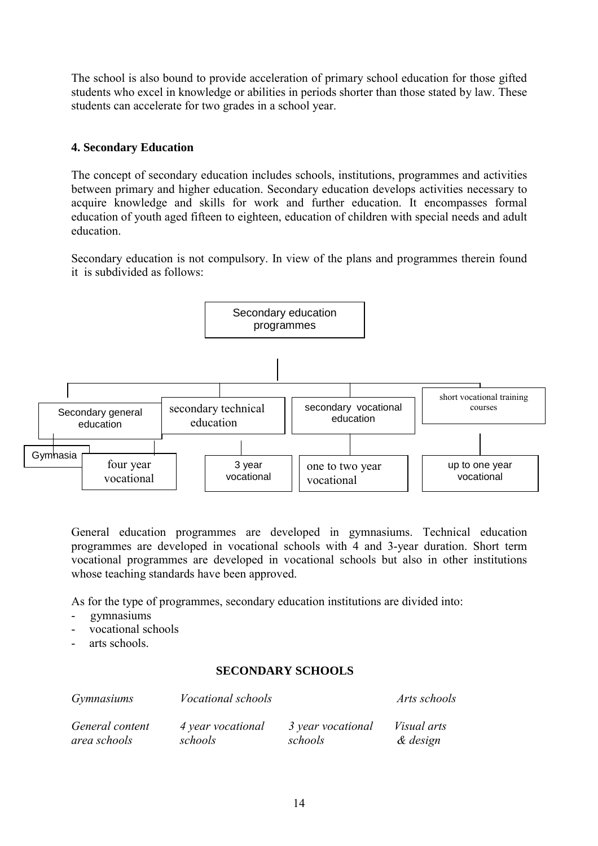The school is also bound to provide acceleration of primary school education for those gifted students who excel in knowledge or abilities in periods shorter than those stated by law. These students can accelerate for two grades in a school year.

## **4. Secondary Education**

The concept of secondary education includes schools, institutions, programmes and activities between primary and higher education. Secondary education develops activities necessary to acquire knowledge and skills for work and further education. It encompasses formal education of youth aged fifteen to eighteen, education of children with special needs and adult education.

Secondary education is not compulsory. In view of the plans and programmes therein found it is subdivided as follows:



General education programmes are developed in gymnasiums. Technical education programmes are developed in vocational schools with 4 and 3-year duration. Short term vocational programmes are developed in vocational schools but also in other institutions whose teaching standards have been approved.

As for the type of programmes, secondary education institutions are divided into:

- gymnasiums
- vocational schools
- arts schools.

## **SECONDARY SCHOOLS**

| <i>Gymnasiums</i> | <i>Vocational schools</i> |                   | Arts schools       |
|-------------------|---------------------------|-------------------|--------------------|
| General content   | 4 year vocational         | 3 year vocational | <i>Visual arts</i> |
| area schools      | schools                   | schools           | & design           |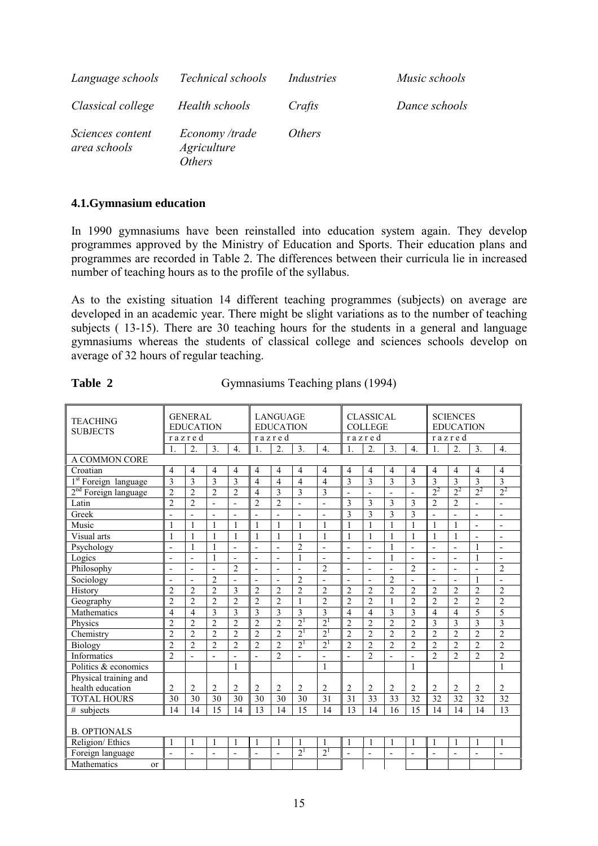| Language schools                 | Technical schools                              | Industries    | Music schools |
|----------------------------------|------------------------------------------------|---------------|---------------|
| Classical college                | Health schools                                 | Crafts        | Dance schools |
| Sciences content<br>area schools | Economy /trade<br><i>Agriculture</i><br>Others | <i>Others</i> |               |

#### **4.1.Gymnasium education**

In 1990 gymnasiums have been reinstalled into education system again. They develop programmes approved by the Ministry of Education and Sports. Their education plans and programmes are recorded in Table 2. The differences between their curricula lie in increased number of teaching hours as to the profile of the syllabus.

As to the existing situation 14 different teaching programmes (subjects) on average are developed in an academic year. There might be slight variations as to the number of teaching subjects ( 13-15). There are 30 teaching hours for the students in a general and language gymnasiums whereas the students of classical college and sciences schools develop on average of 32 hours of regular teaching.

| <b>TEACHING</b><br><b>SUBJECTS</b> |                          | <b>GENERAL</b><br><b>EDUCATION</b> |                |                          |                          | <b>LANGUAGE</b><br><b>EDUCATION</b> |                |                  |                | <b>CLASSICAL</b><br><b>COLLEGE</b> |                |                          |                | <b>SCIENCES</b><br><b>EDUCATION</b> |                          |                          |
|------------------------------------|--------------------------|------------------------------------|----------------|--------------------------|--------------------------|-------------------------------------|----------------|------------------|----------------|------------------------------------|----------------|--------------------------|----------------|-------------------------------------|--------------------------|--------------------------|
|                                    | $\mathbf{1}$ .           | razred<br>$\overline{2}$ .         | 3.             | $\overline{4}$ .         | razred<br>$\mathbf{1}$ . | 2.                                  | 3.             | $\overline{4}$ . | $\mathbf{1}$   | razred<br>2.                       | 3.             | $\overline{4}$ .         | $\mathbf{1}$ . | razred<br>2.                        | 3.                       | $\overline{4}$ .         |
| A COMMON CORE                      |                          |                                    |                |                          |                          |                                     |                |                  |                |                                    |                |                          |                |                                     |                          |                          |
| Croatian                           | $\overline{4}$           | 4                                  | $\overline{4}$ | 4                        | $\overline{4}$           | 4                                   | 4              | 4                | $\overline{4}$ | $\overline{4}$                     | $\overline{4}$ | $\overline{4}$           | 4              | $\overline{4}$                      | $\overline{4}$           | $\overline{4}$           |
| 1 <sup>st</sup> Foreign language   | 3                        | 3                                  | 3              | 3                        | $\overline{4}$           | $\overline{4}$                      | $\overline{4}$ | $\overline{4}$   | 3              | 3                                  | 3              | 3                        | 3              | 3                                   | $\overline{3}$           | $\overline{3}$           |
| $2nd$ Foreign language             | $\overline{2}$           | $\overline{2}$                     | $\overline{2}$ | $\overline{c}$           | $\overline{4}$           | 3                                   | 3              | 3                | $\overline{a}$ | $\overline{\phantom{a}}$           | $\blacksquare$ | $\overline{\phantom{a}}$ | $2^2$          | $2^2$                               | $2^2$                    | $2^2$                    |
| Latin                              | $\overline{2}$           | $\overline{c}$                     | $\overline{a}$ | $\overline{a}$           | $\overline{c}$           | $\overline{2}$                      | $\overline{a}$ | ÷,               | 3              | 3                                  | 3              | 3                        | $\overline{2}$ | $\overline{2}$                      | $\overline{a}$           | $\overline{a}$           |
| Greek                              | $\overline{a}$           | $\blacksquare$                     | $\overline{a}$ | $\overline{a}$           | $\overline{a}$           | ÷,                                  | $\overline{a}$ | ÷,               | $\overline{3}$ | $\overline{3}$                     | $\overline{3}$ | $\overline{3}$           | $\overline{a}$ | $\overline{\phantom{a}}$            | $\overline{a}$           | $\overline{a}$           |
| Music                              | 1                        | $\mathbf{1}$                       | $\mathbf{1}$   | $\mathbf{1}$             | $\mathbf{1}$             | $\mathbf{1}$                        | $\mathbf{1}$   | $\mathbf{1}$     | $\overline{1}$ | $\mathbf{1}$                       | $\mathbf{1}$   | 1                        | $\mathbf{1}$   | $\mathbf{1}$                        | $\overline{\phantom{a}}$ | $\overline{\phantom{a}}$ |
| Visual arts                        | $\mathbf{1}$             | $\mathbf{1}$                       | $\mathbf{1}$   | $\mathbf{1}$             | $\mathbf{1}$             | 1                                   | $\mathbf{1}$   | $\mathbf{1}$     | $\mathbf{1}$   | $\mathbf{1}$                       | $\mathbf{1}$   | 1                        | $\mathbf{1}$   | $\mathbf{1}$                        | $\overline{a}$           |                          |
| Psychology                         | $\overline{a}$           | $\mathbf{1}$                       | $\mathbf{1}$   | $\overline{a}$           | ÷,                       | ÷,                                  | $\overline{2}$ | ÷,               | $\overline{a}$ | $\overline{a}$                     | $\mathbf{1}$   | $\mathbf{r}$             | $\overline{a}$ | $\overline{\phantom{a}}$            | $\mathbf{1}$             | $\overline{a}$           |
| Logics                             | L,                       | ÷,                                 | $\mathbf{1}$   | $\overline{a}$           | $\overline{a}$           | $\overline{a}$                      | $\mathbf{1}$   | $\mathbf{r}$     | ÷,             | $\overline{\phantom{a}}$           | $\mathbf{1}$   | $\blacksquare$           | $\overline{a}$ | $\overline{\phantom{a}}$            | $\mathbf{1}$             | $\overline{\phantom{a}}$ |
| Philosophy                         | $\overline{a}$           | $\overline{a}$                     | L,             | $\overline{c}$           | $\overline{a}$           | $\overline{a}$                      | $\overline{a}$ | $\overline{2}$   | ÷,             | ÷,                                 |                | $\overline{2}$           | $\overline{a}$ | $\overline{\phantom{a}}$            | ÷,                       | $\overline{2}$           |
| Sociology                          | $\overline{\phantom{a}}$ | $\overline{\phantom{a}}$           | $\overline{c}$ | $\overline{\phantom{a}}$ | $\blacksquare$           | $\overline{\phantom{a}}$            | $\overline{c}$ | $\overline{a}$   | ÷,             | $\blacksquare$                     | $\overline{c}$ | $\blacksquare$           | $\blacksquare$ | $\overline{\phantom{a}}$            | $\mathbf{1}$             | $\blacksquare$           |
| History                            | $\overline{c}$           | $\overline{2}$                     | $\overline{2}$ | 3                        | $\overline{2}$           | $\overline{c}$                      | $\overline{2}$ | $\overline{2}$   | $\overline{2}$ | $\overline{2}$                     | $\overline{2}$ | $\overline{2}$           | $\overline{2}$ | $\overline{2}$                      | $\overline{2}$           | $\overline{2}$           |
| Geography                          | $\overline{c}$           | $\overline{2}$                     | $\overline{2}$ | $\overline{2}$           | $\overline{2}$           | $\overline{2}$                      | $\mathbf{1}$   | $\overline{2}$   | $\overline{2}$ | $\overline{2}$                     | $\mathbf{1}$   | $\overline{2}$           | $\overline{c}$ | $\overline{2}$                      | $\overline{2}$           | $\overline{2}$           |
| Mathematics                        | 4                        | 4                                  | 3              | 3                        | 3                        | 3                                   | $\overline{3}$ | $\overline{3}$   | $\overline{4}$ | $\overline{4}$                     | 3              | 3                        | $\overline{4}$ | $\overline{4}$                      | 5                        | 5                        |
| Physics                            | $\overline{c}$           | $\overline{2}$                     | $\overline{c}$ | $\overline{2}$           | $\overline{2}$           | $\overline{2}$                      | 2 <sup>1</sup> | 2 <sup>1</sup>   | $\overline{2}$ | $\overline{2}$                     | $\overline{2}$ | $\overline{2}$           | $\overline{3}$ | 3                                   | 3                        | 3                        |
| Chemistry                          | $\overline{2}$           | $\overline{2}$                     | $\overline{2}$ | $\overline{2}$           | $\mathfrak{D}$           | $\overline{\mathcal{L}}$            | $2^{1}$        | 2 <sup>1</sup>   | $\overline{2}$ | $\overline{2}$                     | $\overline{2}$ | $\overline{2}$           | $\overline{2}$ | $\overline{2}$                      | $\overline{2}$           | $\overline{2}$           |
| Biology                            | $\overline{c}$           | $\overline{c}$                     | $\overline{2}$ | $\overline{2}$           | $\overline{2}$           | $\overline{2}$                      | $2^{1}$        | 2 <sup>1</sup>   | $\overline{2}$ | $\overline{2}$                     | $\overline{2}$ | $\overline{2}$           | $\overline{2}$ | $\overline{2}$                      | $\overline{2}$           | $\overline{2}$           |
| Informatics                        | $\overline{2}$           |                                    |                |                          |                          | $\overline{2}$                      | $\overline{a}$ | $\overline{a}$   |                | $\overline{2}$                     |                | $\overline{a}$           | $\overline{2}$ | $\overline{2}$                      | $\overline{2}$           | $\overline{2}$           |
| Politics & economics               |                          |                                    |                | $\mathbf{1}$             |                          |                                     |                | $\mathbf{1}$     |                |                                    |                | 1                        |                |                                     |                          | $\mathbf{1}$             |
| Physical training and              |                          |                                    |                |                          |                          |                                     |                |                  |                |                                    |                |                          |                |                                     |                          |                          |
| health education                   | $\overline{2}$           | 2                                  | $\overline{2}$ | $\overline{c}$           | $\overline{2}$           | $\overline{c}$                      | $\overline{2}$ | $\overline{2}$   | $\overline{2}$ | $\overline{2}$                     | $\overline{2}$ | $\overline{2}$           | $\overline{2}$ | $\overline{2}$                      | $\overline{2}$           | $\overline{2}$           |
| <b>TOTAL HOURS</b>                 | 30                       | 30                                 | 30             | 30                       | 30                       | 30                                  | 30             | 31               | 31             | 33                                 | 33             | 32                       | 32             | 32                                  | 32                       | 32                       |
| # subjects                         | 14                       | 14                                 | 15             | 14                       | 13                       | 14                                  | 15             | 14               | 13             | 14                                 | 16             | 15                       | 14             | 14                                  | 14                       | 13                       |
| <b>B. OPTIONALS</b>                |                          |                                    |                |                          |                          |                                     |                |                  |                |                                    |                |                          |                |                                     |                          |                          |
| Religion/Ethics                    | 1                        | 1                                  | $\mathbf{1}$   | 1                        | $\mathbf{1}$             | 1                                   | $\mathbf{1}$   | $\mathbf{1}$     | $\overline{1}$ | 1                                  | $\overline{1}$ | 1                        | $\overline{1}$ | 1                                   | $\mathbf{1}$             | $\mathbf{1}$             |
| Foreign language                   | $\overline{a}$           | $\overline{a}$                     | L,             |                          | $\overline{a}$           | L,                                  | $2^{1}$        | $2^{1}$          |                | $\overline{a}$                     | $\overline{a}$ | $\overline{a}$           | $\overline{a}$ | $\overline{\phantom{a}}$            | $\overline{a}$           |                          |
| <b>Mathematics</b><br>$\alpha$     |                          |                                    |                |                          |                          |                                     |                |                  |                |                                    |                |                          |                |                                     |                          |                          |

**Table 2** Gymnasiums Teaching plans (1994)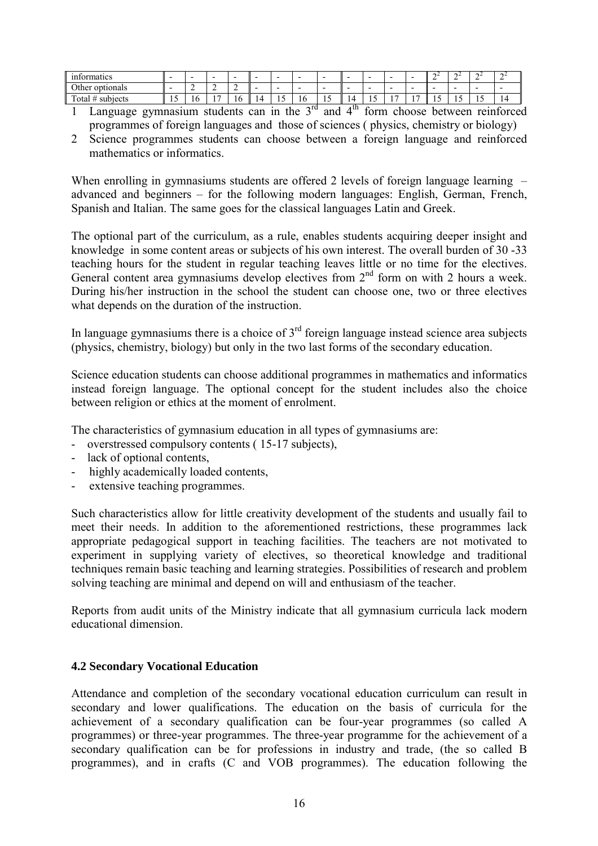| $\sim$<br>$\sim$<br>informatics | -   | $\overline{\phantom{0}}$ | ۰ | $\overline{\phantom{a}}$ | $\overline{\phantom{0}}$ | -                        |           |     |                          | -   | -            | $\overline{\phantom{0}}$ | .,<br>- | ∩∠<br>-                  | . .   | ., |
|---------------------------------|-----|--------------------------|---|--------------------------|--------------------------|--------------------------|-----------|-----|--------------------------|-----|--------------|--------------------------|---------|--------------------------|-------|----|
| Other<br>optionals              |     | -                        | - | -                        | -                        | $\overline{\phantom{a}}$ |           |     |                          | -   | -            | $\overline{\phantom{0}}$ | -       | $\overline{\phantom{0}}$ | -     | -  |
| $\sim$<br>subjects<br>Total     | . . | 10                       | - | 10                       | L                        | …                        | -<br>- 10 | . . | $\overline{\phantom{a}}$ | . . | $\mathbf{r}$ | . .                      | . .     | . J                      | . L J | 14 |

1 Language gymnasium students can in the  $3<sup>rd</sup>$  and  $4<sup>th</sup>$  form choose between reinforced programmes of foreign languages and those of sciences ( physics, chemistry or biology)

2 Science programmes students can choose between a foreign language and reinforced mathematics or informatics.

When enrolling in gymnasiums students are offered 2 levels of foreign language learning  $\overline{\phantom{a}}$ advanced and beginners  $-$  for the following modern languages: English, German, French, Spanish and Italian. The same goes for the classical languages Latin and Greek.

The optional part of the curriculum, as a rule, enables students acquiring deeper insight and knowledge in some content areas or subjects of his own interest. The overall burden of 30 -33 teaching hours for the student in regular teaching leaves little or no time for the electives. General content area gymnasiums develop electives from 2<sup>nd</sup> form on with 2 hours a week. During his/her instruction in the school the student can choose one, two or three electives what depends on the duration of the instruction.

In language gymnasiums there is a choice of  $3<sup>rd</sup>$  foreign language instead science area subjects (physics, chemistry, biology) but only in the two last forms of the secondary education.

Science education students can choose additional programmes in mathematics and informatics instead foreign language. The optional concept for the student includes also the choice between religion or ethics at the moment of enrolment.

The characteristics of gymnasium education in all types of gymnasiums are:

- overstressed compulsory contents ( 15-17 subjects),
- lack of optional contents,
- highly academically loaded contents,
- extensive teaching programmes.

Such characteristics allow for little creativity development of the students and usually fail to meet their needs. In addition to the aforementioned restrictions, these programmes lack appropriate pedagogical support in teaching facilities. The teachers are not motivated to experiment in supplying variety of electives, so theoretical knowledge and traditional techniques remain basic teaching and learning strategies. Possibilities of research and problem solving teaching are minimal and depend on will and enthusiasm of the teacher.

Reports from audit units of the Ministry indicate that all gymnasium curricula lack modern educational dimension.

## **4.2 Secondary Vocational Education**

Attendance and completion of the secondary vocational education curriculum can result in secondary and lower qualifications. The education on the basis of curricula for the achievement of a secondary qualification can be four-year programmes (so called A programmes) or three-year programmes. The three-year programme for the achievement of a secondary qualification can be for professions in industry and trade, (the so called B programmes), and in crafts (C and VOB programmes). The education following the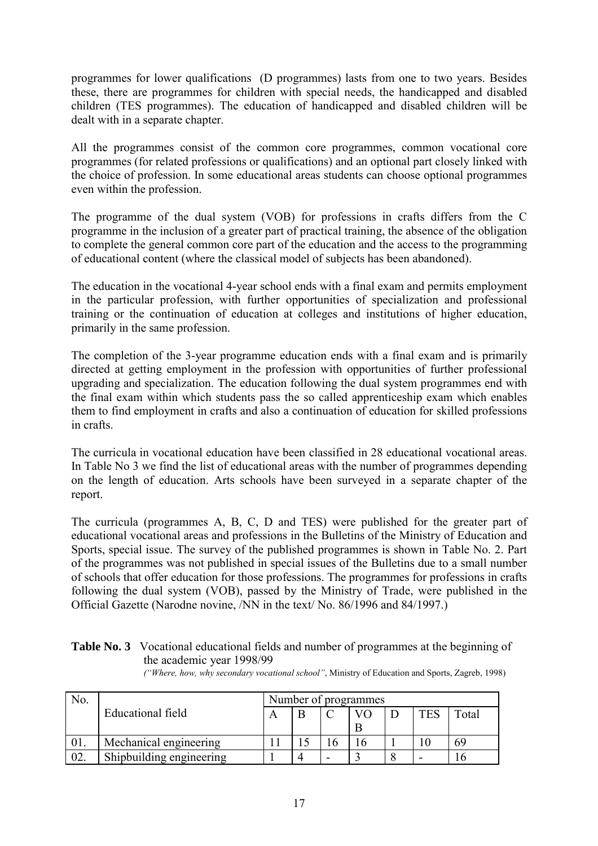programmes for lower qualifications (D programmes) lasts from one to two years. Besides these, there are programmes for children with special needs, the handicapped and disabled children (TES programmes). The education of handicapped and disabled children will be dealt with in a separate chapter.

All the programmes consist of the common core programmes, common vocational core programmes (for related professions or qualifications) and an optional part closely linked with the choice of profession. In some educational areas students can choose optional programmes even within the profession.

The programme of the dual system (VOB) for professions in crafts differs from the C programme in the inclusion of a greater part of practical training, the absence of the obligation to complete the general common core part of the education and the access to the programming of educational content (where the classical model of subjects has been abandoned).

The education in the vocational 4-year school ends with a final exam and permits employment in the particular profession, with further opportunities of specialization and professional training or the continuation of education at colleges and institutions of higher education, primarily in the same profession.

The completion of the 3-year programme education ends with a final exam and is primarily directed at getting employment in the profession with opportunities of further professional upgrading and specialization. The education following the dual system programmes end with the final exam within which students pass the so called apprenticeship exam which enables them to find employment in crafts and also a continuation of education for skilled professions in crafts.

The curricula in vocational education have been classified in 28 educational vocational areas. In Table No 3 we find the list of educational areas with the number of programmes depending on the length of education. Arts schools have been surveyed in a separate chapter of the report.

The curricula (programmes A, B, C, D and TES) were published for the greater part of educational vocational areas and professions in the Bulletins of the Ministry of Education and Sports, special issue. The survey of the published programmes is shown in Table No. 2. Part of the programmes was not published in special issues of the Bulletins due to a small number of schools that offer education for those professions. The programmes for professions in crafts following the dual system (VOB), passed by the Ministry of Trade, were published in the Official Gazette (Narodne novine, /NN in the text/ No. 86/1996 and 84/1997.)

| <b>Table No. 3</b> Vocational educational fields and number of programmes at the beginning of |  |                           |  |  |  |                                                                                                    |  |  |  |  |
|-----------------------------------------------------------------------------------------------|--|---------------------------|--|--|--|----------------------------------------------------------------------------------------------------|--|--|--|--|
|                                                                                               |  | the academic year 1998/99 |  |  |  |                                                                                                    |  |  |  |  |
|                                                                                               |  |                           |  |  |  | $\mathbf{r}$ . The state of $\mathbf{r}$ is the state of $\mathbf{r}$ is the state of $\mathbf{r}$ |  |  |  |  |

| No. |                          |  | Number of programmes |     |                        |
|-----|--------------------------|--|----------------------|-----|------------------------|
|     | Educational field        |  |                      | TES | $\tau$ <sub>otal</sub> |
|     |                          |  | B                    |     |                        |
| UI. | Mechanical engineering   |  |                      |     | 69                     |
| 02. | Shipbuilding engineering |  |                      |     |                        |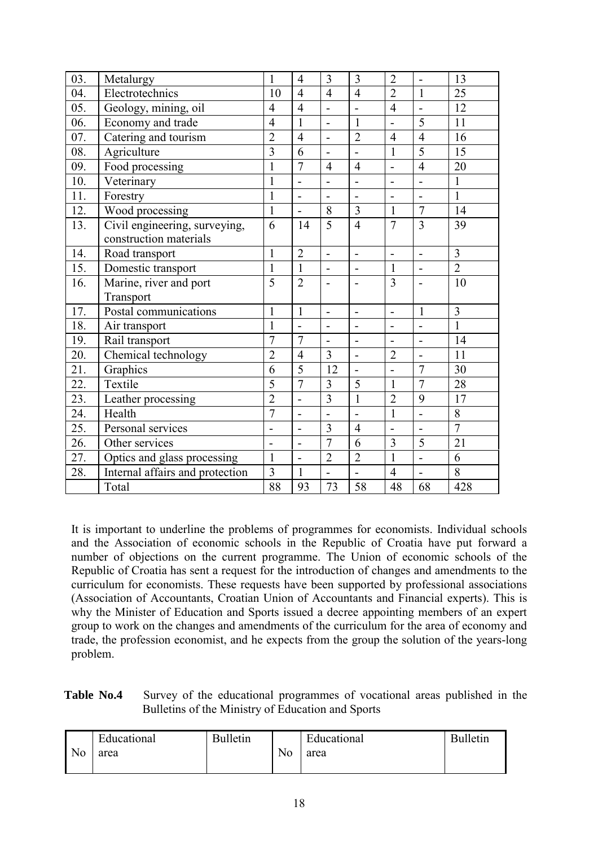| 03. | Metalurgy                       | $\mathbf{1}$   | $\overline{4}$           | 3                        | 3                        | $\overline{2}$           | $\overline{a}$           | 13              |
|-----|---------------------------------|----------------|--------------------------|--------------------------|--------------------------|--------------------------|--------------------------|-----------------|
| 04. | Electrotechnics                 | 10             | $\overline{4}$           | $\overline{4}$           | $\overline{4}$           | $\overline{2}$           | $\mathbf{1}$             | 25              |
| 05. | Geology, mining, oil            | $\overline{4}$ | $\overline{4}$           | $\overline{a}$           | $\overline{a}$           | $\overline{4}$           | $\overline{a}$           | 12              |
| 06. | Economy and trade               | $\overline{4}$ | $\mathbf{1}$             | $\overline{\phantom{0}}$ | $\mathbf{1}$             | $\overline{\phantom{a}}$ | 5                        | 11              |
| 07. | Catering and tourism            | $\overline{2}$ | $\overline{4}$           | $\overline{a}$           | $\overline{2}$           | $\overline{4}$           | $\overline{4}$           | 16              |
| 08. | Agriculture                     | 3              | 6                        | $\overline{\phantom{0}}$ | $\overline{a}$           | $\mathbf{1}$             | 5                        | 15              |
| 09. | Food processing                 | $\mathbf{1}$   | $\overline{7}$           | $\overline{4}$           | $\overline{4}$           | $\overline{a}$           | $\overline{4}$           | 20              |
| 10. | Veterinary                      | $\mathbf{1}$   | $\overline{a}$           | $\overline{a}$           | $\overline{a}$           | $\overline{\phantom{a}}$ | $\overline{a}$           | $\mathbf{1}$    |
| 11. | Forestry                        | 1              | $\overline{\phantom{0}}$ | $\overline{\phantom{0}}$ | $\blacksquare$           | $\overline{a}$           | $\blacksquare$           | $\mathbf{1}$    |
| 12. | Wood processing                 | $\mathbf{1}$   | $\overline{a}$           | 8                        | 3                        | $\mathbf{1}$             | $\overline{7}$           | 14              |
| 13. | Civil engineering, surveying,   | 6              | 14                       | $\overline{5}$           | $\overline{4}$           | $\overline{7}$           | $\overline{3}$           | 39              |
|     | construction materials          |                |                          |                          |                          |                          |                          |                 |
| 14. | Road transport                  | $\mathbf{1}$   | $\overline{2}$           | $\overline{\phantom{0}}$ | $\overline{a}$           | $\overline{\phantom{0}}$ | $\overline{a}$           | $\overline{3}$  |
| 15. | Domestic transport              | $\mathbf{1}$   | $\mathbf{1}$             | $\overline{\phantom{0}}$ | $\blacksquare$           | $\mathbf{1}$             | $\overline{a}$           | $\overline{2}$  |
| 16. | Marine, river and port          | 5              | $\overline{2}$           | -                        | $\overline{a}$           | 3                        |                          | 10              |
|     | Transport                       |                |                          |                          |                          |                          |                          |                 |
| 17. | Postal communications           | $\mathbf{1}$   | $\mathbf{1}$             | $\overline{a}$           | $\overline{a}$           | $\overline{a}$           | $\mathbf{1}$             | $\overline{3}$  |
| 18. | Air transport                   | $\mathbf{1}$   |                          | $\overline{a}$           |                          | $\overline{a}$           | $\overline{a}$           | $\mathbf{1}$    |
| 19. | Rail transport                  | $\overline{7}$ | $\overline{7}$           | $\overline{a}$           | $\overline{\phantom{0}}$ |                          | $\overline{a}$           | 14              |
| 20. | Chemical technology             | $\overline{2}$ | $\overline{4}$           | $\overline{3}$           | $\overline{a}$           | $\overline{2}$           | $\overline{a}$           | 11              |
| 21. | Graphics                        | 6              | 5                        | 12                       | $\overline{a}$           |                          | $\overline{7}$           | 30              |
| 22. | Textile                         | 5              | $\overline{7}$           | 3                        | 5                        | $\mathbf{1}$             | $\overline{7}$           | 28              |
| 23. | Leather processing              | $\overline{2}$ | $\overline{a}$           | $\overline{3}$           | $\mathbf{1}$             | $\overline{2}$           | 9                        | 17              |
| 24. | Health                          | $\overline{7}$ | $\overline{\phantom{0}}$ | $\overline{a}$           | $\overline{a}$           | $\mathbf{1}$             | $\overline{a}$           | 8               |
| 25. | Personal services               | $\overline{a}$ | $\overline{\phantom{0}}$ | 3                        | $\overline{4}$           | $\overline{\phantom{a}}$ | $\overline{\phantom{m}}$ | $\overline{7}$  |
| 26. | Other services                  | $\overline{a}$ | $\overline{\phantom{0}}$ | $\overline{7}$           | 6                        | $\overline{3}$           | 5                        | $\overline{21}$ |
| 27. | Optics and glass processing     | $\mathbf{1}$   | $\overline{a}$           | $\overline{2}$           | $\overline{2}$           | $\mathbf{1}$             | $\overline{a}$           | 6               |
| 28. | Internal affairs and protection | 3              | $\mathbf{1}$             | $\overline{a}$           | $\overline{a}$           | $\overline{4}$           | $\overline{a}$           | 8               |
|     | Total                           | 88             | 93                       | 73                       | 58                       | 48                       | 68                       | 428             |

It is important to underline the problems of programmes for economists. Individual schools and the Association of economic schools in the Republic of Croatia have put forward a number of objections on the current programme. The Union of economic schools of the Republic of Croatia has sent a request for the introduction of changes and amendments to the curriculum for economists. These requests have been supported by professional associations (Association of Accountants, Croatian Union of Accountants and Financial experts). This is why the Minister of Education and Sports issued a decree appointing members of an expert group to work on the changes and amendments of the curriculum for the area of economy and trade, the profession economist, and he expects from the group the solution of the years-long problem.

**Table No.4** Survey of the educational programmes of vocational areas published in the Bulletins of the Ministry of Education and Sports

|                | Educational | <b>Bulletin</b> |    | $\mathbf{m}$ 1<br>Educational | <b>Bulletin</b> |
|----------------|-------------|-----------------|----|-------------------------------|-----------------|
| N <sub>o</sub> | area        |                 | No | area                          |                 |
|                |             |                 |    |                               |                 |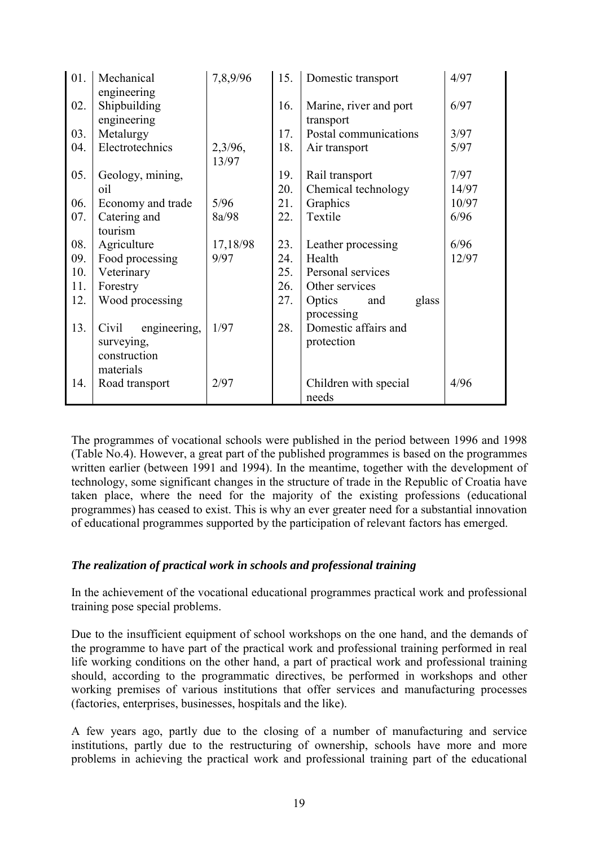| 01. | Mechanical            | 7,8,9/96 | 15. | Domestic transport     | 4/97  |
|-----|-----------------------|----------|-----|------------------------|-------|
|     | engineering           |          |     |                        |       |
| 02. | Shipbuilding          |          | 16. | Marine, river and port | 6/97  |
|     | engineering           |          |     | transport              |       |
| 03. | Metalurgy             |          | 17. | Postal communications  | 3/97  |
| 04. | Electrotechnics       | 2,3/96,  | 18. | Air transport          | 5/97  |
|     |                       | 13/97    |     |                        |       |
| 05. | Geology, mining,      |          | 19. | Rail transport         | 7/97  |
|     | oil                   |          | 20. | Chemical technology    | 14/97 |
| 06. | Economy and trade     | 5/96     | 21. | Graphics               | 10/97 |
| 07. | Catering and          | 8a/98    | 22. | Textile                | 6/96  |
|     | tourism               |          |     |                        |       |
| 08. | Agriculture           | 17,18/98 | 23. | Leather processing     | 6/96  |
| 09. | Food processing       | 9/97     | 24. | Health                 | 12/97 |
| 10. | Veterinary            |          | 25. | Personal services      |       |
| 11. | Forestry              |          | 26. | Other services         |       |
| 12. | Wood processing       |          | 27. | glass<br>Optics<br>and |       |
|     |                       |          |     | processing             |       |
| 13. | Civil<br>engineering, | 1/97     | 28. | Domestic affairs and   |       |
|     | surveying,            |          |     | protection             |       |
|     | construction          |          |     |                        |       |
|     | materials             |          |     |                        |       |
| 14. | Road transport        | 2/97     |     | Children with special  | 4/96  |
|     |                       |          |     | needs                  |       |

The programmes of vocational schools were published in the period between 1996 and 1998 (Table No.4). However, a great part of the published programmes is based on the programmes written earlier (between 1991 and 1994). In the meantime, together with the development of technology, some significant changes in the structure of trade in the Republic of Croatia have taken place, where the need for the majority of the existing professions (educational programmes) has ceased to exist. This is why an ever greater need for a substantial innovation of educational programmes supported by the participation of relevant factors has emerged.

## *The realization of practical work in schools and professional training*

In the achievement of the vocational educational programmes practical work and professional training pose special problems.

Due to the insufficient equipment of school workshops on the one hand, and the demands of the programme to have part of the practical work and professional training performed in real life working conditions on the other hand, a part of practical work and professional training should, according to the programmatic directives, be performed in workshops and other working premises of various institutions that offer services and manufacturing processes (factories, enterprises, businesses, hospitals and the like).

A few years ago, partly due to the closing of a number of manufacturing and service institutions, partly due to the restructuring of ownership, schools have more and more problems in achieving the practical work and professional training part of the educational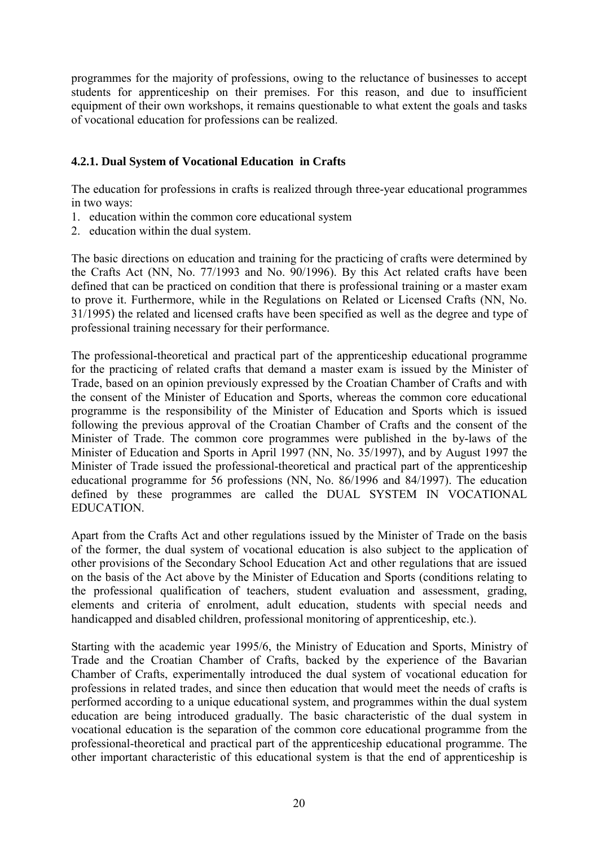programmes for the majority of professions, owing to the reluctance of businesses to accept students for apprenticeship on their premises. For this reason, and due to insufficient equipment of their own workshops, it remains questionable to what extent the goals and tasks of vocational education for professions can be realized.

# **4.2.1. Dual System of Vocational Education in Crafts**

The education for professions in crafts is realized through three-year educational programmes in two ways:

- 1. education within the common core educational system
- 2. education within the dual system.

The basic directions on education and training for the practicing of crafts were determined by the Crafts Act (NN, No. 77/1993 and No. 90/1996). By this Act related crafts have been defined that can be practiced on condition that there is professional training or a master exam to prove it. Furthermore, while in the Regulations on Related or Licensed Crafts (NN, No. 31/1995) the related and licensed crafts have been specified as well as the degree and type of professional training necessary for their performance.

The professional-theoretical and practical part of the apprenticeship educational programme for the practicing of related crafts that demand a master exam is issued by the Minister of Trade, based on an opinion previously expressed by the Croatian Chamber of Crafts and with the consent of the Minister of Education and Sports, whereas the common core educational programme is the responsibility of the Minister of Education and Sports which is issued following the previous approval of the Croatian Chamber of Crafts and the consent of the Minister of Trade. The common core programmes were published in the by-laws of the Minister of Education and Sports in April 1997 (NN, No. 35/1997), and by August 1997 the Minister of Trade issued the professional-theoretical and practical part of the apprenticeship educational programme for 56 professions (NN, No. 86/1996 and 84/1997). The education defined by these programmes are called the DUAL SYSTEM IN VOCATIONAL EDUCATION.

Apart from the Crafts Act and other regulations issued by the Minister of Trade on the basis of the former, the dual system of vocational education is also subject to the application of other provisions of the Secondary School Education Act and other regulations that are issued on the basis of the Act above by the Minister of Education and Sports (conditions relating to the professional qualification of teachers, student evaluation and assessment, grading, elements and criteria of enrolment, adult education, students with special needs and handicapped and disabled children, professional monitoring of apprenticeship, etc.).

Starting with the academic year 1995/6, the Ministry of Education and Sports, Ministry of Trade and the Croatian Chamber of Crafts, backed by the experience of the Bavarian Chamber of Crafts, experimentally introduced the dual system of vocational education for professions in related trades, and since then education that would meet the needs of crafts is performed according to a unique educational system, and programmes within the dual system education are being introduced gradually. The basic characteristic of the dual system in vocational education is the separation of the common core educational programme from the professional-theoretical and practical part of the apprenticeship educational programme. The other important characteristic of this educational system is that the end of apprenticeship is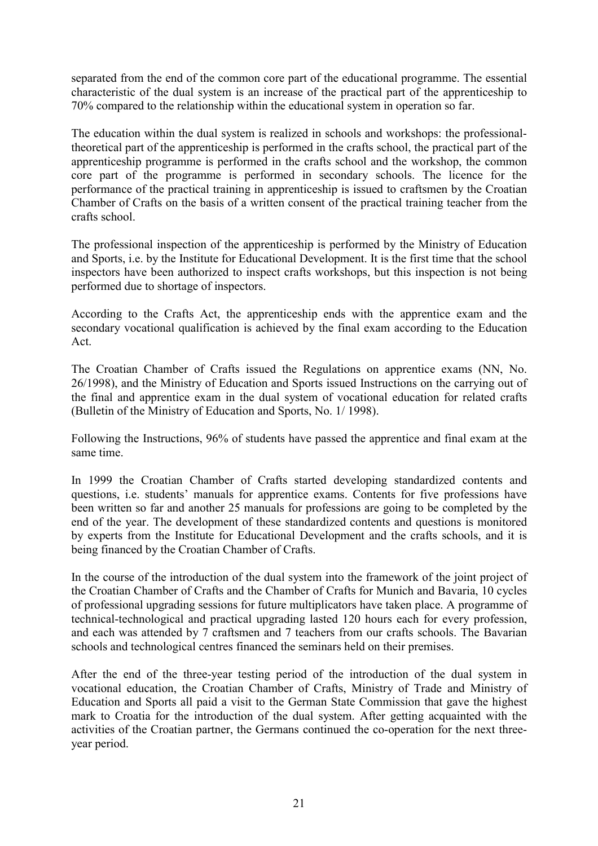separated from the end of the common core part of the educational programme. The essential characteristic of the dual system is an increase of the practical part of the apprenticeship to 70% compared to the relationship within the educational system in operation so far.

The education within the dual system is realized in schools and workshops: the professionaltheoretical part of the apprenticeship is performed in the crafts school, the practical part of the apprenticeship programme is performed in the crafts school and the workshop, the common core part of the programme is performed in secondary schools. The licence for the performance of the practical training in apprenticeship is issued to craftsmen by the Croatian Chamber of Crafts on the basis of a written consent of the practical training teacher from the crafts school.

The professional inspection of the apprenticeship is performed by the Ministry of Education and Sports, i.e. by the Institute for Educational Development. It is the first time that the school inspectors have been authorized to inspect crafts workshops, but this inspection is not being performed due to shortage of inspectors.

According to the Crafts Act, the apprenticeship ends with the apprentice exam and the secondary vocational qualification is achieved by the final exam according to the Education Act.

The Croatian Chamber of Crafts issued the Regulations on apprentice exams (NN, No. 26/1998), and the Ministry of Education and Sports issued Instructions on the carrying out of the final and apprentice exam in the dual system of vocational education for related crafts (Bulletin of the Ministry of Education and Sports, No. 1/ 1998).

Following the Instructions, 96% of students have passed the apprentice and final exam at the same time.

In 1999 the Croatian Chamber of Crafts started developing standardized contents and questions, i.e. students' manuals for apprentice exams. Contents for five professions have been written so far and another 25 manuals for professions are going to be completed by the end of the year. The development of these standardized contents and questions is monitored by experts from the Institute for Educational Development and the crafts schools, and it is being financed by the Croatian Chamber of Crafts.

In the course of the introduction of the dual system into the framework of the joint project of the Croatian Chamber of Crafts and the Chamber of Crafts for Munich and Bavaria, 10 cycles of professional upgrading sessions for future multiplicators have taken place. A programme of technical-technological and practical upgrading lasted 120 hours each for every profession, and each was attended by 7 craftsmen and 7 teachers from our crafts schools. The Bavarian schools and technological centres financed the seminars held on their premises.

After the end of the three-year testing period of the introduction of the dual system in vocational education, the Croatian Chamber of Crafts, Ministry of Trade and Ministry of Education and Sports all paid a visit to the German State Commission that gave the highest mark to Croatia for the introduction of the dual system. After getting acquainted with the activities of the Croatian partner, the Germans continued the co-operation for the next threeyear period.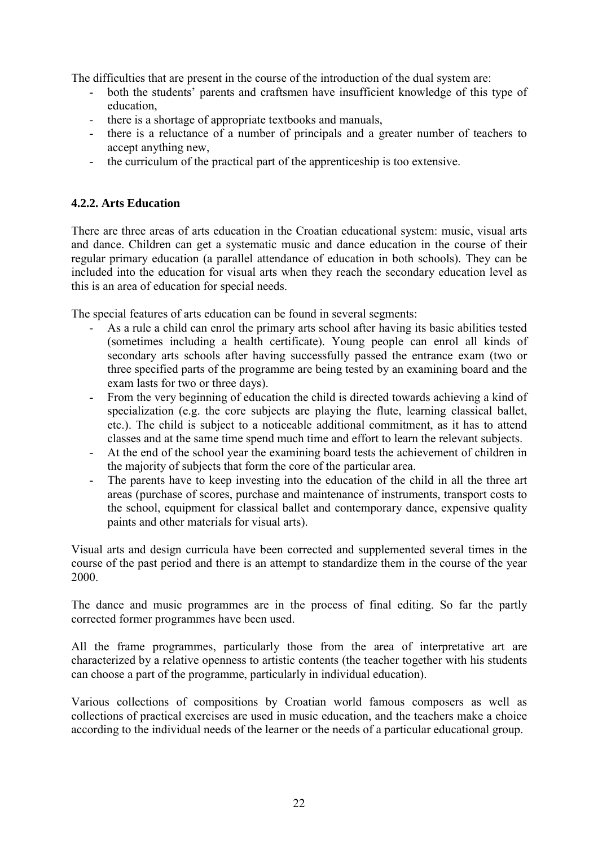The difficulties that are present in the course of the introduction of the dual system are:

- both the students' parents and craftsmen have insufficient knowledge of this type of education,
- there is a shortage of appropriate textbooks and manuals,
- there is a reluctance of a number of principals and a greater number of teachers to accept anything new,
- the curriculum of the practical part of the apprenticeship is too extensive.

## **4.2.2. Arts Education**

There are three areas of arts education in the Croatian educational system: music, visual arts and dance. Children can get a systematic music and dance education in the course of their regular primary education (a parallel attendance of education in both schools). They can be included into the education for visual arts when they reach the secondary education level as this is an area of education for special needs.

The special features of arts education can be found in several segments:

- As a rule a child can enrol the primary arts school after having its basic abilities tested (sometimes including a health certificate). Young people can enrol all kinds of secondary arts schools after having successfully passed the entrance exam (two or three specified parts of the programme are being tested by an examining board and the exam lasts for two or three days).
- From the very beginning of education the child is directed towards achieving a kind of specialization (e.g. the core subjects are playing the flute, learning classical ballet, etc.). The child is subject to a noticeable additional commitment, as it has to attend classes and at the same time spend much time and effort to learn the relevant subjects.
- At the end of the school year the examining board tests the achievement of children in the majority of subjects that form the core of the particular area.
- The parents have to keep investing into the education of the child in all the three art areas (purchase of scores, purchase and maintenance of instruments, transport costs to the school, equipment for classical ballet and contemporary dance, expensive quality paints and other materials for visual arts).

Visual arts and design curricula have been corrected and supplemented several times in the course of the past period and there is an attempt to standardize them in the course of the year 2000.

The dance and music programmes are in the process of final editing. So far the partly corrected former programmes have been used.

All the frame programmes, particularly those from the area of interpretative art are characterized by a relative openness to artistic contents (the teacher together with his students can choose a part of the programme, particularly in individual education).

Various collections of compositions by Croatian world famous composers as well as collections of practical exercises are used in music education, and the teachers make a choice according to the individual needs of the learner or the needs of a particular educational group.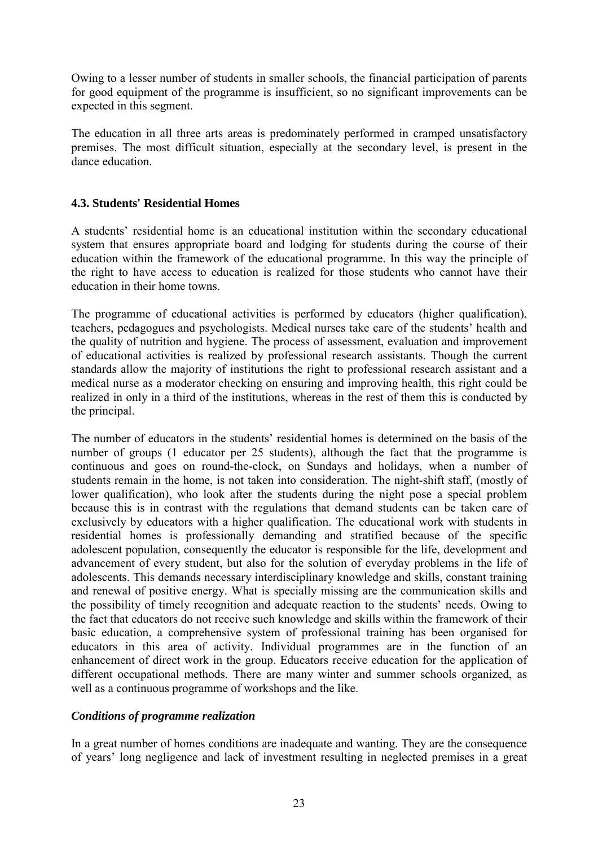Owing to a lesser number of students in smaller schools, the financial participation of parents for good equipment of the programme is insufficient, so no significant improvements can be expected in this segment.

The education in all three arts areas is predominately performed in cramped unsatisfactory premises. The most difficult situation, especially at the secondary level, is present in the dance education.

# **4.3. Students' Residential Homes**

A students' residential home is an educational institution within the secondary educational system that ensures appropriate board and lodging for students during the course of their education within the framework of the educational programme. In this way the principle of the right to have access to education is realized for those students who cannot have their education in their home towns.

The programme of educational activities is performed by educators (higher qualification), teachers, pedagogues and psychologists. Medical nurses take care of the students' health and the quality of nutrition and hygiene. The process of assessment, evaluation and improvement of educational activities is realized by professional research assistants. Though the current standards allow the majority of institutions the right to professional research assistant and a medical nurse as a moderator checking on ensuring and improving health, this right could be realized in only in a third of the institutions, whereas in the rest of them this is conducted by the principal.

The number of educators in the students' residential homes is determined on the basis of the number of groups (1 educator per 25 students), although the fact that the programme is continuous and goes on round-the-clock, on Sundays and holidays, when a number of students remain in the home, is not taken into consideration. The night-shift staff, (mostly of lower qualification), who look after the students during the night pose a special problem because this is in contrast with the regulations that demand students can be taken care of exclusively by educators with a higher qualification. The educational work with students in residential homes is professionally demanding and stratified because of the specific adolescent population, consequently the educator is responsible for the life, development and advancement of every student, but also for the solution of everyday problems in the life of adolescents. This demands necessary interdisciplinary knowledge and skills, constant training and renewal of positive energy. What is specially missing are the communication skills and the possibility of timely recognition and adequate reaction to the students' needs. Owing to the fact that educators do not receive such knowledge and skills within the framework of their basic education, a comprehensive system of professional training has been organised for educators in this area of activity. Individual programmes are in the function of an enhancement of direct work in the group. Educators receive education for the application of different occupational methods. There are many winter and summer schools organized, as well as a continuous programme of workshops and the like.

## *Conditions of programme realization*

In a great number of homes conditions are inadequate and wanting. They are the consequence of yearsí long negligence and lack of investment resulting in neglected premises in a great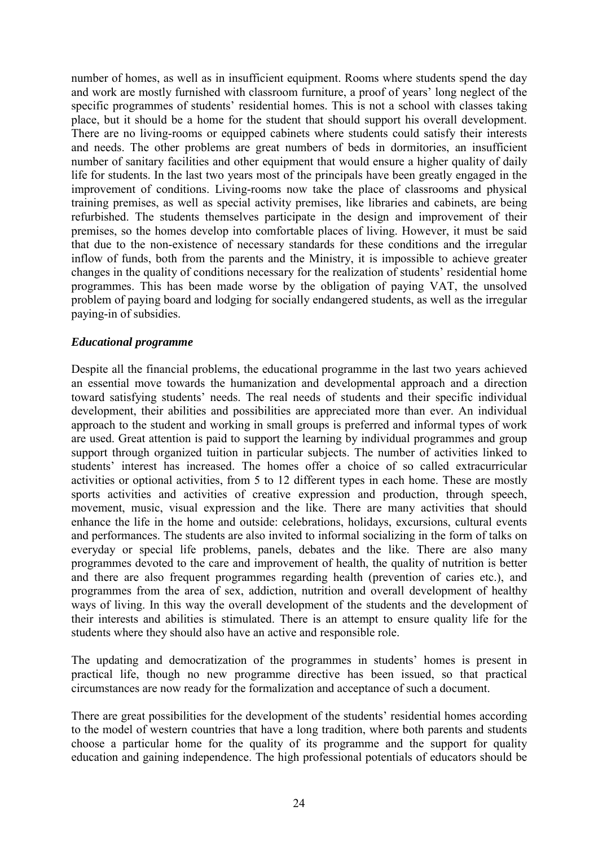number of homes, as well as in insufficient equipment. Rooms where students spend the day and work are mostly furnished with classroom furniture, a proof of years' long neglect of the specific programmes of students' residential homes. This is not a school with classes taking place, but it should be a home for the student that should support his overall development. There are no living-rooms or equipped cabinets where students could satisfy their interests and needs. The other problems are great numbers of beds in dormitories, an insufficient number of sanitary facilities and other equipment that would ensure a higher quality of daily life for students. In the last two years most of the principals have been greatly engaged in the improvement of conditions. Living-rooms now take the place of classrooms and physical training premises, as well as special activity premises, like libraries and cabinets, are being refurbished. The students themselves participate in the design and improvement of their premises, so the homes develop into comfortable places of living. However, it must be said that due to the non-existence of necessary standards for these conditions and the irregular inflow of funds, both from the parents and the Ministry, it is impossible to achieve greater changes in the quality of conditions necessary for the realization of students' residential home programmes. This has been made worse by the obligation of paying VAT, the unsolved problem of paying board and lodging for socially endangered students, as well as the irregular paying-in of subsidies.

#### *Educational programme*

Despite all the financial problems, the educational programme in the last two years achieved an essential move towards the humanization and developmental approach and a direction toward satisfying students' needs. The real needs of students and their specific individual development, their abilities and possibilities are appreciated more than ever. An individual approach to the student and working in small groups is preferred and informal types of work are used. Great attention is paid to support the learning by individual programmes and group support through organized tuition in particular subjects. The number of activities linked to students' interest has increased. The homes offer a choice of so called extracurricular activities or optional activities, from 5 to 12 different types in each home. These are mostly sports activities and activities of creative expression and production, through speech, movement, music, visual expression and the like. There are many activities that should enhance the life in the home and outside: celebrations, holidays, excursions, cultural events and performances. The students are also invited to informal socializing in the form of talks on everyday or special life problems, panels, debates and the like. There are also many programmes devoted to the care and improvement of health, the quality of nutrition is better and there are also frequent programmes regarding health (prevention of caries etc.), and programmes from the area of sex, addiction, nutrition and overall development of healthy ways of living. In this way the overall development of the students and the development of their interests and abilities is stimulated. There is an attempt to ensure quality life for the students where they should also have an active and responsible role.

The updating and democratization of the programmes in students' homes is present in practical life, though no new programme directive has been issued, so that practical circumstances are now ready for the formalization and acceptance of such a document.

There are great possibilities for the development of the students' residential homes according to the model of western countries that have a long tradition, where both parents and students choose a particular home for the quality of its programme and the support for quality education and gaining independence. The high professional potentials of educators should be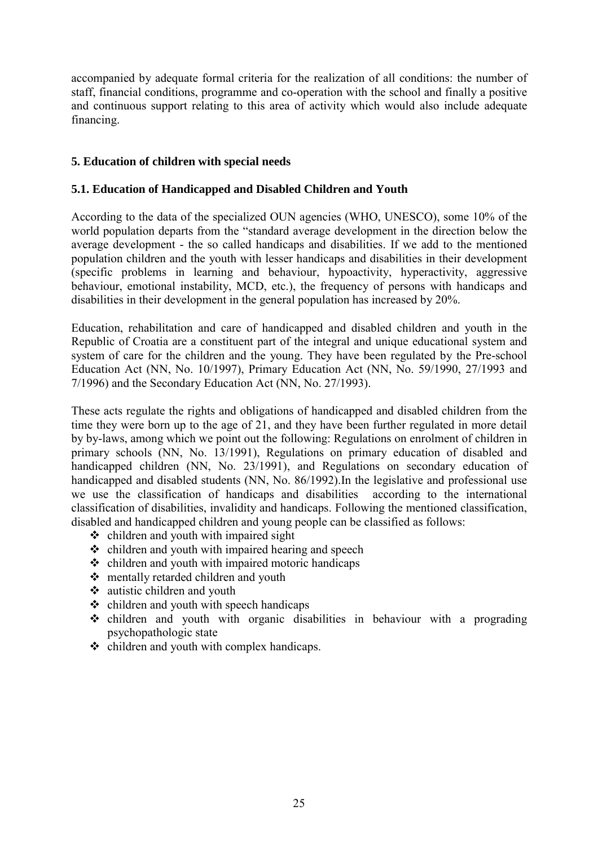accompanied by adequate formal criteria for the realization of all conditions: the number of staff, financial conditions, programme and co-operation with the school and finally a positive and continuous support relating to this area of activity which would also include adequate financing.

## **5. Education of children with special needs**

## **5.1. Education of Handicapped and Disabled Children and Youth**

According to the data of the specialized OUN agencies (WHO, UNESCO), some 10% of the world population departs from the "standard average development in the direction below the average development - the so called handicaps and disabilities. If we add to the mentioned population children and the youth with lesser handicaps and disabilities in their development (specific problems in learning and behaviour, hypoactivity, hyperactivity, aggressive behaviour, emotional instability, MCD, etc.), the frequency of persons with handicaps and disabilities in their development in the general population has increased by 20%.

Education, rehabilitation and care of handicapped and disabled children and youth in the Republic of Croatia are a constituent part of the integral and unique educational system and system of care for the children and the young. They have been regulated by the Pre-school Education Act (NN, No. 10/1997), Primary Education Act (NN, No. 59/1990, 27/1993 and 7/1996) and the Secondary Education Act (NN, No. 27/1993).

These acts regulate the rights and obligations of handicapped and disabled children from the time they were born up to the age of 21, and they have been further regulated in more detail by by-laws, among which we point out the following: Regulations on enrolment of children in primary schools (NN, No. 13/1991), Regulations on primary education of disabled and handicapped children (NN, No. 23/1991), and Regulations on secondary education of handicapped and disabled students (NN, No. 86/1992).In the legislative and professional use we use the classification of handicaps and disabilities according to the international classification of disabilities, invalidity and handicaps. Following the mentioned classification, disabled and handicapped children and young people can be classified as follows:

- $\div$  children and youth with impaired sight
- $\div$  children and youth with impaired hearing and speech
- $\div$  children and youth with impaired motoric handicaps
- ! mentally retarded children and youth
- $\triangleleft$  autistic children and youth
- $\div$  children and youth with speech handicaps
- children and youth with organic disabilities in behaviour with a prograding psychopathologic state
- $\div$  children and youth with complex handicaps.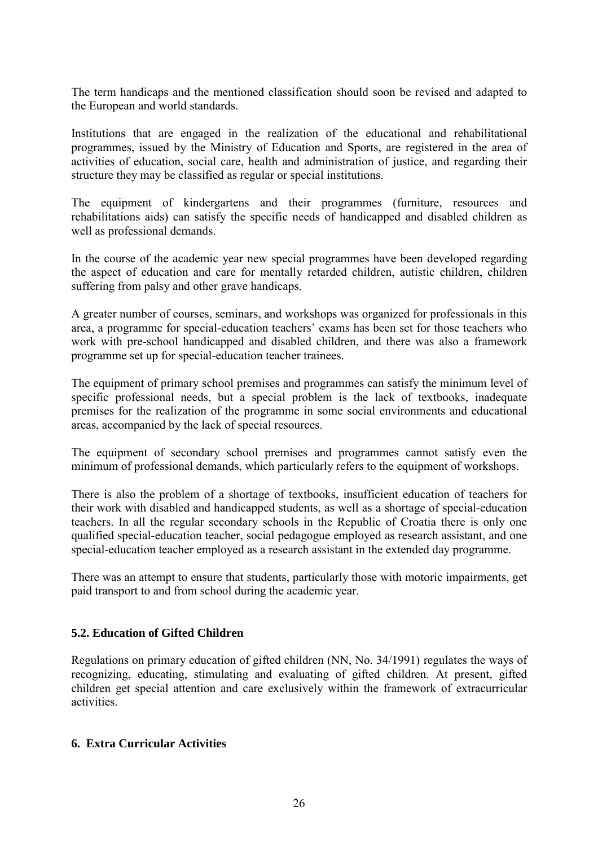The term handicaps and the mentioned classification should soon be revised and adapted to the European and world standards.

Institutions that are engaged in the realization of the educational and rehabilitational programmes, issued by the Ministry of Education and Sports, are registered in the area of activities of education, social care, health and administration of justice, and regarding their structure they may be classified as regular or special institutions.

The equipment of kindergartens and their programmes (furniture, resources and rehabilitations aids) can satisfy the specific needs of handicapped and disabled children as well as professional demands.

In the course of the academic year new special programmes have been developed regarding the aspect of education and care for mentally retarded children, autistic children, children suffering from palsy and other grave handicaps.

A greater number of courses, seminars, and workshops was organized for professionals in this area, a programme for special-education teachers' exams has been set for those teachers who work with pre-school handicapped and disabled children, and there was also a framework programme set up for special-education teacher trainees.

The equipment of primary school premises and programmes can satisfy the minimum level of specific professional needs, but a special problem is the lack of textbooks, inadequate premises for the realization of the programme in some social environments and educational areas, accompanied by the lack of special resources.

The equipment of secondary school premises and programmes cannot satisfy even the minimum of professional demands, which particularly refers to the equipment of workshops.

There is also the problem of a shortage of textbooks, insufficient education of teachers for their work with disabled and handicapped students, as well as a shortage of special-education teachers. In all the regular secondary schools in the Republic of Croatia there is only one qualified special-education teacher, social pedagogue employed as research assistant, and one special-education teacher employed as a research assistant in the extended day programme.

There was an attempt to ensure that students, particularly those with motoric impairments, get paid transport to and from school during the academic year.

## **5.2. Education of Gifted Children**

Regulations on primary education of gifted children (NN, No. 34/1991) regulates the ways of recognizing, educating, stimulating and evaluating of gifted children. At present, gifted children get special attention and care exclusively within the framework of extracurricular activities.

#### **6. Extra Curricular Activities**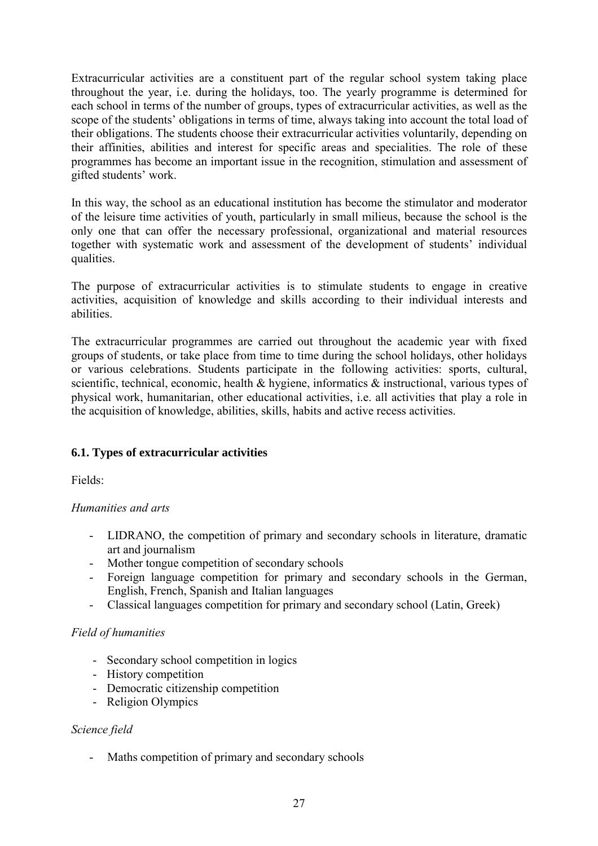Extracurricular activities are a constituent part of the regular school system taking place throughout the year, i.e. during the holidays, too. The yearly programme is determined for each school in terms of the number of groups, types of extracurricular activities, as well as the scope of the students' obligations in terms of time, always taking into account the total load of their obligations. The students choose their extracurricular activities voluntarily, depending on their affinities, abilities and interest for specific areas and specialities. The role of these programmes has become an important issue in the recognition, stimulation and assessment of gifted students' work.

In this way, the school as an educational institution has become the stimulator and moderator of the leisure time activities of youth, particularly in small milieus, because the school is the only one that can offer the necessary professional, organizational and material resources together with systematic work and assessment of the development of students' individual qualities.

The purpose of extracurricular activities is to stimulate students to engage in creative activities, acquisition of knowledge and skills according to their individual interests and abilities.

The extracurricular programmes are carried out throughout the academic year with fixed groups of students, or take place from time to time during the school holidays, other holidays or various celebrations. Students participate in the following activities: sports, cultural, scientific, technical, economic, health  $\&$  hygiene, informatics  $\&$  instructional, various types of physical work, humanitarian, other educational activities, i.e. all activities that play a role in the acquisition of knowledge, abilities, skills, habits and active recess activities.

## **6.1. Types of extracurricular activities**

Fields:

## *Humanities and arts*

- LIDRANO, the competition of primary and secondary schools in literature, dramatic art and journalism
- Mother tongue competition of secondary schools
- Foreign language competition for primary and secondary schools in the German, English, French, Spanish and Italian languages
- Classical languages competition for primary and secondary school (Latin, Greek)

#### *Field of humanities*

- Secondary school competition in logics
- History competition
- Democratic citizenship competition
- Religion Olympics

#### *Science field*

- Maths competition of primary and secondary schools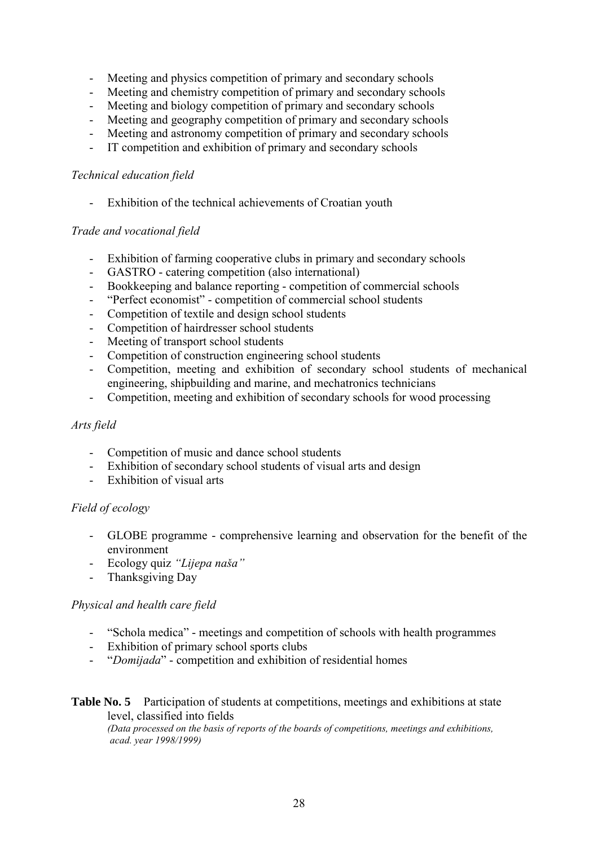- Meeting and physics competition of primary and secondary schools
- Meeting and chemistry competition of primary and secondary schools
- Meeting and biology competition of primary and secondary schools
- Meeting and geography competition of primary and secondary schools
- Meeting and astronomy competition of primary and secondary schools
- IT competition and exhibition of primary and secondary schools

#### *Technical education field*

- Exhibition of the technical achievements of Croatian youth

#### *Trade and vocational field*

- Exhibition of farming cooperative clubs in primary and secondary schools
- GASTRO catering competition (also international)
- Bookkeeping and balance reporting competition of commercial schools
- "Perfect economist" competition of commercial school students
- Competition of textile and design school students
- Competition of hairdresser school students
- Meeting of transport school students
- Competition of construction engineering school students
- Competition, meeting and exhibition of secondary school students of mechanical engineering, shipbuilding and marine, and mechatronics technicians
- Competition, meeting and exhibition of secondary schools for wood processing

#### *Arts field*

- Competition of music and dance school students
- Exhibition of secondary school students of visual arts and design
- Exhibition of visual arts

#### *Field of ecology*

- GLOBE programme comprehensive learning and observation for the benefit of the environment
- Ecology quiz "Lijepa naša"
- Thanksgiving Day

#### *Physical and health care field*

- "Schola medica" meetings and competition of schools with health programmes
- Exhibition of primary school sports clubs
- *"Domijada"* competition and exhibition of residential homes

# **Table No. 5** Participation of students at competitions, meetings and exhibitions at state level, classified into fields

*(Data processed on the basis of reports of the boards of competitions, meetings and exhibitions, acad. year 1998/1999)*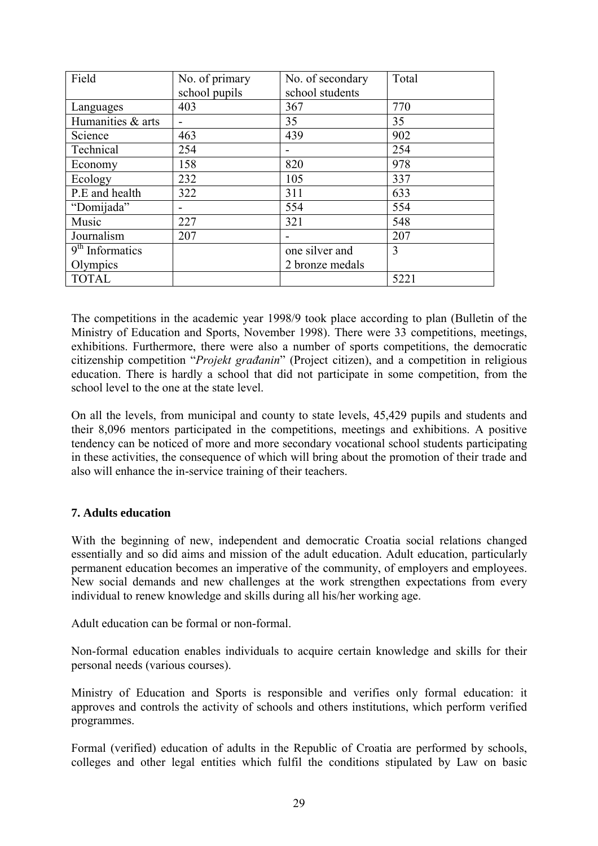| Field             | No. of primary | No. of secondary | Total |
|-------------------|----------------|------------------|-------|
|                   | school pupils  | school students  |       |
| Languages         | 403            | 367              | 770   |
| Humanities & arts |                | 35               | 35    |
| Science           | 463            | 439              | 902   |
| Technical         | 254            |                  | 254   |
| Economy           | 158            | 820              | 978   |
| Ecology           | 232            | 105              | 337   |
| P.E and health    | 322            | 311              | 633   |
| "Domijada"        |                | 554              | 554   |
| Music             | 227            | 321              | 548   |
| Journalism        | 207            |                  | 207   |
| $9th$ Informatics |                | one silver and   | 3     |
| Olympics          |                | 2 bronze medals  |       |
| <b>TOTAL</b>      |                |                  | 5221  |

The competitions in the academic year 1998/9 took place according to plan (Bulletin of the Ministry of Education and Sports, November 1998). There were 33 competitions, meetings, exhibitions. Furthermore, there were also a number of sports competitions, the democratic citizenship competition ì*Projekt građanin*î (Project citizen), and a competition in religious education. There is hardly a school that did not participate in some competition, from the school level to the one at the state level.

On all the levels, from municipal and county to state levels, 45,429 pupils and students and their 8,096 mentors participated in the competitions, meetings and exhibitions. A positive tendency can be noticed of more and more secondary vocational school students participating in these activities, the consequence of which will bring about the promotion of their trade and also will enhance the in-service training of their teachers.

## **7. Adults education**

With the beginning of new, independent and democratic Croatia social relations changed essentially and so did aims and mission of the adult education. Adult education, particularly permanent education becomes an imperative of the community, of employers and employees. New social demands and new challenges at the work strengthen expectations from every individual to renew knowledge and skills during all his/her working age.

Adult education can be formal or non-formal.

Non-formal education enables individuals to acquire certain knowledge and skills for their personal needs (various courses).

Ministry of Education and Sports is responsible and verifies only formal education: it approves and controls the activity of schools and others institutions, which perform verified programmes.

Formal (verified) education of adults in the Republic of Croatia are performed by schools, colleges and other legal entities which fulfil the conditions stipulated by Law on basic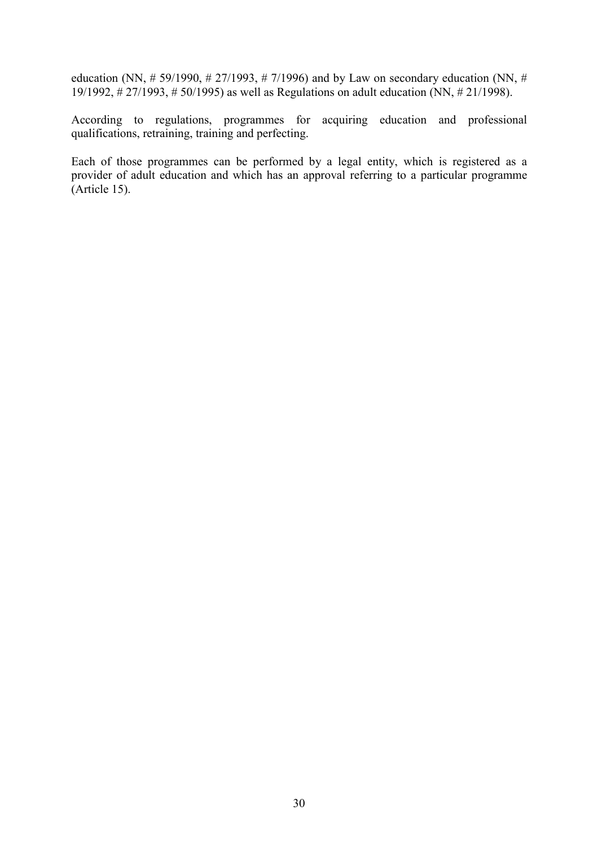education (NN,  $\# 59/1990$ ,  $\# 27/1993$ ,  $\# 7/1996$ ) and by Law on secondary education (NN,  $\#$ 19/1992, # 27/1993, # 50/1995) as well as Regulations on adult education (NN, # 21/1998).

According to regulations, programmes for acquiring education and professional qualifications, retraining, training and perfecting.

Each of those programmes can be performed by a legal entity, which is registered as a provider of adult education and which has an approval referring to a particular programme (Article 15).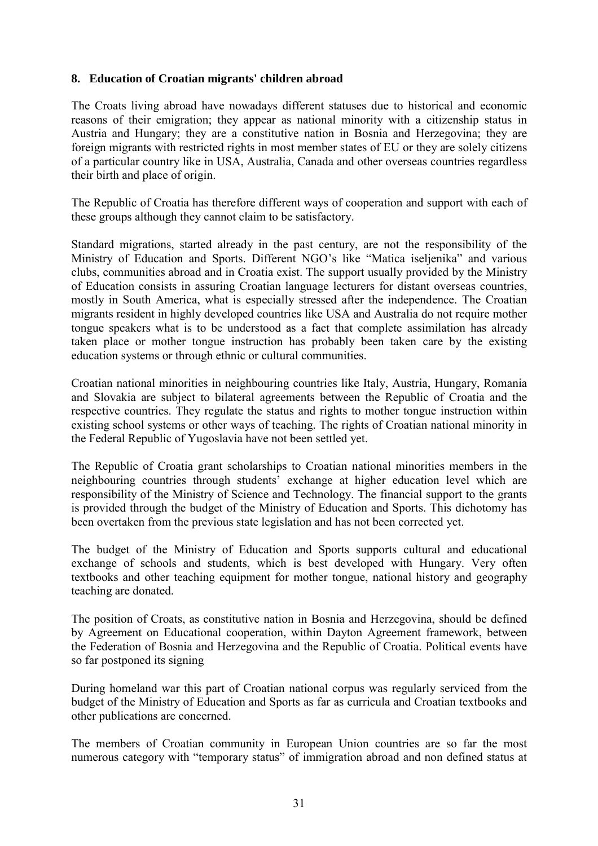## **8. Education of Croatian migrants' children abroad**

The Croats living abroad have nowadays different statuses due to historical and economic reasons of their emigration; they appear as national minority with a citizenship status in Austria and Hungary; they are a constitutive nation in Bosnia and Herzegovina; they are foreign migrants with restricted rights in most member states of EU or they are solely citizens of a particular country like in USA, Australia, Canada and other overseas countries regardless their birth and place of origin.

The Republic of Croatia has therefore different ways of cooperation and support with each of these groups although they cannot claim to be satisfactory.

Standard migrations, started already in the past century, are not the responsibility of the Ministry of Education and Sports. Different NGO's like "Matica iseljenika" and various clubs, communities abroad and in Croatia exist. The support usually provided by the Ministry of Education consists in assuring Croatian language lecturers for distant overseas countries, mostly in South America, what is especially stressed after the independence. The Croatian migrants resident in highly developed countries like USA and Australia do not require mother tongue speakers what is to be understood as a fact that complete assimilation has already taken place or mother tongue instruction has probably been taken care by the existing education systems or through ethnic or cultural communities.

Croatian national minorities in neighbouring countries like Italy, Austria, Hungary, Romania and Slovakia are subject to bilateral agreements between the Republic of Croatia and the respective countries. They regulate the status and rights to mother tongue instruction within existing school systems or other ways of teaching. The rights of Croatian national minority in the Federal Republic of Yugoslavia have not been settled yet.

The Republic of Croatia grant scholarships to Croatian national minorities members in the neighbouring countries through students' exchange at higher education level which are responsibility of the Ministry of Science and Technology. The financial support to the grants is provided through the budget of the Ministry of Education and Sports. This dichotomy has been overtaken from the previous state legislation and has not been corrected yet.

The budget of the Ministry of Education and Sports supports cultural and educational exchange of schools and students, which is best developed with Hungary. Very often textbooks and other teaching equipment for mother tongue, national history and geography teaching are donated.

The position of Croats, as constitutive nation in Bosnia and Herzegovina, should be defined by Agreement on Educational cooperation, within Dayton Agreement framework, between the Federation of Bosnia and Herzegovina and the Republic of Croatia. Political events have so far postponed its signing

During homeland war this part of Croatian national corpus was regularly serviced from the budget of the Ministry of Education and Sports as far as curricula and Croatian textbooks and other publications are concerned.

The members of Croatian community in European Union countries are so far the most numerous category with "temporary status" of immigration abroad and non defined status at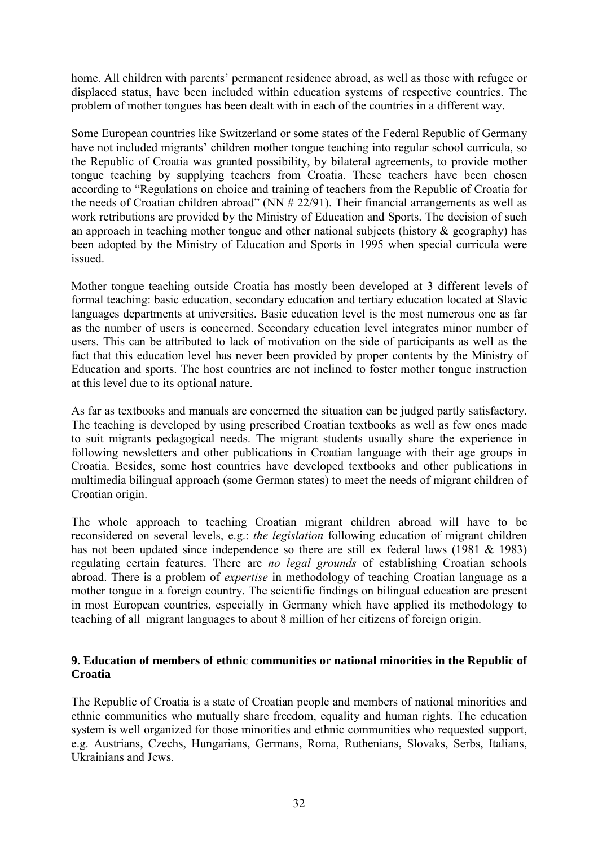home. All children with parents' permanent residence abroad, as well as those with refugee or displaced status, have been included within education systems of respective countries. The problem of mother tongues has been dealt with in each of the countries in a different way.

Some European countries like Switzerland or some states of the Federal Republic of Germany have not included migrants' children mother tongue teaching into regular school curricula, so the Republic of Croatia was granted possibility, by bilateral agreements, to provide mother tongue teaching by supplying teachers from Croatia. These teachers have been chosen according to "Regulations on choice and training of teachers from the Republic of Croatia for the needs of Croatian children abroad" (NN  $# 22/91$ ). Their financial arrangements as well as work retributions are provided by the Ministry of Education and Sports. The decision of such an approach in teaching mother tongue and other national subjects (history  $\&$  geography) has been adopted by the Ministry of Education and Sports in 1995 when special curricula were issued.

Mother tongue teaching outside Croatia has mostly been developed at 3 different levels of formal teaching: basic education, secondary education and tertiary education located at Slavic languages departments at universities. Basic education level is the most numerous one as far as the number of users is concerned. Secondary education level integrates minor number of users. This can be attributed to lack of motivation on the side of participants as well as the fact that this education level has never been provided by proper contents by the Ministry of Education and sports. The host countries are not inclined to foster mother tongue instruction at this level due to its optional nature.

As far as textbooks and manuals are concerned the situation can be judged partly satisfactory. The teaching is developed by using prescribed Croatian textbooks as well as few ones made to suit migrants pedagogical needs. The migrant students usually share the experience in following newsletters and other publications in Croatian language with their age groups in Croatia. Besides, some host countries have developed textbooks and other publications in multimedia bilingual approach (some German states) to meet the needs of migrant children of Croatian origin.

The whole approach to teaching Croatian migrant children abroad will have to be reconsidered on several levels, e.g.: *the legislation* following education of migrant children has not been updated since independence so there are still ex federal laws (1981 & 1983) regulating certain features. There are *no legal grounds* of establishing Croatian schools abroad. There is a problem of *expertise* in methodology of teaching Croatian language as a mother tongue in a foreign country. The scientific findings on bilingual education are present in most European countries, especially in Germany which have applied its methodology to teaching of all migrant languages to about 8 million of her citizens of foreign origin.

## **9. Education of members of ethnic communities or national minorities in the Republic of Croatia**

The Republic of Croatia is a state of Croatian people and members of national minorities and ethnic communities who mutually share freedom, equality and human rights. The education system is well organized for those minorities and ethnic communities who requested support, e.g. Austrians, Czechs, Hungarians, Germans, Roma, Ruthenians, Slovaks, Serbs, Italians, Ukrainians and Jews.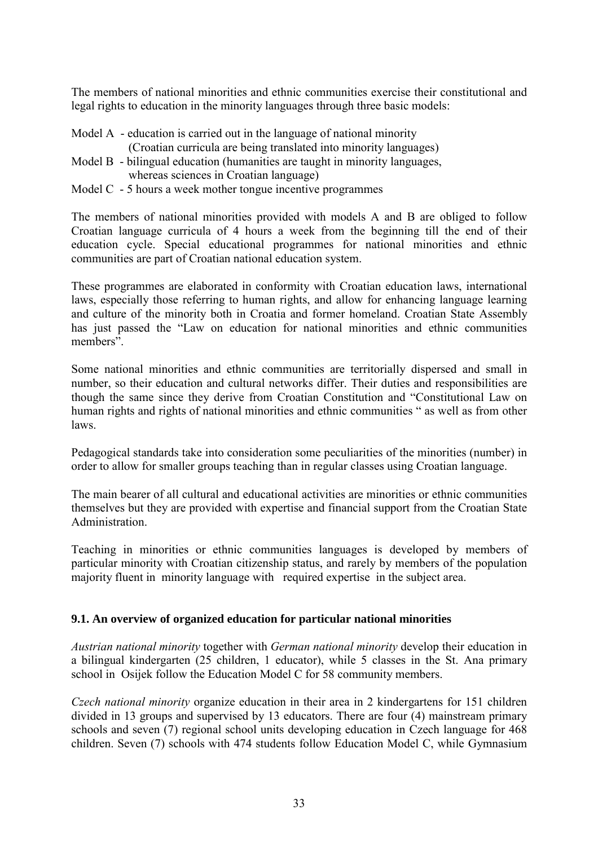The members of national minorities and ethnic communities exercise their constitutional and legal rights to education in the minority languages through three basic models:

- Model A education is carried out in the language of national minority
- (Croatian curricula are being translated into minority languages)
- Model B bilingual education (humanities are taught in minority languages, whereas sciences in Croatian language)
- Model C 5 hours a week mother tongue incentive programmes

The members of national minorities provided with models A and B are obliged to follow Croatian language curricula of 4 hours a week from the beginning till the end of their education cycle. Special educational programmes for national minorities and ethnic communities are part of Croatian national education system.

These programmes are elaborated in conformity with Croatian education laws, international laws, especially those referring to human rights, and allow for enhancing language learning and culture of the minority both in Croatia and former homeland. Croatian State Assembly has just passed the "Law on education for national minorities and ethnic communities members"

Some national minorities and ethnic communities are territorially dispersed and small in number, so their education and cultural networks differ. Their duties and responsibilities are though the same since they derive from Croatian Constitution and "Constitutional Law on human rights and rights of national minorities and ethnic communities " as well as from other laws.

Pedagogical standards take into consideration some peculiarities of the minorities (number) in order to allow for smaller groups teaching than in regular classes using Croatian language.

The main bearer of all cultural and educational activities are minorities or ethnic communities themselves but they are provided with expertise and financial support from the Croatian State Administration.

Teaching in minorities or ethnic communities languages is developed by members of particular minority with Croatian citizenship status, and rarely by members of the population majority fluent in minority language with required expertise in the subject area.

## **9.1. An overview of organized education for particular national minorities**

*Austrian national minority* together with *German national minority* develop their education in a bilingual kindergarten (25 children, 1 educator), while 5 classes in the St. Ana primary school in Osijek follow the Education Model C for 58 community members.

*Czech national minority* organize education in their area in 2 kindergartens for 151 children divided in 13 groups and supervised by 13 educators. There are four (4) mainstream primary schools and seven (7) regional school units developing education in Czech language for 468 children. Seven (7) schools with 474 students follow Education Model C, while Gymnasium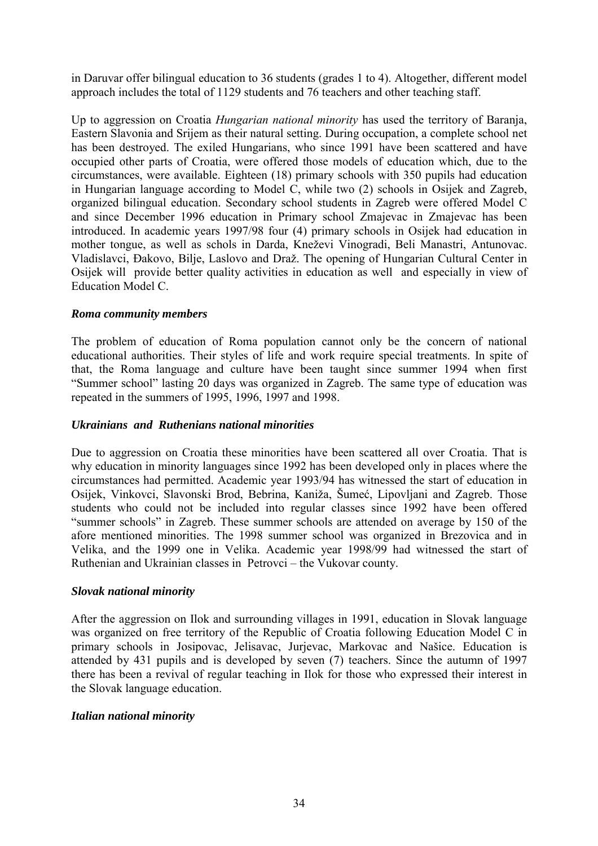in Daruvar offer bilingual education to 36 students (grades 1 to 4). Altogether, different model approach includes the total of 1129 students and 76 teachers and other teaching staff.

Up to aggression on Croatia *Hungarian national minority* has used the territory of Baranja, Eastern Slavonia and Srijem as their natural setting. During occupation, a complete school net has been destroyed. The exiled Hungarians, who since 1991 have been scattered and have occupied other parts of Croatia, were offered those models of education which, due to the circumstances, were available. Eighteen (18) primary schools with 350 pupils had education in Hungarian language according to Model C, while two (2) schools in Osijek and Zagreb, organized bilingual education. Secondary school students in Zagreb were offered Model C and since December 1996 education in Primary school Zmajevac in Zmajevac has been introduced. In academic years 1997/98 four (4) primary schools in Osijek had education in mother tongue, as well as schols in Darda, Kneževi Vinogradi, Beli Manastri, Antunovac. Vladislavci, Đakovo, Bilje, Laslovo and Draû. The opening of Hungarian Cultural Center in Osijek will provide better quality activities in education as well and especially in view of Education Model C.

#### *Roma community members*

The problem of education of Roma population cannot only be the concern of national educational authorities. Their styles of life and work require special treatments. In spite of that, the Roma language and culture have been taught since summer 1994 when first ìSummer schoolî lasting 20 days was organized in Zagreb. The same type of education was repeated in the summers of 1995, 1996, 1997 and 1998.

#### *Ukrainians and Ruthenians national minorities*

Due to aggression on Croatia these minorities have been scattered all over Croatia. That is why education in minority languages since 1992 has been developed only in places where the circumstances had permitted. Academic year 1993/94 has witnessed the start of education in Osijek, Vinkovci, Slavonski Brod, Bebrina, Kaniža, Šumeć, Lipovljani and Zagreb. Those students who could not be included into regular classes since 1992 have been offered "summer schools" in Zagreb. These summer schools are attended on average by 150 of the afore mentioned minorities. The 1998 summer school was organized in Brezovica and in Velika, and the 1999 one in Velika. Academic year 1998/99 had witnessed the start of Ruthenian and Ukrainian classes in Petrovci – the Vukovar county.

#### *Slovak national minority*

After the aggression on Ilok and surrounding villages in 1991, education in Slovak language was organized on free territory of the Republic of Croatia following Education Model C in primary schools in Josipovac, Jelisavac, Jurjevac, Markovac and Naöice. Education is attended by 431 pupils and is developed by seven (7) teachers. Since the autumn of 1997 there has been a revival of regular teaching in Ilok for those who expressed their interest in the Slovak language education.

## *Italian national minority*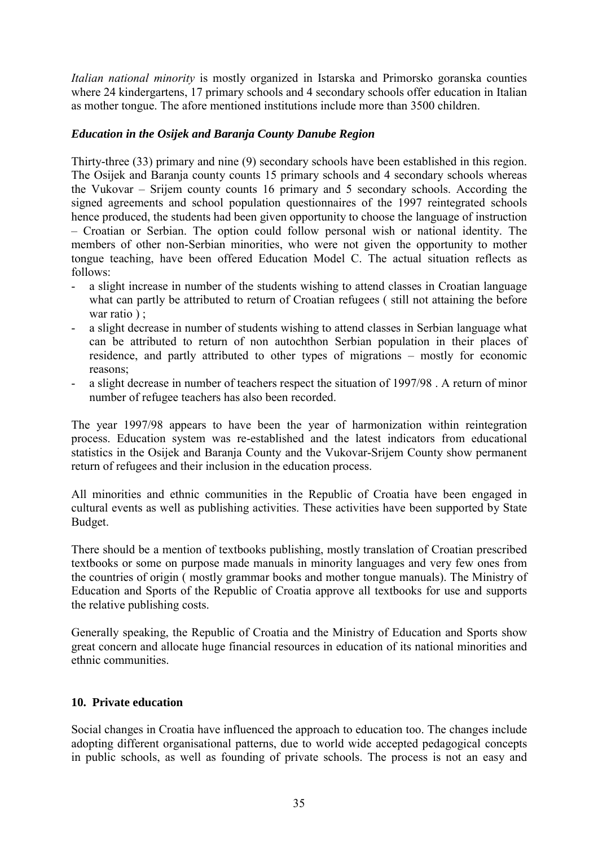*Italian national minority* is mostly organized in Istarska and Primorsko goranska counties where 24 kindergartens, 17 primary schools and 4 secondary schools offer education in Italian as mother tongue. The afore mentioned institutions include more than 3500 children.

#### *Education in the Osijek and Baranja County Danube Region*

Thirty-three (33) primary and nine (9) secondary schools have been established in this region. The Osijek and Baranja county counts 15 primary schools and 4 secondary schools whereas the Vukovar – Srijem county counts 16 primary and 5 secondary schools. According the signed agreements and school population questionnaires of the 1997 reintegrated schools hence produced, the students had been given opportunity to choose the language of instruction – Croatian or Serbian. The option could follow personal wish or national identity. The members of other non-Serbian minorities, who were not given the opportunity to mother tongue teaching, have been offered Education Model C. The actual situation reflects as follows:

- a slight increase in number of the students wishing to attend classes in Croatian language what can partly be attributed to return of Croatian refugees ( still not attaining the before war ratio ) ;
- a slight decrease in number of students wishing to attend classes in Serbian language what can be attributed to return of non autochthon Serbian population in their places of residence, and partly attributed to other types of migrations  $-$  mostly for economic reasons;
- a slight decrease in number of teachers respect the situation of 1997/98. A return of minor number of refugee teachers has also been recorded.

The year 1997/98 appears to have been the year of harmonization within reintegration process. Education system was re-established and the latest indicators from educational statistics in the Osijek and Baranja County and the Vukovar-Srijem County show permanent return of refugees and their inclusion in the education process.

All minorities and ethnic communities in the Republic of Croatia have been engaged in cultural events as well as publishing activities. These activities have been supported by State Budget.

There should be a mention of textbooks publishing, mostly translation of Croatian prescribed textbooks or some on purpose made manuals in minority languages and very few ones from the countries of origin ( mostly grammar books and mother tongue manuals). The Ministry of Education and Sports of the Republic of Croatia approve all textbooks for use and supports the relative publishing costs.

Generally speaking, the Republic of Croatia and the Ministry of Education and Sports show great concern and allocate huge financial resources in education of its national minorities and ethnic communities.

#### **10. Private education**

Social changes in Croatia have influenced the approach to education too. The changes include adopting different organisational patterns, due to world wide accepted pedagogical concepts in public schools, as well as founding of private schools. The process is not an easy and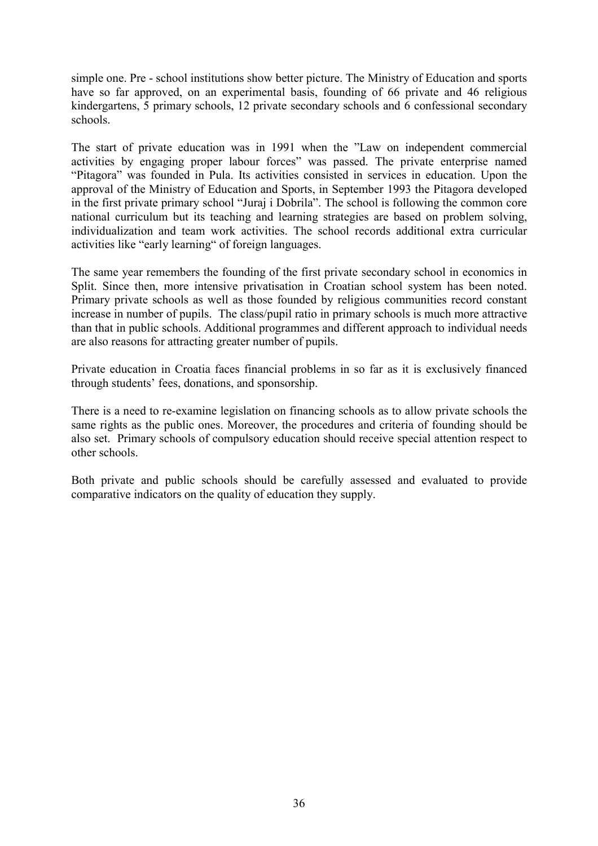simple one. Pre - school institutions show better picture. The Ministry of Education and sports have so far approved, on an experimental basis, founding of 66 private and 46 religious kindergartens, 5 primary schools, 12 private secondary schools and 6 confessional secondary schools.

The start of private education was in 1991 when the "Law on independent commercial activities by engaging proper labour forces" was passed. The private enterprise named ìPitagoraî was founded in Pula. Its activities consisted in services in education. Upon the approval of the Ministry of Education and Sports, in September 1993 the Pitagora developed in the first private primary school "Juraj i Dobrila". The school is following the common core national curriculum but its teaching and learning strategies are based on problem solving, individualization and team work activities. The school records additional extra curricular activities like "early learning" of foreign languages.

The same year remembers the founding of the first private secondary school in economics in Split. Since then, more intensive privatisation in Croatian school system has been noted. Primary private schools as well as those founded by religious communities record constant increase in number of pupils. The class/pupil ratio in primary schools is much more attractive than that in public schools. Additional programmes and different approach to individual needs are also reasons for attracting greater number of pupils.

Private education in Croatia faces financial problems in so far as it is exclusively financed through students' fees, donations, and sponsorship.

There is a need to re-examine legislation on financing schools as to allow private schools the same rights as the public ones. Moreover, the procedures and criteria of founding should be also set. Primary schools of compulsory education should receive special attention respect to other schools.

Both private and public schools should be carefully assessed and evaluated to provide comparative indicators on the quality of education they supply.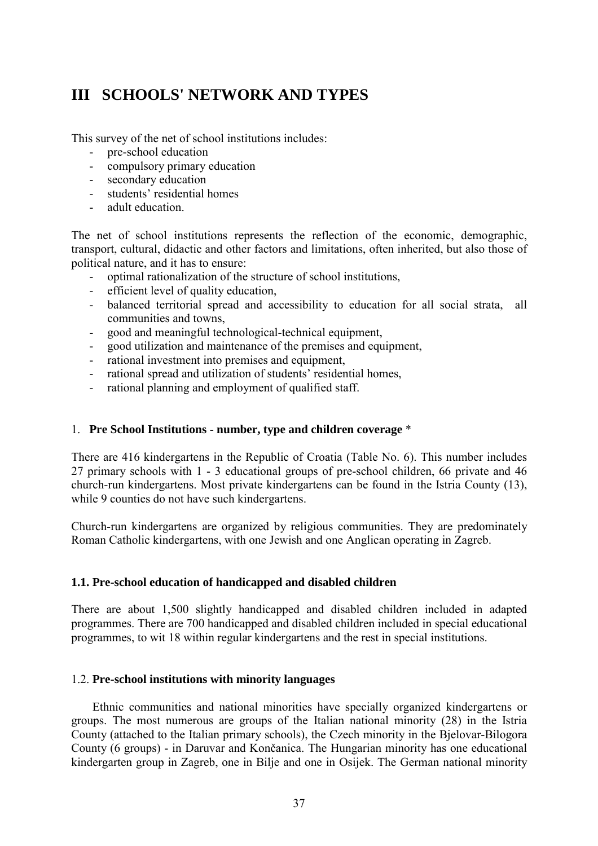# **III SCHOOLS' NETWORK AND TYPES**

This survey of the net of school institutions includes:

- pre-school education
- compulsory primary education
- secondary education
- students<sup>'</sup> residential homes
- adult education.

The net of school institutions represents the reflection of the economic, demographic, transport, cultural, didactic and other factors and limitations, often inherited, but also those of political nature, and it has to ensure:

- optimal rationalization of the structure of school institutions,
- efficient level of quality education,
- balanced territorial spread and accessibility to education for all social strata, all communities and towns,
- good and meaningful technological-technical equipment,
- good utilization and maintenance of the premises and equipment,
- rational investment into premises and equipment,
- rational spread and utilization of students' residential homes,
- rational planning and employment of qualified staff.

### 1. **Pre School Institutions - number, type and children coverage** \*

There are 416 kindergartens in the Republic of Croatia (Table No. 6). This number includes 27 primary schools with 1 - 3 educational groups of pre-school children, 66 private and 46 church-run kindergartens. Most private kindergartens can be found in the Istria County (13), while 9 counties do not have such kindergartens.

Church-run kindergartens are organized by religious communities. They are predominately Roman Catholic kindergartens, with one Jewish and one Anglican operating in Zagreb.

### **1.1. Pre-school education of handicapped and disabled children**

There are about 1,500 slightly handicapped and disabled children included in adapted programmes. There are 700 handicapped and disabled children included in special educational programmes, to wit 18 within regular kindergartens and the rest in special institutions.

### 1.2. **Pre-school institutions with minority languages**

Ethnic communities and national minorities have specially organized kindergartens or groups. The most numerous are groups of the Italian national minority (28) in the Istria County (attached to the Italian primary schools), the Czech minority in the Bjelovar-Bilogora County (6 groups) - in Daruvar and Končanica. The Hungarian minority has one educational kindergarten group in Zagreb, one in Bilje and one in Osijek. The German national minority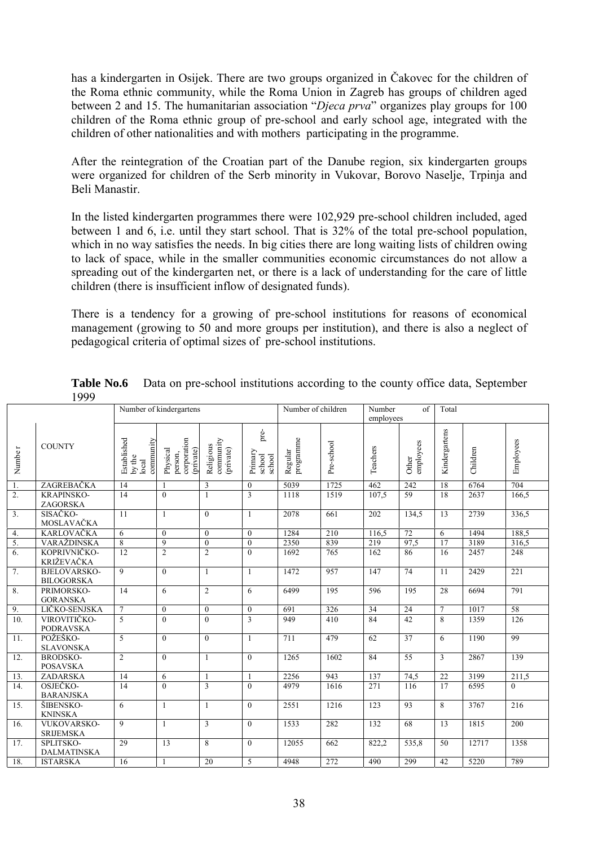has a kindergarten in Osijek. There are two groups organized in Čakovec for the children of the Roma ethnic community, while the Roma Union in Zagreb has groups of children aged between 2 and 15. The humanitarian association *'Djeca prva*'' organizes play groups for 100 children of the Roma ethnic group of pre-school and early school age, integrated with the children of other nationalities and with mothers participating in the programme.

After the reintegration of the Croatian part of the Danube region, six kindergarten groups were organized for children of the Serb minority in Vukovar, Borovo Naselje, Trpinja and Beli Manastir.

In the listed kindergarten programmes there were 102,929 pre-school children included, aged between 1 and 6, i.e. until they start school. That is 32% of the total pre-school population, which in no way satisfies the needs. In big cities there are long waiting lists of children owing to lack of space, while in the smaller communities economic circumstances do not allow a spreading out of the kindergarten net, or there is a lack of understanding for the care of little children (there is insufficient inflow of designated funds).

There is a tendency for a growing of pre-school institutions for reasons of economical management (growing to 50 and more groups per institution), and there is also a neglect of pedagogical criteria of optimal sizes of pre-school institutions.

|                    |                                          |                                             | Number of kindergartens                         |                                     |                                     | Number of children   |            | Number<br>of<br>employees |                    | Total           |          |                  |
|--------------------|------------------------------------------|---------------------------------------------|-------------------------------------------------|-------------------------------------|-------------------------------------|----------------------|------------|---------------------------|--------------------|-----------------|----------|------------------|
| Numbe <sub>r</sub> | <b>COUNTY</b>                            | Established<br>community<br>by the<br>local | corporation<br>(private)<br>Physical<br>person, | community<br>Religious<br>(private) | pre-<br>Primary<br>school<br>school | programme<br>Regular | Pre-school | Teachers                  | employees<br>Other | Kindergartens   | Children | Employees        |
| $\overline{1}$ .   | ZAGREBAČKA                               | 14                                          |                                                 | 3                                   | $\theta$                            | 5039                 | 1725       | 462                       | 242                | 18              | 6764     | 704              |
| $\overline{2}$ .   | <b>KRAPINSKO-</b><br><b>ZAGORSKA</b>     | $\overline{14}$                             | $\theta$                                        |                                     | 3                                   | 1118                 | 1519       | 107,5                     | 59                 | 18              | 2637     | 166,5            |
| $\overline{3}$ .   | SISAČKO-<br>MOSLAVAČKA                   | 11                                          | $\mathbf{1}$                                    | $\Omega$                            | 1                                   | 2078                 | 661        | 202                       | 134,5              | 13              | 2739     | 336,5            |
| 4.                 | <b>KARLOVAČKA</b>                        | 6                                           | $\theta$                                        | $\theta$                            | $\theta$                            | 1284                 | 210        | 116.5                     | $\overline{72}$    | 6               | 1494     | 188,5            |
| 5.                 | VARAŽDINSKA                              | 8                                           | 9                                               | $\theta$                            | $\theta$                            | 2350                 | 839        | 219                       | 97,5               | $\overline{17}$ | 3189     | 316,5            |
| $\overline{6}$ .   | KOPRIVNIČKO-<br>KRIŽEVAČKA               | 12                                          | $\overline{2}$                                  | $\overline{2}$                      | $\theta$                            | 1692                 | 765        | $\overline{162}$          | 86                 | 16              | 2457     | 248              |
| $\overline{7}$ .   | <b>BJELOVARSKO-</b><br><b>BILOGORSKA</b> | $\mathbf Q$                                 | $\theta$                                        | 1                                   | $\mathbf{1}$                        | 1472                 | 957        | 147                       | $\overline{74}$    | 11              | 2429     | $\overline{221}$ |
| 8.                 | PRIMORSKO-<br><b>GORANSKA</b>            | 14                                          | 6                                               | $\overline{2}$                      | 6                                   | 6499                 | 195        | 596                       | 195                | 28              | 6694     | 791              |
| 9.                 | LIČKO-SENJSKA                            | $\tau$                                      | $\mathbf{0}$                                    | $\overline{0}$                      | $\overline{0}$                      | 691                  | 326        | 34                        | 24                 | $\tau$          | 1017     | 58               |
| $\overline{10}$ .  | VIROVITIČKO-<br><b>PODRAVSKA</b>         | $\overline{5}$                              | $\theta$                                        | $\theta$                            | 3                                   | 949                  | 410        | 84                        | $\overline{42}$    | 8               | 1359     | 126              |
| $\overline{11}$ .  | POŽEŠKO-<br><b>SLAVONSKA</b>             | 5                                           | $\theta$                                        | $\theta$                            | $\mathbf{1}$                        | 711                  | 479        | 62                        | 37                 | 6               | 1190     | 99               |
| 12.                | <b>BRODSKO-</b><br><b>POSAVSKA</b>       | $\overline{2}$                              | $\overline{0}$                                  | 1                                   | $\mathbf{0}$                        | 1265                 | 1602       | 84                        | 55                 | $\overline{3}$  | 2867     | 139              |
| 13.                | ZADARSKA                                 | 14                                          | 6                                               |                                     |                                     | 2256                 | 943        | 137                       | 74,5               | $\overline{22}$ | 3199     | 211,5            |
| 14.                | OSJEČKO-<br><b>BARANJSKA</b>             | 14                                          | $\theta$                                        | 3                                   | $\mathbf{0}$                        | 4979                 | 1616       | 271                       | 116                | $\overline{17}$ | 6595     | $\mathbf{0}$     |
| $\overline{15}$ .  | ŠIBENSKO-<br><b>KNINSKA</b>              | 6                                           | $\mathbf{1}$                                    | 1                                   | $\theta$                            | 2551                 | 1216       | 123                       | 93                 | 8               | 3767     | 216              |
| $\overline{16}$ .  | VUKOVARSKO-<br><b>SRIJEMSKA</b>          | $\mathbf{Q}$                                | $\mathbf{1}$                                    | 3                                   | $\theta$                            | 1533                 | 282        | 132                       | 68                 | $\overline{13}$ | 1815     | 200              |
| 17.                | SPLITSKO-<br><b>DALMATINSKA</b>          | 29                                          | 13                                              | 8                                   | $\mathbf{0}$                        | 12055                | 662        | 822,2                     | 535,8              | 50              | 12717    | 1358             |
| 18.                | <b>ISTARSKA</b>                          | 16                                          |                                                 | $\overline{20}$                     | 5                                   | 4948                 | 272        | 490                       | 299                | 42              | 5220     | 789              |

**Table No.6** Data on pre-school institutions according to the county office data, September 1999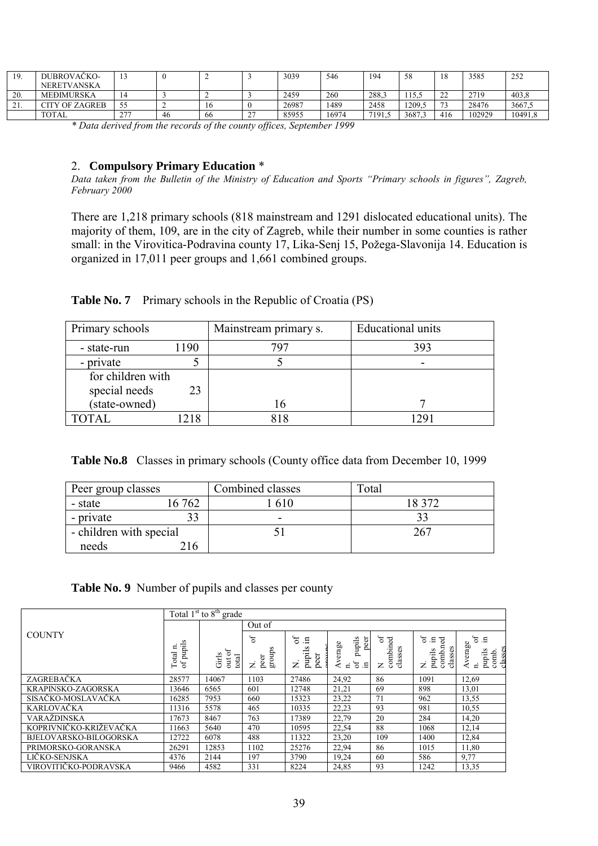| 10<br>.                  | DUBROVAČKO-        |     |    |    |        | 3039  | 546   | 194   | 58     | ιο<br>10          | 3585   | 252     |
|--------------------------|--------------------|-----|----|----|--------|-------|-------|-------|--------|-------------------|--------|---------|
|                          | <b>NERETVANSKA</b> |     |    |    |        |       |       |       |        |                   |        |         |
| 20.                      | <b>MEĐIMURSKA</b>  | 14  |    |    |        | 2459  | 260   | 288.3 | 15.5   | $\mathbf{A}$<br>∸ | 2719   | 403.8   |
| $^{\sim}$ 1<br>$\sim$ 1. | CITY OF ZAGREB     | 55  |    | 10 |        | 26987 | 1489  | 2458  | 1209.5 | 72                | 28476  | 3667.5  |
|                          | <b>TOTAL</b>       | 277 | 46 | 66 | $\sim$ | 85955 | 16974 | 7191  | 3687   | 416               | 102929 | 10491,8 |

*\* Data derived from the records of the county offices, September 1999*

# 2. **Compulsory Primary Education** \*

*Data taken from the Bulletin of the Ministry of Education and Sports "Primary schools in figures", Zagreb, February 2000*

There are 1,218 primary schools (818 mainstream and 1291 dislocated educational units). The majority of them, 109, are in the city of Zagreb, while their number in some counties is rather small: in the Virovitica-Podravina county 17, Lika-Senj 15, Požega-Slavonija 14. Education is organized in 17,011 peer groups and 1,661 combined groups.

|  | Table No. 7 Primary schools in the Republic of Croatia (PS) |  |
|--|-------------------------------------------------------------|--|
|  |                                                             |  |

| Primary schools   |     | Mainstream primary s. | <b>Educational units</b> |
|-------------------|-----|-----------------------|--------------------------|
| - state-run       | 190 | 707                   | 393                      |
| - private         |     |                       |                          |
| for children with |     |                       |                          |
| special needs     | 23  |                       |                          |
| (state-owned)     |     |                       |                          |
|                   | 218 |                       |                          |

**Table No.8** Classes in primary schools (County office data from December 10, 1999

| Peer group classes      |          | Combined classes | Total  |
|-------------------------|----------|------------------|--------|
| - state                 | 762      | 610              | 18 372 |
| - private               |          | -                |        |
| - children with special |          |                  | 267    |
| needs                   | $16^{-}$ |                  |        |

# **Table No. 9** Number of pupils and classes per county

|                        |                                   | Total $1st$ to $8th$ grade |                           |                                        |                                                             |                                           |                                                                     |                                                                   |
|------------------------|-----------------------------------|----------------------------|---------------------------|----------------------------------------|-------------------------------------------------------------|-------------------------------------------|---------------------------------------------------------------------|-------------------------------------------------------------------|
|                        |                                   |                            | Out of                    |                                        |                                                             |                                           |                                                                     |                                                                   |
| <b>COUNTY</b>          | $\sim$<br>of pupils<br>n<br>Total | out of<br>Girls<br>total   | 5°<br>groups<br>peer<br>z | $5^{\circ}$<br>.드<br>pupils<br>ୁସ<br>Z | peer<br>pupils<br>Average<br>$\sigma$<br>로.<br>$\mathbf{a}$ | $\sigma$ f<br>combined<br>8<br>class<br>z | $\mathfrak{h}$<br>.드<br>न्नु<br>Ę<br>classes<br>pupils<br>comb<br>z | $\sigma$<br>erage<br>classes<br>pupils<br>comb.<br>$\blacksquare$ |
| ZAGREBAČKA             | 28577                             | 14067                      | 1103                      | 27486                                  | 24,92                                                       | 86                                        | 1091                                                                | 12,69                                                             |
| KRAPINSKO-ZAGORSKA     | 13646                             | 6565                       | 601                       | 12748                                  | 21,21                                                       | 69                                        | 898                                                                 | 13,01                                                             |
| SISAČKO-MOSLAVAČKA     | 16285                             | 7953                       | 660                       | 15323                                  | 23,22                                                       | 71                                        | 962                                                                 | 13,55                                                             |
| <b>KARLOVAČKA</b>      | 11316                             | 5578                       | 465                       | 10335                                  | 22,23                                                       | 93                                        | 981                                                                 | 10,55                                                             |
| VARAŽDINSKA            | 17673                             | 8467                       | 763                       | 17389                                  | 22,79                                                       | 20                                        | 284                                                                 | 14,20                                                             |
| KOPRIVNIČKO-KRIŽEVAČKA | 11663                             | 5640                       | 470                       | 10595                                  | 22,54                                                       | 88                                        | 1068                                                                | 12,14                                                             |
| BJELOVARSKO-BILOGORSKA | 12722                             | 6078                       | 488                       | 11322                                  | 23,20                                                       | 109                                       | 1400                                                                | 12,84                                                             |
| PRIMORSKO-GORANSKA     | 26291                             | 12853                      | 1102                      | 25276                                  | 22,94                                                       | 86                                        | 1015                                                                | 11,80                                                             |
| LIČKO-SENJSKA          | 4376                              | 2144                       | 197                       | 3790                                   | 19,24                                                       | 60                                        | 586                                                                 | 9,77                                                              |
| VIROVITIČKO-PODRAVSKA  | 9466                              | 4582                       | 331                       | 8224                                   | 24,85                                                       | 93                                        | 1242                                                                | 13,35                                                             |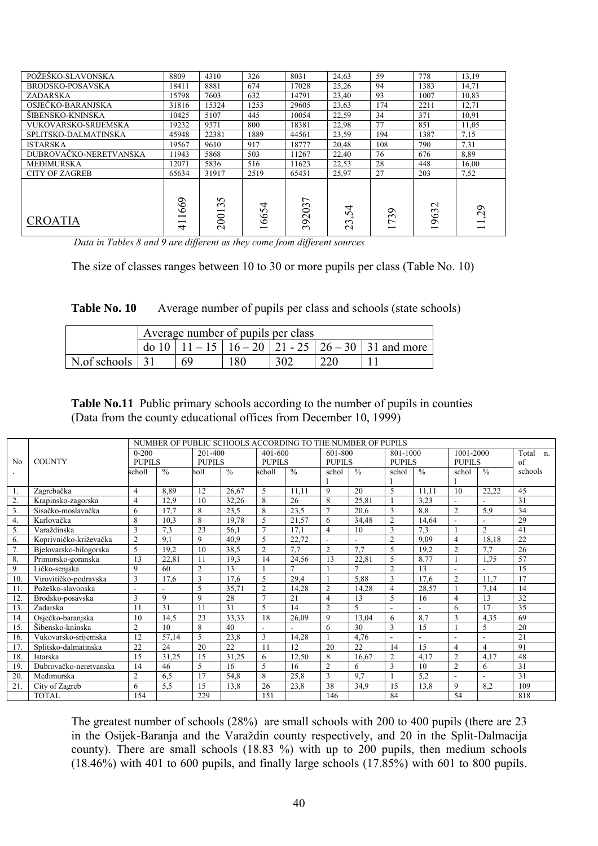| POŽEŠKO-SLAVONSKA           | 8809          | 4310                       | 326       | 8031                    | 24,63                                 | 59                                | 778                     | 13,19   |
|-----------------------------|---------------|----------------------------|-----------|-------------------------|---------------------------------------|-----------------------------------|-------------------------|---------|
| BRODSKO-POSAVSKA            | 18411         | 8881                       | 674       | 17028                   | 25,26                                 | 94                                | 1383                    | 14,71   |
| <b>ZADARSKA</b>             | 15798         | 7603                       | 632       | 14791                   | 23,40                                 | 93                                | 1007                    | 10.83   |
| OSJEČKO-BARANJSKA           | 31816         | 15324                      | 1253      | 29605                   | 23,63                                 | 174                               | 2211                    | 12,71   |
| ŠIBENSKO-KNINSKA            | 10425         | 5107                       | 445       | 10054                   | 22,59                                 | 34                                | 371                     | 10,91   |
| <b>VUKOVARSKO-SRIJEMSKA</b> | 19232         | 9371                       | 800       | 18381                   | 22,98                                 | 77                                | 851                     | 11,05   |
| SPLITSKO-DALMATINSKA        | 45948         | 22381                      | 1889      | 44561                   | 23,59                                 | 194                               | 1387                    | 7,15    |
| <b>ISTARSKA</b>             | 19567         | 9610                       | 917       | 18777                   | 20,48                                 | 108                               | 790                     | 7.31    |
| DUBROVAČKO-NERETVANSKA      | 11943         | 5868                       | 503       | 11267                   | 22,40                                 | 76                                | 676                     | 8,89    |
| <b>MEĐIMURSKA</b>           | 12071         | 5836                       | 516       | 11623                   | 22,53                                 | 28                                | 448                     | 16,00   |
| <b>CITY OF ZAGREB</b>       | 65634         | 31917                      | 2519      | 65431                   | 25,97                                 | 27                                | 203                     | 7,52    |
| <b>CROATIA</b>              | 669<br>–<br>₹ | $\Omega$<br>$\sim$<br>2001 | 4<br>1665 | $\overline{ }$<br>39203 | 4<br><b>س</b><br>$\epsilon$<br>$\sim$ | ⊙<br>$\epsilon$<br>$\overline{ }$ | $\mathbf{\sim}$<br>1963 | $^{29}$ |

 *Data in Tables 8 and 9 are different as they come from different sources*

The size of classes ranges between 10 to 30 or more pupils per class (Table No. 10)

| Table No. 10 |  |  | Average number of pupils per class and schools (state schools) |
|--------------|--|--|----------------------------------------------------------------|
|--------------|--|--|----------------------------------------------------------------|

|                                 |                                                             | Average number of pupils per class |     |     |      |  |  |  |  |  |  |
|---------------------------------|-------------------------------------------------------------|------------------------------------|-----|-----|------|--|--|--|--|--|--|
|                                 | do 10   11 – 15   16 – 20   21 - 25   26 – 30   31 and more |                                    |     |     |      |  |  |  |  |  |  |
| $\vert$ N.of schools $\vert$ 31 |                                                             | 69                                 | 180 | 302 | -220 |  |  |  |  |  |  |

**Table No.11** Public primary schools according to the number of pupils in counties (Data from the county educational offices from December 10, 1999)

|     |                        |                |               |                |               |                | NUMBER OF PUBLIC SCHOOLS ACCORDING TO THE NUMBER OF PUPILS |                          |                          |                |               |                |                |                      |
|-----|------------------------|----------------|---------------|----------------|---------------|----------------|------------------------------------------------------------|--------------------------|--------------------------|----------------|---------------|----------------|----------------|----------------------|
|     |                        | $0 - 200$      |               | 201-400        |               | 401-600        |                                                            | 601-800                  |                          | 801-1000       |               | 1001-2000      |                | Total<br>$n_{\cdot}$ |
| No  | <b>COUNTY</b>          | <b>PUPILS</b>  |               | PUPILS         |               | PUPILS         |                                                            | PUPILS                   |                          | PUPILS         |               | <b>PUPILS</b>  |                | of                   |
|     |                        | scholl         | $\frac{0}{0}$ | holl           | $\frac{0}{0}$ | scholl         | $\frac{0}{0}$                                              | schol                    | $\frac{0}{0}$            | schol          | $\frac{0}{0}$ | schol          | $\frac{0}{0}$  | schools              |
|     |                        |                |               |                |               |                |                                                            |                          |                          |                |               |                |                |                      |
| 1.  | Zagrebačka             | 4              | 8,89          | 12             | 26,67         | 5              | 11,11                                                      | 9                        | 20                       | 5              | 11.11         | 10             | 22,22          | 45                   |
| 2.  | Krapinsko-zagorska     | 4              | 12.9          | 10             | 32,26         | 8              | 26                                                         | 8                        | 25,81                    |                | 3.23          | $\blacksquare$ |                | 31                   |
| 3.  | Sisačko-moslavačka     | 6              | 17.7          | 8              | 23.5          | 8              | 23,5                                                       | $\overline{7}$           | 20,6                     | 3              | 8.8           | $\overline{2}$ | 5.9            | 34                   |
| 4.  | Karlovačka             | 8              | 10,3          | 8              | 19.78         | 5              | 21,57                                                      | 6                        | 34,48                    | $\overline{2}$ | 14,64         |                |                | 29                   |
| 5.  | Varaždinska            | 3              | 7,3           | 23             | 56.1          | $\tau$         | 17.1                                                       | 4                        | 10                       | 3              | 7.3           |                | $\overline{2}$ | 41                   |
| 6.  | Koprivničko-križevačka | $\overline{2}$ | 9,1           | 9              | 40,9          | 5              | 22,72                                                      | $\overline{\phantom{a}}$ |                          | $\overline{2}$ | 9,09          | $\overline{4}$ | 18,18          | 22                   |
| 7.  | Bjelovarsko-bilogorska | 5              | 19,2          | 10             | 38,5          | $\overline{2}$ | 7.7                                                        | $\overline{2}$           | 7.7                      | 5              | 19,2          | $\overline{2}$ | 7.7            | 26                   |
| 8.  | Primorsko-goranska     | 13             | 22,81         | 11             | 19,3          | 14             | 24,56                                                      | 13                       | 22,81                    | 5              | 8.77          |                | 1,75           | 57                   |
| 9.  | Ličko-senjska          | 9              | 60            | $\overline{2}$ | 13            |                | $\tau$                                                     |                          | $\mathcal{I}$            | $\overline{2}$ | 13            |                |                | 15                   |
| 10  | Virovitičko-podravska  | 3              | 17,6          | 3              | 17.6          | 5              | 29,4                                                       |                          | 5,88                     | $\overline{3}$ | 17,6          | $\overline{2}$ | 11,7           | 17                   |
| 11  | Požeško-slavonska      |                |               | 5              | 35,71         | $\overline{2}$ | 14,28                                                      | $\overline{2}$           | 14,28                    | $\overline{4}$ | 28,57         |                | 7,14           | 14                   |
| 12  | Brodsko-posavska       | 3              | 9             | 9              | 28            | $\mathbf{r}$   | 21                                                         | 4                        | 13                       | 5              | 16            | 4              | 13             | 32                   |
| 13  | Zadarska               | 11             | 31            | 11             | 31            | 5              | 14                                                         | $\overline{2}$           | $\overline{\phantom{0}}$ | ÷.             |               | 6              | 17             | 35                   |
| 14. | Osječko-baranjska      | 10             | 14,5          | 23             | 33,33         | 18             | 26.09                                                      | 9                        | 13,04                    | 6              | 8.7           | 3              | 4,35           | 69                   |
| 15. | Šibensko-kninska       | $\overline{2}$ | 10            | 8              | 40            | ٠              | $\sim$                                                     | 6                        | 30                       | 3              | 15            |                | 5              | 20                   |
| 16. | Vukovarsko-srijemska   | 12             | 57,14         | 5              | 23,8          | 3              | 14,28                                                      |                          | 4,76                     |                |               |                |                | 21                   |
| 17. | Splitsko-dalmatinska   | 22             | 24            | 20             | 22            | 11             | 12                                                         | 20                       | 22                       | 14             | 15            | $\overline{4}$ | 4              | 91                   |
| 18. | Istarska               | 15             | 31,25         | 15             | 31,25         | 6              | 12,50                                                      | 8                        | 16.67                    | $\overline{2}$ | 4,17          | $\overline{2}$ | 4,17           | 48                   |
| 19  | Dubrovačko-neretvanska | 14             | 46            | 5              | 16            | 5              | 16                                                         | $\overline{c}$           | 6                        | $\overline{3}$ | 10            | $\overline{2}$ | 6              | 31                   |
| 20. | Međimurska             | $\overline{2}$ | 6,5           | 17             | 54,8          | 8              | 25,8                                                       | 3                        | 9.7                      |                | 5,2           |                |                | 31                   |
| 21  | City of Zagreb         | 6              | 5,5           | 15             | 13.8          | 26             | 23,8                                                       | 38                       | 34,9                     | 15             | 13,8          | 9              | 8,2            | 109                  |
|     | <b>TOTAL</b>           | 154            |               | 229            |               | 151            |                                                            | 146                      |                          | 84             |               | 54             |                | 818                  |

The greatest number of schools (28%) are small schools with 200 to 400 pupils (there are 23 in the Osijek-Baranja and the Varaždin county respectively, and 20 in the Split-Dalmacija county). There are small schools (18.83 %) with up to 200 pupils, then medium schools  $(18.46\%)$  with 401 to 600 pupils, and finally large schools  $(17.85\%)$  with 601 to 800 pupils.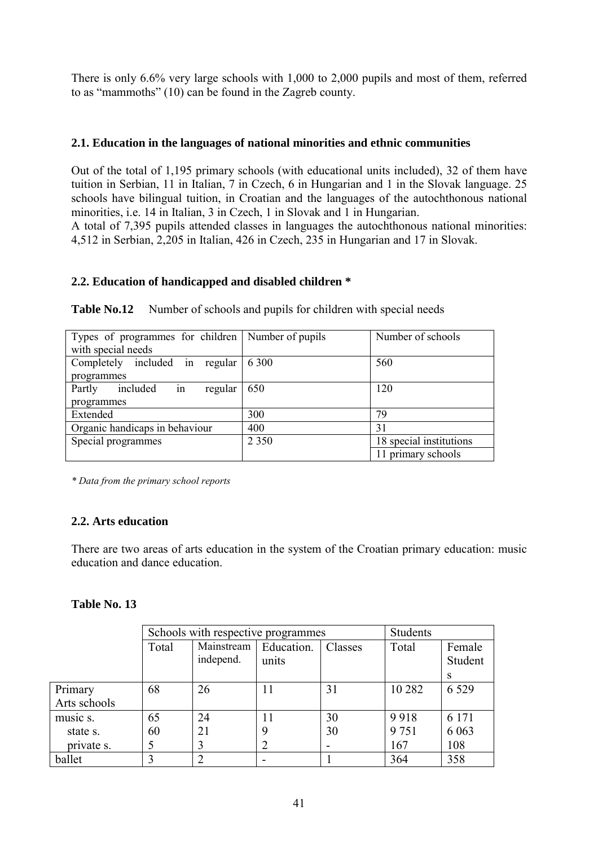There is only 6.6% very large schools with 1,000 to 2,000 pupils and most of them, referred to as "mammoths"  $(10)$  can be found in the Zagreb county.

# **2.1. Education in the languages of national minorities and ethnic communities**

Out of the total of 1,195 primary schools (with educational units included), 32 of them have tuition in Serbian, 11 in Italian, 7 in Czech, 6 in Hungarian and 1 in the Slovak language. 25 schools have bilingual tuition, in Croatian and the languages of the autochthonous national minorities, i.e. 14 in Italian, 3 in Czech, 1 in Slovak and 1 in Hungarian.

A total of 7,395 pupils attended classes in languages the autochthonous national minorities: 4,512 in Serbian, 2,205 in Italian, 426 in Czech, 235 in Hungarian and 17 in Slovak.

## **2.2. Education of handicapped and disabled children \***

| Types of programmes for children   Number of pupils<br>Number of schools |         |                         |  |  |  |  |  |  |  |
|--------------------------------------------------------------------------|---------|-------------------------|--|--|--|--|--|--|--|
| with special needs                                                       |         |                         |  |  |  |  |  |  |  |
| Completely included in regular                                           | 6 300   | 560                     |  |  |  |  |  |  |  |
| programmes                                                               |         |                         |  |  |  |  |  |  |  |
| in<br>included<br>120<br>650<br>Partly<br>regular                        |         |                         |  |  |  |  |  |  |  |
| programmes                                                               |         |                         |  |  |  |  |  |  |  |
| Extended                                                                 | 300     | 79                      |  |  |  |  |  |  |  |
| Organic handicaps in behaviour                                           | 400     | 31                      |  |  |  |  |  |  |  |
| Special programmes                                                       | 2 3 5 0 | 18 special institutions |  |  |  |  |  |  |  |
|                                                                          |         | 11 primary schools      |  |  |  |  |  |  |  |

**Table No.12** Number of schools and pupils for children with special needs

*\* Data from the primary school reports*

### **2.2. Arts education**

There are two areas of arts education in the system of the Croatian primary education: music education and dance education.

### **Table No. 13**

|              |       | Schools with respective programmes                                 |    |    | Students |                   |  |
|--------------|-------|--------------------------------------------------------------------|----|----|----------|-------------------|--|
|              | Total | Mainstream<br>Education.<br>Classes<br>Total<br>independ.<br>units |    |    |          | Female<br>Student |  |
|              |       |                                                                    |    |    |          | S.                |  |
| Primary      | 68    | 26                                                                 | 11 | 31 | 10 2 8 2 | 6 5 2 9           |  |
| Arts schools |       |                                                                    |    |    |          |                   |  |
| music s.     | 65    | 24                                                                 | 11 | 30 | 9918     | 6 1 7 1           |  |
| state s.     | 60    | 21                                                                 | 9  | 30 | 9 7 5 1  | 6 0 6 3           |  |
| private s.   |       |                                                                    |    |    | 167      | 108               |  |
| ballet       | 3     |                                                                    |    |    | 364      | 358               |  |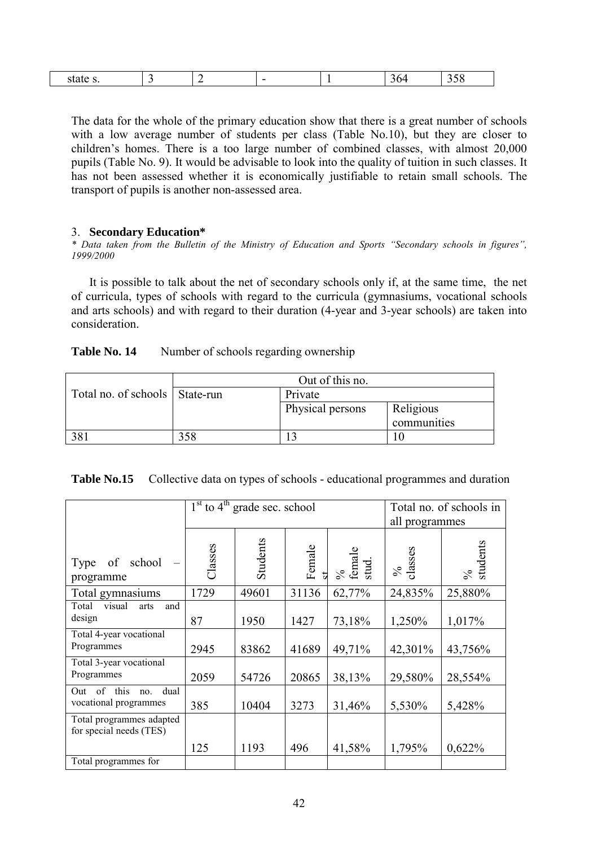| ້<br>- |
|--------|
|--------|

The data for the whole of the primary education show that there is a great number of schools with a low average number of students per class (Table No.10), but they are closer to children's homes. There is a too large number of combined classes, with almost 20,000 pupils (Table No. 9). It would be advisable to look into the quality of tuition in such classes. It has not been assessed whether it is economically justifiable to retain small schools. The transport of pupils is another non-assessed area.

### 3. **Secondary Education\***

\* Data taken from the Bulletin of the Ministry of Education and Sports "Secondary schools in figures", *1999/2000*

It is possible to talk about the net of secondary schools only if, at the same time, the net of curricula, types of schools with regard to the curricula (gymnasiums, vocational schools and arts schools) and with regard to their duration (4-year and 3-year schools) are taken into consideration.

| Table No. 14 |  | Number of schools regarding ownership |
|--------------|--|---------------------------------------|
|              |  |                                       |

|                                  | Out of this no. |                  |             |  |  |
|----------------------------------|-----------------|------------------|-------------|--|--|
| Total no. of schools   State-run |                 | Private          |             |  |  |
|                                  |                 | Physical persons | Religious   |  |  |
|                                  |                 |                  | communities |  |  |
| 381                              | 358             |                  |             |  |  |

|                                                        |         | $1st$ to 4 <sup>th</sup> grade sec. school | Total no. of schools in<br>all programmes |                      |                 |                                |
|--------------------------------------------------------|---------|--------------------------------------------|-------------------------------------------|----------------------|-----------------|--------------------------------|
| of school<br>Type<br>programme                         | Classes | Students                                   | Female                                    | %<br>female<br>stud. | classes<br>$\%$ | % $\frac{96}{\text{students}}$ |
| Total gymnasiums                                       | 1729    | 49601                                      | 31136                                     | 62,77%               | 24,835%         | 25,880%                        |
| visual<br>Total<br>and<br>arts<br>design               | 87      | 1950                                       | 1427                                      | 73,18%               | 1,250%          | 1,017%                         |
| Total 4-year vocational<br>Programmes                  | 2945    | 83862                                      | 41689                                     | 49,71%               | 42,301%         | 43,756%                        |
| Total 3-year vocational<br>Programmes                  | 2059    | 54726                                      | 20865                                     | 38,13%               | 29,580%         | 28,554%                        |
| of this<br>dual<br>Out<br>no.<br>vocational programmes | 385     | 10404                                      | 3273                                      | 31,46%               | 5,530%          | 5,428%                         |
| Total programmes adapted<br>for special needs (TES)    |         |                                            |                                           |                      |                 |                                |
|                                                        | 125     | 1193                                       | 496                                       | 41,58%               | 1,795%          | 0,622%                         |
| Total programmes for                                   |         |                                            |                                           |                      |                 |                                |

|  | Table No.15 Collective data on types of schools - educational programmes and duration |  |  |
|--|---------------------------------------------------------------------------------------|--|--|
|--|---------------------------------------------------------------------------------------|--|--|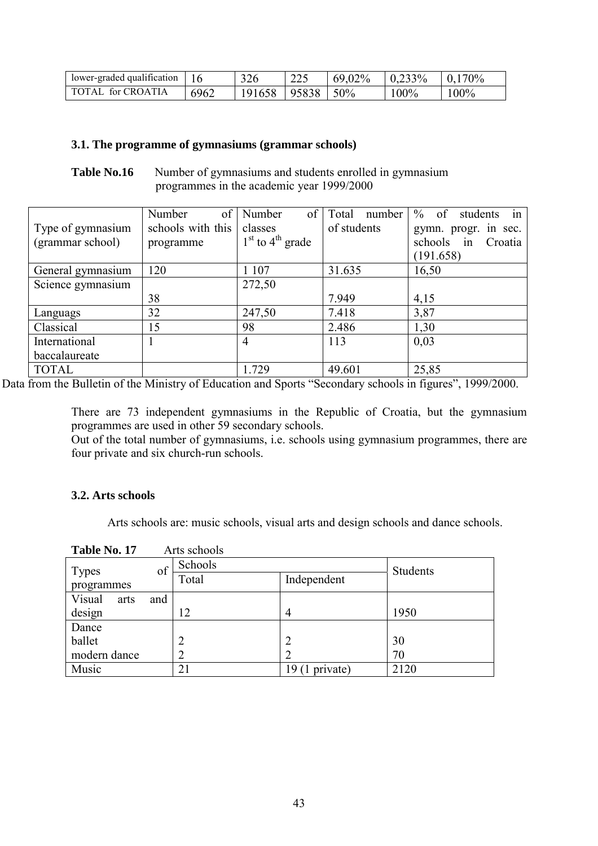| lower-graded qualification |      | 326    | 225   | 69,02% | $0.233\%$ | $0.170\%$ |
|----------------------------|------|--------|-------|--------|-----------|-----------|
| TOTAL for CROATIA          | 6962 | 191658 | 95838 | 50%    | $100\%$   | 100%      |

### **3.1. The programme of gymnasiums (grammar schools)**

**Table No.16** Number of gymnasiums and students enrolled in gymnasium programmes in the academic year 1999/2000

|                   | of<br>Number      | Number<br>of         | Total<br>number | $\%$<br>of<br>students<br>in |
|-------------------|-------------------|----------------------|-----------------|------------------------------|
| Type of gymnasium | schools with this | classes              | of students     | gymn. progr. in sec.         |
| (grammar school)  | programme         | $1st$ to $4th$ grade |                 | schools<br>in<br>Croatia     |
|                   |                   |                      |                 | (191.658)                    |
| General gymnasium | 120               | 1 1 0 7              | 31.635          | 16,50                        |
| Science gymnasium |                   | 272,50               |                 |                              |
|                   | 38                |                      | 7.949           | 4,15                         |
| Languags          | 32                | 247,50               | 7.418           | 3,87                         |
| Classical         | 15                | 98                   | 2.486           | 1,30                         |
| International     |                   | 4                    | 113             | 0,03                         |
| baccalaureate     |                   |                      |                 |                              |
| <b>TOTAL</b>      |                   | 1.729                | 49.601          | 25,85                        |

Data from the Bulletin of the Ministry of Education and Sports "Secondary schools in figures", 1999/2000.

There are 73 independent gymnasiums in the Republic of Croatia, but the gymnasium programmes are used in other 59 secondary schools.

Out of the total number of gymnasiums, i.e. schools using gymnasium programmes, there are four private and six church-run schools.

# **3.2. Arts schools**

Arts schools are: music schools, visual arts and design schools and dance schools.

| Table No. 17   |     | Arts schools |                   |          |
|----------------|-----|--------------|-------------------|----------|
| <b>Types</b>   | of  | Schools      |                   | Students |
| programmes     |     | Total        | Independent       |          |
| Visual<br>arts | and |              |                   |          |
| design         |     | 12           | $\overline{4}$    | 1950     |
| Dance          |     |              |                   |          |
| ballet         |     |              | $\overline{2}$    | 30       |
| modern dance   |     | 2            | 2                 | 70       |
| Music          |     | 21           | private)<br>19 (1 | 2120     |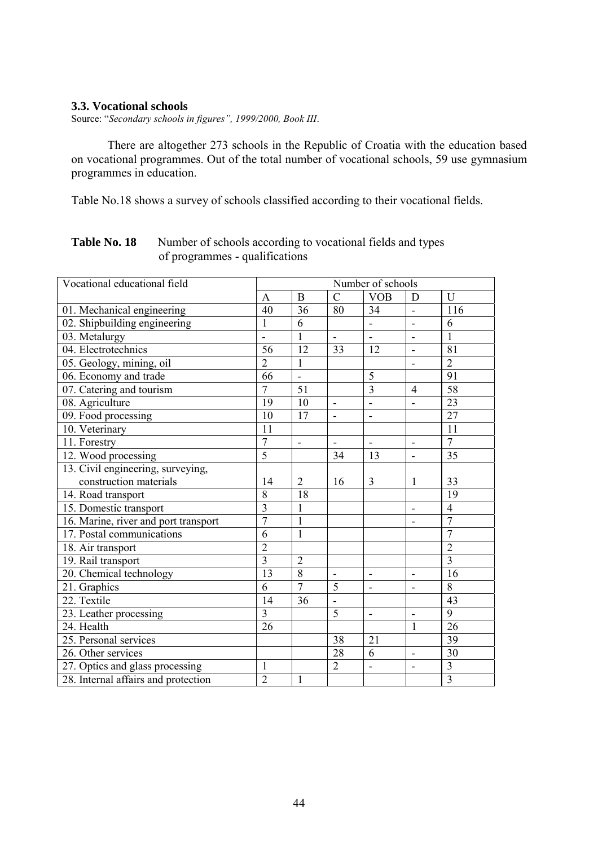#### **3.3. Vocational schools**

Source: "Secondary schools in figures", 1999/2000, Book III.

There are altogether 273 schools in the Republic of Croatia with the education based on vocational programmes. Out of the total number of vocational schools, 59 use gymnasium programmes in education.

Table No.18 shows a survey of schools classified according to their vocational fields.

| Vocational educational field         | Number of schools |                          |                              |                              |                          |                         |
|--------------------------------------|-------------------|--------------------------|------------------------------|------------------------------|--------------------------|-------------------------|
|                                      | A                 | $\bf{B}$                 | $\overline{C}$               | <b>VOB</b>                   | D                        | U                       |
| 01. Mechanical engineering           | 40                | 36                       | 80                           | 34                           | $\overline{\phantom{a}}$ | 116                     |
| 02. Shipbuilding engineering         | 1                 | 6                        |                              | $\overline{a}$               | ä,                       | 6                       |
| 03. Metalurgy                        |                   | $\mathbf{1}$             |                              |                              |                          | 1                       |
| 04. Electrotechnics                  | 56                | 12                       | 33                           | 12                           | $\blacksquare$           | 81                      |
| 05. Geology, mining, oil             | $\overline{2}$    | $\mathbf{1}$             |                              |                              |                          | $\overline{2}$          |
| 06. Economy and trade                | 66                | $\blacksquare$           |                              | 5                            |                          | 91                      |
| 07. Catering and tourism             | $\overline{7}$    | 51                       |                              | $\overline{3}$               | $\overline{4}$           | $\overline{58}$         |
| 08. Agriculture                      | 19                | $\overline{10}$          | $\qquad \qquad \blacksquare$ | $\qquad \qquad \blacksquare$ |                          | $\overline{23}$         |
| 09. Food processing                  | 10                | 17                       | $\blacksquare$               | $\qquad \qquad \blacksquare$ |                          | 27                      |
| 10. Veterinary                       | 11                |                          |                              |                              |                          | 11                      |
| 11. Forestry                         | $\overline{7}$    | $\overline{\phantom{0}}$ | $\blacksquare$               | $\overline{\phantom{a}}$     | $\blacksquare$           | $\overline{7}$          |
| 12. Wood processing                  | $\overline{5}$    |                          | 34                           | 13                           |                          | 35                      |
| 13. Civil engineering, surveying,    |                   |                          |                              |                              |                          |                         |
| construction materials               | 14                | 2                        | 16                           | 3                            | 1                        | 33                      |
| 14. Road transport                   | 8                 | 18                       |                              |                              |                          | 19                      |
| 15. Domestic transport               | $\overline{3}$    | 1                        |                              |                              | $\overline{\phantom{a}}$ | $\overline{4}$          |
| 16. Marine, river and port transport | $\overline{7}$    | $\mathbf{1}$             |                              |                              |                          | $\overline{7}$          |
| 17. Postal communications            | 6                 | $\mathbf{1}$             |                              |                              |                          | $\overline{7}$          |
| 18. Air transport                    | $\overline{2}$    |                          |                              |                              |                          | $\overline{2}$          |
| 19. Rail transport                   | $\overline{3}$    | $\overline{2}$           |                              |                              |                          | $\overline{3}$          |
| 20. Chemical technology              | 13                | $\overline{8}$           | $\blacksquare$               | $\overline{\phantom{a}}$     | $\blacksquare$           | 16                      |
| 21. Graphics                         | 6                 | $\overline{7}$           | $\overline{5}$               | ÷,                           | $\blacksquare$           | $\overline{8}$          |
| 22. Textile                          | 14                | 36                       |                              |                              |                          | 43                      |
| 23. Leather processing               | 3                 |                          | 5                            | $\overline{\phantom{a}}$     | $\blacksquare$           | 9                       |
| 24. Health                           | 26                |                          |                              |                              | 1                        | 26                      |
| 25. Personal services                |                   |                          | 38                           | 21                           |                          | 39                      |
| 26. Other services                   |                   |                          | 28                           | 6                            | $\overline{\phantom{a}}$ | 30                      |
| 27. Optics and glass processing      | 1                 |                          | $\overline{2}$               | $\overline{\phantom{0}}$     |                          | $\overline{\mathbf{3}}$ |
| 28. Internal affairs and protection  | $\overline{2}$    | $\mathbf{1}$             |                              |                              |                          | $\overline{3}$          |

# **Table No. 18** Number of schools according to vocational fields and types of programmes - qualifications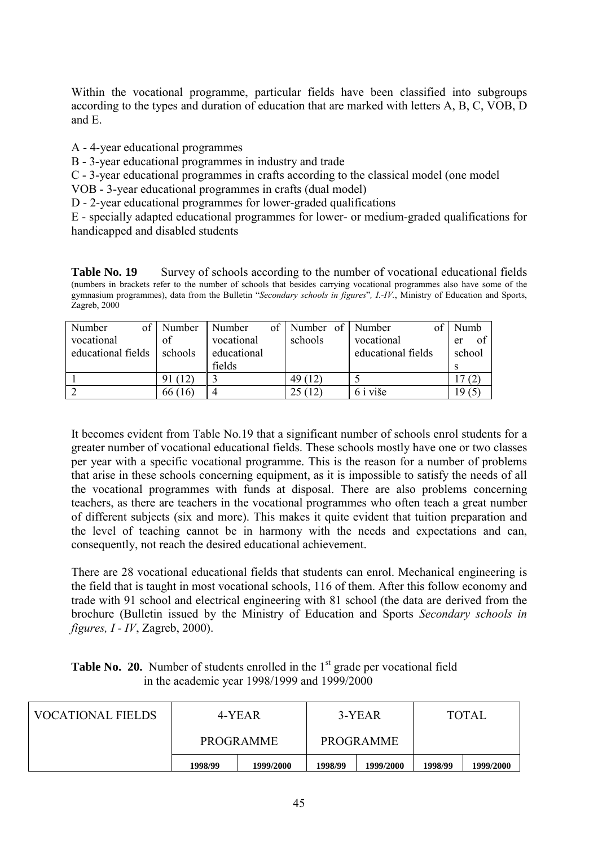Within the vocational programme, particular fields have been classified into subgroups according to the types and duration of education that are marked with letters A, B, C, VOB, D and E.

A - 4-year educational programmes

B - 3-year educational programmes in industry and trade

C - 3-year educational programmes in crafts according to the classical model (one model

VOB - 3-year educational programmes in crafts (dual model)

D - 2-year educational programmes for lower-graded qualifications

E - specially adapted educational programmes for lower- or medium-graded qualifications for handicapped and disabled students

**Table No. 19** Survey of schools according to the number of vocational educational fields (numbers in brackets refer to the number of schools that besides carrying vocational programmes also have some of the gymnasium programmes), data from the Bulletin "*Secondary schools in figures*", *I.-IV*., Ministry of Education and Sports, Zagreb, 2000

| Number             | of   Number   Number |             | of   Number of   Number |                    | Numb     |
|--------------------|----------------------|-------------|-------------------------|--------------------|----------|
| vocational         | of                   | vocational  | schools                 | vocational         | 0t<br>er |
| educational fields | schools              | educational |                         | educational fields | school   |
|                    |                      | fields      |                         |                    | S        |
|                    | 91 (12)              |             | 49 (12)                 |                    |          |
|                    | 66(16)               |             | 25(12)                  | 6 i više           | 965      |

It becomes evident from Table No.19 that a significant number of schools enrol students for a greater number of vocational educational fields. These schools mostly have one or two classes per year with a specific vocational programme. This is the reason for a number of problems that arise in these schools concerning equipment, as it is impossible to satisfy the needs of all the vocational programmes with funds at disposal. There are also problems concerning teachers, as there are teachers in the vocational programmes who often teach a great number of different subjects (six and more). This makes it quite evident that tuition preparation and the level of teaching cannot be in harmony with the needs and expectations and can, consequently, not reach the desired educational achievement.

There are 28 vocational educational fields that students can enrol. Mechanical engineering is the field that is taught in most vocational schools, 116 of them. After this follow economy and trade with 91 school and electrical engineering with 81 school (the data are derived from the brochure (Bulletin issued by the Ministry of Education and Sports *Secondary schools in figures, I - IV*, Zagreb, 2000).

|  | <b>Table No. 20.</b> Number of students enrolled in the $1st$ grade per vocational field |
|--|------------------------------------------------------------------------------------------|
|  | in the academic year $1998/1999$ and $1999/2000$                                         |

| <b>VOCATIONAL FIELDS</b> |                      | 4-YEAR           |         | 3-YEAR           | <b>TOTAL</b> |           |  |
|--------------------------|----------------------|------------------|---------|------------------|--------------|-----------|--|
|                          |                      | <b>PROGRAMME</b> |         | <b>PROGRAMME</b> |              |           |  |
|                          | 1998/99<br>1999/2000 |                  | 1998/99 | 1999/2000        | 1998/99      | 1999/2000 |  |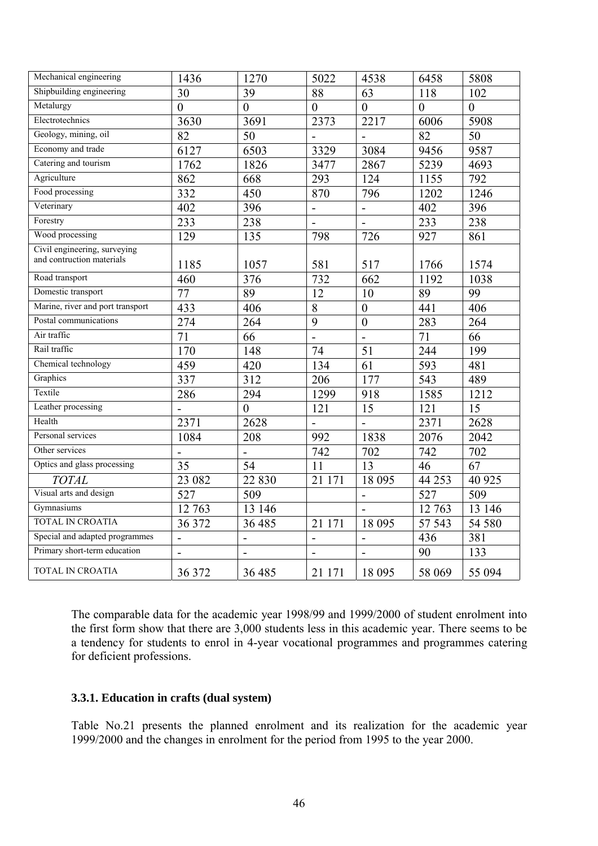| Mechanical engineering           | 1436           | 1270            | 5022                         | 4538            | 6458           | 5808           |
|----------------------------------|----------------|-----------------|------------------------------|-----------------|----------------|----------------|
| Shipbuilding engineering         | 30             | 39              | 88                           | 63              | 118            | 102            |
| Metalurgy                        | $\overline{0}$ | $\overline{0}$  | $\overline{0}$               | $\overline{0}$  | $\overline{0}$ | $\overline{0}$ |
| Electrotechnics                  | 3630           | 3691            | 2373                         | 2217            | 6006           | 5908           |
| Geology, mining, oil             | 82             | 50              |                              | $\overline{a}$  | 82             | 50             |
| Economy and trade                | 6127           | 6503            | 3329                         | 3084            | 9456           | 9587           |
| Catering and tourism             | 1762           | 1826            | 3477                         | 2867            | 5239           | 4693           |
| Agriculture                      | 862            | 668             | 293                          | 124             | 1155           | 792            |
| Food processing                  | 332            | 450             | 870                          | 796             | 1202           | 1246           |
| Veterinary                       | 402            | 396             | $\qquad \qquad \blacksquare$ | $\blacksquare$  | 402            | 396            |
| Forestry                         | 233            | 238             | $\blacksquare$               | $\blacksquare$  | 233            | 238            |
| Wood processing                  | 129            | 135             | 798                          | 726             | 927            | 861            |
| Civil engineering, surveying     |                |                 |                              |                 |                |                |
| and contruction materials        | 1185           | 1057            | 581                          | 517             | 1766           | 1574           |
| Road transport                   | 460            | 376             | 732                          | 662             | 1192           | 1038           |
| Domestic transport               | 77             | $\overline{89}$ | 12                           | 10              | 89             | 99             |
| Marine, river and port transport | 433            | 406             | $\overline{8}$               | $\overline{0}$  | 441            | 406            |
| Postal communications            | 274            | 264             | 9                            | $\mathbf{0}$    | 283            | 264            |
| Air traffic                      | 71             | 66              | $\overline{a}$               | $\overline{a}$  | 71             | 66             |
| Rail traffic                     | 170            | 148             | 74                           | $\overline{51}$ | 244            | 199            |
| Chemical technology              | 459            | 420             | 134                          | 61              | 593            | 481            |
| Graphics                         | 337            | 312             | 206                          | 177             | 543            | 489            |
| Textile                          | 286            | 294             | 1299                         | 918             | 1585           | 1212           |
| Leather processing               |                | $\overline{0}$  | 121                          | 15              | 121            | 15             |
| Health                           | 2371           | 2628            |                              | $\overline{a}$  | 2371           | 2628           |
| Personal services                | 1084           | 208             | 992                          | 1838            | 2076           | 2042           |
| Other services                   |                | $\blacksquare$  | 742                          | 702             | 742            | 702            |
| Optics and glass processing      | 35             | 54              | 11                           | 13              | 46             | 67             |
| <b>TOTAL</b>                     | 23 082         | 22 8 30         | 21 171                       | 18 095          | 44 253         | 40 9 25        |
| Visual arts and design           | 527            | 509             |                              | $\overline{a}$  | 527            | 509            |
| Gymnasiums                       | 12 763         | 13 14 6         |                              | $\overline{a}$  | 12 763         | 13 146         |
| TOTAL IN CROATIA                 | 36 372         | 36 4 85         | 21 171                       | 18 0 95         | 57 543         | 54 580         |
| Special and adapted programmes   | $\overline{a}$ | $\frac{1}{2}$   | $\overline{a}$               | $\overline{a}$  | 436            | 381            |
| Primary short-term education     | $\overline{a}$ | $\overline{a}$  | $\blacksquare$               | $\overline{a}$  | 90             | 133            |
| TOTAL IN CROATIA                 | 36 372         | 36 485          | 21 171                       | 18 0 95         | 58 069         | 55 094         |

The comparable data for the academic year 1998/99 and 1999/2000 of student enrolment into the first form show that there are 3,000 students less in this academic year. There seems to be a tendency for students to enrol in 4-year vocational programmes and programmes catering for deficient professions.

# **3.3.1. Education in crafts (dual system)**

Table No.21 presents the planned enrolment and its realization for the academic year 1999/2000 and the changes in enrolment for the period from 1995 to the year 2000.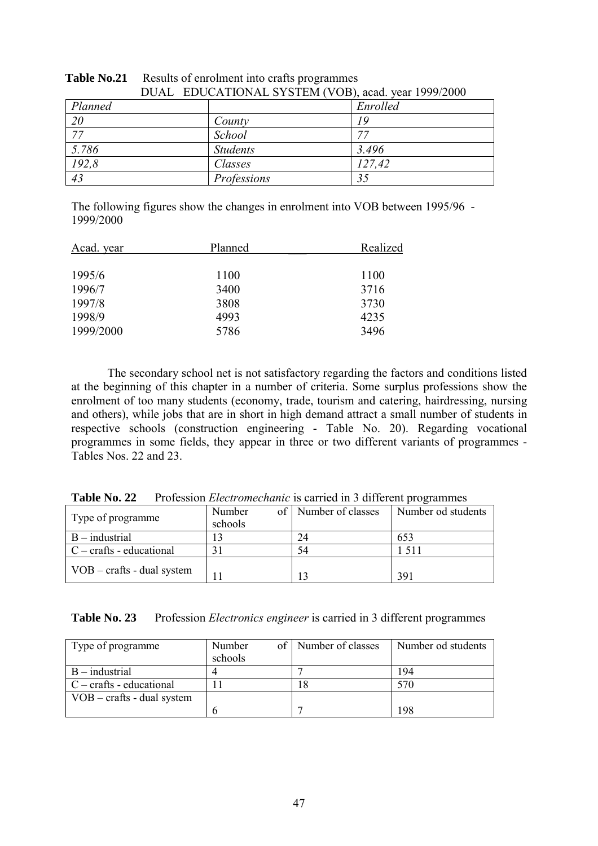|                 | DUAL EDUCATIONAL STSTEM (VOD), acad. year 1999/2000 |                 |          |  |  |  |
|-----------------|-----------------------------------------------------|-----------------|----------|--|--|--|
| Planned         |                                                     |                 | Enrolled |  |  |  |
| <sup>20</sup>   |                                                     | County          | 19       |  |  |  |
| $\overline{77}$ |                                                     | School          |          |  |  |  |
| 5.786           |                                                     | <b>Students</b> | 3.496    |  |  |  |
| 192,8           |                                                     | Classes         | 127,42   |  |  |  |
| 43              |                                                     | Professions     | 35       |  |  |  |

| <b>Table No.21</b> Results of enrolment into crafts programmes |
|----------------------------------------------------------------|
| DUAL EDUCATIONAL SYSTEM (VOB), acad. year 1999/2000            |

The following figures show the changes in enrolment into VOB between 1995/96 - 1999/2000

| Acad. year | Planned | Realized |
|------------|---------|----------|
|            |         |          |
| 1995/6     | 1100    | 1100     |
| 1996/7     | 3400    | 3716     |
| 1997/8     | 3808    | 3730     |
| 1998/9     | 4993    | 4235     |
| 1999/2000  | 5786    | 3496     |

The secondary school net is not satisfactory regarding the factors and conditions listed at the beginning of this chapter in a number of criteria. Some surplus professions show the enrolment of too many students (economy, trade, tourism and catering, hairdressing, nursing and others), while jobs that are in short in high demand attract a small number of students in respective schools (construction engineering - Table No. 20). Regarding vocational programmes in some fields, they appear in three or two different variants of programmes - Tables Nos. 22 and 23.

| Table No. 22 Profession <i>Electromechanic</i> is carried in 3 different programmes |  |  |  |  |  |  |
|-------------------------------------------------------------------------------------|--|--|--|--|--|--|
|-------------------------------------------------------------------------------------|--|--|--|--|--|--|

| Type of programme                   | Number<br>schools | of   Number of classes | Number od students |
|-------------------------------------|-------------------|------------------------|--------------------|
| $B$ – industrial                    |                   | 24                     | 653                |
| $C - \text{craffs - educational}$   |                   | 54                     | 51.                |
| $\sqrt{VOB}$ – crafts - dual system | 11                | ر ۱                    | 391                |

**Table No. 23** Profession *Electronics engineer* is carried in 3 different programmes

| Type of programme                          | Number  | of   Number of classes | Number od students |
|--------------------------------------------|---------|------------------------|--------------------|
|                                            | schools |                        |                    |
| $B$ – industrial                           |         |                        | 194                |
| $C - \text{crafts - educational}$          |         |                        |                    |
| $VOB - \text{crafts} - \text{dual system}$ |         |                        |                    |
|                                            |         |                        | -98                |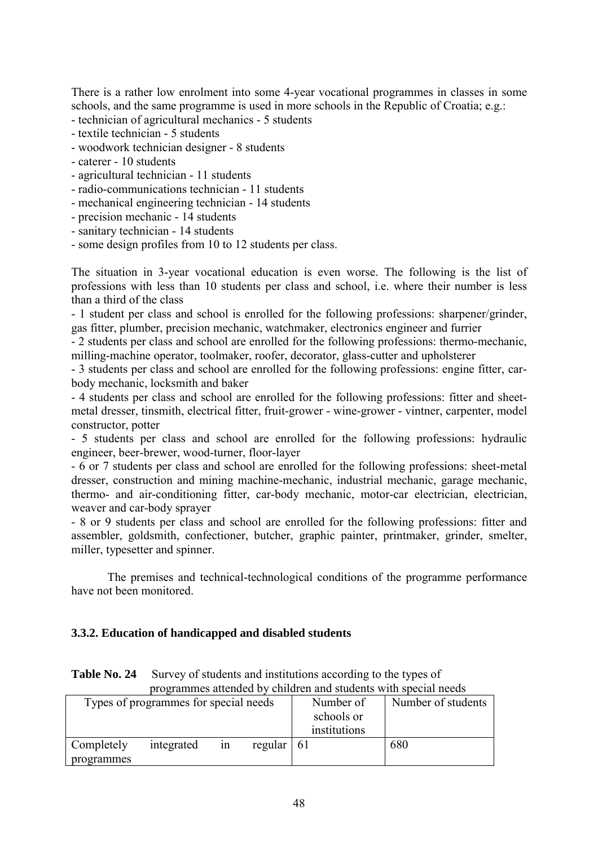There is a rather low enrolment into some 4-year vocational programmes in classes in some schools, and the same programme is used in more schools in the Republic of Croatia; e.g.: - technician of agricultural mechanics - 5 students

- textile technician 5 students
- woodwork technician designer 8 students
- caterer 10 students
- agricultural technician 11 students
- radio-communications technician 11 students
- mechanical engineering technician 14 students
- precision mechanic 14 students
- sanitary technician 14 students
- some design profiles from 10 to 12 students per class.

The situation in 3-year vocational education is even worse. The following is the list of professions with less than 10 students per class and school, i.e. where their number is less than a third of the class

- 1 student per class and school is enrolled for the following professions: sharpener/grinder, gas fitter, plumber, precision mechanic, watchmaker, electronics engineer and furrier

- 2 students per class and school are enrolled for the following professions: thermo-mechanic, milling-machine operator, toolmaker, roofer, decorator, glass-cutter and upholsterer

- 3 students per class and school are enrolled for the following professions: engine fitter, carbody mechanic, locksmith and baker

- 4 students per class and school are enrolled for the following professions: fitter and sheetmetal dresser, tinsmith, electrical fitter, fruit-grower - wine-grower - vintner, carpenter, model constructor, potter

- 5 students per class and school are enrolled for the following professions: hydraulic engineer, beer-brewer, wood-turner, floor-layer

- 6 or 7 students per class and school are enrolled for the following professions: sheet-metal dresser, construction and mining machine-mechanic, industrial mechanic, garage mechanic, thermo- and air-conditioning fitter, car-body mechanic, motor-car electrician, electrician, weaver and car-body sprayer

- 8 or 9 students per class and school are enrolled for the following professions: fitter and assembler, goldsmith, confectioner, butcher, graphic painter, printmaker, grinder, smelter, miller, typesetter and spinner.

The premises and technical-technological conditions of the programme performance have not been monitored.

### **3.3.2. Education of handicapped and disabled students**

**Table No. 24** Survey of students and institutions according to the types of programmes attended by children and students with special needs

|                          | Types of programmes for special needs |    | Number of<br>schools or<br>institutions |  | Number of students |     |
|--------------------------|---------------------------------------|----|-----------------------------------------|--|--------------------|-----|
| Completely<br>programmes | integrated                            | 1n | regular $ 61 $                          |  |                    | 680 |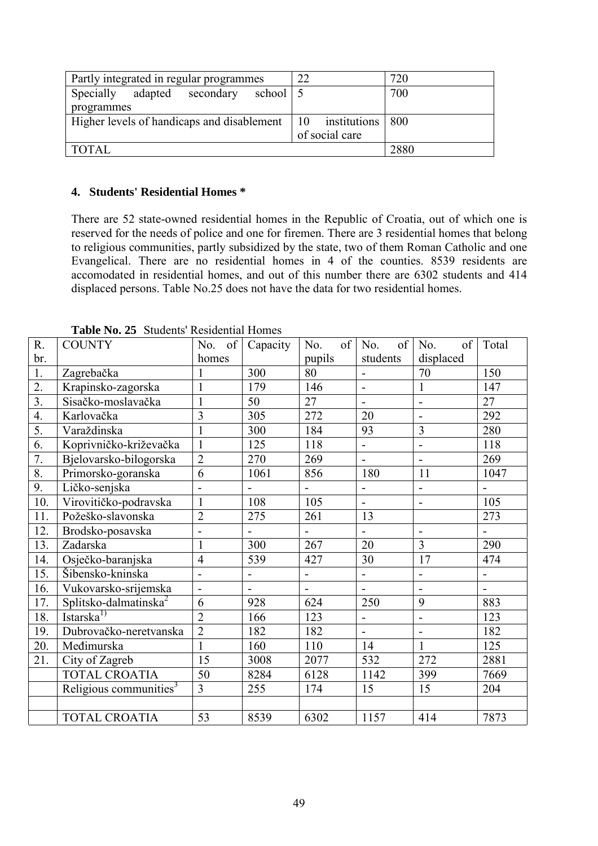| Partly integrated in regular programmes                            | 22<br>720      |
|--------------------------------------------------------------------|----------------|
| <b>Specially</b><br>adapted secondary<br>school 5                  | 700            |
| programmes                                                         |                |
| Higher levels of handicaps and disablement   10 institutions   800 |                |
|                                                                    | of social care |
| <b>TOTAL</b>                                                       | 2880           |

# **4. Students' Residential Homes \***

There are 52 state-owned residential homes in the Republic of Croatia, out of which one is reserved for the needs of police and one for firemen. There are 3 residential homes that belong to religious communities, partly subsidized by the state, two of them Roman Catholic and one Evangelical. There are no residential homes in 4 of the counties. 8539 residents are accomodated in residential homes, and out of this number there are 6302 students and 414 displaced persons. Table No.25 does not have the data for two residential homes.

| R.               | <b>COUNTY</b>                      | of<br>No.                | Capacity       | of<br>No.                    | of<br>No.                | of<br>No.                | Total          |
|------------------|------------------------------------|--------------------------|----------------|------------------------------|--------------------------|--------------------------|----------------|
| br.              |                                    | homes                    |                | pupils                       | students                 | displaced                |                |
| 1.               | Zagrebačka                         |                          | 300            | 80                           |                          | 70                       | 150            |
| $\overline{2}$ . | Krapinsko-zagorska                 | 1                        | 179            | 146                          | $\overline{\phantom{0}}$ | $\mathbf{1}$             | 147            |
| $\overline{3}$ . | Sisačko-moslavačka                 | 1                        | 50             | 27                           | $\overline{\phantom{0}}$ | $\blacksquare$           | 27             |
| 4.               | Karlovačka                         | $\overline{3}$           | 305            | 272                          | 20                       | $\blacksquare$           | 292            |
| 5.               | Varaždinska                        | $\mathbf{1}$             | 300            | 184                          | 93                       | $\overline{3}$           | 280            |
| 6.               | Koprivničko-križevačka             | $\mathbf{1}$             | 125            | 118                          | $\overline{a}$           |                          | 118            |
| 7.               | Bjelovarsko-bilogorska             | $\overline{2}$           | 270            | 269                          | $\overline{a}$           | $\overline{a}$           | 269            |
| 8.               | Primorsko-goranska                 | $\overline{6}$           | 1061           | 856                          | 180                      | 11                       | 1047           |
| 9.               | Ličko-senjska                      |                          |                |                              | $\overline{\phantom{0}}$ | $\blacksquare$           |                |
| 10.              | Virovitičko-podravska              | $\mathbf{1}$             | 108            | 105                          | $\overline{a}$           |                          | 105            |
| 11.              | Požeško-slavonska                  | $\overline{2}$           | 275            | 261                          | 13                       |                          | 273            |
| 12.              | Brodsko-posavska                   | $\overline{\phantom{a}}$ |                |                              | $\overline{\phantom{0}}$ | $\blacksquare$           | $\overline{a}$ |
| 13.              | Zadarska                           | $\mathbf{1}$             | 300            | 267                          | 20                       | $\overline{3}$           | 290            |
| 14.              | Osječko-baranjska                  | $\overline{4}$           | 539            | 427                          | 30                       | 17                       | 474            |
| 15.              | Šibensko-kninska                   | $\overline{a}$           | -              | $\qquad \qquad \blacksquare$ | $\overline{a}$           | $\blacksquare$           | $\overline{a}$ |
| 16.              | Vukovarsko-srijemska               | $\blacksquare$           | $\blacksquare$ | $\blacksquare$               | $\blacksquare$           | $\blacksquare$           | $\overline{a}$ |
| 17.              | Splitsko-dalmatinska <sup>2</sup>  | 6                        | 928            | 624                          | 250                      | 9                        | 883            |
| 18.              | Istarska <sup>1)</sup>             | $\overline{2}$           | 166            | 123                          | $\overline{\phantom{0}}$ | $\overline{\phantom{a}}$ | 123            |
| 19.              | Dubrovačko-neretvanska             | $\overline{2}$           | 182            | 182                          |                          | $\blacksquare$           | 182            |
| 20.              | Međimurska                         | 1                        | 160            | 110                          | 14                       | $\mathbf{1}$             | 125            |
| 21.              | City of Zagreb                     | 15                       | 3008           | 2077                         | 532                      | 272                      | 2881           |
|                  | <b>TOTAL CROATIA</b>               | 50                       | 8284           | 6128                         | 1142                     | 399                      | 7669           |
|                  | Religious communities <sup>3</sup> | $\overline{3}$           | 255            | 174                          | 15                       | 15                       | 204            |
|                  |                                    |                          |                |                              |                          |                          |                |
|                  | <b>TOTAL CROATIA</b>               | 53                       | 8539           | 6302                         | 1157                     | 414                      | 7873           |

**Table No. 25** Students' Residential Homes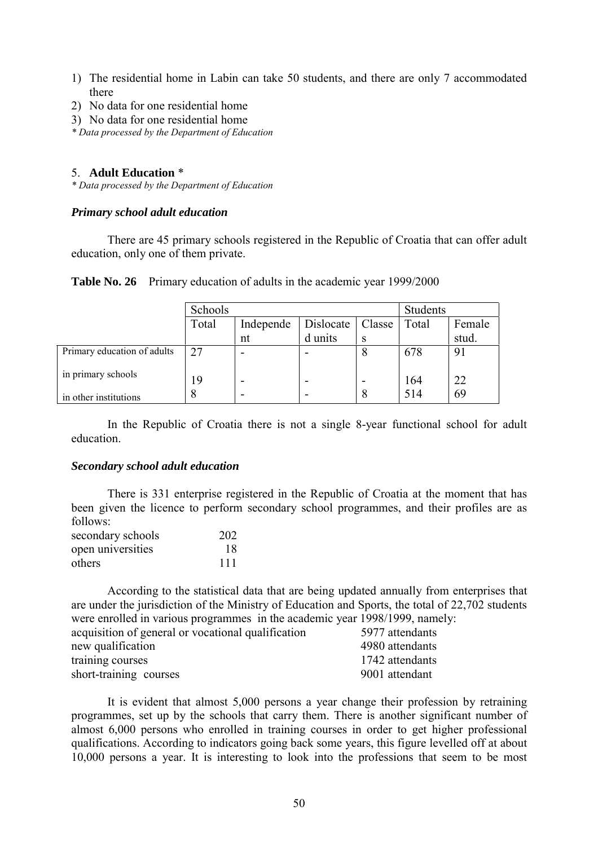- 1) The residential home in Labin can take 50 students, and there are only 7 accommodated there
- 2) No data for one residential home
- 3) No data for one residential home

*\* Data processed by the Department of Education*

### 5. **Adult Education** \*

*\* Data processed by the Department of Education*

#### *Primary school adult education*

There are 45 primary schools registered in the Republic of Croatia that can offer adult education, only one of them private.

|  | Table No. 26 Primary education of adults in the academic year 1999/2000 |  |  |
|--|-------------------------------------------------------------------------|--|--|
|--|-------------------------------------------------------------------------|--|--|

|                             | Schools |           |           |        | <b>Students</b> |        |
|-----------------------------|---------|-----------|-----------|--------|-----------------|--------|
|                             | Total   | Independe | Dislocate | Classe | Total           | Female |
|                             |         | nt        | d units   | S      |                 | stud.  |
| Primary education of adults | 27      | -         |           | 8      | 678             | 91     |
| in primary schools          | 19      |           |           |        | 164             | 22     |
| in other institutions       | δ       | -         |           | 8      | 514             | 69     |

In the Republic of Croatia there is not a single 8-year functional school for adult education.

### *Secondary school adult education*

There is 331 enterprise registered in the Republic of Croatia at the moment that has been given the licence to perform secondary school programmes, and their profiles are as follows:

| secondary schools | 202 |
|-------------------|-----|
| open universities | 18  |
| others            | 111 |

According to the statistical data that are being updated annually from enterprises that are under the jurisdiction of the Ministry of Education and Sports, the total of 22,702 students were enrolled in various programmes in the academic year 1998/1999, namely:

| acquisition of general or vocational qualification | 5977 attendants |
|----------------------------------------------------|-----------------|
| new qualification                                  | 4980 attendants |
| training courses                                   | 1742 attendants |
| short-training courses                             | 9001 attendant  |

It is evident that almost 5,000 persons a year change their profession by retraining programmes, set up by the schools that carry them. There is another significant number of almost 6,000 persons who enrolled in training courses in order to get higher professional qualifications. According to indicators going back some years, this figure levelled off at about 10,000 persons a year. It is interesting to look into the professions that seem to be most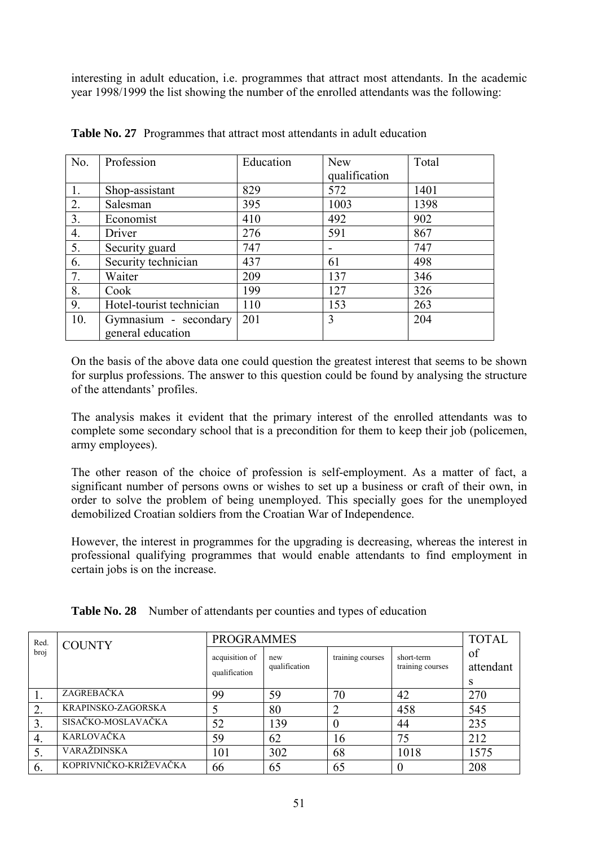interesting in adult education, i.e. programmes that attract most attendants. In the academic year 1998/1999 the list showing the number of the enrolled attendants was the following:

| No. | Profession               | Education | <b>New</b>    | Total |
|-----|--------------------------|-----------|---------------|-------|
|     |                          |           | qualification |       |
| 1.  | Shop-assistant           | 829       | 572           | 1401  |
| 2.  | Salesman                 | 395       | 1003          | 1398  |
| 3.  | Economist                | 410       | 492           | 902   |
| 4.  | Driver                   | 276       | 591           | 867   |
| 5.  | Security guard           | 747       |               | 747   |
| 6.  | Security technician      | 437       | 61            | 498   |
| 7.  | Waiter                   | 209       | 137           | 346   |
| 8.  | Cook                     | 199       | 127           | 326   |
| 9.  | Hotel-tourist technician | 110       | 153           | 263   |
| 10. | Gymnasium - secondary    | 201       | 3             | 204   |
|     | general education        |           |               |       |

**Table No. 27** Programmes that attract most attendants in adult education

On the basis of the above data one could question the greatest interest that seems to be shown for surplus professions. The answer to this question could be found by analysing the structure of the attendants' profiles.

The analysis makes it evident that the primary interest of the enrolled attendants was to complete some secondary school that is a precondition for them to keep their job (policemen, army employees).

The other reason of the choice of profession is self-employment. As a matter of fact, a significant number of persons owns or wishes to set up a business or craft of their own, in order to solve the problem of being unemployed. This specially goes for the unemployed demobilized Croatian soldiers from the Croatian War of Independence.

However, the interest in programmes for the upgrading is decreasing, whereas the interest in professional qualifying programmes that would enable attendants to find employment in certain jobs is on the increase.

|  | Table No. 28 Number of attendants per counties and types of education |  |  |
|--|-----------------------------------------------------------------------|--|--|
|--|-----------------------------------------------------------------------|--|--|

| Red.          | <b>COUNTY</b>          | <b>PROGRAMMES</b>               | <b>TOTAL</b>         |                  |                                |                      |
|---------------|------------------------|---------------------------------|----------------------|------------------|--------------------------------|----------------------|
| broj          |                        | acquisition of<br>qualification | new<br>qualification | training courses | short-term<br>training courses | of<br>attendant<br>S |
|               | ZAGREBAČKA             | 99                              | 59                   | 70               | 42                             | 270                  |
| $\mathcal{D}$ | KRAPINSKO-ZAGORSKA     |                                 | 80                   |                  | 458                            | 545                  |
| 3.            | SISAČKO-MOSLAVAČKA     | 52                              | 139                  |                  | 44                             | 235                  |
| 4.            | KARLOVAČKA             | 59                              | 62                   | 16               | 75                             | 212                  |
|               | VARAŽDINSKA            | 101                             | 302                  | 68               | 1018                           | 1575                 |
| -6.           | KOPRIVNIČKO-KRIŽEVAČKA | 66                              | 65                   | 65               |                                | 208                  |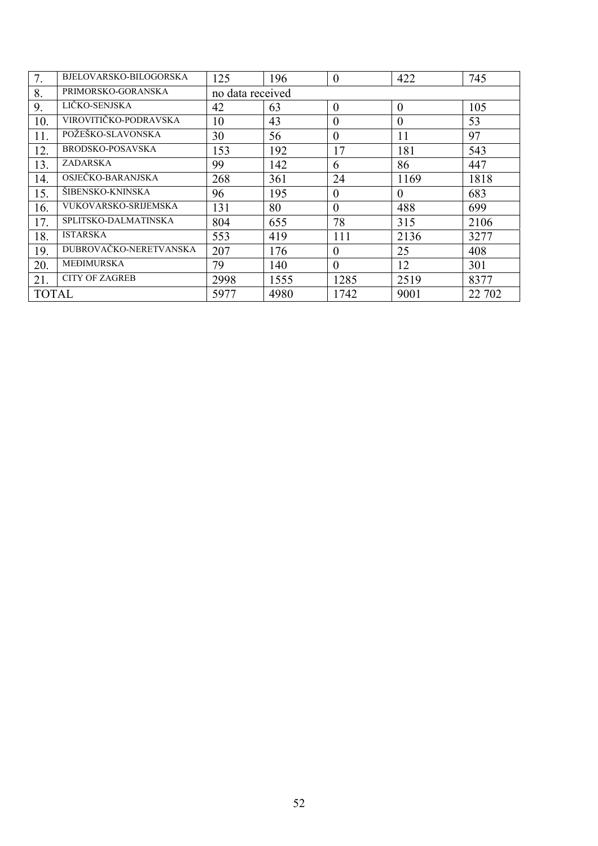| 7.           | BJELOVARSKO-BILOGORSKA      | 125              | 196  | $\theta$       | 422            | 745    |  |  |  |  |
|--------------|-----------------------------|------------------|------|----------------|----------------|--------|--|--|--|--|
| 8.           | PRIMORSKO-GORANSKA          | no data received |      |                |                |        |  |  |  |  |
| 9.           | LIČKO-SENJSKA               | 42               | 63   | $\overline{0}$ | $\theta$       | 105    |  |  |  |  |
| 10.          | VIROVITIČKO-PODRAVSKA       | 10               | 43   | $\theta$       | $\theta$       | 53     |  |  |  |  |
| 11.          | POŽEŠKO-SLAVONSKA           | 30               | 56   | $\theta$       | 11             | 97     |  |  |  |  |
| 12.          | BRODSKO-POSAVSKA            | 153              | 192  | 17             | 181            | 543    |  |  |  |  |
| 13.          | ZADARSKA                    | 99               | 142  | 6              | 86             | 447    |  |  |  |  |
| 14.          | OSJEČKO-BARANJSKA           | 268              | 361  | 24             | 1169           | 1818   |  |  |  |  |
| 15.          | ŠIBENSKO-KNINSKA            | 96               | 195  | $\overline{0}$ | $\overline{0}$ | 683    |  |  |  |  |
| 16.          | <b>VUKOVARSKO-SRIJEMSKA</b> | 131              | 80   | $\theta$       | 488            | 699    |  |  |  |  |
| 17.          | SPLITSKO-DALMATINSKA        | 804              | 655  | 78             | 315            | 2106   |  |  |  |  |
| 18.          | <b>ISTARSKA</b>             | 553              | 419  | 111            | 2136           | 3277   |  |  |  |  |
| 19.          | DUBROVAČKO-NERETVANSKA      | 207              | 176  | $\theta$       | 25             | 408    |  |  |  |  |
| 20.          | <b>MEĐIMURSKA</b>           | 79               | 140  | $\theta$       | 12             | 301    |  |  |  |  |
| 21.          | <b>CITY OF ZAGREB</b>       | 2998             | 1555 | 1285           | 2519           | 8377   |  |  |  |  |
| <b>TOTAL</b> |                             | 5977             | 4980 | 1742           | 9001           | 22 702 |  |  |  |  |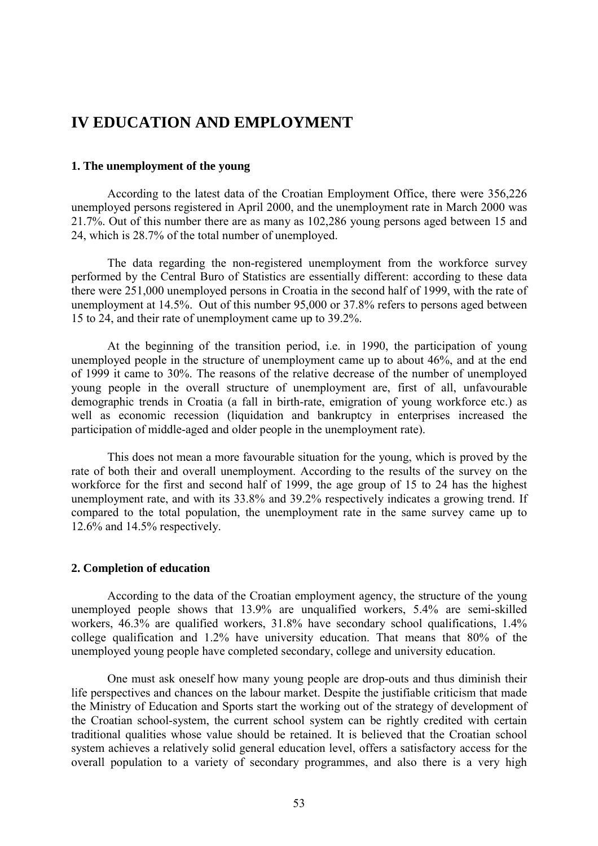# **IV EDUCATION AND EMPLOYMENT**

#### **1. The unemployment of the young**

According to the latest data of the Croatian Employment Office, there were 356,226 unemployed persons registered in April 2000, and the unemployment rate in March 2000 was 21.7%. Out of this number there are as many as 102,286 young persons aged between 15 and 24, which is 28.7% of the total number of unemployed.

The data regarding the non-registered unemployment from the workforce survey performed by the Central Buro of Statistics are essentially different: according to these data there were 251,000 unemployed persons in Croatia in the second half of 1999, with the rate of unemployment at 14.5%. Out of this number 95,000 or 37.8% refers to persons aged between 15 to 24, and their rate of unemployment came up to 39.2%.

At the beginning of the transition period, i.e. in 1990, the participation of young unemployed people in the structure of unemployment came up to about 46%, and at the end of 1999 it came to 30%. The reasons of the relative decrease of the number of unemployed young people in the overall structure of unemployment are, first of all, unfavourable demographic trends in Croatia (a fall in birth-rate, emigration of young workforce etc.) as well as economic recession (liquidation and bankruptcy in enterprises increased the participation of middle-aged and older people in the unemployment rate).

This does not mean a more favourable situation for the young, which is proved by the rate of both their and overall unemployment. According to the results of the survey on the workforce for the first and second half of 1999, the age group of 15 to 24 has the highest unemployment rate, and with its 33.8% and 39.2% respectively indicates a growing trend. If compared to the total population, the unemployment rate in the same survey came up to 12.6% and 14.5% respectively.

### **2. Completion of education**

According to the data of the Croatian employment agency, the structure of the young unemployed people shows that 13.9% are unqualified workers, 5.4% are semi-skilled workers, 46.3% are qualified workers, 31.8% have secondary school qualifications, 1.4% college qualification and 1.2% have university education. That means that 80% of the unemployed young people have completed secondary, college and university education.

One must ask oneself how many young people are drop-outs and thus diminish their life perspectives and chances on the labour market. Despite the justifiable criticism that made the Ministry of Education and Sports start the working out of the strategy of development of the Croatian school-system, the current school system can be rightly credited with certain traditional qualities whose value should be retained. It is believed that the Croatian school system achieves a relatively solid general education level, offers a satisfactory access for the overall population to a variety of secondary programmes, and also there is a very high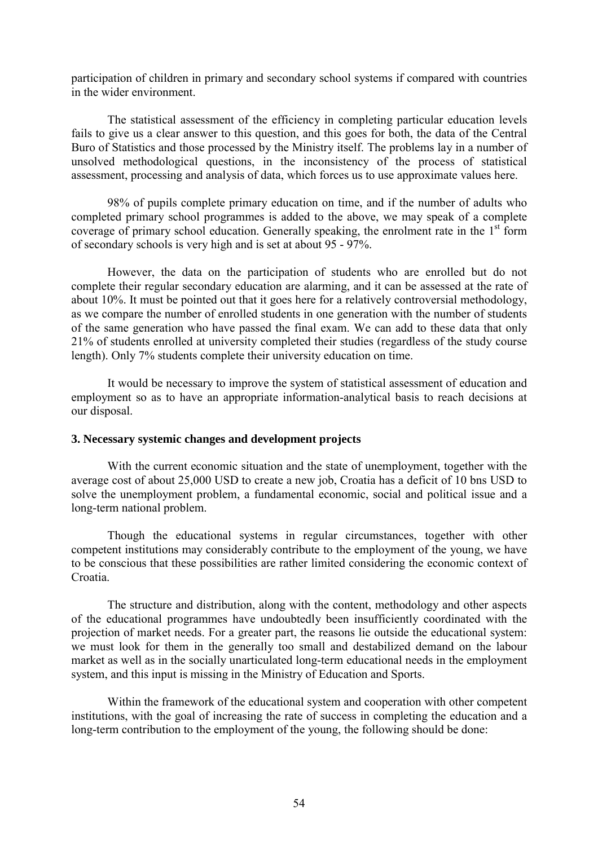participation of children in primary and secondary school systems if compared with countries in the wider environment.

The statistical assessment of the efficiency in completing particular education levels fails to give us a clear answer to this question, and this goes for both, the data of the Central Buro of Statistics and those processed by the Ministry itself. The problems lay in a number of unsolved methodological questions, in the inconsistency of the process of statistical assessment, processing and analysis of data, which forces us to use approximate values here.

98% of pupils complete primary education on time, and if the number of adults who completed primary school programmes is added to the above, we may speak of a complete coverage of primary school education. Generally speaking, the enrolment rate in the 1<sup>st</sup> form of secondary schools is very high and is set at about 95 - 97%.

However, the data on the participation of students who are enrolled but do not complete their regular secondary education are alarming, and it can be assessed at the rate of about 10%. It must be pointed out that it goes here for a relatively controversial methodology, as we compare the number of enrolled students in one generation with the number of students of the same generation who have passed the final exam. We can add to these data that only 21% of students enrolled at university completed their studies (regardless of the study course length). Only 7% students complete their university education on time.

It would be necessary to improve the system of statistical assessment of education and employment so as to have an appropriate information-analytical basis to reach decisions at our disposal.

### **3. Necessary systemic changes and development projects**

With the current economic situation and the state of unemployment, together with the average cost of about 25,000 USD to create a new job, Croatia has a deficit of 10 bns USD to solve the unemployment problem, a fundamental economic, social and political issue and a long-term national problem.

Though the educational systems in regular circumstances, together with other competent institutions may considerably contribute to the employment of the young, we have to be conscious that these possibilities are rather limited considering the economic context of Croatia.

The structure and distribution, along with the content, methodology and other aspects of the educational programmes have undoubtedly been insufficiently coordinated with the projection of market needs. For a greater part, the reasons lie outside the educational system: we must look for them in the generally too small and destabilized demand on the labour market as well as in the socially unarticulated long-term educational needs in the employment system, and this input is missing in the Ministry of Education and Sports.

Within the framework of the educational system and cooperation with other competent institutions, with the goal of increasing the rate of success in completing the education and a long-term contribution to the employment of the young, the following should be done: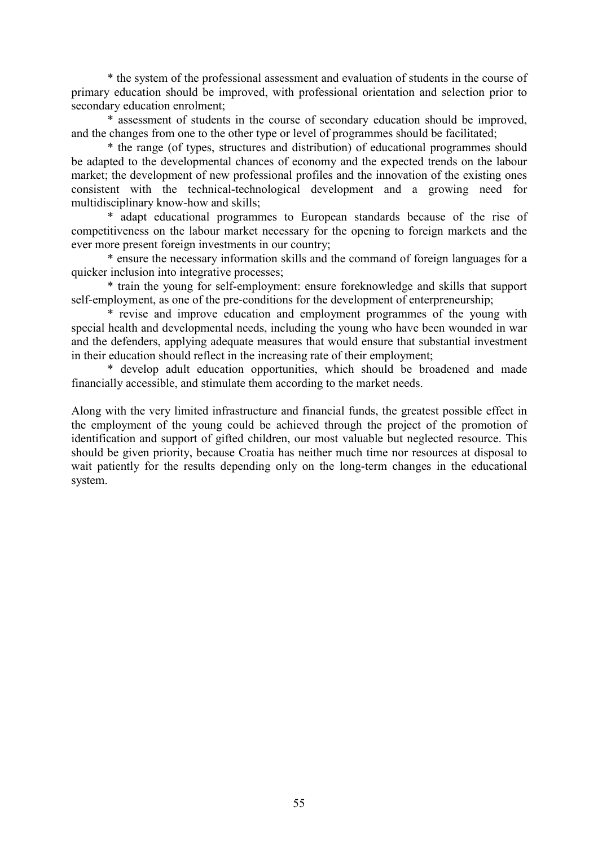\* the system of the professional assessment and evaluation of students in the course of primary education should be improved, with professional orientation and selection prior to secondary education enrolment;

\* assessment of students in the course of secondary education should be improved, and the changes from one to the other type or level of programmes should be facilitated;

\* the range (of types, structures and distribution) of educational programmes should be adapted to the developmental chances of economy and the expected trends on the labour market; the development of new professional profiles and the innovation of the existing ones consistent with the technical-technological development and a growing need for multidisciplinary know-how and skills;

\* adapt educational programmes to European standards because of the rise of competitiveness on the labour market necessary for the opening to foreign markets and the ever more present foreign investments in our country;

\* ensure the necessary information skills and the command of foreign languages for a quicker inclusion into integrative processes;

\* train the young for self-employment: ensure foreknowledge and skills that support self-employment, as one of the pre-conditions for the development of enterpreneurship;

\* revise and improve education and employment programmes of the young with special health and developmental needs, including the young who have been wounded in war and the defenders, applying adequate measures that would ensure that substantial investment in their education should reflect in the increasing rate of their employment;

\* develop adult education opportunities, which should be broadened and made financially accessible, and stimulate them according to the market needs.

Along with the very limited infrastructure and financial funds, the greatest possible effect in the employment of the young could be achieved through the project of the promotion of identification and support of gifted children, our most valuable but neglected resource. This should be given priority, because Croatia has neither much time nor resources at disposal to wait patiently for the results depending only on the long-term changes in the educational system.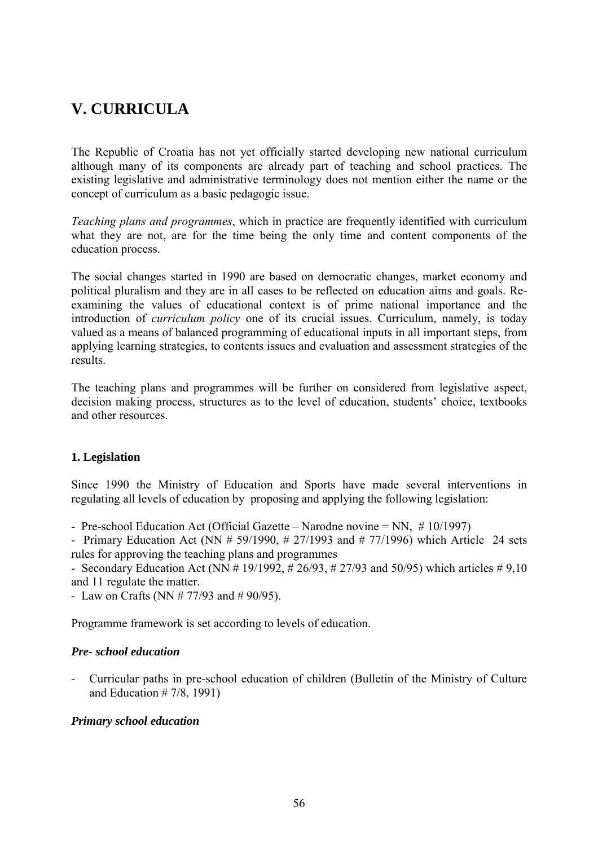# **V. CURRICULA**

The Republic of Croatia has not yet officially started developing new national curriculum although many of its components are already part of teaching and school practices. The existing legislative and administrative terminology does not mention either the name or the concept of curriculum as a basic pedagogic issue.

*Teaching plans and programmes*, which in practice are frequently identified with curriculum what they are not, are for the time being the only time and content components of the education process.

The social changes started in 1990 are based on democratic changes, market economy and political pluralism and they are in all cases to be reflected on education aims and goals. Reexamining the values of educational context is of prime national importance and the introduction of *curriculum policy* one of its crucial issues. Curriculum, namely, is today valued as a means of balanced programming of educational inputs in all important steps, from applying learning strategies, to contents issues and evaluation and assessment strategies of the results.

The teaching plans and programmes will be further on considered from legislative aspect, decision making process, structures as to the level of education, students' choice, textbooks and other resources.

# **1. Legislation**

Since 1990 the Ministry of Education and Sports have made several interventions in regulating all levels of education by proposing and applying the following legislation:

- Pre-school Education Act (Official Gazette – Narodne novine  $= NN$ ,  $\# 10/1997$ )

- Primary Education Act (NN # 59/1990, # 27/1993 and # 77/1996) which Article 24 sets rules for approving the teaching plans and programmes

- Secondary Education Act (NN  $# 19/1992$ ,  $# 26/93$ ,  $# 27/93$  and 50/95) which articles  $# 9,10$ and 11 regulate the matter.

- Law on Crafts (NN # 77/93 and # 90/95).

Programme framework is set according to levels of education.

### *Pre- school education*

- Curricular paths in pre-school education of children (Bulletin of the Ministry of Culture and Education # 7/8, 1991)

### *Primary school education*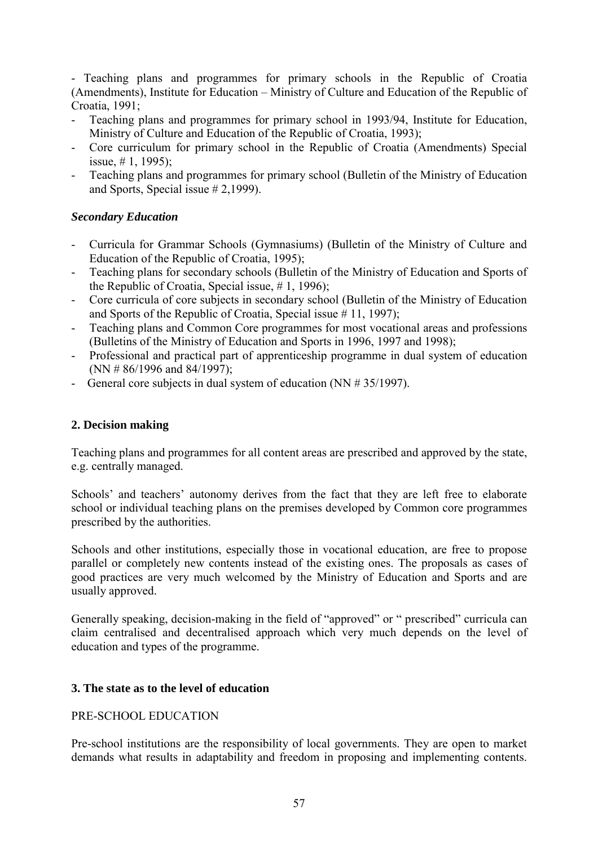- Teaching plans and programmes for primary schools in the Republic of Croatia (Amendments), Institute for Education  $-$  Ministry of Culture and Education of the Republic of Croatia, 1991;

- Teaching plans and programmes for primary school in 1993/94, Institute for Education, Ministry of Culture and Education of the Republic of Croatia, 1993);
- Core curriculum for primary school in the Republic of Croatia (Amendments) Special issue, # 1, 1995);
- Teaching plans and programmes for primary school (Bulletin of the Ministry of Education and Sports, Special issue # 2,1999).

# *Secondary Education*

- Curricula for Grammar Schools (Gymnasiums) (Bulletin of the Ministry of Culture and Education of the Republic of Croatia, 1995);
- Teaching plans for secondary schools (Bulletin of the Ministry of Education and Sports of the Republic of Croatia, Special issue, # 1, 1996);
- Core curricula of core subjects in secondary school (Bulletin of the Ministry of Education and Sports of the Republic of Croatia, Special issue # 11, 1997);
- Teaching plans and Common Core programmes for most vocational areas and professions (Bulletins of the Ministry of Education and Sports in 1996, 1997 and 1998);
- Professional and practical part of apprenticeship programme in dual system of education (NN # 86/1996 and 84/1997);
- General core subjects in dual system of education (NN # 35/1997).

# **2. Decision making**

Teaching plans and programmes for all content areas are prescribed and approved by the state, e.g. centrally managed.

Schools' and teachers' autonomy derives from the fact that they are left free to elaborate school or individual teaching plans on the premises developed by Common core programmes prescribed by the authorities.

Schools and other institutions, especially those in vocational education, are free to propose parallel or completely new contents instead of the existing ones. The proposals as cases of good practices are very much welcomed by the Ministry of Education and Sports and are usually approved.

Generally speaking, decision-making in the field of "approved" or " prescribed" curricula can claim centralised and decentralised approach which very much depends on the level of education and types of the programme.

# **3. The state as to the level of education**

# PRE-SCHOOL EDUCATION

Pre-school institutions are the responsibility of local governments. They are open to market demands what results in adaptability and freedom in proposing and implementing contents.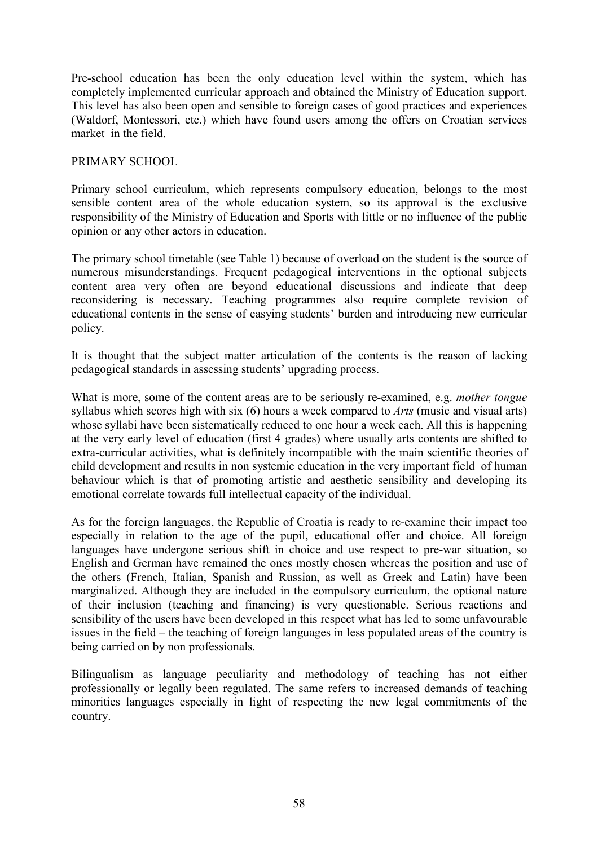Pre-school education has been the only education level within the system, which has completely implemented curricular approach and obtained the Ministry of Education support. This level has also been open and sensible to foreign cases of good practices and experiences (Waldorf, Montessori, etc.) which have found users among the offers on Croatian services market in the field.

# PRIMARY SCHOOL

Primary school curriculum, which represents compulsory education, belongs to the most sensible content area of the whole education system, so its approval is the exclusive responsibility of the Ministry of Education and Sports with little or no influence of the public opinion or any other actors in education.

The primary school timetable (see Table 1) because of overload on the student is the source of numerous misunderstandings. Frequent pedagogical interventions in the optional subjects content area very often are beyond educational discussions and indicate that deep reconsidering is necessary. Teaching programmes also require complete revision of educational contents in the sense of easying students' burden and introducing new curricular policy.

It is thought that the subject matter articulation of the contents is the reason of lacking pedagogical standards in assessing students' upgrading process.

What is more, some of the content areas are to be seriously re-examined, e.g. *mother tongue* syllabus which scores high with six (6) hours a week compared to *Arts* (music and visual arts) whose syllabi have been sistematically reduced to one hour a week each. All this is happening at the very early level of education (first 4 grades) where usually arts contents are shifted to extra-curricular activities, what is definitely incompatible with the main scientific theories of child development and results in non systemic education in the very important field of human behaviour which is that of promoting artistic and aesthetic sensibility and developing its emotional correlate towards full intellectual capacity of the individual.

As for the foreign languages, the Republic of Croatia is ready to re-examine their impact too especially in relation to the age of the pupil, educational offer and choice. All foreign languages have undergone serious shift in choice and use respect to pre-war situation, so English and German have remained the ones mostly chosen whereas the position and use of the others (French, Italian, Spanish and Russian, as well as Greek and Latin) have been marginalized. Although they are included in the compulsory curriculum, the optional nature of their inclusion (teaching and financing) is very questionable. Serious reactions and sensibility of the users have been developed in this respect what has led to some unfavourable issues in the field – the teaching of foreign languages in less populated areas of the country is being carried on by non professionals.

Bilingualism as language peculiarity and methodology of teaching has not either professionally or legally been regulated. The same refers to increased demands of teaching minorities languages especially in light of respecting the new legal commitments of the country.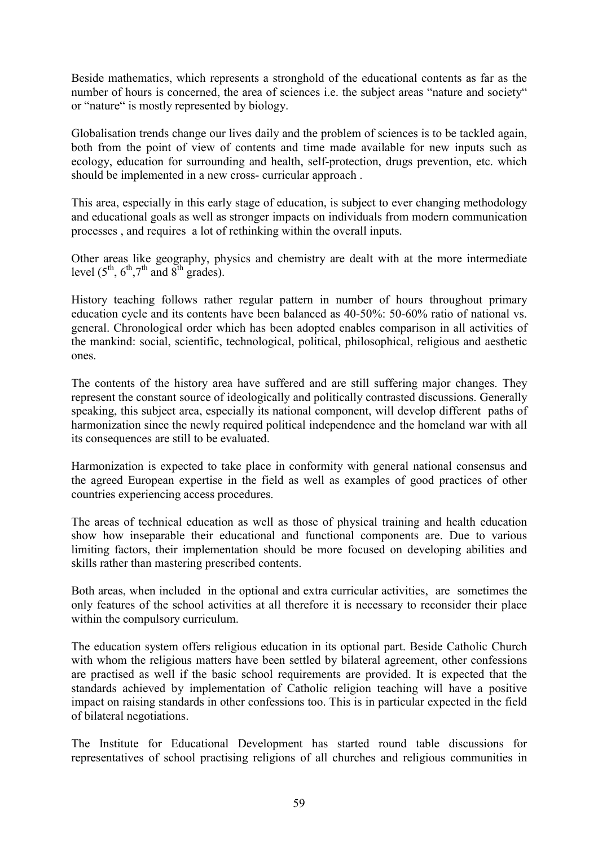Beside mathematics, which represents a stronghold of the educational contents as far as the number of hours is concerned, the area of sciences i.e. the subject areas "nature and society" or "nature" is mostly represented by biology.

Globalisation trends change our lives daily and the problem of sciences is to be tackled again, both from the point of view of contents and time made available for new inputs such as ecology, education for surrounding and health, self-protection, drugs prevention, etc. which should be implemented in a new cross- curricular approach .

This area, especially in this early stage of education, is subject to ever changing methodology and educational goals as well as stronger impacts on individuals from modern communication processes , and requires a lot of rethinking within the overall inputs.

Other areas like geography, physics and chemistry are dealt with at the more intermediate level  $(5^{th}, 6^{th}, 7^{th}$  and  $8^{th}$  grades).

History teaching follows rather regular pattern in number of hours throughout primary education cycle and its contents have been balanced as 40-50%: 50-60% ratio of national vs. general. Chronological order which has been adopted enables comparison in all activities of the mankind: social, scientific, technological, political, philosophical, religious and aesthetic ones.

The contents of the history area have suffered and are still suffering major changes. They represent the constant source of ideologically and politically contrasted discussions. Generally speaking, this subject area, especially its national component, will develop different paths of harmonization since the newly required political independence and the homeland war with all its consequences are still to be evaluated.

Harmonization is expected to take place in conformity with general national consensus and the agreed European expertise in the field as well as examples of good practices of other countries experiencing access procedures.

The areas of technical education as well as those of physical training and health education show how inseparable their educational and functional components are. Due to various limiting factors, their implementation should be more focused on developing abilities and skills rather than mastering prescribed contents.

Both areas, when included in the optional and extra curricular activities, are sometimes the only features of the school activities at all therefore it is necessary to reconsider their place within the compulsory curriculum.

The education system offers religious education in its optional part. Beside Catholic Church with whom the religious matters have been settled by bilateral agreement, other confessions are practised as well if the basic school requirements are provided. It is expected that the standards achieved by implementation of Catholic religion teaching will have a positive impact on raising standards in other confessions too. This is in particular expected in the field of bilateral negotiations.

The Institute for Educational Development has started round table discussions for representatives of school practising religions of all churches and religious communities in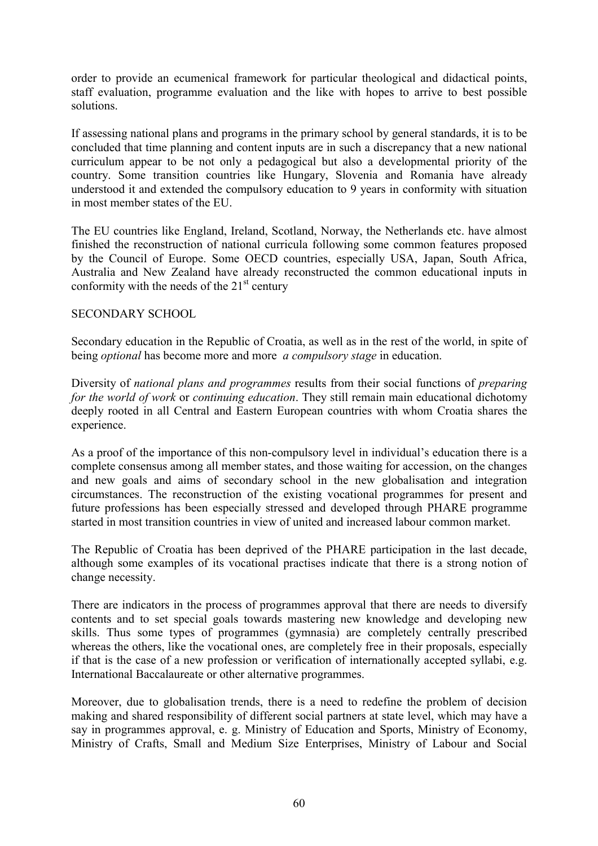order to provide an ecumenical framework for particular theological and didactical points, staff evaluation, programme evaluation and the like with hopes to arrive to best possible solutions.

If assessing national plans and programs in the primary school by general standards, it is to be concluded that time planning and content inputs are in such a discrepancy that a new national curriculum appear to be not only a pedagogical but also a developmental priority of the country. Some transition countries like Hungary, Slovenia and Romania have already understood it and extended the compulsory education to 9 years in conformity with situation in most member states of the EU.

The EU countries like England, Ireland, Scotland, Norway, the Netherlands etc. have almost finished the reconstruction of national curricula following some common features proposed by the Council of Europe. Some OECD countries, especially USA, Japan, South Africa, Australia and New Zealand have already reconstructed the common educational inputs in conformity with the needs of the  $21<sup>st</sup>$  century

# SECONDARY SCHOOL

Secondary education in the Republic of Croatia, as well as in the rest of the world, in spite of being *optional* has become more and more *a compulsory stage* in education.

Diversity of *national plans and programmes* results from their social functions of *preparing for the world of work* or *continuing education*. They still remain main educational dichotomy deeply rooted in all Central and Eastern European countries with whom Croatia shares the experience.

As a proof of the importance of this non-compulsory level in individual's education there is a complete consensus among all member states, and those waiting for accession, on the changes and new goals and aims of secondary school in the new globalisation and integration circumstances. The reconstruction of the existing vocational programmes for present and future professions has been especially stressed and developed through PHARE programme started in most transition countries in view of united and increased labour common market.

The Republic of Croatia has been deprived of the PHARE participation in the last decade, although some examples of its vocational practises indicate that there is a strong notion of change necessity.

There are indicators in the process of programmes approval that there are needs to diversify contents and to set special goals towards mastering new knowledge and developing new skills. Thus some types of programmes (gymnasia) are completely centrally prescribed whereas the others, like the vocational ones, are completely free in their proposals, especially if that is the case of a new profession or verification of internationally accepted syllabi, e.g. International Baccalaureate or other alternative programmes.

Moreover, due to globalisation trends, there is a need to redefine the problem of decision making and shared responsibility of different social partners at state level, which may have a say in programmes approval, e. g. Ministry of Education and Sports, Ministry of Economy, Ministry of Crafts, Small and Medium Size Enterprises, Ministry of Labour and Social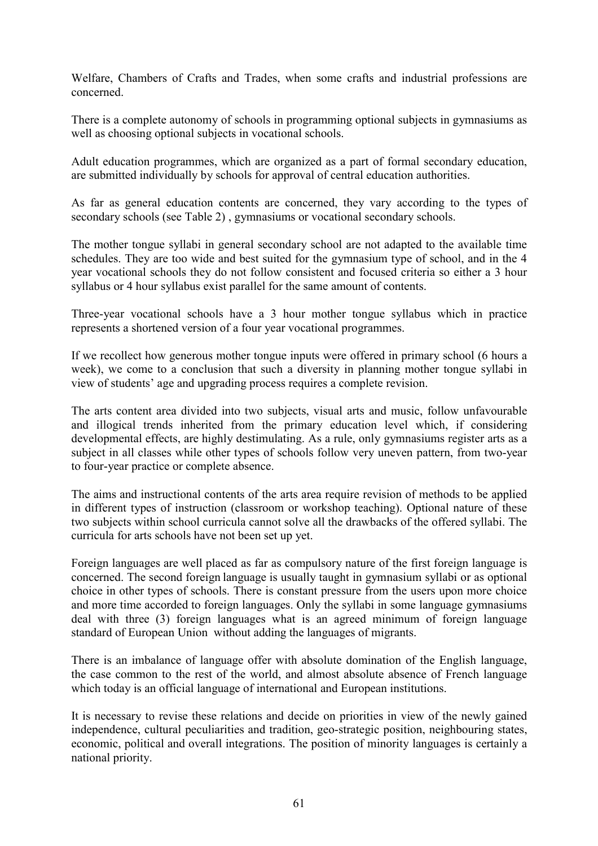Welfare, Chambers of Crafts and Trades, when some crafts and industrial professions are concerned.

There is a complete autonomy of schools in programming optional subjects in gymnasiums as well as choosing optional subjects in vocational schools.

Adult education programmes, which are organized as a part of formal secondary education, are submitted individually by schools for approval of central education authorities.

As far as general education contents are concerned, they vary according to the types of secondary schools (see Table 2) , gymnasiums or vocational secondary schools.

The mother tongue syllabi in general secondary school are not adapted to the available time schedules. They are too wide and best suited for the gymnasium type of school, and in the 4 year vocational schools they do not follow consistent and focused criteria so either a 3 hour syllabus or 4 hour syllabus exist parallel for the same amount of contents.

Three-year vocational schools have a 3 hour mother tongue syllabus which in practice represents a shortened version of a four year vocational programmes.

If we recollect how generous mother tongue inputs were offered in primary school (6 hours a week), we come to a conclusion that such a diversity in planning mother tongue syllabi in view of students' age and upgrading process requires a complete revision.

The arts content area divided into two subjects, visual arts and music, follow unfavourable and illogical trends inherited from the primary education level which, if considering developmental effects, are highly destimulating. As a rule, only gymnasiums register arts as a subject in all classes while other types of schools follow very uneven pattern, from two-year to four-year practice or complete absence.

The aims and instructional contents of the arts area require revision of methods to be applied in different types of instruction (classroom or workshop teaching). Optional nature of these two subjects within school curricula cannot solve all the drawbacks of the offered syllabi. The curricula for arts schools have not been set up yet.

Foreign languages are well placed as far as compulsory nature of the first foreign language is concerned. The second foreign language is usually taught in gymnasium syllabi or as optional choice in other types of schools. There is constant pressure from the users upon more choice and more time accorded to foreign languages. Only the syllabi in some language gymnasiums deal with three (3) foreign languages what is an agreed minimum of foreign language standard of European Union without adding the languages of migrants.

There is an imbalance of language offer with absolute domination of the English language, the case common to the rest of the world, and almost absolute absence of French language which today is an official language of international and European institutions.

It is necessary to revise these relations and decide on priorities in view of the newly gained independence, cultural peculiarities and tradition, geo-strategic position, neighbouring states, economic, political and overall integrations. The position of minority languages is certainly a national priority.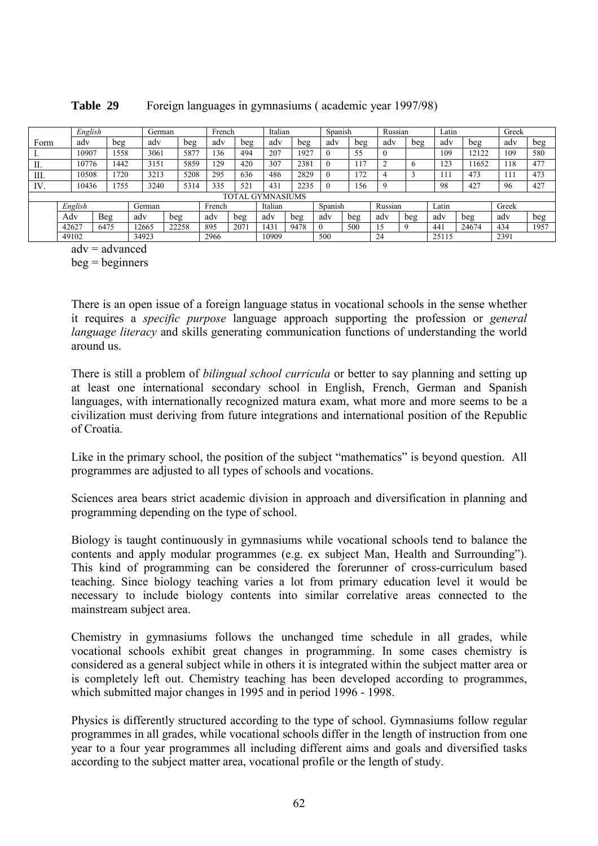|      | English |      |     | German |       |        | French |      | Italian                 |      |          | Spanish |                | Russian     |         | ∟atin |       | Greek |      |
|------|---------|------|-----|--------|-------|--------|--------|------|-------------------------|------|----------|---------|----------------|-------------|---------|-------|-------|-------|------|
| Form | adv     | beg  |     | adv    | beg   | adv    |        | beg  | adv                     | beg  | adv      |         | beg            | adv         | beg     | adv   | beg   | adv   | beg  |
|      | 10907   | 1558 |     | 3061   | 5877  |        | 136    | 494  | 207                     | 1927 | $\theta$ |         | 55             | $\theta$    |         | 109   | 12122 | 109   | 580  |
| П.   | 10776   | 1442 |     | 3151   | 5859  | 129    |        | 420  | 307                     | 2381 |          |         | 1 <sub>7</sub> | C<br>∠      | $\circ$ | 23    | 1652  | 118   | 477  |
| Ш.   | 10508   | 720  |     | 3213   | 5208  | 295    |        | 636  | 486                     | 2829 |          |         | 72             | 4           |         |       | 473   |       | 473  |
| IV.  | 10436   | 755  |     | 3240   | 5314  | 335    |        | 521  | 431                     | 2235 | $\theta$ |         | 56             | $\mathbf Q$ |         | 98    | 427   | 96    | 427  |
|      |         |      |     |        |       |        |        |      | <b>TOTAL GYMNASIUMS</b> |      |          |         |                |             |         |       |       |       |      |
|      | English |      |     | German |       | French |        |      | Italian                 |      | Spanish  |         |                | Russian     |         | ∟atin |       | Greek |      |
|      | Adv     | Beg  | adv |        | beg   | adv    |        | beg  | adv                     | beg  | adv      |         | beg            | adv         | beg     | adv   | beg   | adv   | beg  |
|      | 42627   | 6475 |     | 12665  | 22258 | 895    |        | 2071 | [43]                    | 9478 | $\Omega$ |         | 500            |             | 9       | 441   | 24674 | 434   | 1957 |
|      | 49102   |      |     | 34923  |       | 2966   |        |      | 10909                   |      | 500      |         |                | 24          |         | 25115 |       | 2391  |      |

### **Table 29** Foreign languages in gymnasiums ( academic year 1997/98)

 $adv = advantage$ 

 $beq =$  beginners

There is an open issue of a foreign language status in vocational schools in the sense whether it requires a *specific purpose* language approach supporting the profession or *general language literacy* and skills generating communication functions of understanding the world around us.

There is still a problem of *bilingual school curricula* or better to say planning and setting up at least one international secondary school in English, French, German and Spanish languages, with internationally recognized matura exam, what more and more seems to be a civilization must deriving from future integrations and international position of the Republic of Croatia.

Like in the primary school, the position of the subject "mathematics" is beyond question. All programmes are adjusted to all types of schools and vocations.

Sciences area bears strict academic division in approach and diversification in planning and programming depending on the type of school.

Biology is taught continuously in gymnasiums while vocational schools tend to balance the contents and apply modular programmes (e.g. ex subject Man, Health and Surrounding"). This kind of programming can be considered the forerunner of cross-curriculum based teaching. Since biology teaching varies a lot from primary education level it would be necessary to include biology contents into similar correlative areas connected to the mainstream subject area.

Chemistry in gymnasiums follows the unchanged time schedule in all grades, while vocational schools exhibit great changes in programming. In some cases chemistry is considered as a general subject while in others it is integrated within the subject matter area or is completely left out. Chemistry teaching has been developed according to programmes, which submitted major changes in 1995 and in period 1996 - 1998.

Physics is differently structured according to the type of school. Gymnasiums follow regular programmes in all grades, while vocational schools differ in the length of instruction from one year to a four year programmes all including different aims and goals and diversified tasks according to the subject matter area, vocational profile or the length of study.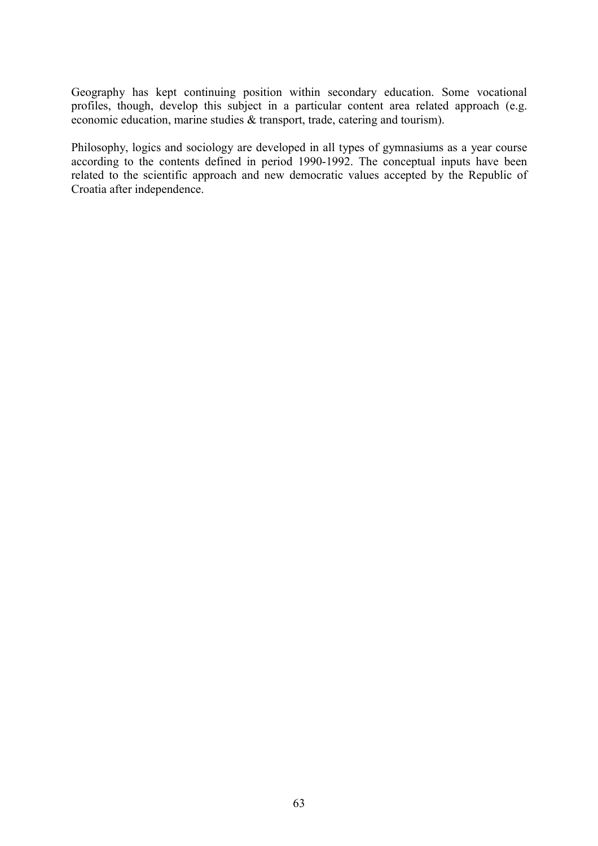Geography has kept continuing position within secondary education. Some vocational profiles, though, develop this subject in a particular content area related approach (e.g. economic education, marine studies & transport, trade, catering and tourism).

Philosophy, logics and sociology are developed in all types of gymnasiums as a year course according to the contents defined in period 1990-1992. The conceptual inputs have been related to the scientific approach and new democratic values accepted by the Republic of Croatia after independence.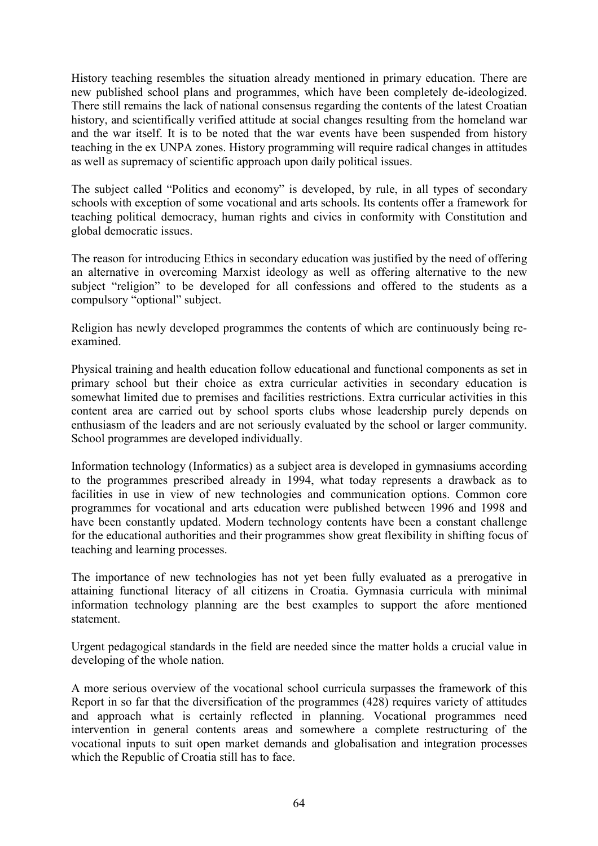History teaching resembles the situation already mentioned in primary education. There are new published school plans and programmes, which have been completely de-ideologized. There still remains the lack of national consensus regarding the contents of the latest Croatian history, and scientifically verified attitude at social changes resulting from the homeland war and the war itself. It is to be noted that the war events have been suspended from history teaching in the ex UNPA zones. History programming will require radical changes in attitudes as well as supremacy of scientific approach upon daily political issues.

The subject called "Politics and economy" is developed, by rule, in all types of secondary schools with exception of some vocational and arts schools. Its contents offer a framework for teaching political democracy, human rights and civics in conformity with Constitution and global democratic issues.

The reason for introducing Ethics in secondary education was justified by the need of offering an alternative in overcoming Marxist ideology as well as offering alternative to the new subject "religion" to be developed for all confessions and offered to the students as a compulsory "optional" subject.

Religion has newly developed programmes the contents of which are continuously being reexamined.

Physical training and health education follow educational and functional components as set in primary school but their choice as extra curricular activities in secondary education is somewhat limited due to premises and facilities restrictions. Extra curricular activities in this content area are carried out by school sports clubs whose leadership purely depends on enthusiasm of the leaders and are not seriously evaluated by the school or larger community. School programmes are developed individually.

Information technology (Informatics) as a subject area is developed in gymnasiums according to the programmes prescribed already in 1994, what today represents a drawback as to facilities in use in view of new technologies and communication options. Common core programmes for vocational and arts education were published between 1996 and 1998 and have been constantly updated. Modern technology contents have been a constant challenge for the educational authorities and their programmes show great flexibility in shifting focus of teaching and learning processes.

The importance of new technologies has not yet been fully evaluated as a prerogative in attaining functional literacy of all citizens in Croatia. Gymnasia curricula with minimal information technology planning are the best examples to support the afore mentioned statement.

Urgent pedagogical standards in the field are needed since the matter holds a crucial value in developing of the whole nation.

A more serious overview of the vocational school curricula surpasses the framework of this Report in so far that the diversification of the programmes (428) requires variety of attitudes and approach what is certainly reflected in planning. Vocational programmes need intervention in general contents areas and somewhere a complete restructuring of the vocational inputs to suit open market demands and globalisation and integration processes which the Republic of Croatia still has to face.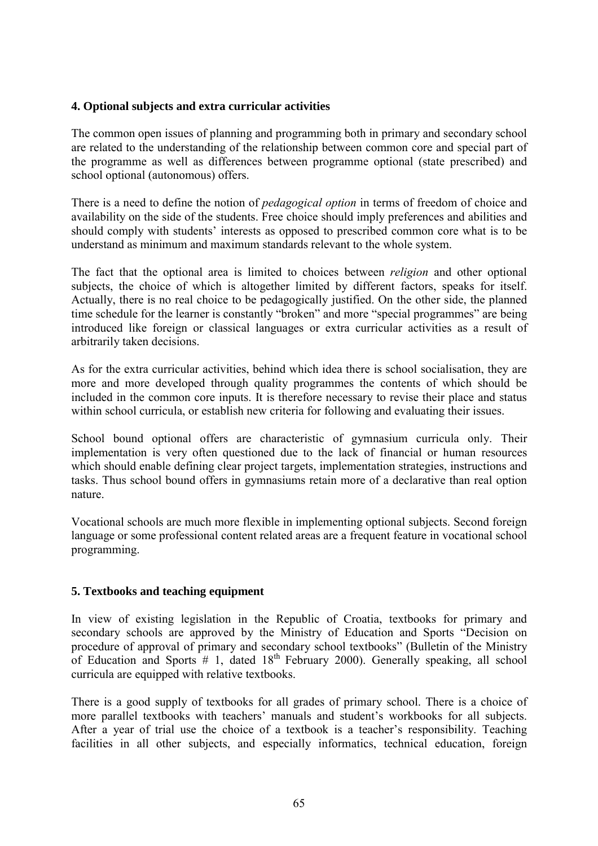# **4. Optional subjects and extra curricular activities**

The common open issues of planning and programming both in primary and secondary school are related to the understanding of the relationship between common core and special part of the programme as well as differences between programme optional (state prescribed) and school optional (autonomous) offers.

There is a need to define the notion of *pedagogical option* in terms of freedom of choice and availability on the side of the students. Free choice should imply preferences and abilities and should comply with students' interests as opposed to prescribed common core what is to be understand as minimum and maximum standards relevant to the whole system.

The fact that the optional area is limited to choices between *religion* and other optional subjects, the choice of which is altogether limited by different factors, speaks for itself. Actually, there is no real choice to be pedagogically justified. On the other side, the planned time schedule for the learner is constantly "broken" and more "special programmes" are being introduced like foreign or classical languages or extra curricular activities as a result of arbitrarily taken decisions.

As for the extra curricular activities, behind which idea there is school socialisation, they are more and more developed through quality programmes the contents of which should be included in the common core inputs. It is therefore necessary to revise their place and status within school curricula, or establish new criteria for following and evaluating their issues.

School bound optional offers are characteristic of gymnasium curricula only. Their implementation is very often questioned due to the lack of financial or human resources which should enable defining clear project targets, implementation strategies, instructions and tasks. Thus school bound offers in gymnasiums retain more of a declarative than real option nature.

Vocational schools are much more flexible in implementing optional subjects. Second foreign language or some professional content related areas are a frequent feature in vocational school programming.

### **5. Textbooks and teaching equipment**

In view of existing legislation in the Republic of Croatia, textbooks for primary and secondary schools are approved by the Ministry of Education and Sports "Decision on procedure of approval of primary and secondary school textbooks" (Bulletin of the Ministry of Education and Sports  $\#$  1, dated 18<sup>th</sup> February 2000). Generally speaking, all school curricula are equipped with relative textbooks.

There is a good supply of textbooks for all grades of primary school. There is a choice of more parallel textbooks with teachers' manuals and student's workbooks for all subjects. After a year of trial use the choice of a textbook is a teacher's responsibility. Teaching facilities in all other subjects, and especially informatics, technical education, foreign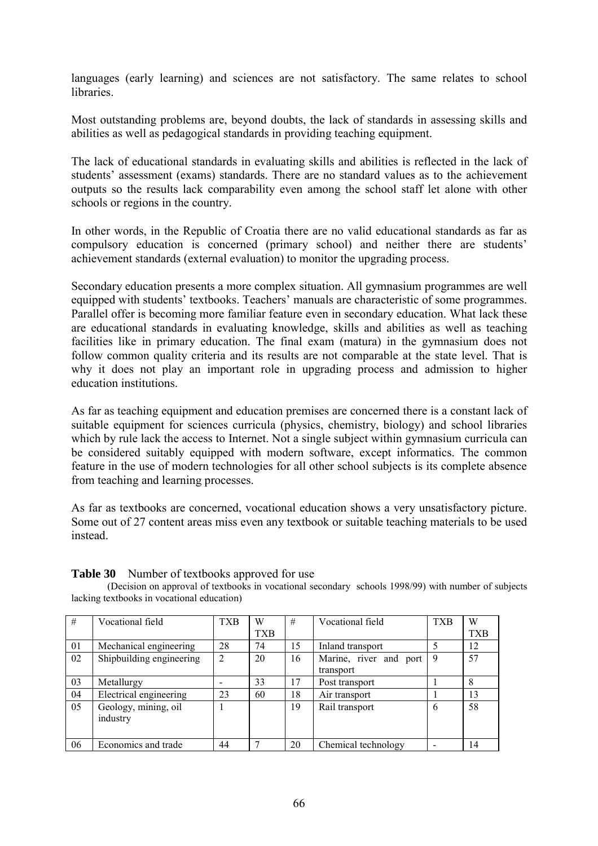languages (early learning) and sciences are not satisfactory. The same relates to school libraries.

Most outstanding problems are, beyond doubts, the lack of standards in assessing skills and abilities as well as pedagogical standards in providing teaching equipment.

The lack of educational standards in evaluating skills and abilities is reflected in the lack of students' assessment (exams) standards. There are no standard values as to the achievement outputs so the results lack comparability even among the school staff let alone with other schools or regions in the country.

In other words, in the Republic of Croatia there are no valid educational standards as far as compulsory education is concerned (primary school) and neither there are students<sup>7</sup> achievement standards (external evaluation) to monitor the upgrading process.

Secondary education presents a more complex situation. All gymnasium programmes are well equipped with students' textbooks. Teachers' manuals are characteristic of some programmes. Parallel offer is becoming more familiar feature even in secondary education. What lack these are educational standards in evaluating knowledge, skills and abilities as well as teaching facilities like in primary education. The final exam (matura) in the gymnasium does not follow common quality criteria and its results are not comparable at the state level. That is why it does not play an important role in upgrading process and admission to higher education institutions.

As far as teaching equipment and education premises are concerned there is a constant lack of suitable equipment for sciences curricula (physics, chemistry, biology) and school libraries which by rule lack the access to Internet. Not a single subject within gymnasium curricula can be considered suitably equipped with modern software, except informatics. The common feature in the use of modern technologies for all other school subjects is its complete absence from teaching and learning processes.

As far as textbooks are concerned, vocational education shows a very unsatisfactory picture. Some out of 27 content areas miss even any textbook or suitable teaching materials to be used instead.

| #  | Vocational field         | <b>TXB</b>     | W   | #  | Vocational field       | <b>TXB</b> | W          |
|----|--------------------------|----------------|-----|----|------------------------|------------|------------|
|    |                          |                | TXB |    |                        |            | <b>TXB</b> |
| 01 | Mechanical engineering   | 28             | 74  | 15 | Inland transport       | 5          | 12         |
| 02 | Shipbuilding engineering | $\overline{2}$ | 20  | 16 | Marine, river and port | 9          | 57         |
|    |                          |                |     |    | transport              |            |            |
| 03 | Metallurgy               |                | 33  | 17 | Post transport         |            | 8          |
| 04 | Electrical engineering   | 23             | 60  | 18 | Air transport          |            | 13         |
| 05 | Geology, mining, oil     |                |     | 19 | Rail transport         | 6          | 58         |
|    | industry                 |                |     |    |                        |            |            |
|    |                          |                |     |    |                        |            |            |
| 06 | Economics and trade      | 44             |     | 20 | Chemical technology    |            | 14         |

### **Table 30** Number of textbooks approved for use

(Decision on approval of textbooks in vocational secondary schools 1998/99) with number of subjects lacking textbooks in vocational education)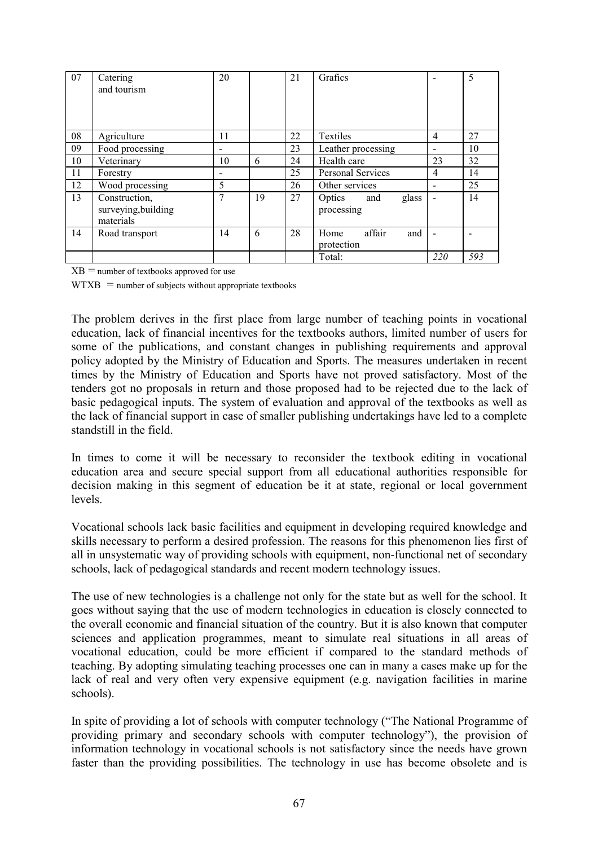| 07 | Catering<br>and tourism                           | 20                       |    | 21 | Grafics                              |     | 5   |
|----|---------------------------------------------------|--------------------------|----|----|--------------------------------------|-----|-----|
| 08 | Agriculture                                       | 11                       |    | 22 | <b>Textiles</b>                      | 4   | 27  |
| 09 | Food processing                                   | $\overline{\phantom{0}}$ |    | 23 | Leather processing                   |     | 10  |
| 10 | Veterinary                                        | 10                       | 6  | 24 | Health care                          | 23  | 32  |
| 11 | Forestry                                          |                          |    | 25 | Personal Services                    | 4   | 14  |
| 12 | Wood processing                                   | 5                        |    | 26 | Other services                       |     | 25  |
| 13 | Construction,<br>surveying, building<br>materials | 7                        | 19 | 27 | glass<br>Optics<br>and<br>processing |     | 14  |
| 14 | Road transport                                    | 14                       | 6  | 28 | affair<br>and<br>Home<br>protection  |     |     |
|    |                                                   |                          |    |    | Total:                               | 220 | 593 |

 $XB =$  number of textbooks approved for use

 $WTXB =$  number of subjects without appropriate textbooks

The problem derives in the first place from large number of teaching points in vocational education, lack of financial incentives for the textbooks authors, limited number of users for some of the publications, and constant changes in publishing requirements and approval policy adopted by the Ministry of Education and Sports. The measures undertaken in recent times by the Ministry of Education and Sports have not proved satisfactory. Most of the tenders got no proposals in return and those proposed had to be rejected due to the lack of basic pedagogical inputs. The system of evaluation and approval of the textbooks as well as the lack of financial support in case of smaller publishing undertakings have led to a complete standstill in the field.

In times to come it will be necessary to reconsider the textbook editing in vocational education area and secure special support from all educational authorities responsible for decision making in this segment of education be it at state, regional or local government levels.

Vocational schools lack basic facilities and equipment in developing required knowledge and skills necessary to perform a desired profession. The reasons for this phenomenon lies first of all in unsystematic way of providing schools with equipment, non-functional net of secondary schools, lack of pedagogical standards and recent modern technology issues.

The use of new technologies is a challenge not only for the state but as well for the school. It goes without saying that the use of modern technologies in education is closely connected to the overall economic and financial situation of the country. But it is also known that computer sciences and application programmes, meant to simulate real situations in all areas of vocational education, could be more efficient if compared to the standard methods of teaching. By adopting simulating teaching processes one can in many a cases make up for the lack of real and very often very expensive equipment (e.g. navigation facilities in marine schools).

In spite of providing a lot of schools with computer technology ("The National Programme of providing primary and secondary schools with computer technology"), the provision of information technology in vocational schools is not satisfactory since the needs have grown faster than the providing possibilities. The technology in use has become obsolete and is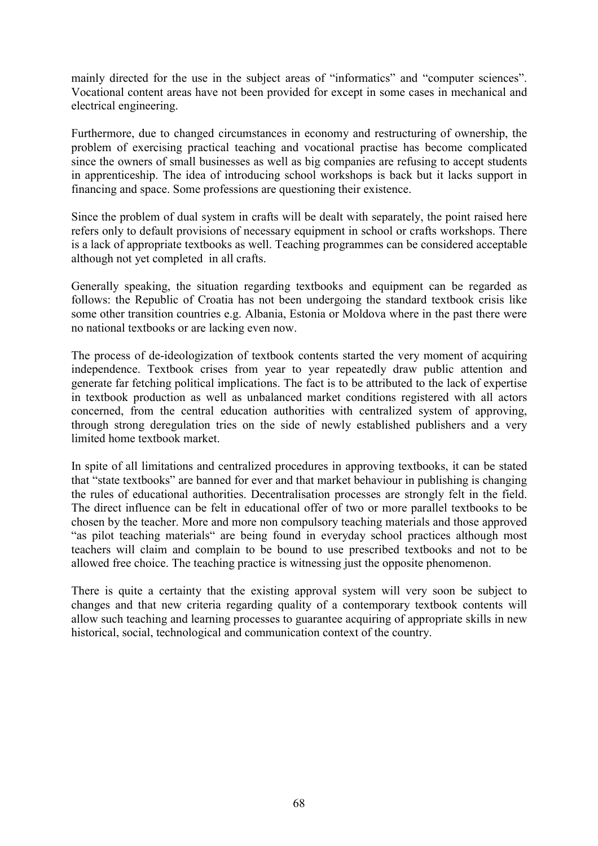mainly directed for the use in the subject areas of "informatics" and "computer sciences". Vocational content areas have not been provided for except in some cases in mechanical and electrical engineering.

Furthermore, due to changed circumstances in economy and restructuring of ownership, the problem of exercising practical teaching and vocational practise has become complicated since the owners of small businesses as well as big companies are refusing to accept students in apprenticeship. The idea of introducing school workshops is back but it lacks support in financing and space. Some professions are questioning their existence.

Since the problem of dual system in crafts will be dealt with separately, the point raised here refers only to default provisions of necessary equipment in school or crafts workshops. There is a lack of appropriate textbooks as well. Teaching programmes can be considered acceptable although not yet completed in all crafts.

Generally speaking, the situation regarding textbooks and equipment can be regarded as follows: the Republic of Croatia has not been undergoing the standard textbook crisis like some other transition countries e.g. Albania, Estonia or Moldova where in the past there were no national textbooks or are lacking even now.

The process of de-ideologization of textbook contents started the very moment of acquiring independence. Textbook crises from year to year repeatedly draw public attention and generate far fetching political implications. The fact is to be attributed to the lack of expertise in textbook production as well as unbalanced market conditions registered with all actors concerned, from the central education authorities with centralized system of approving, through strong deregulation tries on the side of newly established publishers and a very limited home textbook market.

In spite of all limitations and centralized procedures in approving textbooks, it can be stated that "state textbooks" are banned for ever and that market behaviour in publishing is changing the rules of educational authorities. Decentralisation processes are strongly felt in the field. The direct influence can be felt in educational offer of two or more parallel textbooks to be chosen by the teacher. More and more non compulsory teaching materials and those approved "as pilot teaching materials" are being found in everyday school practices although most teachers will claim and complain to be bound to use prescribed textbooks and not to be allowed free choice. The teaching practice is witnessing just the opposite phenomenon.

There is quite a certainty that the existing approval system will very soon be subject to changes and that new criteria regarding quality of a contemporary textbook contents will allow such teaching and learning processes to guarantee acquiring of appropriate skills in new historical, social, technological and communication context of the country.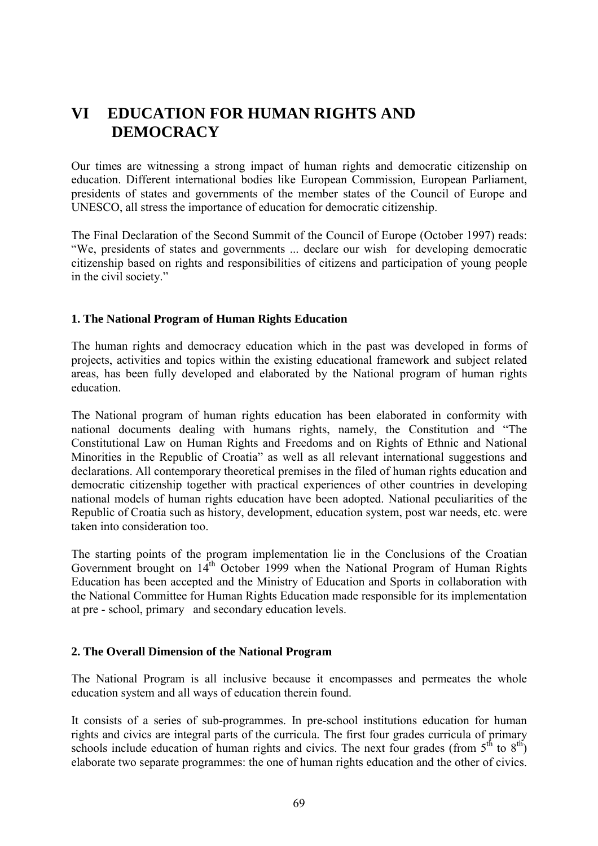# **VI EDUCATION FOR HUMAN RIGHTS AND DEMOCRACY**

Our times are witnessing a strong impact of human rights and democratic citizenship on education. Different international bodies like European Commission, European Parliament, presidents of states and governments of the member states of the Council of Europe and UNESCO, all stress the importance of education for democratic citizenship.

The Final Declaration of the Second Summit of the Council of Europe (October 1997) reads: ìWe, presidents of states and governments ... declare our wish for developing democratic citizenship based on rights and responsibilities of citizens and participation of young people in the civil society."

# **1. The National Program of Human Rights Education**

The human rights and democracy education which in the past was developed in forms of projects, activities and topics within the existing educational framework and subject related areas, has been fully developed and elaborated by the National program of human rights education.

The National program of human rights education has been elaborated in conformity with national documents dealing with humans rights, namely, the Constitution and "The Constitutional Law on Human Rights and Freedoms and on Rights of Ethnic and National Minorities in the Republic of Croatia" as well as all relevant international suggestions and declarations. All contemporary theoretical premises in the filed of human rights education and democratic citizenship together with practical experiences of other countries in developing national models of human rights education have been adopted. National peculiarities of the Republic of Croatia such as history, development, education system, post war needs, etc. were taken into consideration too.

The starting points of the program implementation lie in the Conclusions of the Croatian Government brought on 14<sup>th</sup> October 1999 when the National Program of Human Rights Education has been accepted and the Ministry of Education and Sports in collaboration with the National Committee for Human Rights Education made responsible for its implementation at pre - school, primary and secondary education levels.

# **2. The Overall Dimension of the National Program**

The National Program is all inclusive because it encompasses and permeates the whole education system and all ways of education therein found.

It consists of a series of sub-programmes. In pre-school institutions education for human rights and civics are integral parts of the curricula. The first four grades curricula of primary schools include education of human rights and civics. The next four grades (from  $5<sup>th</sup>$  to  $8<sup>th</sup>$ ) elaborate two separate programmes: the one of human rights education and the other of civics.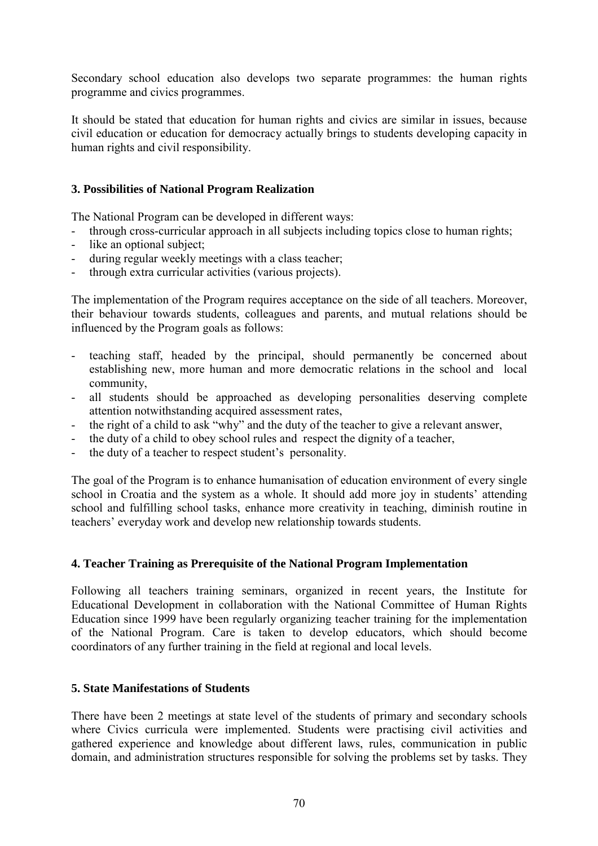Secondary school education also develops two separate programmes: the human rights programme and civics programmes.

It should be stated that education for human rights and civics are similar in issues, because civil education or education for democracy actually brings to students developing capacity in human rights and civil responsibility.

# **3. Possibilities of National Program Realization**

The National Program can be developed in different ways:

- through cross-curricular approach in all subjects including topics close to human rights;
- like an optional subject;
- during regular weekly meetings with a class teacher;
- through extra curricular activities (various projects).

The implementation of the Program requires acceptance on the side of all teachers. Moreover, their behaviour towards students, colleagues and parents, and mutual relations should be influenced by the Program goals as follows:

- teaching staff, headed by the principal, should permanently be concerned about establishing new, more human and more democratic relations in the school and local community,
- all students should be approached as developing personalities deserving complete attention notwithstanding acquired assessment rates,
- the right of a child to ask "why" and the duty of the teacher to give a relevant answer,
- the duty of a child to obey school rules and respect the dignity of a teacher,
- the duty of a teacher to respect student's personality.

The goal of the Program is to enhance humanisation of education environment of every single school in Croatia and the system as a whole. It should add more joy in students' attending school and fulfilling school tasks, enhance more creativity in teaching, diminish routine in teachers' everyday work and develop new relationship towards students.

### **4. Teacher Training as Prerequisite of the National Program Implementation**

Following all teachers training seminars, organized in recent years, the Institute for Educational Development in collaboration with the National Committee of Human Rights Education since 1999 have been regularly organizing teacher training for the implementation of the National Program. Care is taken to develop educators, which should become coordinators of any further training in the field at regional and local levels.

### **5. State Manifestations of Students**

There have been 2 meetings at state level of the students of primary and secondary schools where Civics curricula were implemented. Students were practising civil activities and gathered experience and knowledge about different laws, rules, communication in public domain, and administration structures responsible for solving the problems set by tasks. They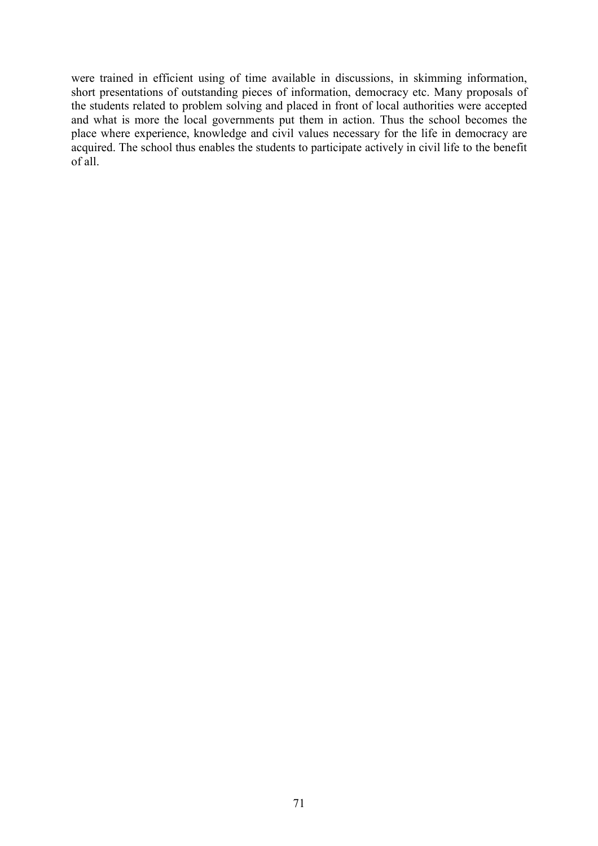were trained in efficient using of time available in discussions, in skimming information, short presentations of outstanding pieces of information, democracy etc. Many proposals of the students related to problem solving and placed in front of local authorities were accepted and what is more the local governments put them in action. Thus the school becomes the place where experience, knowledge and civil values necessary for the life in democracy are acquired. The school thus enables the students to participate actively in civil life to the benefit of all.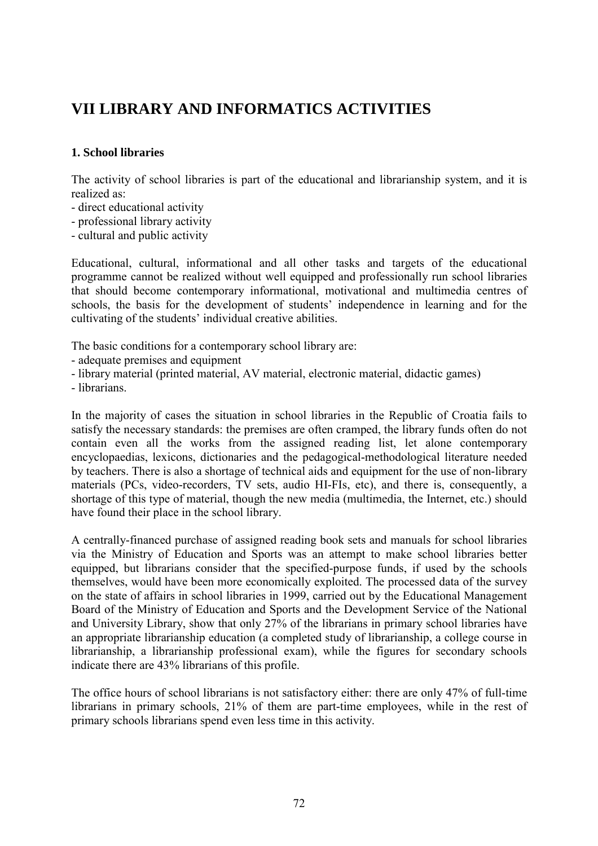# **VII LIBRARY AND INFORMATICS ACTIVITIES**

# **1. School libraries**

The activity of school libraries is part of the educational and librarianship system, and it is realized as:

- direct educational activity
- professional library activity
- cultural and public activity

Educational, cultural, informational and all other tasks and targets of the educational programme cannot be realized without well equipped and professionally run school libraries that should become contemporary informational, motivational and multimedia centres of schools, the basis for the development of students' independence in learning and for the cultivating of the students' individual creative abilities.

The basic conditions for a contemporary school library are:

- adequate premises and equipment
- library material (printed material, AV material, electronic material, didactic games)
- librarians.

In the majority of cases the situation in school libraries in the Republic of Croatia fails to satisfy the necessary standards: the premises are often cramped, the library funds often do not contain even all the works from the assigned reading list, let alone contemporary encyclopaedias, lexicons, dictionaries and the pedagogical-methodological literature needed by teachers. There is also a shortage of technical aids and equipment for the use of non-library materials (PCs, video-recorders, TV sets, audio HI-FIs, etc), and there is, consequently, a shortage of this type of material, though the new media (multimedia, the Internet, etc.) should have found their place in the school library.

A centrally-financed purchase of assigned reading book sets and manuals for school libraries via the Ministry of Education and Sports was an attempt to make school libraries better equipped, but librarians consider that the specified-purpose funds, if used by the schools themselves, would have been more economically exploited. The processed data of the survey on the state of affairs in school libraries in 1999, carried out by the Educational Management Board of the Ministry of Education and Sports and the Development Service of the National and University Library, show that only 27% of the librarians in primary school libraries have an appropriate librarianship education (a completed study of librarianship, a college course in librarianship, a librarianship professional exam), while the figures for secondary schools indicate there are 43% librarians of this profile.

The office hours of school librarians is not satisfactory either: there are only 47% of full-time librarians in primary schools, 21% of them are part-time employees, while in the rest of primary schools librarians spend even less time in this activity.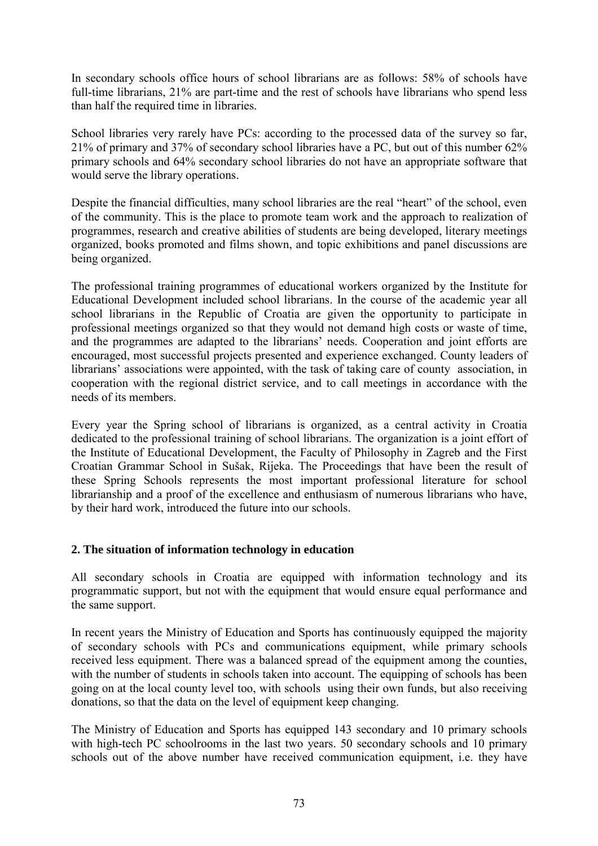In secondary schools office hours of school librarians are as follows: 58% of schools have full-time librarians, 21% are part-time and the rest of schools have librarians who spend less than half the required time in libraries.

School libraries very rarely have PCs: according to the processed data of the survey so far, 21% of primary and 37% of secondary school libraries have a PC, but out of this number 62% primary schools and 64% secondary school libraries do not have an appropriate software that would serve the library operations.

Despite the financial difficulties, many school libraries are the real "heart" of the school, even of the community. This is the place to promote team work and the approach to realization of programmes, research and creative abilities of students are being developed, literary meetings organized, books promoted and films shown, and topic exhibitions and panel discussions are being organized.

The professional training programmes of educational workers organized by the Institute for Educational Development included school librarians. In the course of the academic year all school librarians in the Republic of Croatia are given the opportunity to participate in professional meetings organized so that they would not demand high costs or waste of time, and the programmes are adapted to the librarians' needs. Cooperation and joint efforts are encouraged, most successful projects presented and experience exchanged. County leaders of librarians' associations were appointed, with the task of taking care of county association, in cooperation with the regional district service, and to call meetings in accordance with the needs of its members.

Every year the Spring school of librarians is organized, as a central activity in Croatia dedicated to the professional training of school librarians. The organization is a joint effort of the Institute of Educational Development, the Faculty of Philosophy in Zagreb and the First Croatian Grammar School in Suöak, Rijeka. The Proceedings that have been the result of these Spring Schools represents the most important professional literature for school librarianship and a proof of the excellence and enthusiasm of numerous librarians who have, by their hard work, introduced the future into our schools.

# **2. The situation of information technology in education**

All secondary schools in Croatia are equipped with information technology and its programmatic support, but not with the equipment that would ensure equal performance and the same support.

In recent years the Ministry of Education and Sports has continuously equipped the majority of secondary schools with PCs and communications equipment, while primary schools received less equipment. There was a balanced spread of the equipment among the counties, with the number of students in schools taken into account. The equipping of schools has been going on at the local county level too, with schools using their own funds, but also receiving donations, so that the data on the level of equipment keep changing.

The Ministry of Education and Sports has equipped 143 secondary and 10 primary schools with high-tech PC schoolrooms in the last two years. 50 secondary schools and 10 primary schools out of the above number have received communication equipment, i.e. they have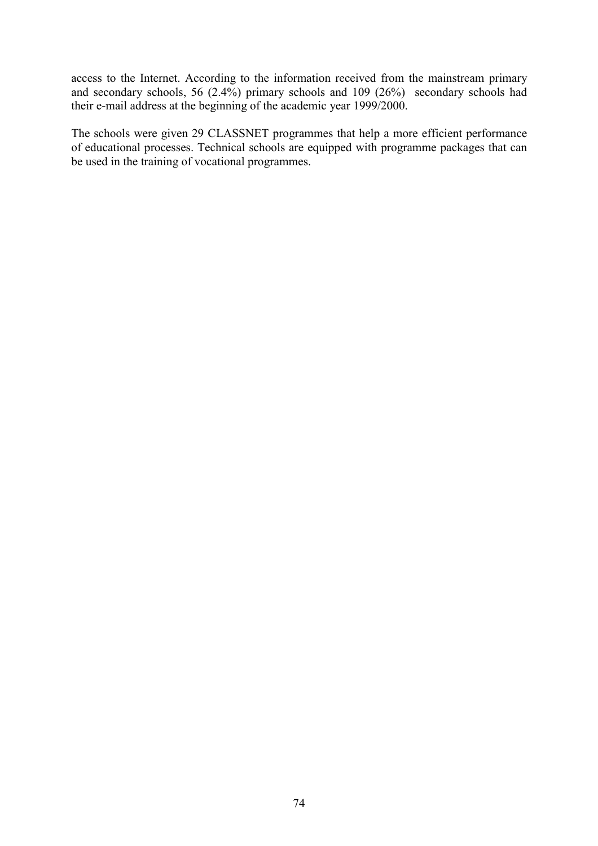access to the Internet. According to the information received from the mainstream primary and secondary schools, 56 (2.4%) primary schools and 109 (26%) secondary schools had their e-mail address at the beginning of the academic year 1999/2000.

The schools were given 29 CLASSNET programmes that help a more efficient performance of educational processes. Technical schools are equipped with programme packages that can be used in the training of vocational programmes.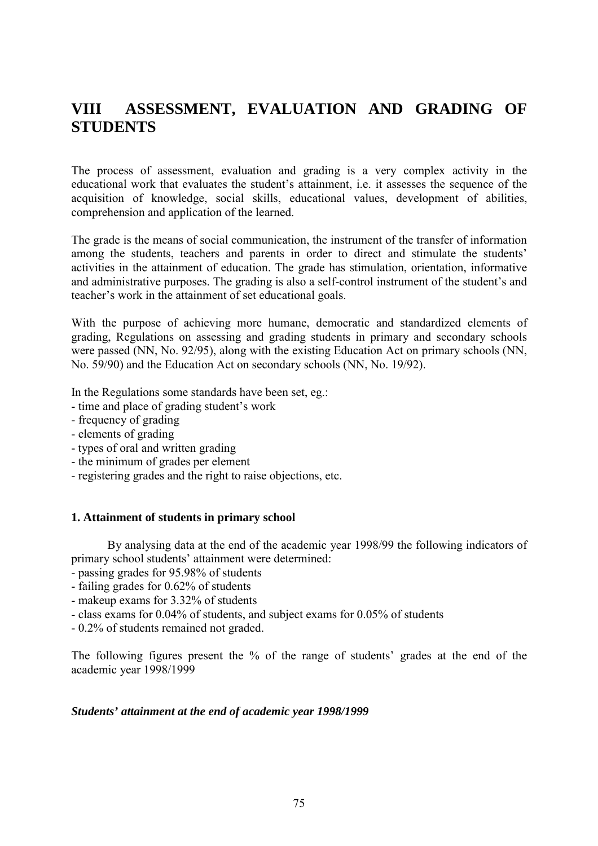# **VIII ASSESSMENT, EVALUATION AND GRADING OF STUDENTS**

The process of assessment, evaluation and grading is a very complex activity in the educational work that evaluates the student's attainment, i.e. it assesses the sequence of the acquisition of knowledge, social skills, educational values, development of abilities, comprehension and application of the learned.

The grade is the means of social communication, the instrument of the transfer of information among the students, teachers and parents in order to direct and stimulate the students' activities in the attainment of education. The grade has stimulation, orientation, informative and administrative purposes. The grading is also a self-control instrument of the student's and teacher's work in the attainment of set educational goals.

With the purpose of achieving more humane, democratic and standardized elements of grading, Regulations on assessing and grading students in primary and secondary schools were passed (NN, No. 92/95), along with the existing Education Act on primary schools (NN, No. 59/90) and the Education Act on secondary schools (NN, No. 19/92).

In the Regulations some standards have been set, eg.:

- time and place of grading student's work
- frequency of grading
- elements of grading
- types of oral and written grading
- the minimum of grades per element
- registering grades and the right to raise objections, etc.

#### **1. Attainment of students in primary school**

By analysing data at the end of the academic year 1998/99 the following indicators of primary school students' attainment were determined:

- passing grades for 95.98% of students
- failing grades for 0.62% of students
- makeup exams for 3.32% of students
- class exams for 0.04% of students, and subject exams for 0.05% of students

- 0.2% of students remained not graded.

The following figures present the % of the range of students' grades at the end of the academic year 1998/1999

### *Students' attainment at the end of academic year 1998/1999*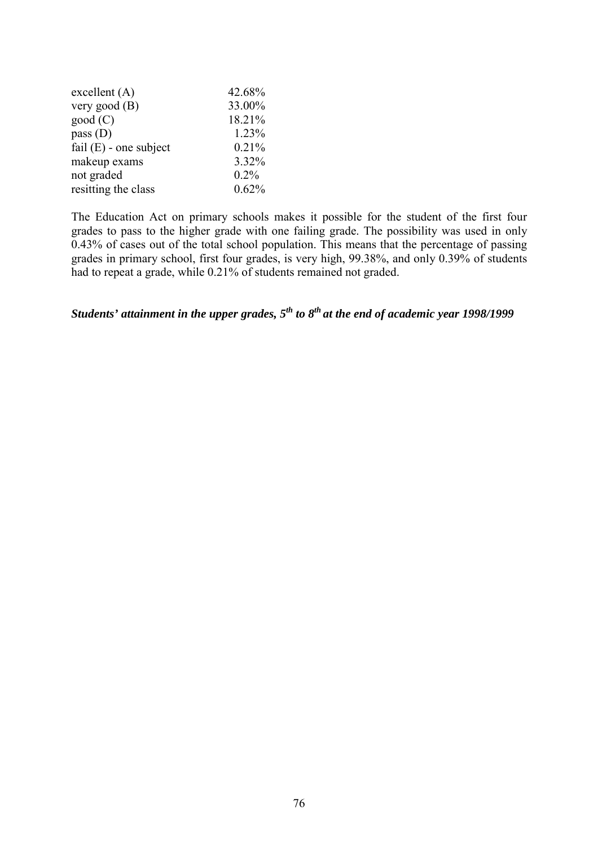| excellent(A)             | 42.68%  |
|--------------------------|---------|
| very good $(B)$          | 33.00%  |
| good(C)                  | 18.21%  |
| pass $(D)$               | 1.23%   |
| fail $(E)$ - one subject | 0.21%   |
| makeup exams             | 3.32%   |
| not graded               | $0.2\%$ |
| resitting the class      | 0.62%   |

The Education Act on primary schools makes it possible for the student of the first four grades to pass to the higher grade with one failing grade. The possibility was used in only 0.43% of cases out of the total school population. This means that the percentage of passing grades in primary school, first four grades, is very high, 99.38%, and only 0.39% of students had to repeat a grade, while 0.21% of students remained not graded.

*Students' attainment in the upper grades, 5th to 8th at the end of academic year 1998/1999*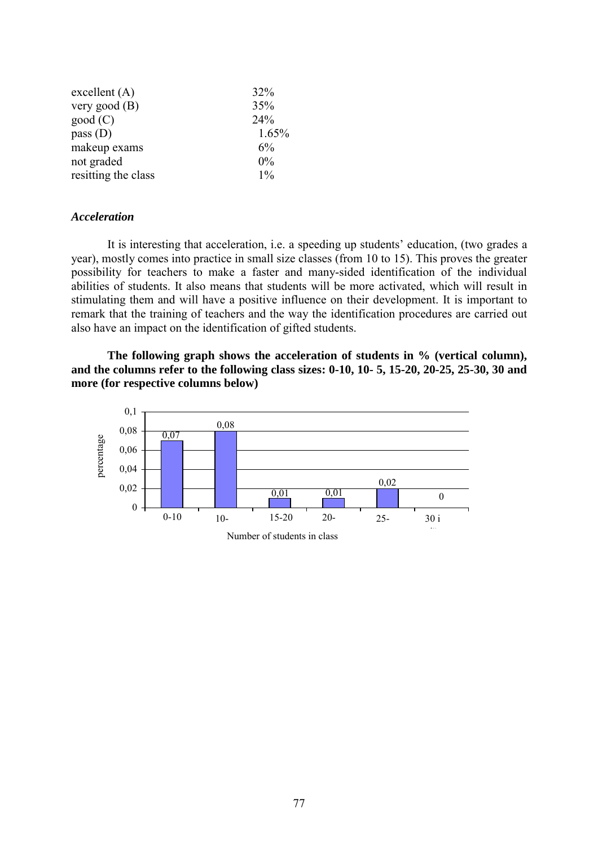| $\alpha$ excellent $(A)$ | 32%   |
|--------------------------|-------|
| very good $(B)$          | 35%   |
| good(C)                  | 24%   |
| pass $(D)$               | 1.65% |
| makeup exams             | 6%    |
| not graded               | $0\%$ |
| resitting the class      | $1\%$ |

### *Acceleration*

It is interesting that acceleration, i.e. a speeding up students' education, (two grades a year), mostly comes into practice in small size classes (from 10 to 15). This proves the greater possibility for teachers to make a faster and many-sided identification of the individual abilities of students. It also means that students will be more activated, which will result in stimulating them and will have a positive influence on their development. It is important to remark that the training of teachers and the way the identification procedures are carried out also have an impact on the identification of gifted students.

**The following graph shows the acceleration of students in % (vertical column), and the columns refer to the following class sizes: 0-10, 10- 5, 15-20, 20-25, 25-30, 30 and more (for respective columns below)**

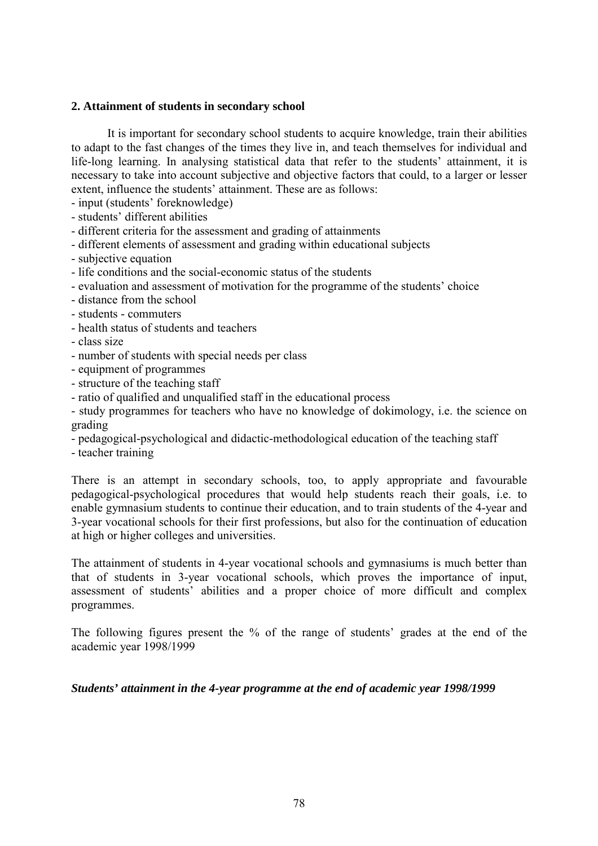### **2. Attainment of students in secondary school**

It is important for secondary school students to acquire knowledge, train their abilities to adapt to the fast changes of the times they live in, and teach themselves for individual and life-long learning. In analysing statistical data that refer to the students' attainment, it is necessary to take into account subjective and objective factors that could, to a larger or lesser extent, influence the students' attainment. These are as follows:

- input (students' foreknowledge)
- students' different abilities
- different criteria for the assessment and grading of attainments
- different elements of assessment and grading within educational subjects
- subjective equation
- life conditions and the social-economic status of the students
- evaluation and assessment of motivation for the programme of the students' choice
- distance from the school
- students commuters
- health status of students and teachers
- class size
- number of students with special needs per class
- equipment of programmes
- structure of the teaching staff
- ratio of qualified and unqualified staff in the educational process

- study programmes for teachers who have no knowledge of dokimology, i.e. the science on grading

- pedagogical-psychological and didactic-methodological education of the teaching staff
- teacher training

There is an attempt in secondary schools, too, to apply appropriate and favourable pedagogical-psychological procedures that would help students reach their goals, i.e. to enable gymnasium students to continue their education, and to train students of the 4-year and 3-year vocational schools for their first professions, but also for the continuation of education at high or higher colleges and universities.

The attainment of students in 4-year vocational schools and gymnasiums is much better than that of students in 3-year vocational schools, which proves the importance of input, assessment of students' abilities and a proper choice of more difficult and complex programmes.

The following figures present the % of the range of students' grades at the end of the academic year 1998/1999

### *Students' attainment in the 4-year programme at the end of academic year 1998/1999*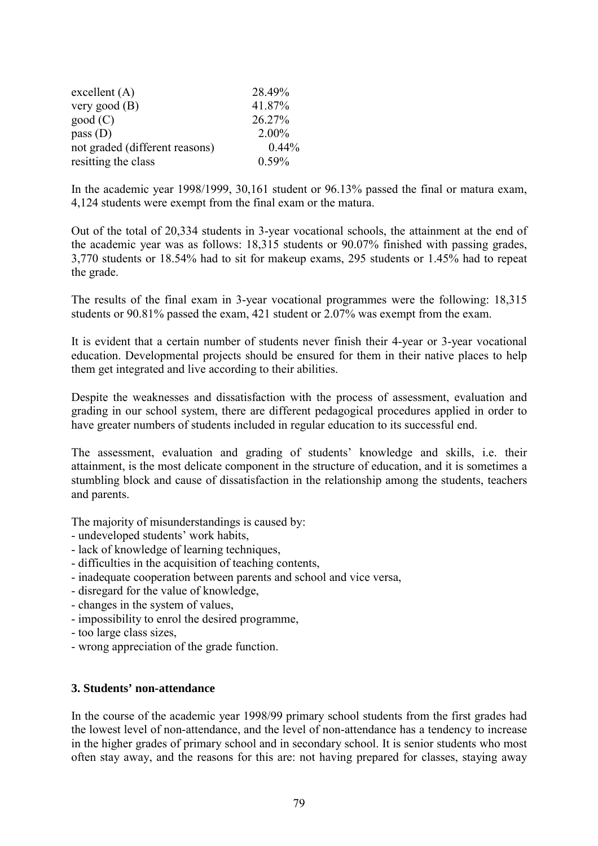| $\alpha$ excellent $(A)$       | 28.49%   |
|--------------------------------|----------|
| very good $(B)$                | 41.87%   |
| good(C)                        | 26.27%   |
| pass $(D)$                     | $2.00\%$ |
| not graded (different reasons) | $0.44\%$ |
| resitting the class            | 0.59%    |

In the academic year 1998/1999, 30,161 student or 96.13% passed the final or matura exam, 4,124 students were exempt from the final exam or the matura.

Out of the total of 20,334 students in 3-year vocational schools, the attainment at the end of the academic year was as follows: 18,315 students or 90.07% finished with passing grades, 3,770 students or 18.54% had to sit for makeup exams, 295 students or 1.45% had to repeat the grade.

The results of the final exam in 3-year vocational programmes were the following: 18,315 students or 90.81% passed the exam, 421 student or 2.07% was exempt from the exam.

It is evident that a certain number of students never finish their 4-year or 3-year vocational education. Developmental projects should be ensured for them in their native places to help them get integrated and live according to their abilities.

Despite the weaknesses and dissatisfaction with the process of assessment, evaluation and grading in our school system, there are different pedagogical procedures applied in order to have greater numbers of students included in regular education to its successful end.

The assessment, evaluation and grading of students' knowledge and skills, i.e. their attainment, is the most delicate component in the structure of education, and it is sometimes a stumbling block and cause of dissatisfaction in the relationship among the students, teachers and parents.

The majority of misunderstandings is caused by:

- undeveloped students' work habits,
- lack of knowledge of learning techniques,
- difficulties in the acquisition of teaching contents,
- inadequate cooperation between parents and school and vice versa,
- disregard for the value of knowledge,
- changes in the system of values,
- impossibility to enrol the desired programme,
- too large class sizes,
- wrong appreciation of the grade function.

### **3. Students' non-attendance**

In the course of the academic year 1998/99 primary school students from the first grades had the lowest level of non-attendance, and the level of non-attendance has a tendency to increase in the higher grades of primary school and in secondary school. It is senior students who most often stay away, and the reasons for this are: not having prepared for classes, staying away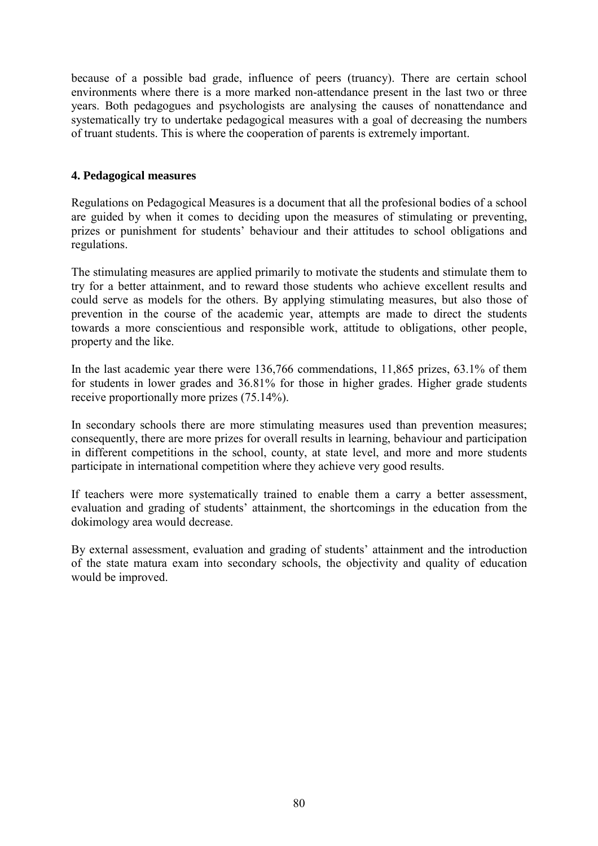because of a possible bad grade, influence of peers (truancy). There are certain school environments where there is a more marked non-attendance present in the last two or three years. Both pedagogues and psychologists are analysing the causes of nonattendance and systematically try to undertake pedagogical measures with a goal of decreasing the numbers of truant students. This is where the cooperation of parents is extremely important.

# **4. Pedagogical measures**

Regulations on Pedagogical Measures is a document that all the profesional bodies of a school are guided by when it comes to deciding upon the measures of stimulating or preventing, prizes or punishment for students' behaviour and their attitudes to school obligations and regulations.

The stimulating measures are applied primarily to motivate the students and stimulate them to try for a better attainment, and to reward those students who achieve excellent results and could serve as models for the others. By applying stimulating measures, but also those of prevention in the course of the academic year, attempts are made to direct the students towards a more conscientious and responsible work, attitude to obligations, other people, property and the like.

In the last academic year there were 136,766 commendations, 11,865 prizes, 63.1% of them for students in lower grades and 36.81% for those in higher grades. Higher grade students receive proportionally more prizes (75.14%).

In secondary schools there are more stimulating measures used than prevention measures; consequently, there are more prizes for overall results in learning, behaviour and participation in different competitions in the school, county, at state level, and more and more students participate in international competition where they achieve very good results.

If teachers were more systematically trained to enable them a carry a better assessment, evaluation and grading of students' attainment, the shortcomings in the education from the dokimology area would decrease.

By external assessment, evaluation and grading of students' attainment and the introduction of the state matura exam into secondary schools, the objectivity and quality of education would be improved.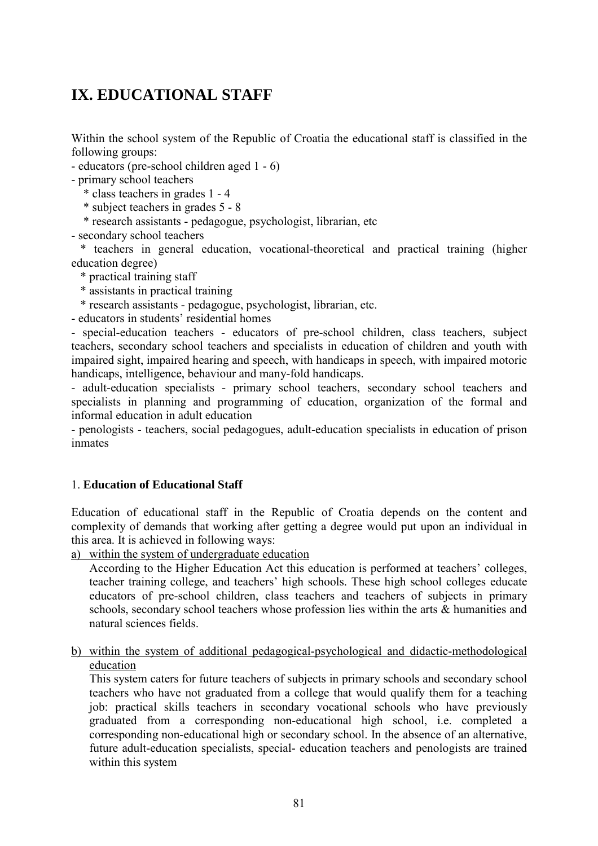# **IX. EDUCATIONAL STAFF**

Within the school system of the Republic of Croatia the educational staff is classified in the following groups:

- educators (pre-school children aged 1 - 6)

- primary school teachers

\* class teachers in grades 1 - 4

\* subject teachers in grades 5 - 8

\* research assistants - pedagogue, psychologist, librarian, etc

- secondary school teachers

 \* teachers in general education, vocational-theoretical and practical training (higher education degree)

\* practical training staff

\* assistants in practical training

\* research assistants - pedagogue, psychologist, librarian, etc.

- educators in students' residential homes

- special-education teachers - educators of pre-school children, class teachers, subject teachers, secondary school teachers and specialists in education of children and youth with impaired sight, impaired hearing and speech, with handicaps in speech, with impaired motoric handicaps, intelligence, behaviour and many-fold handicaps.

- adult-education specialists - primary school teachers, secondary school teachers and specialists in planning and programming of education, organization of the formal and informal education in adult education

- penologists - teachers, social pedagogues, adult-education specialists in education of prison inmates

# 1. **Education of Educational Staff**

Education of educational staff in the Republic of Croatia depends on the content and complexity of demands that working after getting a degree would put upon an individual in this area. It is achieved in following ways:

a) within the system of undergraduate education

According to the Higher Education Act this education is performed at teachers' colleges, teacher training college, and teachers' high schools. These high school colleges educate educators of pre-school children, class teachers and teachers of subjects in primary schools, secondary school teachers whose profession lies within the arts & humanities and natural sciences fields.

b) within the system of additional pedagogical-psychological and didactic-methodological education

This system caters for future teachers of subjects in primary schools and secondary school teachers who have not graduated from a college that would qualify them for a teaching job: practical skills teachers in secondary vocational schools who have previously graduated from a corresponding non-educational high school, i.e. completed a corresponding non-educational high or secondary school. In the absence of an alternative, future adult-education specialists, special- education teachers and penologists are trained within this system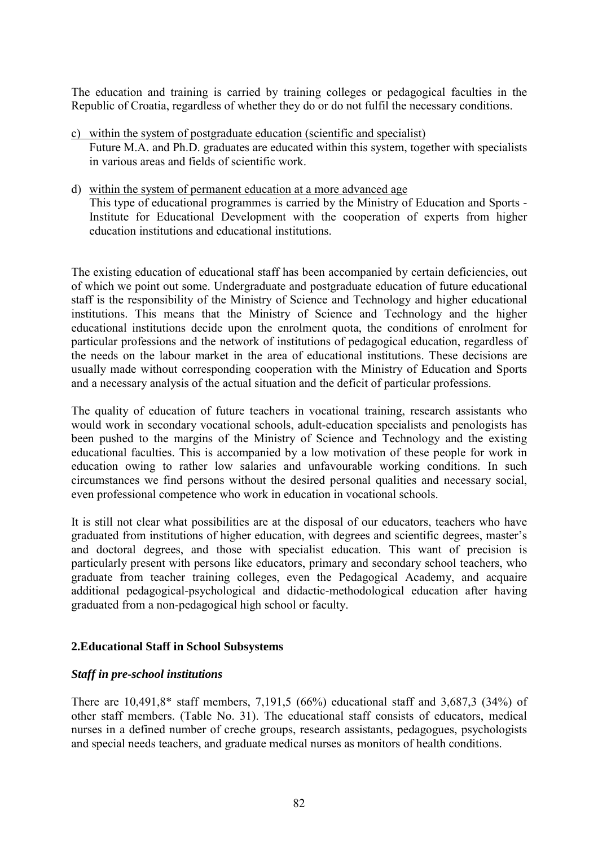The education and training is carried by training colleges or pedagogical faculties in the Republic of Croatia, regardless of whether they do or do not fulfil the necessary conditions.

- c) within the system of postgraduate education (scientific and specialist) Future M.A. and Ph.D. graduates are educated within this system, together with specialists in various areas and fields of scientific work.
- d) within the system of permanent education at a more advanced age This type of educational programmes is carried by the Ministry of Education and Sports - Institute for Educational Development with the cooperation of experts from higher education institutions and educational institutions.

The existing education of educational staff has been accompanied by certain deficiencies, out of which we point out some. Undergraduate and postgraduate education of future educational staff is the responsibility of the Ministry of Science and Technology and higher educational institutions. This means that the Ministry of Science and Technology and the higher educational institutions decide upon the enrolment quota, the conditions of enrolment for particular professions and the network of institutions of pedagogical education, regardless of the needs on the labour market in the area of educational institutions. These decisions are usually made without corresponding cooperation with the Ministry of Education and Sports and a necessary analysis of the actual situation and the deficit of particular professions.

The quality of education of future teachers in vocational training, research assistants who would work in secondary vocational schools, adult-education specialists and penologists has been pushed to the margins of the Ministry of Science and Technology and the existing educational faculties. This is accompanied by a low motivation of these people for work in education owing to rather low salaries and unfavourable working conditions. In such circumstances we find persons without the desired personal qualities and necessary social, even professional competence who work in education in vocational schools.

It is still not clear what possibilities are at the disposal of our educators, teachers who have graduated from institutions of higher education, with degrees and scientific degrees, master's and doctoral degrees, and those with specialist education. This want of precision is particularly present with persons like educators, primary and secondary school teachers, who graduate from teacher training colleges, even the Pedagogical Academy, and acquaire additional pedagogical-psychological and didactic-methodological education after having graduated from a non-pedagogical high school or faculty.

# **2.Educational Staff in School Subsystems**

### *Staff in pre-school institutions*

There are 10,491,8\* staff members, 7,191,5 (66%) educational staff and 3,687,3 (34%) of other staff members. (Table No. 31). The educational staff consists of educators, medical nurses in a defined number of creche groups, research assistants, pedagogues, psychologists and special needs teachers, and graduate medical nurses as monitors of health conditions.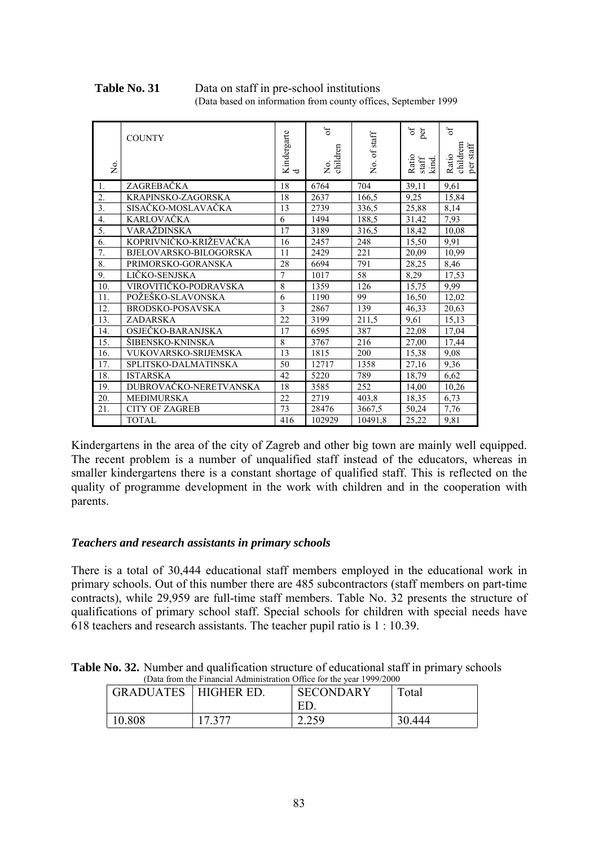#### Table No. 31 Data on staff in pre-school institutions (Data based on information from county offices, September 1999

| Σò.               | <b>COUNTY</b>           | Kindergarte<br>$\overline{\phantom{a}}$ | $\sigma$ f<br>No.<br>children | No. of staff | $\sigma$<br>per<br>Ratio<br>$_{\mbox{\scriptsize\rm kinf}}^{\mbox{\scriptsize\rm{start}}}$ | $\sigma$ f<br>childrem<br>$\mathop{\mathrm{per\,statf}}$<br>Ratio |
|-------------------|-------------------------|-----------------------------------------|-------------------------------|--------------|--------------------------------------------------------------------------------------------|-------------------------------------------------------------------|
| 1.                | ZAGREBAČKA              | 18                                      | 6764                          | 704          | 39,11                                                                                      | 9,61                                                              |
| $\overline{2}$ .  | KRAPINSKO-ZAGORSKA      | 18                                      | 2637                          | 166.5        | 9,25                                                                                       | 15,84                                                             |
| $\overline{3}$ .  | SISAČKO-MOSLAVAČKA      | 13                                      | 2739                          | 336,5        | 25,88                                                                                      | 8,14                                                              |
| $\overline{4}$ .  | <b>KARLOVAČKA</b>       | 6                                       | 1494                          | 188,5        | 31,42                                                                                      | 7,93                                                              |
| 5.                | <b>VARAŽDINSKA</b>      | 17                                      | 3189                          | 316,5        | 18,42                                                                                      | 10,08                                                             |
| 6.                | KOPRIVNIČKO-KRIŽEVAČKA  | 16                                      | 2457                          | 248          | 15,50                                                                                      | 9,91                                                              |
| 7.                | BJELOVARSKO-BILOGORSKA  | 11                                      | 2429                          | 221          | 20,09                                                                                      | 10,99                                                             |
| 8.                | PRIMORSKO-GORANSKA      | 28                                      | 6694                          | 791          | 28,25                                                                                      | 8,46                                                              |
| 9.                | LIČKO-SENJSKA           | $\overline{7}$                          | 1017                          | 58           | 8,29                                                                                       | 17,53                                                             |
| 10.               | VIROVITIČKO-PODRAVSKA   | 8                                       | 1359                          | 126          | 15,75                                                                                      | 9,99                                                              |
| 11.               | POŽEŠKO-SLAVONSKA       | 6                                       | 1190                          | 99           | 16,50                                                                                      | 12,02                                                             |
| 12.               | <b>BRODSKO-POSAVSKA</b> | 3                                       | 2867                          | 139          | 46,33                                                                                      | 20,63                                                             |
| 13.               | <b>ZADARSKA</b>         | 22                                      | 3199                          | 211,5        | 9,61                                                                                       | 15,13                                                             |
| 14.               | OSJEČKO-BARANJSKA       | 17                                      | 6595                          | 387          | 22,08                                                                                      | 17,04                                                             |
| $\overline{15}$ . | ŠIBENSKO-KNINSKA        | 8                                       | 3767                          | 216          | 27,00                                                                                      | 17,44                                                             |
| 16.               | VUKOVARSKO-SRIJEMSKA    | 13                                      | 1815                          | 200          | 15,38                                                                                      | 9,08                                                              |
| 17.               | SPLITSKO-DALMATINSKA    | 50                                      | 12717                         | 1358         | 27,16                                                                                      | 9,36                                                              |
| 18.               | <b>ISTARSKA</b>         | 42                                      | 5220                          | 789          | 18,79                                                                                      | 6,62                                                              |
| 19.               | DUBROVAČKO-NERETVANSKA  | 18                                      | 3585                          | 252          | 14,00                                                                                      | 10,26                                                             |
| 20.               | <b>MEĐIMURSKA</b>       | 22                                      | 2719                          | 403,8        | 18,35                                                                                      | 6,73                                                              |
| 21.               | <b>CITY OF ZAGREB</b>   | 73                                      | 28476                         | 3667,5       | 50,24                                                                                      | 7,76                                                              |
|                   | <b>TOTAL</b>            | 416                                     | 102929                        | 10491,8      | 25,22                                                                                      | 9,81                                                              |

Kindergartens in the area of the city of Zagreb and other big town are mainly well equipped. The recent problem is a number of unqualified staff instead of the educators, whereas in smaller kindergartens there is a constant shortage of qualified staff. This is reflected on the quality of programme development in the work with children and in the cooperation with parents.

# *Teachers and research assistants in primary schools*

There is a total of 30,444 educational staff members employed in the educational work in primary schools. Out of this number there are 485 subcontractors (staff members on part-time contracts), while 29,959 are full-time staff members. Table No. 32 presents the structure of qualifications of primary school staff. Special schools for children with special needs have 618 teachers and research assistants. The teacher pupil ratio is 1 : 10.39.

**Table No. 32.** Number and qualification structure of educational staff in primary schools (Data from the Financial Administration Office for the year 1999/2000

| GRADUATES | <b>HIGHER ED.</b> | <b>SECONDARY</b><br>FΙ | Total  |
|-----------|-------------------|------------------------|--------|
| 10.808    | 17 277            | 2.250<br>ز رے ۔        | 30.444 |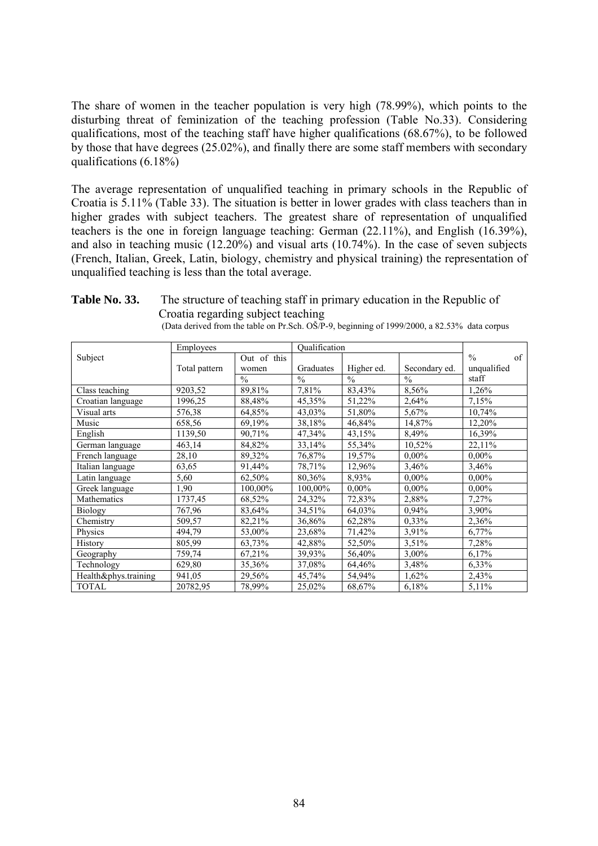The share of women in the teacher population is very high (78.99%), which points to the disturbing threat of feminization of the teaching profession (Table No.33). Considering qualifications, most of the teaching staff have higher qualifications (68.67%), to be followed by those that have degrees (25.02%), and finally there are some staff members with secondary qualifications  $(6.18\%)$ 

The average representation of unqualified teaching in primary schools in the Republic of Croatia is 5.11% (Table 33). The situation is better in lower grades with class teachers than in higher grades with subject teachers. The greatest share of representation of unqualified teachers is the one in foreign language teaching: German (22.11%), and English (16.39%), and also in teaching music (12.20%) and visual arts (10.74%). In the case of seven subjects (French, Italian, Greek, Latin, biology, chemistry and physical training) the representation of unqualified teaching is less than the total average.

|                      | Employees     |               | Qualification |               |               |                     |
|----------------------|---------------|---------------|---------------|---------------|---------------|---------------------|
| Subject              |               | Out of this   |               |               |               | $\frac{0}{0}$<br>of |
|                      | Total pattern | women         | Graduates     | Higher ed.    | Secondary ed. | unqualified         |
|                      |               | $\frac{0}{0}$ | $\frac{0}{0}$ | $\frac{0}{0}$ | $\frac{0}{0}$ | staff               |
| Class teaching       | 9203,52       | 89,81%        | 7,81%         | 83,43%        | 8,56%         | 1,26%               |
| Croatian language    | 1996,25       | 88,48%        | 45,35%        | 51,22%        | 2,64%         | 7,15%               |
| Visual arts          | 576,38        | 64,85%        | 43,03%        | 51,80%        | 5,67%         | 10,74%              |
| Music                | 658,56        | 69,19%        | 38,18%        | 46,84%        | 14,87%        | 12,20%              |
| English              | 1139,50       | 90,71%        | 47,34%        | 43,15%        | 8,49%         | 16,39%              |
| German language      | 463,14        | 84,82%        | 33,14%        | 55,34%        | 10,52%        | 22,11%              |
| French language      | 28,10         | 89,32%        | 76,87%        | 19,57%        | $0.00\%$      | $0.00\%$            |
| Italian language     | 63,65         | 91,44%        | 78,71%        | 12,96%        | 3,46%         | 3,46%               |
| Latin language       | 5,60          | 62,50%        | 80,36%        | 8.93%         | $0,00\%$      | $0.00\%$            |
| Greek language       | 1,90          | 100,00%       | 100,00%       | $0.00\%$      | $0.00\%$      | $0,00\%$            |
| Mathematics          | 1737,45       | 68,52%        | 24,32%        | 72,83%        | 2,88%         | 7,27%               |
| <b>Biology</b>       | 767,96        | 83,64%        | 34,51%        | 64,03%        | 0,94%         | 3,90%               |
| Chemistry            | 509,57        | 82,21%        | 36,86%        | 62,28%        | 0,33%         | 2,36%               |
| Physics              | 494,79        | 53,00%        | 23,68%        | 71,42%        | 3.91%         | $6,77\%$            |
| History              | 805,99        | 63,73%        | 42,88%        | 52,50%        | 3.51%         | 7,28%               |
| Geography            | 759,74        | 67,21%        | 39,93%        | 56,40%        | 3,00%         | 6,17%               |
| Technology           | 629,80        | 35,36%        | 37,08%        | 64,46%        | 3,48%         | 6,33%               |
| Health&phys.training | 941,05        | 29,56%        | 45,74%        | 54,94%        | 1,62%         | 2,43%               |
| <b>TOTAL</b>         | 20782,95      | 78,99%        | 25,02%        | 68,67%        | 6,18%         | 5,11%               |

| Table No. 33. | The structure of teaching staff in primary education in the Republic of                      |
|---------------|----------------------------------------------------------------------------------------------|
|               | Croatia regarding subject teaching                                                           |
|               | (Data derived from the table on Pr.Sch. OŠ/P-9, beginning of 1999/2000, a 82.53% data corpus |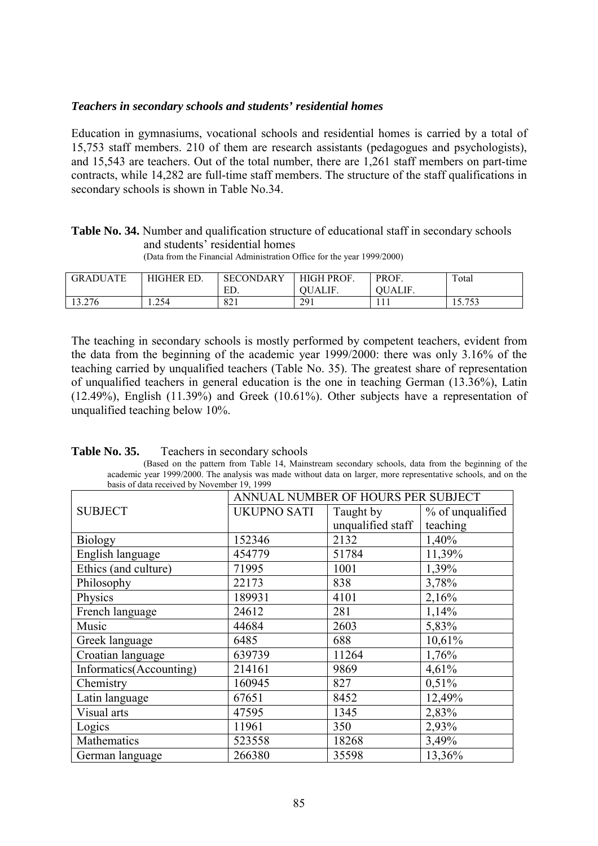### *Teachers in secondary schools and students' residential homes*

Education in gymnasiums, vocational schools and residential homes is carried by a total of 15,753 staff members. 210 of them are research assistants (pedagogues and psychologists), and 15,543 are teachers. Out of the total number, there are 1,261 staff members on part-time contracts, while 14,282 are full-time staff members. The structure of the staff qualifications in secondary schools is shown in Table No.34.

# **Table No. 34.** Number and qualification structure of educational staff in secondary schools and students' residential homes

| <b>ATE</b><br>GRADU | <b>HIGHER ED.</b> | <b>SECONDARY</b> | HIGH PROF.  | PROF. | Total                 |
|---------------------|-------------------|------------------|-------------|-------|-----------------------|
|                     |                   | ED.              | ALIF<br>ЭU. | UALIF |                       |
| 13.276              | 1.254             | 821              | 291         | 1 1 1 | 752<br>ں ر<br>1 J . I |

(Data from the Financial Administration Office for the year 1999/2000)

The teaching in secondary schools is mostly performed by competent teachers, evident from the data from the beginning of the academic year 1999/2000: there was only 3.16% of the teaching carried by unqualified teachers (Table No. 35). The greatest share of representation of unqualified teachers in general education is the one in teaching German (13.36%), Latin (12.49%), English (11.39%) and Greek (10.61%). Other subjects have a representation of unqualified teaching below 10%.

| Teachers in secondary schools | Table No. 35. |  |  |  |
|-------------------------------|---------------|--|--|--|
|-------------------------------|---------------|--|--|--|

<sup>(</sup>Based on the pattern from Table 14, Mainstream secondary schools, data from the beginning of the academic year 1999/2000. The analysis was made without data on larger, more representative schools, and on the basis of data received by November 19, 1999

|                         | ANNUAL NUMBER OF HOURS PER SUBJECT |                   |                  |
|-------------------------|------------------------------------|-------------------|------------------|
| <b>SUBJECT</b>          | <b>UKUPNO SATI</b>                 | Taught by         | % of unqualified |
|                         |                                    | unqualified staff | teaching         |
| <b>Biology</b>          | 152346                             | 2132              | 1,40%            |
| English language        | 454779                             | 51784             | 11,39%           |
| Ethics (and culture)    | 71995                              | 1001              | 1,39%            |
| Philosophy              | 22173                              | 838               | 3,78%            |
| Physics                 | 189931                             | 4101              | 2,16%            |
| French language         | 24612                              | 281               | 1,14%            |
| Music                   | 44684                              | 2603              | 5,83%            |
| Greek language          | 6485                               | 688               | 10,61%           |
| Croatian language       | 639739                             | 11264             | 1,76%            |
| Informatics(Accounting) | 214161                             | 9869              | 4,61%            |
| Chemistry               | 160945                             | 827               | 0,51%            |
| Latin language          | 67651                              | 8452              | 12,49%           |
| Visual arts             | 47595                              | 1345              | 2,83%            |
| Logics                  | 11961                              | 350               | 2,93%            |
| Mathematics             | 523558                             | 18268             | 3,49%            |
| German language         | 266380                             | 35598             | 13,36%           |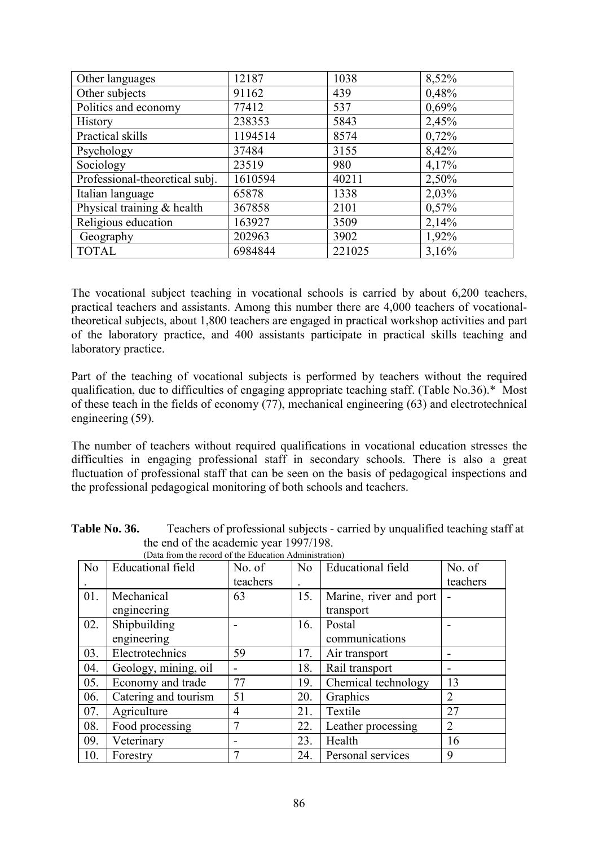| Other languages                | 12187   | 1038   | 8,52% |
|--------------------------------|---------|--------|-------|
| Other subjects                 | 91162   | 439    | 0,48% |
| Politics and economy           | 77412   | 537    | 0,69% |
| History                        | 238353  | 5843   | 2,45% |
| Practical skills               | 1194514 | 8574   | 0,72% |
| Psychology                     | 37484   | 3155   | 8,42% |
| Sociology                      | 23519   | 980    | 4,17% |
| Professional-theoretical subj. | 1610594 | 40211  | 2,50% |
| Italian language               | 65878   | 1338   | 2,03% |
| Physical training $&$ health   | 367858  | 2101   | 0,57% |
| Religious education            | 163927  | 3509   | 2,14% |
| Geography                      | 202963  | 3902   | 1,92% |
| <b>TOTAL</b>                   | 6984844 | 221025 | 3,16% |

The vocational subject teaching in vocational schools is carried by about 6,200 teachers, practical teachers and assistants. Among this number there are 4,000 teachers of vocationaltheoretical subjects, about 1,800 teachers are engaged in practical workshop activities and part of the laboratory practice, and 400 assistants participate in practical skills teaching and laboratory practice.

Part of the teaching of vocational subjects is performed by teachers without the required qualification, due to difficulties of engaging appropriate teaching staff. (Table No.36).\* Most of these teach in the fields of economy (77), mechanical engineering (63) and electrotechnical engineering (59).

The number of teachers without required qualifications in vocational education stresses the difficulties in engaging professional staff in secondary schools. There is also a great fluctuation of professional staff that can be seen on the basis of pedagogical inspections and the professional pedagogical monitoring of both schools and teachers.

|                | (Data from the record of the Education Administration) |          |     |                          |                |  |
|----------------|--------------------------------------------------------|----------|-----|--------------------------|----------------|--|
| N <sub>0</sub> | <b>Educational field</b>                               | No. of   | No. | <b>Educational field</b> | No. of         |  |
|                |                                                        | teachers |     |                          | teachers       |  |
| 01.            | Mechanical                                             | 63       | 15. | Marine, river and port   |                |  |
|                | engineering                                            |          |     | transport                |                |  |
| 02.            | Shipbuilding                                           |          | 16. | Postal                   |                |  |
|                | engineering                                            |          |     | communications           |                |  |
| 03.            | Electrotechnics                                        | 59       | 17. | Air transport            |                |  |
| 04.            | Geology, mining, oil                                   |          | 18. | Rail transport           |                |  |
| 05.            | Economy and trade                                      | 77       | 19. | Chemical technology      | 13             |  |
| 06.            | Catering and tourism                                   | 51       | 20. | Graphics                 | $\overline{2}$ |  |
| 07.            | Agriculture                                            | 4        | 21. | Textile                  | 27             |  |
| 08.            | Food processing                                        |          | 22. | Leather processing       | $\overline{2}$ |  |
| 09.            | Veterinary                                             |          | 23. | Health                   | 16             |  |
| 10.            | Forestry                                               | 7        | 24. | Personal services        | 9              |  |

| Table No. 36. | Teachers of professional subjects - carried by unqualified teaching staff at |
|---------------|------------------------------------------------------------------------------|
|               | the end of the academic year 1997/198.                                       |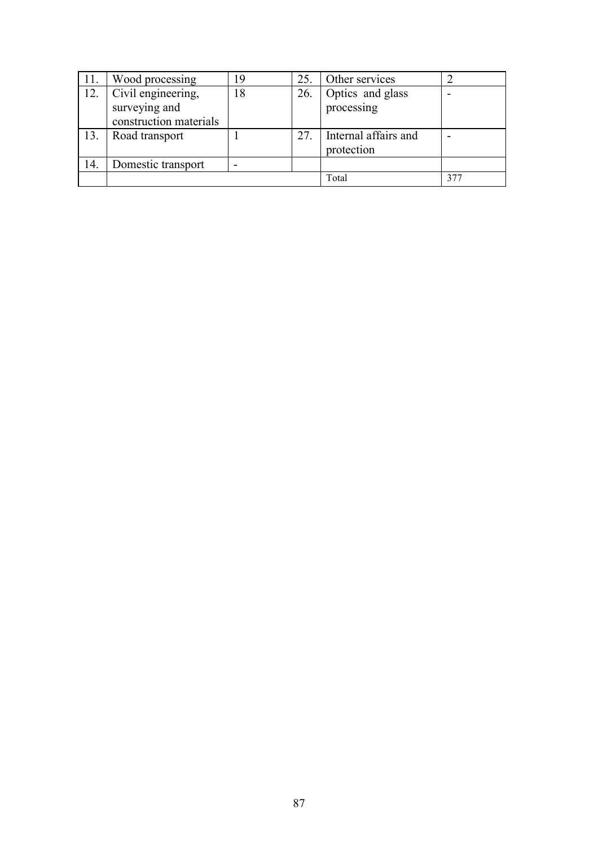| 11. | Wood processing        | 19 | 25. | Other services       |     |
|-----|------------------------|----|-----|----------------------|-----|
| 12. | Civil engineering,     | 18 | 26. | Optics and glass     |     |
|     | surveying and          |    |     | processing           |     |
|     | construction materials |    |     |                      |     |
| 13. | Road transport         |    | 27. | Internal affairs and |     |
|     |                        |    |     | protection           |     |
| 14. | Domestic transport     |    |     |                      |     |
|     |                        |    |     | Total                | 377 |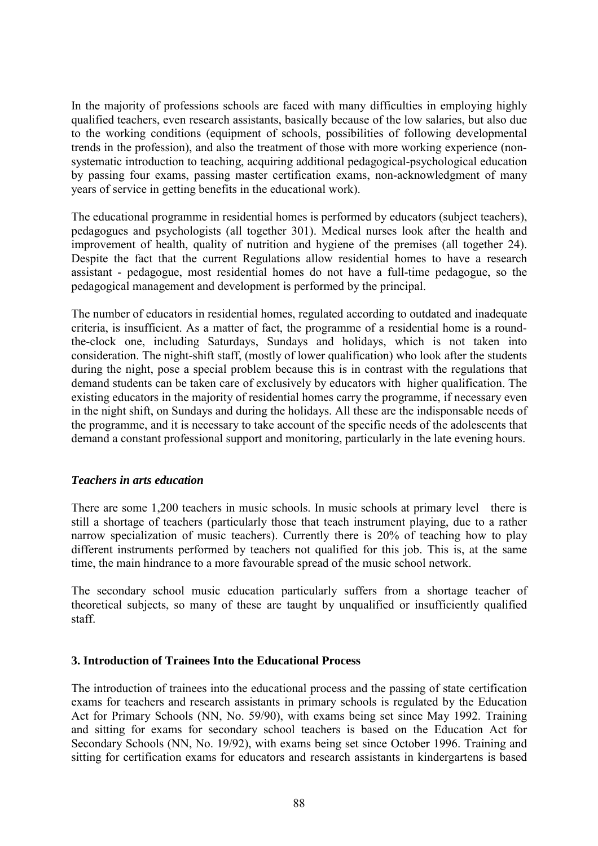In the majority of professions schools are faced with many difficulties in employing highly qualified teachers, even research assistants, basically because of the low salaries, but also due to the working conditions (equipment of schools, possibilities of following developmental trends in the profession), and also the treatment of those with more working experience (nonsystematic introduction to teaching, acquiring additional pedagogical-psychological education by passing four exams, passing master certification exams, non-acknowledgment of many years of service in getting benefits in the educational work).

The educational programme in residential homes is performed by educators (subject teachers), pedagogues and psychologists (all together 301). Medical nurses look after the health and improvement of health, quality of nutrition and hygiene of the premises (all together 24). Despite the fact that the current Regulations allow residential homes to have a research assistant - pedagogue, most residential homes do not have a full-time pedagogue, so the pedagogical management and development is performed by the principal.

The number of educators in residential homes, regulated according to outdated and inadequate criteria, is insufficient. As a matter of fact, the programme of a residential home is a roundthe-clock one, including Saturdays, Sundays and holidays, which is not taken into consideration. The night-shift staff, (mostly of lower qualification) who look after the students during the night, pose a special problem because this is in contrast with the regulations that demand students can be taken care of exclusively by educators with higher qualification. The existing educators in the majority of residential homes carry the programme, if necessary even in the night shift, on Sundays and during the holidays. All these are the indisponsable needs of the programme, and it is necessary to take account of the specific needs of the adolescents that demand a constant professional support and monitoring, particularly in the late evening hours.

# *Teachers in arts education*

There are some 1,200 teachers in music schools. In music schools at primary level there is still a shortage of teachers (particularly those that teach instrument playing, due to a rather narrow specialization of music teachers). Currently there is 20% of teaching how to play different instruments performed by teachers not qualified for this job. This is, at the same time, the main hindrance to a more favourable spread of the music school network.

The secondary school music education particularly suffers from a shortage teacher of theoretical subjects, so many of these are taught by unqualified or insufficiently qualified staff.

# **3. Introduction of Trainees Into the Educational Process**

The introduction of trainees into the educational process and the passing of state certification exams for teachers and research assistants in primary schools is regulated by the Education Act for Primary Schools (NN, No. 59/90), with exams being set since May 1992. Training and sitting for exams for secondary school teachers is based on the Education Act for Secondary Schools (NN, No. 19/92), with exams being set since October 1996. Training and sitting for certification exams for educators and research assistants in kindergartens is based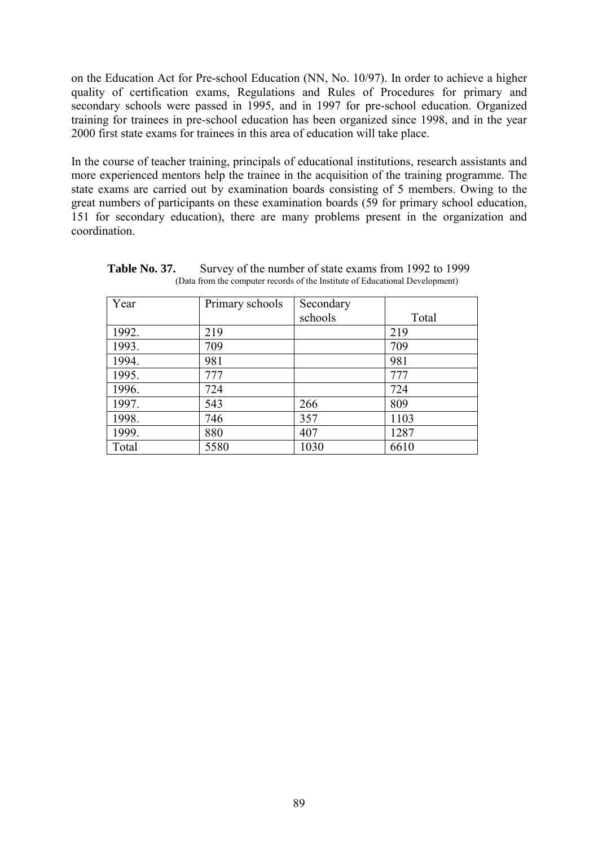on the Education Act for Pre-school Education (NN, No. 10/97). In order to achieve a higher quality of certification exams, Regulations and Rules of Procedures for primary and secondary schools were passed in 1995, and in 1997 for pre-school education. Organized training for trainees in pre-school education has been organized since 1998, and in the year 2000 first state exams for trainees in this area of education will take place.

In the course of teacher training, principals of educational institutions, research assistants and more experienced mentors help the trainee in the acquisition of the training programme. The state exams are carried out by examination boards consisting of 5 members. Owing to the great numbers of participants on these examination boards (59 for primary school education, 151 for secondary education), there are many problems present in the organization and coordination.

| Year  | Primary schools | Secondary |       |
|-------|-----------------|-----------|-------|
|       |                 | schools   | Total |
| 1992. | 219             |           | 219   |
| 1993. | 709             |           | 709   |
| 1994. | 981             |           | 981   |
| 1995. | 777             |           | 777   |
| 1996. | 724             |           | 724   |
| 1997. | 543             | 266       | 809   |
| 1998. | 746             | 357       | 1103  |
| 1999. | 880             | 407       | 1287  |
| Total | 5580            | 1030      | 6610  |

**Table No. 37.** Survey of the number of state exams from 1992 to 1999 (Data from the computer records of the Institute of Educational Development)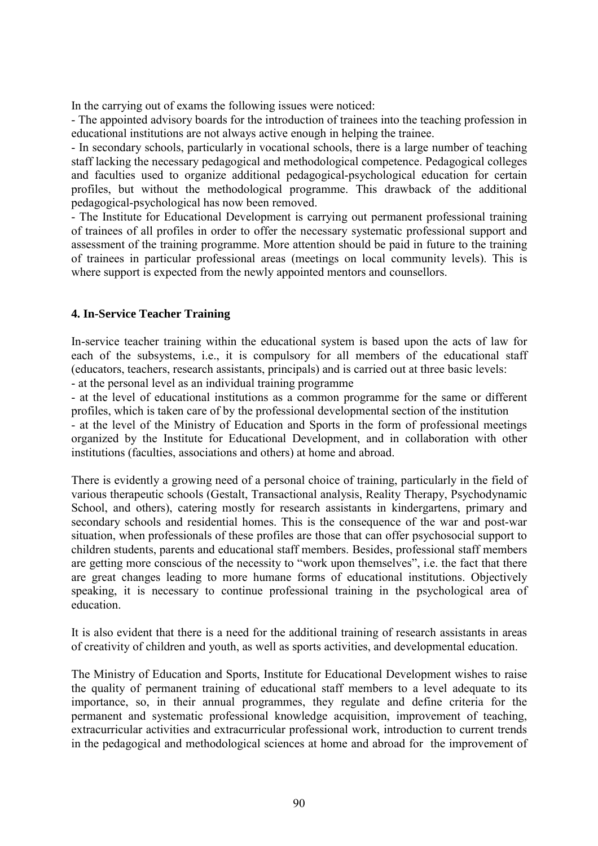In the carrying out of exams the following issues were noticed:

- The appointed advisory boards for the introduction of trainees into the teaching profession in educational institutions are not always active enough in helping the trainee.

- In secondary schools, particularly in vocational schools, there is a large number of teaching staff lacking the necessary pedagogical and methodological competence. Pedagogical colleges and faculties used to organize additional pedagogical-psychological education for certain profiles, but without the methodological programme. This drawback of the additional pedagogical-psychological has now been removed.

- The Institute for Educational Development is carrying out permanent professional training of trainees of all profiles in order to offer the necessary systematic professional support and assessment of the training programme. More attention should be paid in future to the training of trainees in particular professional areas (meetings on local community levels). This is where support is expected from the newly appointed mentors and counsellors.

# **4. In-Service Teacher Training**

In-service teacher training within the educational system is based upon the acts of law for each of the subsystems, i.e., it is compulsory for all members of the educational staff (educators, teachers, research assistants, principals) and is carried out at three basic levels: - at the personal level as an individual training programme

- at the level of educational institutions as a common programme for the same or different profiles, which is taken care of by the professional developmental section of the institution - at the level of the Ministry of Education and Sports in the form of professional meetings organized by the Institute for Educational Development, and in collaboration with other institutions (faculties, associations and others) at home and abroad.

There is evidently a growing need of a personal choice of training, particularly in the field of various therapeutic schools (Gestalt, Transactional analysis, Reality Therapy, Psychodynamic School, and others), catering mostly for research assistants in kindergartens, primary and secondary schools and residential homes. This is the consequence of the war and post-war situation, when professionals of these profiles are those that can offer psychosocial support to children students, parents and educational staff members. Besides, professional staff members are getting more conscious of the necessity to "work upon themselves", i.e. the fact that there are great changes leading to more humane forms of educational institutions. Objectively speaking, it is necessary to continue professional training in the psychological area of education.

It is also evident that there is a need for the additional training of research assistants in areas of creativity of children and youth, as well as sports activities, and developmental education.

The Ministry of Education and Sports, Institute for Educational Development wishes to raise the quality of permanent training of educational staff members to a level adequate to its importance, so, in their annual programmes, they regulate and define criteria for the permanent and systematic professional knowledge acquisition, improvement of teaching, extracurricular activities and extracurricular professional work, introduction to current trends in the pedagogical and methodological sciences at home and abroad for the improvement of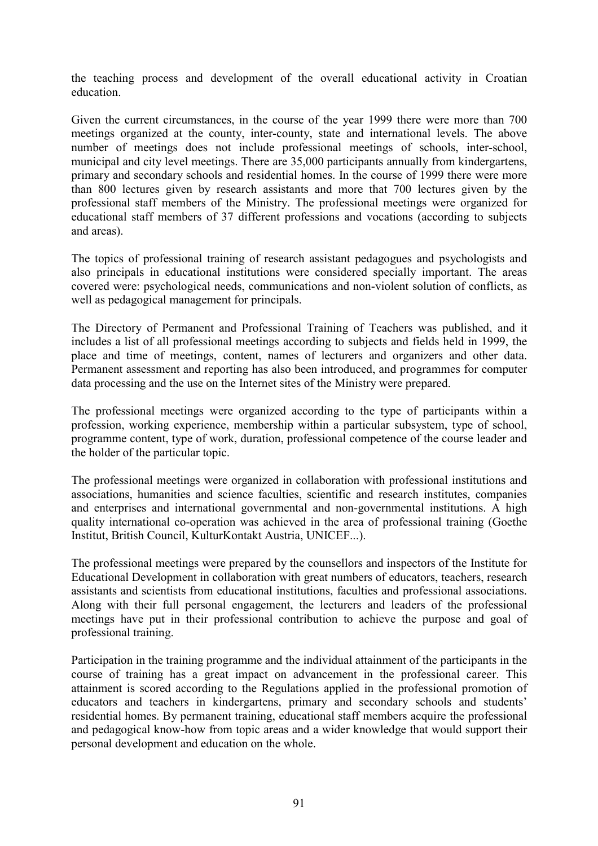the teaching process and development of the overall educational activity in Croatian education.

Given the current circumstances, in the course of the year 1999 there were more than 700 meetings organized at the county, inter-county, state and international levels. The above number of meetings does not include professional meetings of schools, inter-school, municipal and city level meetings. There are 35,000 participants annually from kindergartens, primary and secondary schools and residential homes. In the course of 1999 there were more than 800 lectures given by research assistants and more that 700 lectures given by the professional staff members of the Ministry. The professional meetings were organized for educational staff members of 37 different professions and vocations (according to subjects and areas).

The topics of professional training of research assistant pedagogues and psychologists and also principals in educational institutions were considered specially important. The areas covered were: psychological needs, communications and non-violent solution of conflicts, as well as pedagogical management for principals.

The Directory of Permanent and Professional Training of Teachers was published, and it includes a list of all professional meetings according to subjects and fields held in 1999, the place and time of meetings, content, names of lecturers and organizers and other data. Permanent assessment and reporting has also been introduced, and programmes for computer data processing and the use on the Internet sites of the Ministry were prepared.

The professional meetings were organized according to the type of participants within a profession, working experience, membership within a particular subsystem, type of school, programme content, type of work, duration, professional competence of the course leader and the holder of the particular topic.

The professional meetings were organized in collaboration with professional institutions and associations, humanities and science faculties, scientific and research institutes, companies and enterprises and international governmental and non-governmental institutions. A high quality international co-operation was achieved in the area of professional training (Goethe Institut, British Council, KulturKontakt Austria, UNICEF...).

The professional meetings were prepared by the counsellors and inspectors of the Institute for Educational Development in collaboration with great numbers of educators, teachers, research assistants and scientists from educational institutions, faculties and professional associations. Along with their full personal engagement, the lecturers and leaders of the professional meetings have put in their professional contribution to achieve the purpose and goal of professional training.

Participation in the training programme and the individual attainment of the participants in the course of training has a great impact on advancement in the professional career. This attainment is scored according to the Regulations applied in the professional promotion of educators and teachers in kindergartens, primary and secondary schools and students<sup>7</sup> residential homes. By permanent training, educational staff members acquire the professional and pedagogical know-how from topic areas and a wider knowledge that would support their personal development and education on the whole.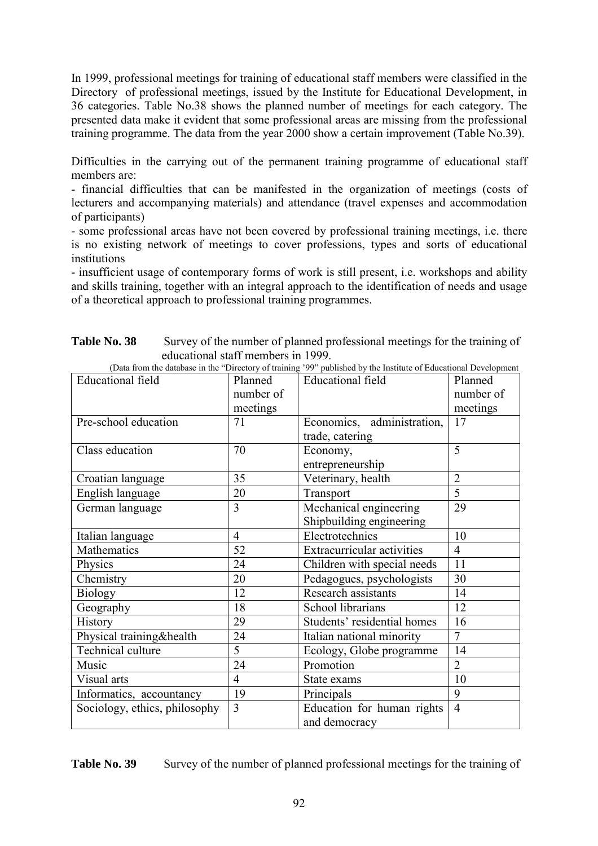In 1999, professional meetings for training of educational staff members were classified in the Directory of professional meetings, issued by the Institute for Educational Development, in 36 categories. Table No.38 shows the planned number of meetings for each category. The presented data make it evident that some professional areas are missing from the professional training programme. The data from the year 2000 show a certain improvement (Table No.39).

Difficulties in the carrying out of the permanent training programme of educational staff members are:

- financial difficulties that can be manifested in the organization of meetings (costs of lecturers and accompanying materials) and attendance (travel expenses and accommodation of participants)

- some professional areas have not been covered by professional training meetings, i.e. there is no existing network of meetings to cover professions, types and sorts of educational institutions

- insufficient usage of contemporary forms of work is still present, i.e. workshops and ability and skills training, together with an integral approach to the identification of needs and usage of a theoretical approach to professional training programmes.

| <b>Educational</b> field      | Planned        | (Data from the database in the "Directory of training") >> published by the mistitute of Educational Development<br><b>Educational</b> field | Planned        |
|-------------------------------|----------------|----------------------------------------------------------------------------------------------------------------------------------------------|----------------|
|                               | number of      |                                                                                                                                              | number of      |
|                               | meetings       |                                                                                                                                              | meetings       |
| Pre-school education          | 71             | Economics, administration,                                                                                                                   | 17             |
|                               |                | trade, catering                                                                                                                              |                |
| Class education               | 70             | Economy,                                                                                                                                     | 5              |
|                               |                | entrepreneurship                                                                                                                             |                |
| Croatian language             | 35             | Veterinary, health                                                                                                                           | $\overline{2}$ |
| English language              | 20             | Transport                                                                                                                                    | $\overline{5}$ |
| German language               | 3              | Mechanical engineering                                                                                                                       | 29             |
|                               |                | Shipbuilding engineering                                                                                                                     |                |
| Italian language              | $\overline{4}$ | Electrotechnics                                                                                                                              | 10             |
| Mathematics                   | 52             | Extracurricular activities                                                                                                                   | $\overline{4}$ |
| Physics                       | 24             | Children with special needs                                                                                                                  | 11             |
| Chemistry                     | 20             | Pedagogues, psychologists                                                                                                                    | 30             |
| <b>Biology</b>                | 12             | Research assistants                                                                                                                          | 14             |
| Geography                     | 18             | School librarians                                                                                                                            | 12             |
| History                       | 29             | Students' residential homes                                                                                                                  | 16             |
| Physical training&health      | 24             | Italian national minority                                                                                                                    | $\overline{7}$ |
| Technical culture             | 5              | Ecology, Globe programme                                                                                                                     | 14             |
| Music                         | 24             | Promotion                                                                                                                                    | $\overline{2}$ |
| Visual arts                   | $\overline{4}$ | State exams                                                                                                                                  | 10             |
| Informatics, accountancy      | 19             | Principals                                                                                                                                   | 9              |
| Sociology, ethics, philosophy | 3              | Education for human rights                                                                                                                   | $\overline{4}$ |
|                               |                | and democracy                                                                                                                                |                |

| <b>Table No. 38</b> | Survey of the number of planned professional meetings for the training of                                        |
|---------------------|------------------------------------------------------------------------------------------------------------------|
|                     | educational staff members in 1999.                                                                               |
|                     | (Data from the database in the "Directory of training '99" published by the Institute of Educational Development |

**Table No. 39** Survey of the number of planned professional meetings for the training of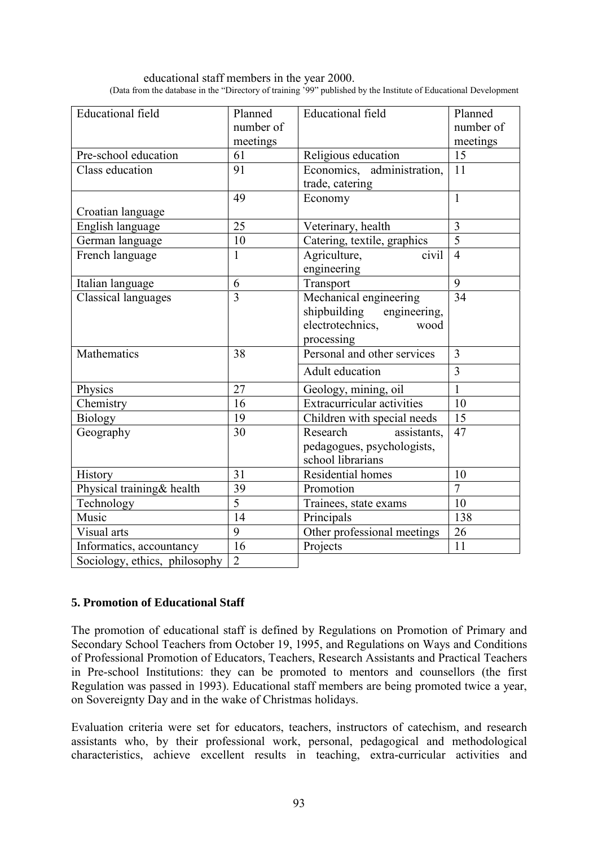educational staff members in the year 2000. (Data from the database in the "Directory of training '99" published by the Institute of Educational Development

| <b>Educational</b> field      | Planned<br>number of | <b>Educational</b> field                                                                      | Planned<br>number of |
|-------------------------------|----------------------|-----------------------------------------------------------------------------------------------|----------------------|
|                               | meetings             |                                                                                               | meetings             |
| Pre-school education          | 61                   | Religious education                                                                           | 15                   |
| Class education               | 91                   | Economics, administration,<br>trade, catering                                                 | 11                   |
|                               | 49                   | Economy                                                                                       | $\mathbf{1}$         |
| Croatian language             |                      |                                                                                               |                      |
| English language              | $\overline{25}$      | Veterinary, health                                                                            | $\overline{3}$       |
| German language               | 10                   | Catering, textile, graphics                                                                   | $\overline{5}$       |
| French language               | 1                    | Agriculture,<br>civil<br>engineering                                                          | $\overline{4}$       |
| Italian language              | 6                    | Transport                                                                                     | $\overline{9}$       |
| <b>Classical languages</b>    | $\overline{3}$       | Mechanical engineering<br>shipbuilding engineering,<br>electrotechnics,<br>wood<br>processing | 34                   |
| Mathematics                   | 38                   | Personal and other services                                                                   | 3                    |
|                               |                      | Adult education                                                                               | $\overline{3}$       |
| Physics                       | 27                   | Geology, mining, oil                                                                          | $\mathbf{1}$         |
| Chemistry                     | 16                   | <b>Extracurricular activities</b>                                                             | 10                   |
| <b>Biology</b>                | $\overline{19}$      | Children with special needs                                                                   | $\overline{15}$      |
| Geography                     | 30                   | Research<br>assistants,<br>pedagogues, psychologists,<br>school librarians                    | 47                   |
| History                       | 31                   | Residential homes                                                                             | 10                   |
| Physical training& health     | 39                   | Promotion                                                                                     | $\overline{7}$       |
| Technology                    | $\overline{5}$       | Trainees, state exams                                                                         | 10                   |
| Music                         | 14                   | Principals                                                                                    | 138                  |
| Visual arts                   | $\overline{9}$       | Other professional meetings                                                                   | 26                   |
| Informatics, accountancy      | 16                   | Projects                                                                                      | 11                   |
| Sociology, ethics, philosophy | $\overline{2}$       |                                                                                               |                      |

# **5. Promotion of Educational Staff**

The promotion of educational staff is defined by Regulations on Promotion of Primary and Secondary School Teachers from October 19, 1995, and Regulations on Ways and Conditions of Professional Promotion of Educators, Teachers, Research Assistants and Practical Teachers in Pre-school Institutions: they can be promoted to mentors and counsellors (the first Regulation was passed in 1993). Educational staff members are being promoted twice a year, on Sovereignty Day and in the wake of Christmas holidays.

Evaluation criteria were set for educators, teachers, instructors of catechism, and research assistants who, by their professional work, personal, pedagogical and methodological characteristics, achieve excellent results in teaching, extra-curricular activities and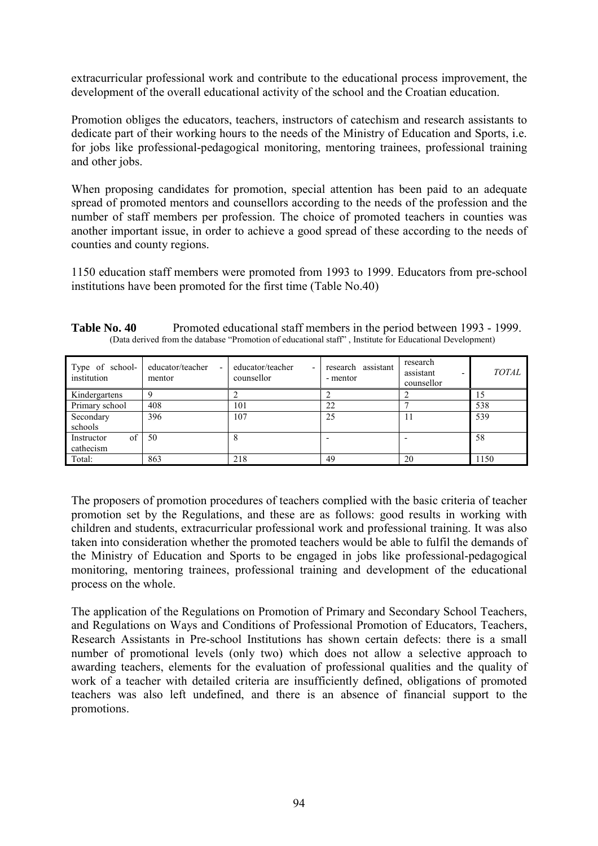extracurricular professional work and contribute to the educational process improvement, the development of the overall educational activity of the school and the Croatian education.

Promotion obliges the educators, teachers, instructors of catechism and research assistants to dedicate part of their working hours to the needs of the Ministry of Education and Sports, i.e. for jobs like professional-pedagogical monitoring, mentoring trainees, professional training and other jobs.

When proposing candidates for promotion, special attention has been paid to an adequate spread of promoted mentors and counsellors according to the needs of the profession and the number of staff members per profession. The choice of promoted teachers in counties was another important issue, in order to achieve a good spread of these according to the needs of counties and county regions.

1150 education staff members were promoted from 1993 to 1999. Educators from pre-school institutions have been promoted for the first time (Table No.40)

| Table No. 40 | Promoted educational staff members in the period between 1993 - 1999.                                    |
|--------------|----------------------------------------------------------------------------------------------------------|
|              | (Data derived from the database "Promotion of educational staff", Institute for Educational Development) |

| Type of school-<br>institution | educator/teacher<br>$\overline{\phantom{a}}$<br>mentor | educator/teacher<br>counsellor | research assistant<br>- mentor | research<br>assistant<br>$\overline{\phantom{0}}$<br>counsellor | <b>TOTAL</b> |
|--------------------------------|--------------------------------------------------------|--------------------------------|--------------------------------|-----------------------------------------------------------------|--------------|
| Kindergartens                  |                                                        |                                |                                |                                                                 | Ð            |
| Primary school                 | 408                                                    | 101                            | 22                             |                                                                 | 538          |
| Secondary                      | 396                                                    | 107                            | 25                             |                                                                 | 539          |
| schools                        |                                                        |                                |                                |                                                                 |              |
| of<br>Instructor               | 50                                                     |                                |                                |                                                                 | 58           |
| cathecism                      |                                                        |                                |                                |                                                                 |              |
| Total:                         | 863                                                    | 218                            | 49                             | 20                                                              | 1150         |

The proposers of promotion procedures of teachers complied with the basic criteria of teacher promotion set by the Regulations, and these are as follows: good results in working with children and students, extracurricular professional work and professional training. It was also taken into consideration whether the promoted teachers would be able to fulfil the demands of the Ministry of Education and Sports to be engaged in jobs like professional-pedagogical monitoring, mentoring trainees, professional training and development of the educational process on the whole.

The application of the Regulations on Promotion of Primary and Secondary School Teachers, and Regulations on Ways and Conditions of Professional Promotion of Educators, Teachers, Research Assistants in Pre-school Institutions has shown certain defects: there is a small number of promotional levels (only two) which does not allow a selective approach to awarding teachers, elements for the evaluation of professional qualities and the quality of work of a teacher with detailed criteria are insufficiently defined, obligations of promoted teachers was also left undefined, and there is an absence of financial support to the promotions.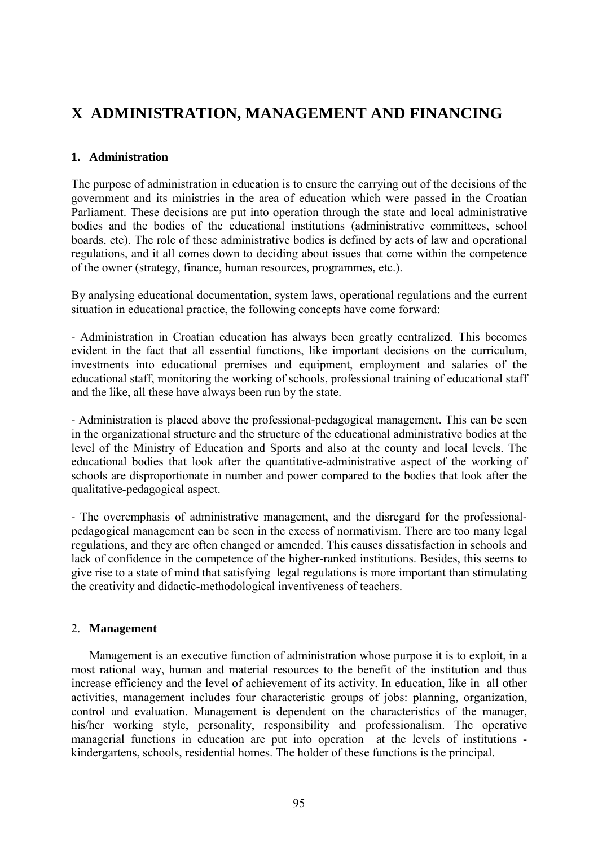# **X ADMINISTRATION, MANAGEMENT AND FINANCING**

# **1. Administration**

The purpose of administration in education is to ensure the carrying out of the decisions of the government and its ministries in the area of education which were passed in the Croatian Parliament. These decisions are put into operation through the state and local administrative bodies and the bodies of the educational institutions (administrative committees, school boards, etc). The role of these administrative bodies is defined by acts of law and operational regulations, and it all comes down to deciding about issues that come within the competence of the owner (strategy, finance, human resources, programmes, etc.).

By analysing educational documentation, system laws, operational regulations and the current situation in educational practice, the following concepts have come forward:

- Administration in Croatian education has always been greatly centralized. This becomes evident in the fact that all essential functions, like important decisions on the curriculum, investments into educational premises and equipment, employment and salaries of the educational staff, monitoring the working of schools, professional training of educational staff and the like, all these have always been run by the state.

- Administration is placed above the professional-pedagogical management. This can be seen in the organizational structure and the structure of the educational administrative bodies at the level of the Ministry of Education and Sports and also at the county and local levels. The educational bodies that look after the quantitative-administrative aspect of the working of schools are disproportionate in number and power compared to the bodies that look after the qualitative-pedagogical aspect.

- The overemphasis of administrative management, and the disregard for the professionalpedagogical management can be seen in the excess of normativism. There are too many legal regulations, and they are often changed or amended. This causes dissatisfaction in schools and lack of confidence in the competence of the higher-ranked institutions. Besides, this seems to give rise to a state of mind that satisfying legal regulations is more important than stimulating the creativity and didactic-methodological inventiveness of teachers.

# 2. **Management**

Management is an executive function of administration whose purpose it is to exploit, in a most rational way, human and material resources to the benefit of the institution and thus increase efficiency and the level of achievement of its activity. In education, like in all other activities, management includes four characteristic groups of jobs: planning, organization, control and evaluation. Management is dependent on the characteristics of the manager, his/her working style, personality, responsibility and professionalism. The operative managerial functions in education are put into operation at the levels of institutions kindergartens, schools, residential homes. The holder of these functions is the principal.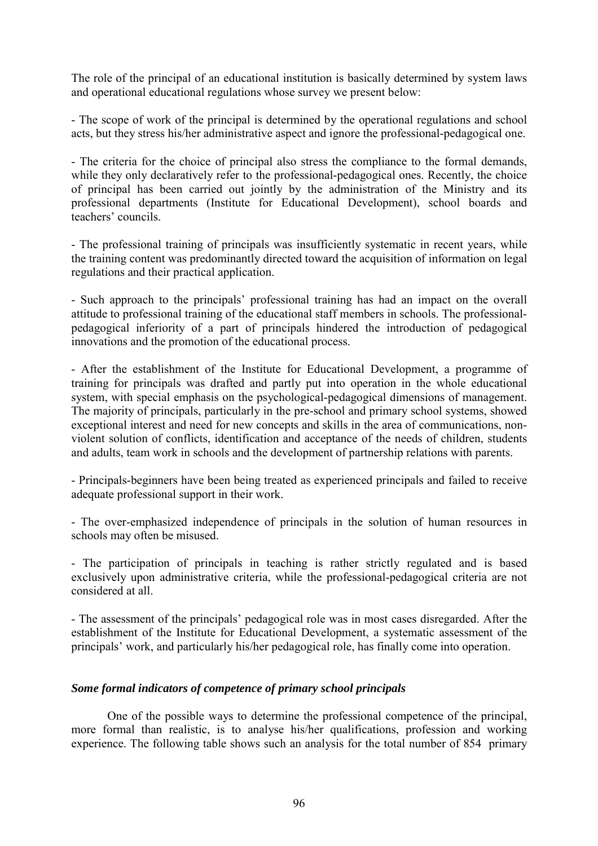The role of the principal of an educational institution is basically determined by system laws and operational educational regulations whose survey we present below:

- The scope of work of the principal is determined by the operational regulations and school acts, but they stress his/her administrative aspect and ignore the professional-pedagogical one.

- The criteria for the choice of principal also stress the compliance to the formal demands, while they only declaratively refer to the professional-pedagogical ones. Recently, the choice of principal has been carried out jointly by the administration of the Ministry and its professional departments (Institute for Educational Development), school boards and teachers' councils.

- The professional training of principals was insufficiently systematic in recent years, while the training content was predominantly directed toward the acquisition of information on legal regulations and their practical application.

- Such approach to the principals' professional training has had an impact on the overall attitude to professional training of the educational staff members in schools. The professionalpedagogical inferiority of a part of principals hindered the introduction of pedagogical innovations and the promotion of the educational process.

- After the establishment of the Institute for Educational Development, a programme of training for principals was drafted and partly put into operation in the whole educational system, with special emphasis on the psychological-pedagogical dimensions of management. The majority of principals, particularly in the pre-school and primary school systems, showed exceptional interest and need for new concepts and skills in the area of communications, nonviolent solution of conflicts, identification and acceptance of the needs of children, students and adults, team work in schools and the development of partnership relations with parents.

- Principals-beginners have been being treated as experienced principals and failed to receive adequate professional support in their work.

- The over-emphasized independence of principals in the solution of human resources in schools may often be misused.

- The participation of principals in teaching is rather strictly regulated and is based exclusively upon administrative criteria, while the professional-pedagogical criteria are not considered at all.

- The assessment of the principals' pedagogical role was in most cases disregarded. After the establishment of the Institute for Educational Development, a systematic assessment of the principals' work, and particularly his/her pedagogical role, has finally come into operation.

### *Some formal indicators of competence of primary school principals*

One of the possible ways to determine the professional competence of the principal, more formal than realistic, is to analyse his/her qualifications, profession and working experience. The following table shows such an analysis for the total number of 854 primary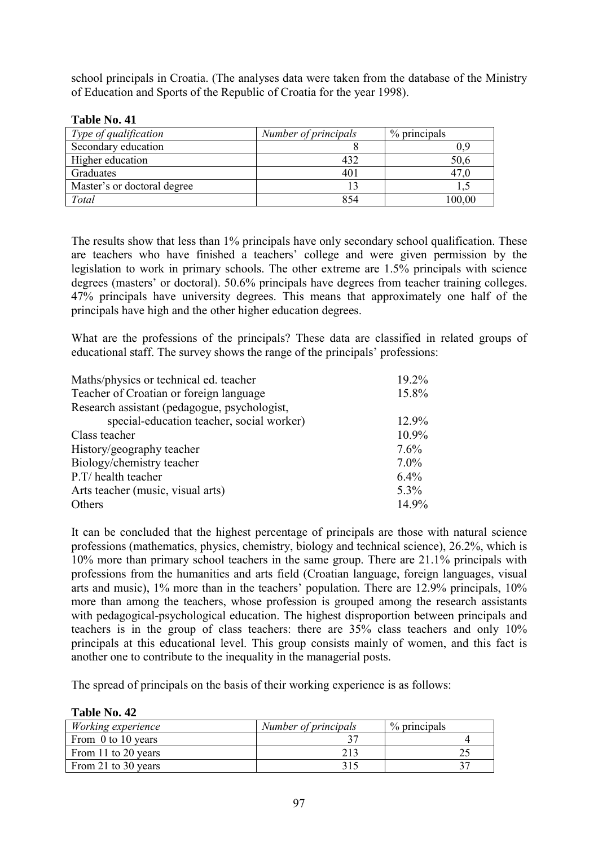school principals in Croatia. (The analyses data were taken from the database of the Ministry of Education and Sports of the Republic of Croatia for the year 1998).

**Table No. 41**

**Table No. 42**

| Type of qualification       | Number of principals | % principals |
|-----------------------------|----------------------|--------------|
| Secondary education         |                      |              |
| Higher education            | 432                  | 50,6         |
| Graduates                   | 401                  | 47.0         |
| Master's or doctoral degree |                      |              |
| Total                       | 854                  | 100,00       |

The results show that less than 1% principals have only secondary school qualification. These are teachers who have finished a teachers' college and were given permission by the legislation to work in primary schools. The other extreme are 1.5% principals with science degrees (masters' or doctoral). 50.6% principals have degrees from teacher training colleges. 47% principals have university degrees. This means that approximately one half of the principals have high and the other higher education degrees.

What are the professions of the principals? These data are classified in related groups of educational staff. The survey shows the range of the principals' professions:

| Maths/physics or technical ed. teacher       | 19.2%   |
|----------------------------------------------|---------|
| Teacher of Croatian or foreign language      | 15.8%   |
| Research assistant (pedagogue, psychologist, |         |
| special-education teacher, social worker)    | 12.9%   |
| Class teacher                                | 10.9%   |
| History/geography teacher                    | 7.6%    |
| Biology/chemistry teacher                    | $7.0\%$ |
| P.T/ health teacher                          | 6.4%    |
| Arts teacher (music, visual arts)            | 5.3%    |
| Others                                       | 14.9%   |

It can be concluded that the highest percentage of principals are those with natural science professions (mathematics, physics, chemistry, biology and technical science), 26.2%, which is 10% more than primary school teachers in the same group. There are 21.1% principals with professions from the humanities and arts field (Croatian language, foreign languages, visual arts and music),  $1\%$  more than in the teachers' population. There are  $12.9\%$  principals,  $10\%$ more than among the teachers, whose profession is grouped among the research assistants with pedagogical-psychological education. The highest disproportion between principals and teachers is in the group of class teachers: there are 35% class teachers and only 10% principals at this educational level. This group consists mainly of women, and this fact is another one to contribute to the inequality in the managerial posts.

The spread of principals on the basis of their working experience is as follows:

| 14916 1996 TZ       |                      |              |
|---------------------|----------------------|--------------|
| Working experience  | Number of principals | % principals |
| From 0 to 10 years  |                      |              |
| From 11 to 20 years |                      |              |
| From 21 to 30 years |                      |              |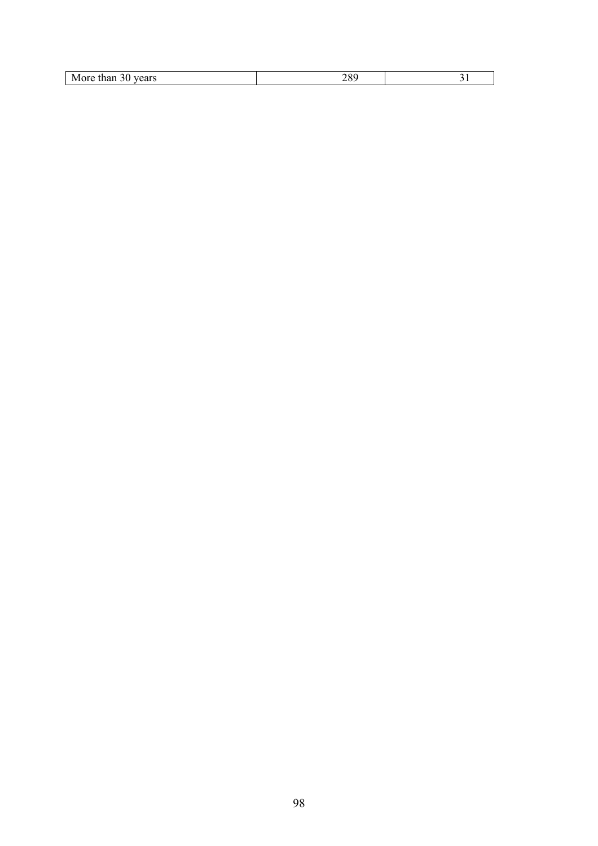| M<br>.<br>жe<br>1 U 1<br>44.6<br>$-1$ |  |
|---------------------------------------|--|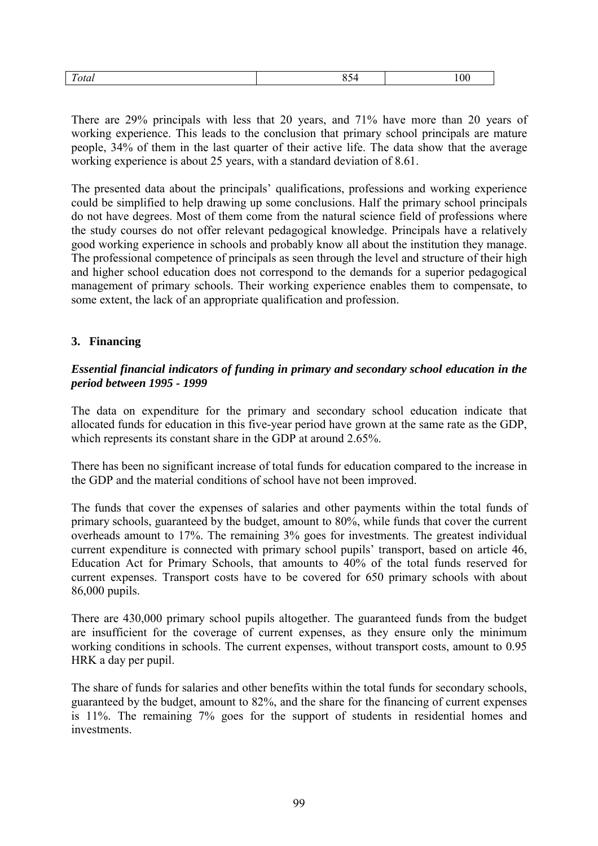| $\mathbf{u}$<br>$+$ $\sim$<br>otal | . | 00 |
|------------------------------------|---|----|
|                                    |   |    |

There are 29% principals with less that 20 years, and 71% have more than 20 years of working experience. This leads to the conclusion that primary school principals are mature people, 34% of them in the last quarter of their active life. The data show that the average working experience is about 25 years, with a standard deviation of 8.61.

The presented data about the principals' qualifications, professions and working experience could be simplified to help drawing up some conclusions. Half the primary school principals do not have degrees. Most of them come from the natural science field of professions where the study courses do not offer relevant pedagogical knowledge. Principals have a relatively good working experience in schools and probably know all about the institution they manage. The professional competence of principals as seen through the level and structure of their high and higher school education does not correspond to the demands for a superior pedagogical management of primary schools. Their working experience enables them to compensate, to some extent, the lack of an appropriate qualification and profession.

# **3. Financing**

### *Essential financial indicators of funding in primary and secondary school education in the period between 1995 - 1999*

The data on expenditure for the primary and secondary school education indicate that allocated funds for education in this five-year period have grown at the same rate as the GDP, which represents its constant share in the GDP at around 2.65%.

There has been no significant increase of total funds for education compared to the increase in the GDP and the material conditions of school have not been improved.

The funds that cover the expenses of salaries and other payments within the total funds of primary schools, guaranteed by the budget, amount to 80%, while funds that cover the current overheads amount to 17%. The remaining 3% goes for investments. The greatest individual current expenditure is connected with primary school pupils' transport, based on article 46, Education Act for Primary Schools, that amounts to 40% of the total funds reserved for current expenses. Transport costs have to be covered for 650 primary schools with about 86,000 pupils.

There are 430,000 primary school pupils altogether. The guaranteed funds from the budget are insufficient for the coverage of current expenses, as they ensure only the minimum working conditions in schools. The current expenses, without transport costs, amount to 0.95 HRK a day per pupil.

The share of funds for salaries and other benefits within the total funds for secondary schools, guaranteed by the budget, amount to 82%, and the share for the financing of current expenses is 11%. The remaining 7% goes for the support of students in residential homes and investments.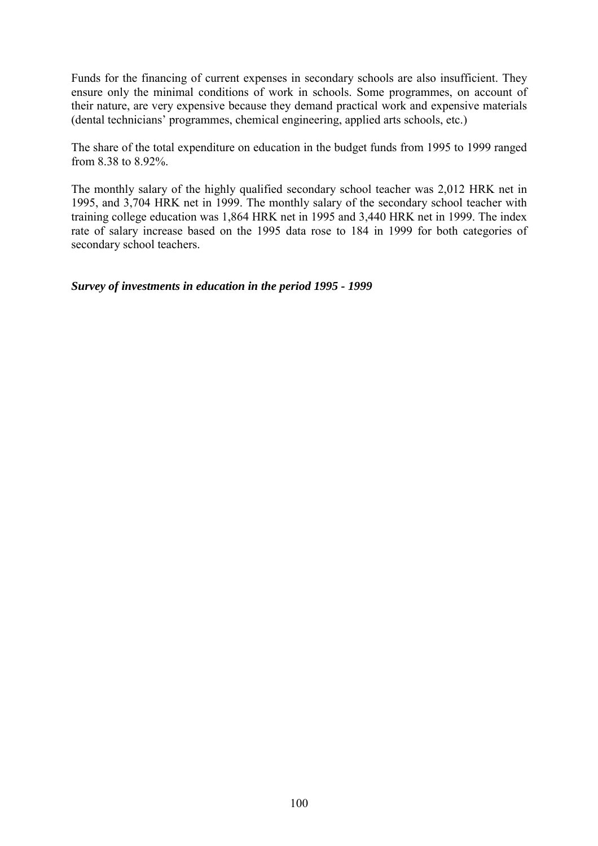Funds for the financing of current expenses in secondary schools are also insufficient. They ensure only the minimal conditions of work in schools. Some programmes, on account of their nature, are very expensive because they demand practical work and expensive materials (dental technicians' programmes, chemical engineering, applied arts schools, etc.)

The share of the total expenditure on education in the budget funds from 1995 to 1999 ranged from 8.38 to 8.92%.

The monthly salary of the highly qualified secondary school teacher was 2,012 HRK net in 1995, and 3,704 HRK net in 1999. The monthly salary of the secondary school teacher with training college education was 1,864 HRK net in 1995 and 3,440 HRK net in 1999. The index rate of salary increase based on the 1995 data rose to 184 in 1999 for both categories of secondary school teachers.

*Survey of investments in education in the period 1995 - 1999*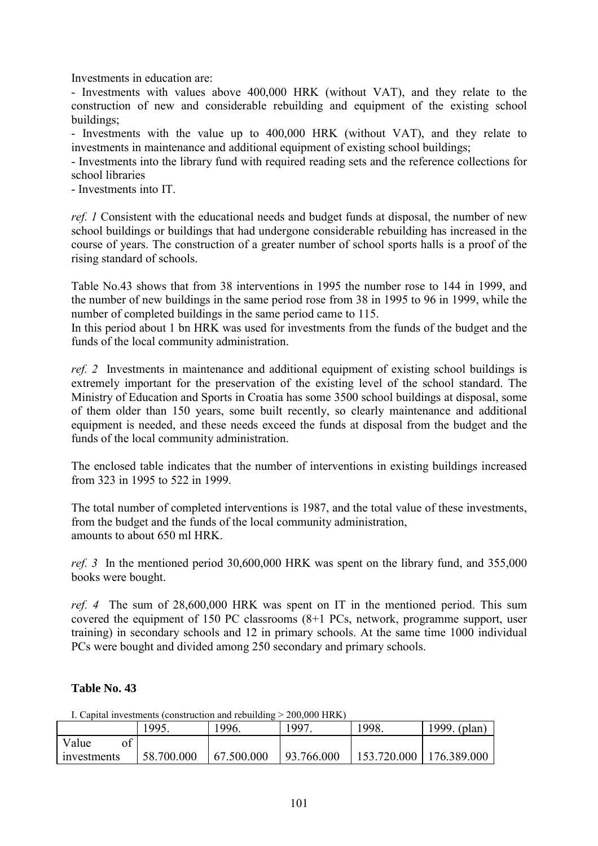Investments in education are:

- Investments with values above 400,000 HRK (without VAT), and they relate to the construction of new and considerable rebuilding and equipment of the existing school buildings;

- Investments with the value up to 400,000 HRK (without VAT), and they relate to investments in maintenance and additional equipment of existing school buildings;

- Investments into the library fund with required reading sets and the reference collections for school libraries

- Investments into IT.

*ref. 1* Consistent with the educational needs and budget funds at disposal, the number of new school buildings or buildings that had undergone considerable rebuilding has increased in the course of years. The construction of a greater number of school sports halls is a proof of the rising standard of schools.

Table No.43 shows that from 38 interventions in 1995 the number rose to 144 in 1999, and the number of new buildings in the same period rose from 38 in 1995 to 96 in 1999, while the number of completed buildings in the same period came to 115.

In this period about 1 bn HRK was used for investments from the funds of the budget and the funds of the local community administration.

*ref. 2* Investments in maintenance and additional equipment of existing school buildings is extremely important for the preservation of the existing level of the school standard. The Ministry of Education and Sports in Croatia has some 3500 school buildings at disposal, some of them older than 150 years, some built recently, so clearly maintenance and additional equipment is needed, and these needs exceed the funds at disposal from the budget and the funds of the local community administration.

The enclosed table indicates that the number of interventions in existing buildings increased from 323 in 1995 to 522 in 1999.

The total number of completed interventions is 1987, and the total value of these investments, from the budget and the funds of the local community administration, amounts to about 650 ml HRK.

*ref. 3* In the mentioned period 30,600,000 HRK was spent on the library fund, and 355,000 books were bought.

*ref. 4* The sum of 28,600,000 HRK was spent on IT in the mentioned period. This sum covered the equipment of 150 PC classrooms (8+1 PCs, network, programme support, user training) in secondary schools and 12 in primary schools. At the same time 1000 individual PCs were bought and divided among 250 secondary and primary schools.

# **Table No. 43**

|  | I. Capital investments (construction and rebuilding > 200,000 HRK) |  |
|--|--------------------------------------------------------------------|--|
|--|--------------------------------------------------------------------|--|

|             | 1995.      | 1996.      | 997        | 1998.       | 1999. (plan) |
|-------------|------------|------------|------------|-------------|--------------|
| Value       |            |            |            |             |              |
| investments | 58.700.000 | 67.500.000 | 93.766.000 | 153.720.000 | 176.389.000  |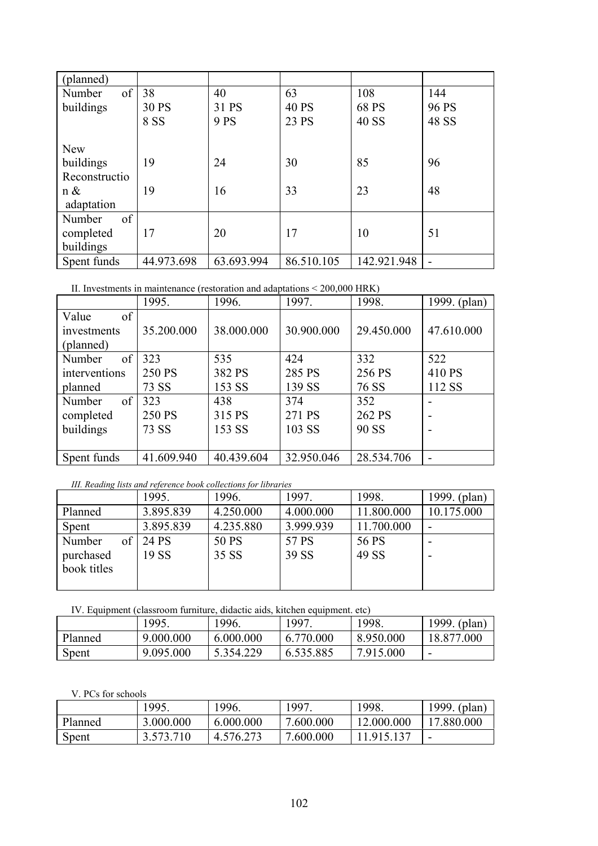| (planned)     |            |            |              |             |                |
|---------------|------------|------------|--------------|-------------|----------------|
| of<br>Number  | 38         | 40         | 63           | 108         | 144            |
| buildings     | 30 PS      | 31 PS      | <b>40 PS</b> | 68 PS       | 96 PS          |
|               | 8 SS       | 9 PS       | 23 PS        | 40 SS       | 48 SS          |
|               |            |            |              |             |                |
| <b>New</b>    |            |            |              |             |                |
| buildings     | 19         | 24         | 30           | 85          | 96             |
| Reconstructio |            |            |              |             |                |
| n &           | 19         | 16         | 33           | 23          | 48             |
| adaptation    |            |            |              |             |                |
| of<br>Number  |            |            |              |             |                |
| completed     | 17         | 20         | 17           | 10          | 51             |
| buildings     |            |            |              |             |                |
| Spent funds   | 44.973.698 | 63.693.994 | 86.510.105   | 142.921.948 | $\blacksquare$ |

#### II. Investments in maintenance (restoration and adaptations < 200,000 HRK)

|               | 1995.      | 1996.      | 1997.      | 1998.      | 1999. (plan) |
|---------------|------------|------------|------------|------------|--------------|
| of<br>Value   |            |            |            |            |              |
| investments   | 35.200.000 | 38.000.000 | 30.900.000 | 29.450.000 | 47.610.000   |
| (planned)     |            |            |            |            |              |
| of<br>Number  | 323        | 535        | 424        | 332        | 522          |
| interventions | 250 PS     | 382 PS     | 285 PS     | 256 PS     | 410 PS       |
| planned       | 73 SS      | 153 SS     | 139 SS     | 76 SS      | 112 SS       |
| of<br>Number  | 323        | 438        | 374        | 352        |              |
| completed     | 250 PS     | 315 PS     | 271 PS     | 262 PS     |              |
| buildings     | 73 SS      | 153 SS     | 103 SS     | 90 SS      |              |
|               |            |            |            |            |              |
| Spent funds   | 41.609.940 | 40.439.604 | 32.950.046 | 28.534.706 | -            |

### *III. Reading lists and reference book collections for libraries*

|              | 1995.     | 1996.     | 1997.     | 1998.      | 1999. (plan) |
|--------------|-----------|-----------|-----------|------------|--------------|
| Planned      | 3.895.839 | 4.250.000 | 4.000.000 | 11.800.000 | 10.175.000   |
| Spent        | 3.895.839 | 4.235.880 | 3.999.939 | 11.700.000 |              |
| of<br>Number | 24 PS     | 50 PS     | 57 PS     | 56 PS      |              |
| purchased    | 19 SS     | 35 SS     | 39 SS     | 49 SS      |              |
| book titles  |           |           |           |            |              |
|              |           |           |           |            |              |

IV. Equipment (classroom furniture, didactic aids, kitchen equipment. etc)

|         | 1995.     | 1996.     | '997.     | 1998.     | 1999. (plan) |
|---------|-----------|-----------|-----------|-----------|--------------|
| Planned | 9.000.000 | 6.000.000 | 6.770.000 | 8.950.000 | 18.877.000   |
| Spent   | 9.095.000 | 5.354.229 | 6.535.885 | 7.915.000 |              |

#### V. PCs for schools

|         | 1995.     | 1996.     | 1997.     | 1998.      | 1999. (plan) |
|---------|-----------|-----------|-----------|------------|--------------|
| Planned | 3.000.000 | 6.000.000 | 7.600.000 | 12.000.000 | 17.880.000   |
| Spent   | .573.710  | 4.576.273 | 7.600.000 | 1915137    | -            |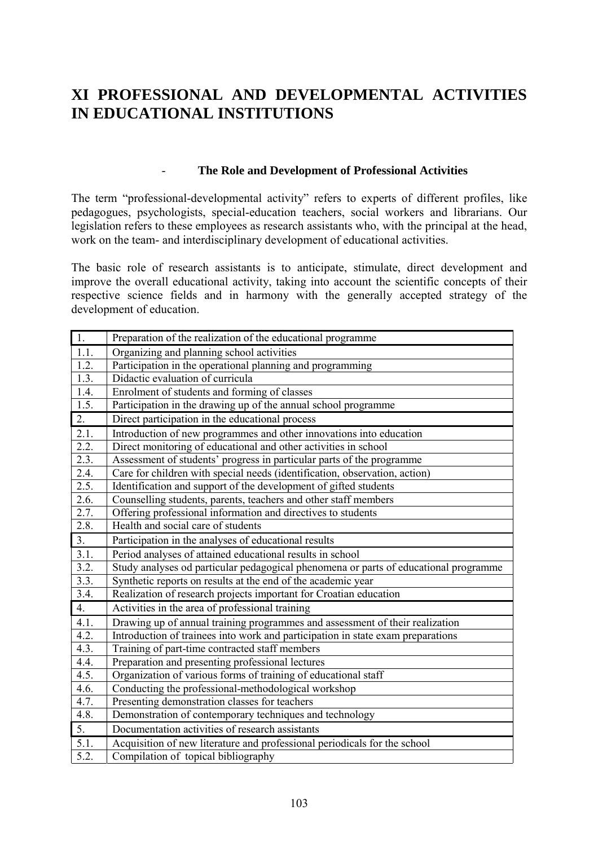# **XI PROFESSIONAL AND DEVELOPMENTAL ACTIVITIES IN EDUCATIONAL INSTITUTIONS**

# - **The Role and Development of Professional Activities**

The term "professional-developmental activity" refers to experts of different profiles, like pedagogues, psychologists, special-education teachers, social workers and librarians. Our legislation refers to these employees as research assistants who, with the principal at the head, work on the team- and interdisciplinary development of educational activities.

The basic role of research assistants is to anticipate, stimulate, direct development and improve the overall educational activity, taking into account the scientific concepts of their respective science fields and in harmony with the generally accepted strategy of the development of education.

| $\overline{1}$ .   | Preparation of the realization of the educational programme                          |
|--------------------|--------------------------------------------------------------------------------------|
| 1.1.               | Organizing and planning school activities                                            |
| 1.2.               | Participation in the operational planning and programming                            |
| 1.3.               | Didactic evaluation of curricula                                                     |
| 1.4.               | Enrolment of students and forming of classes                                         |
| 1.5.               | Participation in the drawing up of the annual school programme                       |
| 2.                 | Direct participation in the educational process                                      |
| 2.1.               | Introduction of new programmes and other innovations into education                  |
| 2.2.               | Direct monitoring of educational and other activities in school                      |
| 2.3.               | Assessment of students' progress in particular parts of the programme                |
| 2.4.               | Care for children with special needs (identification, observation, action)           |
| 2.5.               | Identification and support of the development of gifted students                     |
| 2.6.               | Counselling students, parents, teachers and other staff members                      |
| 2.7.               | Offering professional information and directives to students                         |
| 2.8.               | Health and social care of students                                                   |
| 3.                 | Participation in the analyses of educational results                                 |
| 3.1.               | Period analyses of attained educational results in school                            |
| 3.2.               | Study analyses od particular pedagogical phenomena or parts of educational programme |
| 3.3.               | Synthetic reports on results at the end of the academic year                         |
| 3.4.               | Realization of research projects important for Croatian education                    |
| $\overline{4}$ .   | Activities in the area of professional training                                      |
| 4.1.               | Drawing up of annual training programmes and assessment of their realization         |
| 4.2.               | Introduction of trainees into work and participation in state exam preparations      |
| 4.3.               | Training of part-time contracted staff members                                       |
| 4.4.               | Preparation and presenting professional lectures                                     |
| 4.5.               | Organization of various forms of training of educational staff                       |
| 4.6.               | Conducting the professional-methodological workshop                                  |
| 4.7.               | Presenting demonstration classes for teachers                                        |
| 4.8.               | Demonstration of contemporary techniques and technology                              |
| $\overline{5}$ .   | Documentation activities of research assistants                                      |
| $\overline{5.1}$ . | Acquisition of new literature and professional periodicals for the school            |
| 5.2.               | Compilation of topical bibliography                                                  |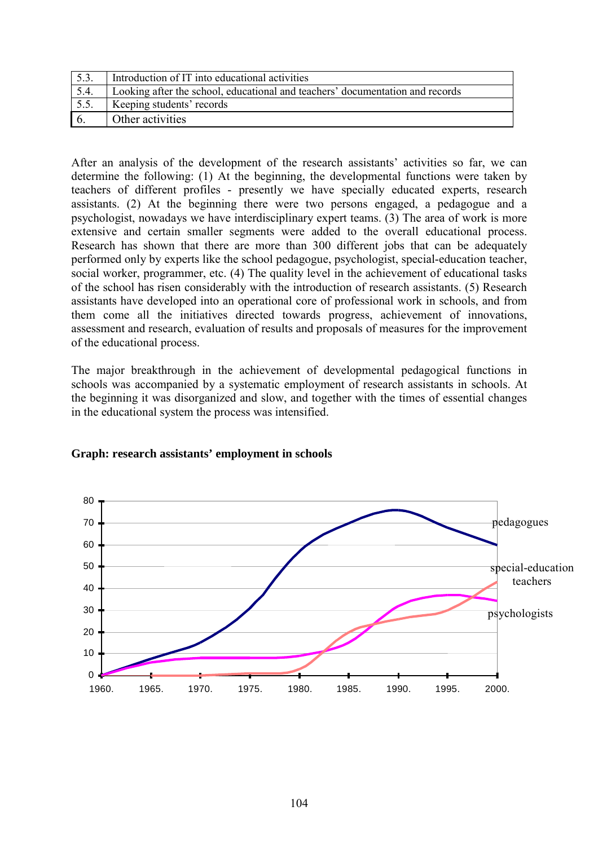| 5.3. | Introduction of IT into educational activities                                |
|------|-------------------------------------------------------------------------------|
| 5.4. | Looking after the school, educational and teachers' documentation and records |
| 5.5. | Keeping students' records                                                     |
|      | Other activities                                                              |

After an analysis of the development of the research assistants' activities so far, we can determine the following: (1) At the beginning, the developmental functions were taken by teachers of different profiles - presently we have specially educated experts, research assistants. (2) At the beginning there were two persons engaged, a pedagogue and a psychologist, nowadays we have interdisciplinary expert teams. (3) The area of work is more extensive and certain smaller segments were added to the overall educational process. Research has shown that there are more than 300 different jobs that can be adequately performed only by experts like the school pedagogue, psychologist, special-education teacher, social worker, programmer, etc. (4) The quality level in the achievement of educational tasks of the school has risen considerably with the introduction of research assistants. (5) Research assistants have developed into an operational core of professional work in schools, and from them come all the initiatives directed towards progress, achievement of innovations, assessment and research, evaluation of results and proposals of measures for the improvement of the educational process.

The major breakthrough in the achievement of developmental pedagogical functions in schools was accompanied by a systematic employment of research assistants in schools. At the beginning it was disorganized and slow, and together with the times of essential changes in the educational system the process was intensified.



# **Graph: research assistants' employment in schools**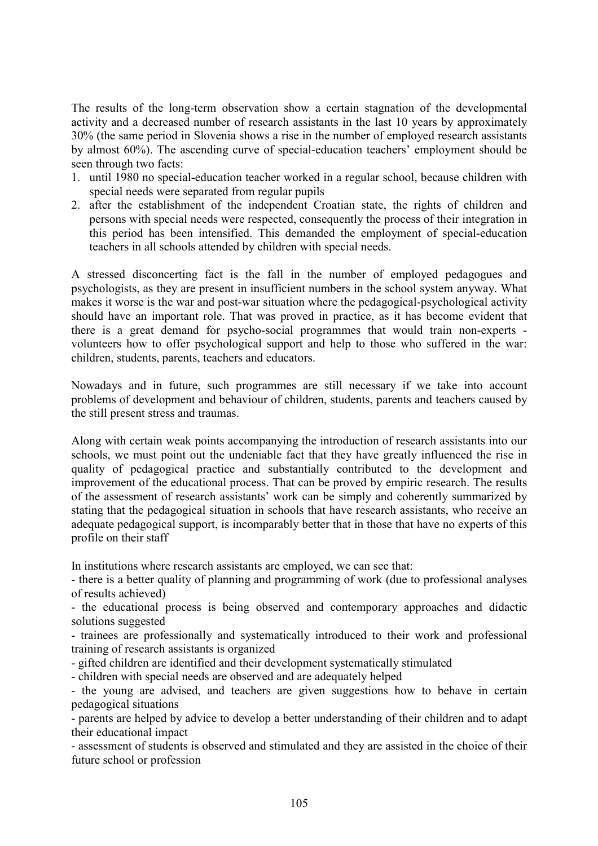The results of the long-term observation show a certain stagnation of the developmental activity and a decreased number of research assistants in the last 10 years by approximately 30% (the same period in Slovenia shows a rise in the number of employed research assistants by almost 60%). The ascending curve of special-education teachers' employment should be seen through two facts:

- 1. until 1980 no special-education teacher worked in a regular school, because children with special needs were separated from regular pupils
- 2. after the establishment of the independent Croatian state, the rights of children and persons with special needs were respected, consequently the process of their integration in this period has been intensified. This demanded the employment of special-education teachers in all schools attended by children with special needs.

A stressed disconcerting fact is the fall in the number of employed pedagogues and psychologists, as they are present in insufficient numbers in the school system anyway. What makes it worse is the war and post-war situation where the pedagogical-psychological activity should have an important role. That was proved in practice, as it has become evident that there is a great demand for psycho-social programmes that would train non-experts volunteers how to offer psychological support and help to those who suffered in the war: children, students, parents, teachers and educators.

Nowadays and in future, such programmes are still necessary if we take into account problems of development and behaviour of children, students, parents and teachers caused by the still present stress and traumas.

Along with certain weak points accompanying the introduction of research assistants into our schools, we must point out the undeniable fact that they have greatly influenced the rise in quality of pedagogical practice and substantially contributed to the development and improvement of the educational process. That can be proved by empiric research. The results of the assessment of research assistants' work can be simply and coherently summarized by stating that the pedagogical situation in schools that have research assistants, who receive an adequate pedagogical support, is incomparably better that in those that have no experts of this profile on their staff

In institutions where research assistants are employed, we can see that:

- there is a better quality of planning and programming of work (due to professional analyses of results achieved)

- the educational process is being observed and contemporary approaches and didactic solutions suggested

- trainees are professionally and systematically introduced to their work and professional training of research assistants is organized

- gifted children are identified and their development systematically stimulated

- children with special needs are observed and are adequately helped

- the young are advised, and teachers are given suggestions how to behave in certain pedagogical situations

- parents are helped by advice to develop a better understanding of their children and to adapt their educational impact

- assessment of students is observed and stimulated and they are assisted in the choice of their future school or profession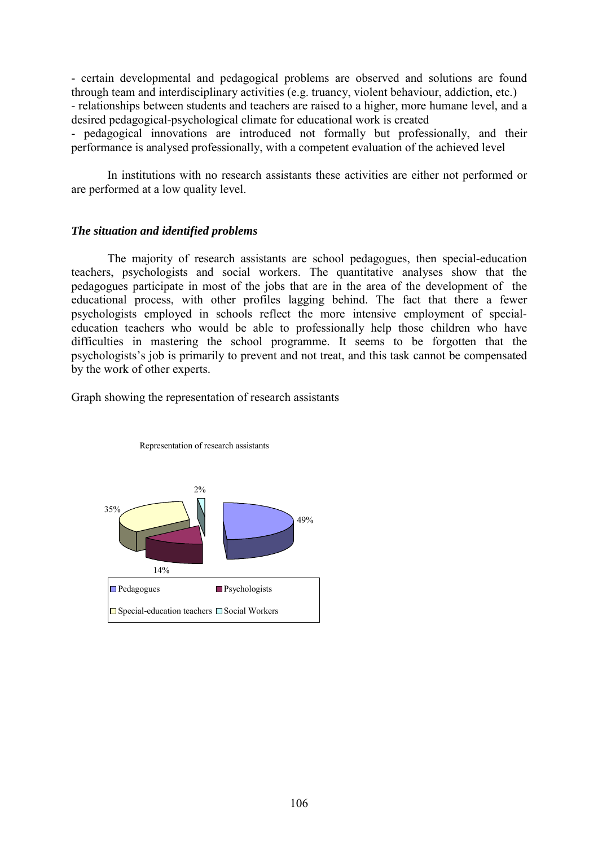- certain developmental and pedagogical problems are observed and solutions are found through team and interdisciplinary activities (e.g. truancy, violent behaviour, addiction, etc.) - relationships between students and teachers are raised to a higher, more humane level, and a desired pedagogical-psychological climate for educational work is created

- pedagogical innovations are introduced not formally but professionally, and their performance is analysed professionally, with a competent evaluation of the achieved level

In institutions with no research assistants these activities are either not performed or are performed at a low quality level.

### *The situation and identified problems*

The majority of research assistants are school pedagogues, then special-education teachers, psychologists and social workers. The quantitative analyses show that the pedagogues participate in most of the jobs that are in the area of the development of the educational process, with other profiles lagging behind. The fact that there a fewer psychologists employed in schools reflect the more intensive employment of specialeducation teachers who would be able to professionally help those children who have difficulties in mastering the school programme. It seems to be forgotten that the psychologists's job is primarily to prevent and not treat, and this task cannot be compensated by the work of other experts.

Graph showing the representation of research assistants



Representation of research assistants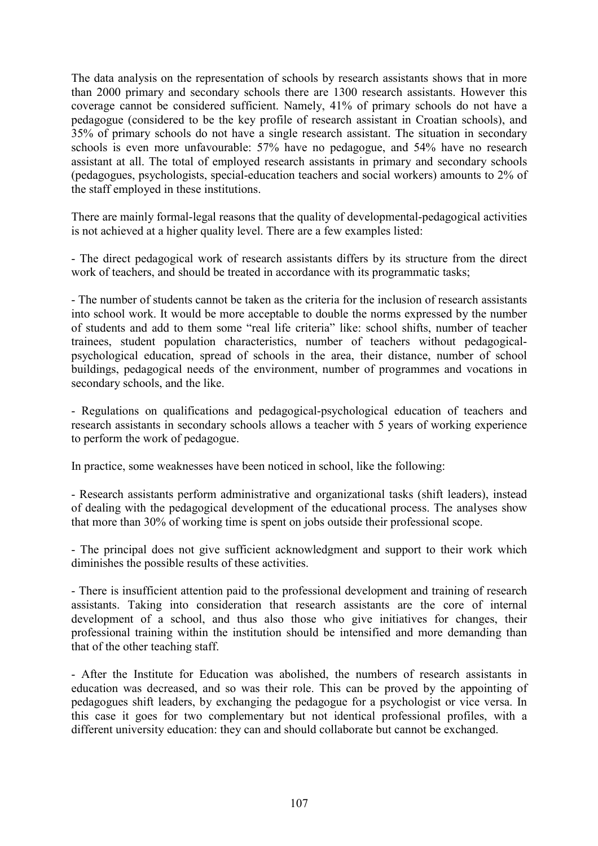The data analysis on the representation of schools by research assistants shows that in more than 2000 primary and secondary schools there are 1300 research assistants. However this coverage cannot be considered sufficient. Namely, 41% of primary schools do not have a pedagogue (considered to be the key profile of research assistant in Croatian schools), and 35% of primary schools do not have a single research assistant. The situation in secondary schools is even more unfavourable: 57% have no pedagogue, and 54% have no research assistant at all. The total of employed research assistants in primary and secondary schools (pedagogues, psychologists, special-education teachers and social workers) amounts to 2% of the staff employed in these institutions.

There are mainly formal-legal reasons that the quality of developmental-pedagogical activities is not achieved at a higher quality level. There are a few examples listed:

- The direct pedagogical work of research assistants differs by its structure from the direct work of teachers, and should be treated in accordance with its programmatic tasks;

- The number of students cannot be taken as the criteria for the inclusion of research assistants into school work. It would be more acceptable to double the norms expressed by the number of students and add to them some "real life criteria" like: school shifts, number of teacher trainees, student population characteristics, number of teachers without pedagogicalpsychological education, spread of schools in the area, their distance, number of school buildings, pedagogical needs of the environment, number of programmes and vocations in secondary schools, and the like.

- Regulations on qualifications and pedagogical-psychological education of teachers and research assistants in secondary schools allows a teacher with 5 years of working experience to perform the work of pedagogue.

In practice, some weaknesses have been noticed in school, like the following:

- Research assistants perform administrative and organizational tasks (shift leaders), instead of dealing with the pedagogical development of the educational process. The analyses show that more than 30% of working time is spent on jobs outside their professional scope.

- The principal does not give sufficient acknowledgment and support to their work which diminishes the possible results of these activities.

- There is insufficient attention paid to the professional development and training of research assistants. Taking into consideration that research assistants are the core of internal development of a school, and thus also those who give initiatives for changes, their professional training within the institution should be intensified and more demanding than that of the other teaching staff.

- After the Institute for Education was abolished, the numbers of research assistants in education was decreased, and so was their role. This can be proved by the appointing of pedagogues shift leaders, by exchanging the pedagogue for a psychologist or vice versa. In this case it goes for two complementary but not identical professional profiles, with a different university education: they can and should collaborate but cannot be exchanged.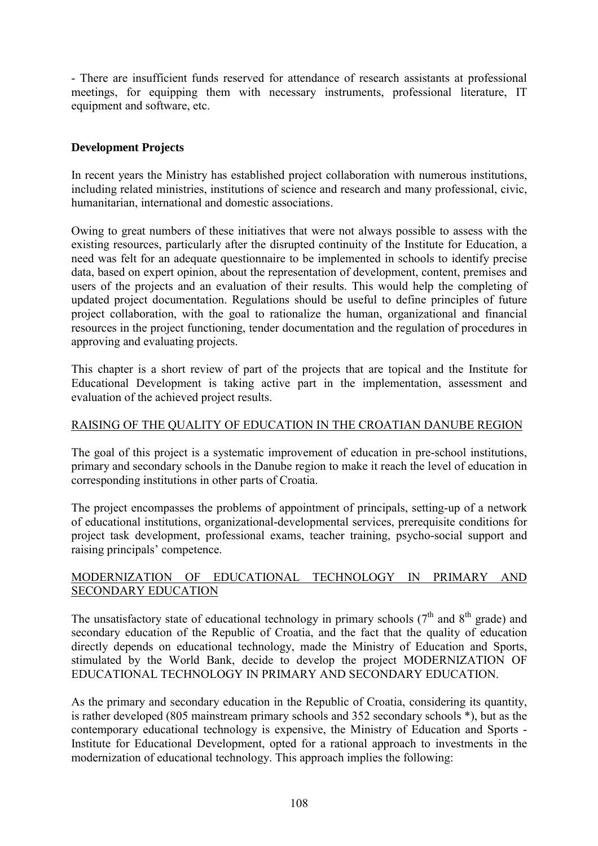- There are insufficient funds reserved for attendance of research assistants at professional meetings, for equipping them with necessary instruments, professional literature, IT equipment and software, etc.

# **Development Projects**

In recent years the Ministry has established project collaboration with numerous institutions, including related ministries, institutions of science and research and many professional, civic, humanitarian, international and domestic associations.

Owing to great numbers of these initiatives that were not always possible to assess with the existing resources, particularly after the disrupted continuity of the Institute for Education, a need was felt for an adequate questionnaire to be implemented in schools to identify precise data, based on expert opinion, about the representation of development, content, premises and users of the projects and an evaluation of their results. This would help the completing of updated project documentation. Regulations should be useful to define principles of future project collaboration, with the goal to rationalize the human, organizational and financial resources in the project functioning, tender documentation and the regulation of procedures in approving and evaluating projects.

This chapter is a short review of part of the projects that are topical and the Institute for Educational Development is taking active part in the implementation, assessment and evaluation of the achieved project results.

### RAISING OF THE QUALITY OF EDUCATION IN THE CROATIAN DANUBE REGION

The goal of this project is a systematic improvement of education in pre-school institutions, primary and secondary schools in the Danube region to make it reach the level of education in corresponding institutions in other parts of Croatia.

The project encompasses the problems of appointment of principals, setting-up of a network of educational institutions, organizational-developmental services, prerequisite conditions for project task development, professional exams, teacher training, psycho-social support and raising principals' competence.

### MODERNIZATION OF EDUCATIONAL TECHNOLOGY IN PRIMARY AND SECONDARY EDUCATION

The unsatisfactory state of educational technology in primary schools  $(7<sup>th</sup>$  and  $8<sup>th</sup>$  grade) and secondary education of the Republic of Croatia, and the fact that the quality of education directly depends on educational technology, made the Ministry of Education and Sports, stimulated by the World Bank, decide to develop the project MODERNIZATION OF EDUCATIONAL TECHNOLOGY IN PRIMARY AND SECONDARY EDUCATION.

As the primary and secondary education in the Republic of Croatia, considering its quantity, is rather developed (805 mainstream primary schools and 352 secondary schools \*), but as the contemporary educational technology is expensive, the Ministry of Education and Sports - Institute for Educational Development, opted for a rational approach to investments in the modernization of educational technology. This approach implies the following: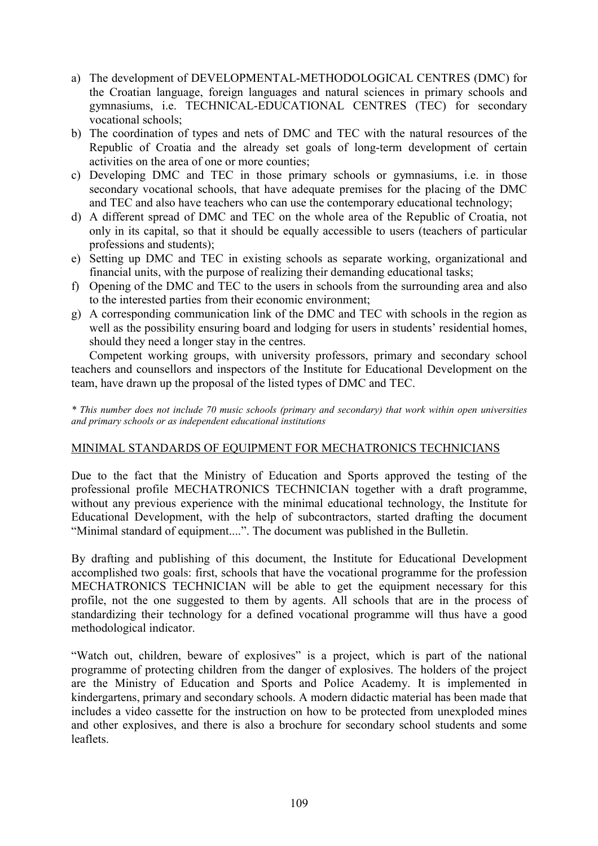- a) The development of DEVELOPMENTAL-METHODOLOGICAL CENTRES (DMC) for the Croatian language, foreign languages and natural sciences in primary schools and gymnasiums, i.e. TECHNICAL-EDUCATIONAL CENTRES (TEC) for secondary vocational schools;
- b) The coordination of types and nets of DMC and TEC with the natural resources of the Republic of Croatia and the already set goals of long-term development of certain activities on the area of one or more counties;
- c) Developing DMC and TEC in those primary schools or gymnasiums, i.e. in those secondary vocational schools, that have adequate premises for the placing of the DMC and TEC and also have teachers who can use the contemporary educational technology;
- d) A different spread of DMC and TEC on the whole area of the Republic of Croatia, not only in its capital, so that it should be equally accessible to users (teachers of particular professions and students);
- e) Setting up DMC and TEC in existing schools as separate working, organizational and financial units, with the purpose of realizing their demanding educational tasks;
- f) Opening of the DMC and TEC to the users in schools from the surrounding area and also to the interested parties from their economic environment;
- g) A corresponding communication link of the DMC and TEC with schools in the region as well as the possibility ensuring board and lodging for users in students' residential homes, should they need a longer stay in the centres.

 Competent working groups, with university professors, primary and secondary school teachers and counsellors and inspectors of the Institute for Educational Development on the team, have drawn up the proposal of the listed types of DMC and TEC.

*\* This number does not include 70 music schools (primary and secondary) that work within open universities and primary schools or as independent educational institutions*

## MINIMAL STANDARDS OF EQUIPMENT FOR MECHATRONICS TECHNICIANS

Due to the fact that the Ministry of Education and Sports approved the testing of the professional profile MECHATRONICS TECHNICIAN together with a draft programme, without any previous experience with the minimal educational technology, the Institute for Educational Development, with the help of subcontractors, started drafting the document "Minimal standard of equipment....". The document was published in the Bulletin.

By drafting and publishing of this document, the Institute for Educational Development accomplished two goals: first, schools that have the vocational programme for the profession MECHATRONICS TECHNICIAN will be able to get the equipment necessary for this profile, not the one suggested to them by agents. All schools that are in the process of standardizing their technology for a defined vocational programme will thus have a good methodological indicator.

"Watch out, children, beware of explosives" is a project, which is part of the national programme of protecting children from the danger of explosives. The holders of the project are the Ministry of Education and Sports and Police Academy. It is implemented in kindergartens, primary and secondary schools. A modern didactic material has been made that includes a video cassette for the instruction on how to be protected from unexploded mines and other explosives, and there is also a brochure for secondary school students and some leaflets.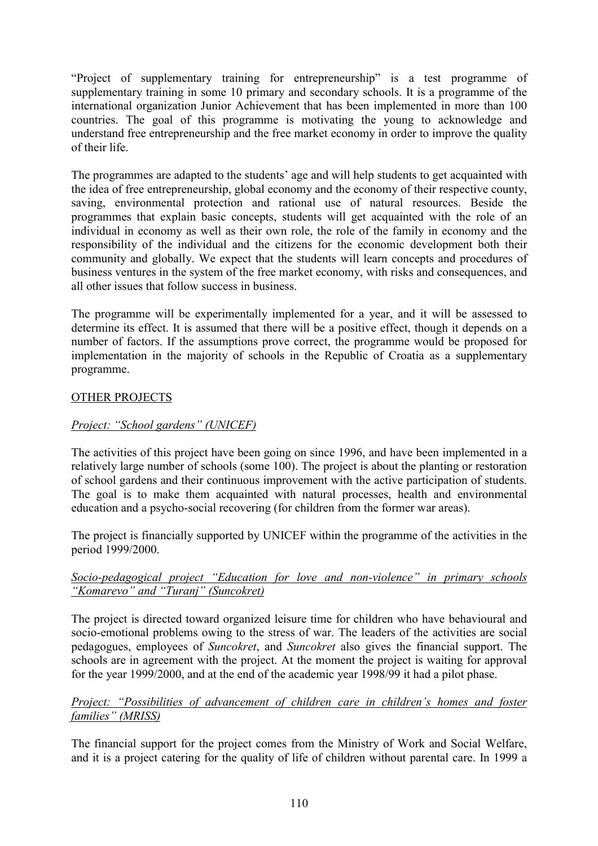<sup>"</sup>Project of supplementary training for entrepreneurship" is a test programme of supplementary training in some 10 primary and secondary schools. It is a programme of the international organization Junior Achievement that has been implemented in more than 100 countries. The goal of this programme is motivating the young to acknowledge and understand free entrepreneurship and the free market economy in order to improve the quality of their life.

The programmes are adapted to the students' age and will help students to get acquainted with the idea of free entrepreneurship, global economy and the economy of their respective county, saving, environmental protection and rational use of natural resources. Beside the programmes that explain basic concepts, students will get acquainted with the role of an individual in economy as well as their own role, the role of the family in economy and the responsibility of the individual and the citizens for the economic development both their community and globally. We expect that the students will learn concepts and procedures of business ventures in the system of the free market economy, with risks and consequences, and all other issues that follow success in business.

The programme will be experimentally implemented for a year, and it will be assessed to determine its effect. It is assumed that there will be a positive effect, though it depends on a number of factors. If the assumptions prove correct, the programme would be proposed for implementation in the majority of schools in the Republic of Croatia as a supplementary programme.

# OTHER PROJECTS

## *Project: "School gardens" (UNICEF)*

The activities of this project have been going on since 1996, and have been implemented in a relatively large number of schools (some 100). The project is about the planting or restoration of school gardens and their continuous improvement with the active participation of students. The goal is to make them acquainted with natural processes, health and environmental education and a psycho-social recovering (for children from the former war areas).

The project is financially supported by UNICEF within the programme of the activities in the period 1999/2000.

## *Socio-pedagogical project "Education for love and non-violence" in primary schools <sup><i>iKomarevo*<sup>*n*</sup> and *<i>ITurani*<sup>*n*</sup> (Suncokret)</sub></sup>

The project is directed toward organized leisure time for children who have behavioural and socio-emotional problems owing to the stress of war. The leaders of the activities are social pedagogues, employees of *Suncokret*, and *Suncokret* also gives the financial support. The schools are in agreement with the project. At the moment the project is waiting for approval for the year 1999/2000, and at the end of the academic year 1998/99 it had a pilot phase.

## *Project: "Possibilities of advancement of children care in children's homes and foster families*" (MRISS)

The financial support for the project comes from the Ministry of Work and Social Welfare, and it is a project catering for the quality of life of children without parental care. In 1999 a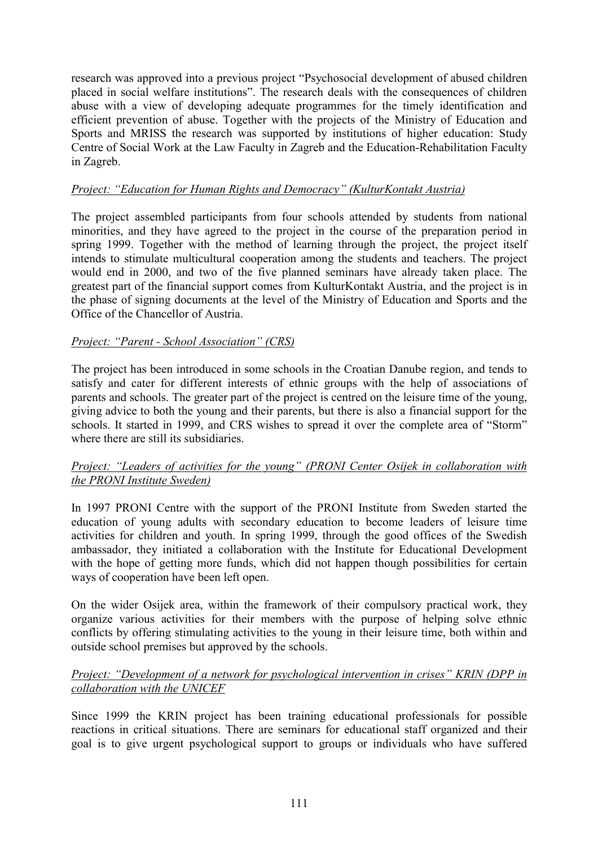research was approved into a previous project "Psychosocial development of abused children placed in social welfare institutionsî. The research deals with the consequences of children abuse with a view of developing adequate programmes for the timely identification and efficient prevention of abuse. Together with the projects of the Ministry of Education and Sports and MRISS the research was supported by institutions of higher education: Study Centre of Social Work at the Law Faculty in Zagreb and the Education-Rehabilitation Faculty in Zagreb.

## *Project: ìEducation for Human Rights and Democracyî (KulturKontakt Austria)*

The project assembled participants from four schools attended by students from national minorities, and they have agreed to the project in the course of the preparation period in spring 1999. Together with the method of learning through the project, the project itself intends to stimulate multicultural cooperation among the students and teachers. The project would end in 2000, and two of the five planned seminars have already taken place. The greatest part of the financial support comes from KulturKontakt Austria, and the project is in the phase of signing documents at the level of the Ministry of Education and Sports and the Office of the Chancellor of Austria.

## *Project: "Parent - School Association" (CRS)*

The project has been introduced in some schools in the Croatian Danube region, and tends to satisfy and cater for different interests of ethnic groups with the help of associations of parents and schools. The greater part of the project is centred on the leisure time of the young, giving advice to both the young and their parents, but there is also a financial support for the schools. It started in 1999, and CRS wishes to spread it over the complete area of "Storm" where there are still its subsidiaries.

## *Project: "Leaders of activities for the young" (PRONI Center Osijek in collaboration with the PRONI Institute Sweden)*

In 1997 PRONI Centre with the support of the PRONI Institute from Sweden started the education of young adults with secondary education to become leaders of leisure time activities for children and youth. In spring 1999, through the good offices of the Swedish ambassador, they initiated a collaboration with the Institute for Educational Development with the hope of getting more funds, which did not happen though possibilities for certain ways of cooperation have been left open.

On the wider Osijek area, within the framework of their compulsory practical work, they organize various activities for their members with the purpose of helping solve ethnic conflicts by offering stimulating activities to the young in their leisure time, both within and outside school premises but approved by the schools.

## *Project: "Development of a network for psychological intervention in crises" KRIN (DPP in collaboration with the UNICEF*

Since 1999 the KRIN project has been training educational professionals for possible reactions in critical situations. There are seminars for educational staff organized and their goal is to give urgent psychological support to groups or individuals who have suffered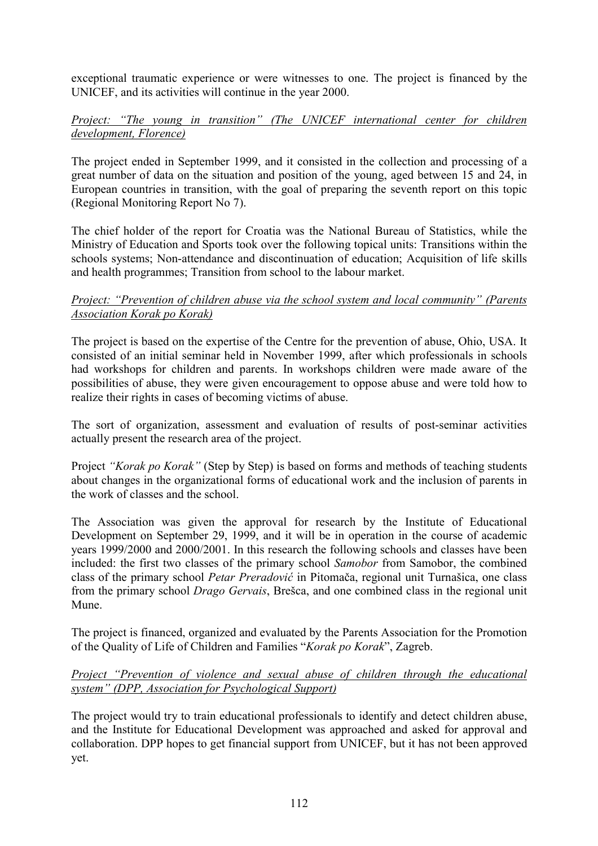exceptional traumatic experience or were witnesses to one. The project is financed by the UNICEF, and its activities will continue in the year 2000.

## *Project: "The young in transition" (The UNICEF international center for children development, Florence)*

The project ended in September 1999, and it consisted in the collection and processing of a great number of data on the situation and position of the young, aged between 15 and 24, in European countries in transition, with the goal of preparing the seventh report on this topic (Regional Monitoring Report No 7).

The chief holder of the report for Croatia was the National Bureau of Statistics, while the Ministry of Education and Sports took over the following topical units: Transitions within the schools systems; Non-attendance and discontinuation of education; Acquisition of life skills and health programmes; Transition from school to the labour market.

## *Project: "Prevention of children abuse via the school system and local community" (Parents Association Korak po Korak)*

The project is based on the expertise of the Centre for the prevention of abuse, Ohio, USA. It consisted of an initial seminar held in November 1999, after which professionals in schools had workshops for children and parents. In workshops children were made aware of the possibilities of abuse, they were given encouragement to oppose abuse and were told how to realize their rights in cases of becoming victims of abuse.

The sort of organization, assessment and evaluation of results of post-seminar activities actually present the research area of the project.

Project *"Korak po Korak"* (Step by Step) is based on forms and methods of teaching students about changes in the organizational forms of educational work and the inclusion of parents in the work of classes and the school.

The Association was given the approval for research by the Institute of Educational Development on September 29, 1999, and it will be in operation in the course of academic years 1999/2000 and 2000/2001. In this research the following schools and classes have been included: the first two classes of the primary school *Samobor* from Samobor, the combined class of the primary school *Petar Preradović* in Pitomača, regional unit Turnaöica, one class from the primary school *Drago Gervais*, Breöca, and one combined class in the regional unit Mune.

The project is financed, organized and evaluated by the Parents Association for the Promotion of the Quality of Life of Children and Families *"Korak po Korak"*, Zagreb.

## *Project "Prevention of violence and sexual abuse of children through the educational systemî (DPP, Association for Psychological Support)*

The project would try to train educational professionals to identify and detect children abuse, and the Institute for Educational Development was approached and asked for approval and collaboration. DPP hopes to get financial support from UNICEF, but it has not been approved yet.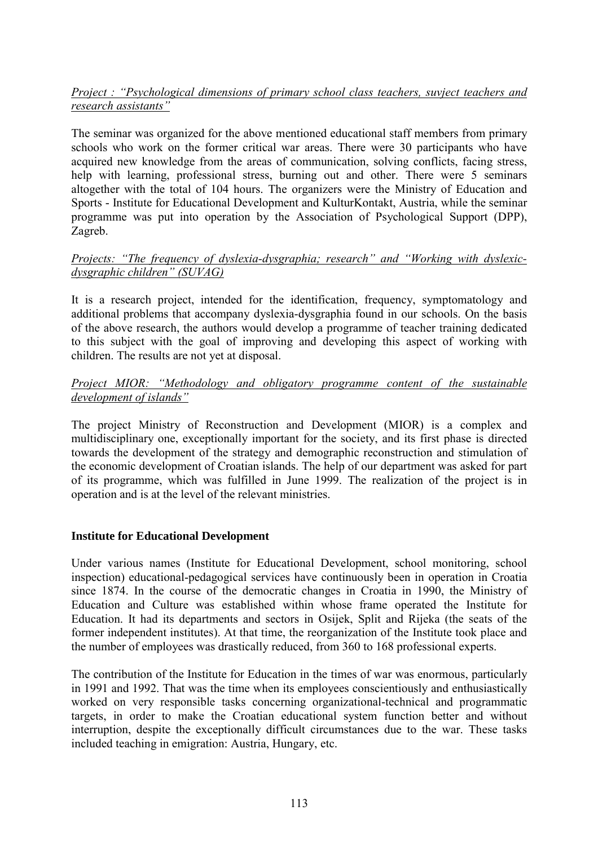## *Project : "Psychological dimensions of primary school class teachers, suviect teachers and research assistants*"

The seminar was organized for the above mentioned educational staff members from primary schools who work on the former critical war areas. There were 30 participants who have acquired new knowledge from the areas of communication, solving conflicts, facing stress, help with learning, professional stress, burning out and other. There were 5 seminars altogether with the total of 104 hours. The organizers were the Ministry of Education and Sports - Institute for Educational Development and KulturKontakt, Austria, while the seminar programme was put into operation by the Association of Psychological Support (DPP), Zagreb.

## *Projects: "The frequency of dyslexia-dysgraphia; research" and "Working with dyslexicdysgraphic childrenî (SUVAG)*

It is a research project, intended for the identification, frequency, symptomatology and additional problems that accompany dyslexia-dysgraphia found in our schools. On the basis of the above research, the authors would develop a programme of teacher training dedicated to this subject with the goal of improving and developing this aspect of working with children. The results are not yet at disposal.

## *Project MIOR: "Methodology and obligatory programme content of the sustainable development of islands*"

The project Ministry of Reconstruction and Development (MIOR) is a complex and multidisciplinary one, exceptionally important for the society, and its first phase is directed towards the development of the strategy and demographic reconstruction and stimulation of the economic development of Croatian islands. The help of our department was asked for part of its programme, which was fulfilled in June 1999. The realization of the project is in operation and is at the level of the relevant ministries.

## **Institute for Educational Development**

Under various names (Institute for Educational Development, school monitoring, school inspection) educational-pedagogical services have continuously been in operation in Croatia since 1874. In the course of the democratic changes in Croatia in 1990, the Ministry of Education and Culture was established within whose frame operated the Institute for Education. It had its departments and sectors in Osijek, Split and Rijeka (the seats of the former independent institutes). At that time, the reorganization of the Institute took place and the number of employees was drastically reduced, from 360 to 168 professional experts.

The contribution of the Institute for Education in the times of war was enormous, particularly in 1991 and 1992. That was the time when its employees conscientiously and enthusiastically worked on very responsible tasks concerning organizational-technical and programmatic targets, in order to make the Croatian educational system function better and without interruption, despite the exceptionally difficult circumstances due to the war. These tasks included teaching in emigration: Austria, Hungary, etc.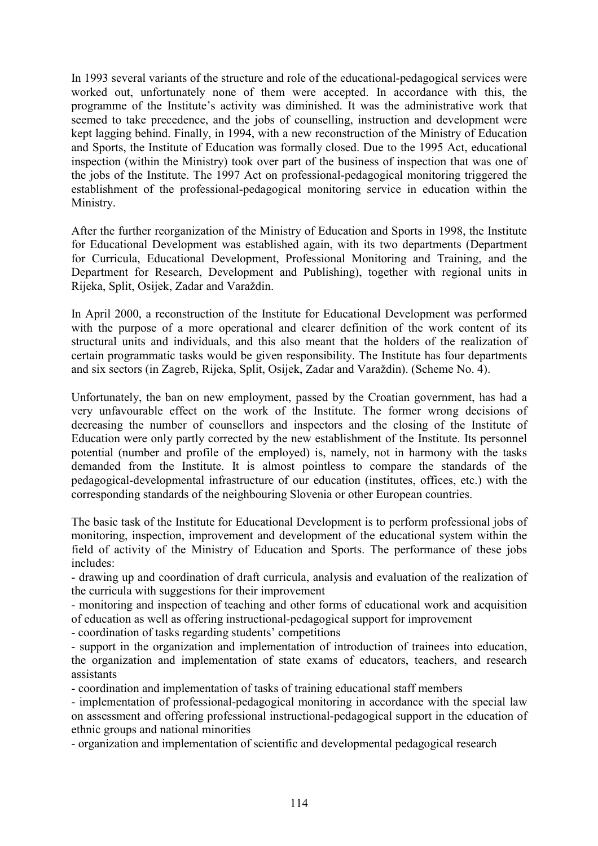In 1993 several variants of the structure and role of the educational-pedagogical services were worked out, unfortunately none of them were accepted. In accordance with this, the programme of the Institute's activity was diminished. It was the administrative work that seemed to take precedence, and the jobs of counselling, instruction and development were kept lagging behind. Finally, in 1994, with a new reconstruction of the Ministry of Education and Sports, the Institute of Education was formally closed. Due to the 1995 Act, educational inspection (within the Ministry) took over part of the business of inspection that was one of the jobs of the Institute. The 1997 Act on professional-pedagogical monitoring triggered the establishment of the professional-pedagogical monitoring service in education within the Ministry.

After the further reorganization of the Ministry of Education and Sports in 1998, the Institute for Educational Development was established again, with its two departments (Department for Curricula, Educational Development, Professional Monitoring and Training, and the Department for Research, Development and Publishing), together with regional units in Rijeka, Split, Osijek, Zadar and Varaždin.

In April 2000, a reconstruction of the Institute for Educational Development was performed with the purpose of a more operational and clearer definition of the work content of its structural units and individuals, and this also meant that the holders of the realization of certain programmatic tasks would be given responsibility. The Institute has four departments and six sectors (in Zagreb, Rijeka, Split, Osijek, Zadar and Varaždin). (Scheme No. 4).

Unfortunately, the ban on new employment, passed by the Croatian government, has had a very unfavourable effect on the work of the Institute. The former wrong decisions of decreasing the number of counsellors and inspectors and the closing of the Institute of Education were only partly corrected by the new establishment of the Institute. Its personnel potential (number and profile of the employed) is, namely, not in harmony with the tasks demanded from the Institute. It is almost pointless to compare the standards of the pedagogical-developmental infrastructure of our education (institutes, offices, etc.) with the corresponding standards of the neighbouring Slovenia or other European countries.

The basic task of the Institute for Educational Development is to perform professional jobs of monitoring, inspection, improvement and development of the educational system within the field of activity of the Ministry of Education and Sports. The performance of these jobs includes:

- drawing up and coordination of draft curricula, analysis and evaluation of the realization of the curricula with suggestions for their improvement

- monitoring and inspection of teaching and other forms of educational work and acquisition of education as well as offering instructional-pedagogical support for improvement

- coordination of tasks regarding students' competitions

- support in the organization and implementation of introduction of trainees into education, the organization and implementation of state exams of educators, teachers, and research assistants

- coordination and implementation of tasks of training educational staff members

- implementation of professional-pedagogical monitoring in accordance with the special law on assessment and offering professional instructional-pedagogical support in the education of ethnic groups and national minorities

- organization and implementation of scientific and developmental pedagogical research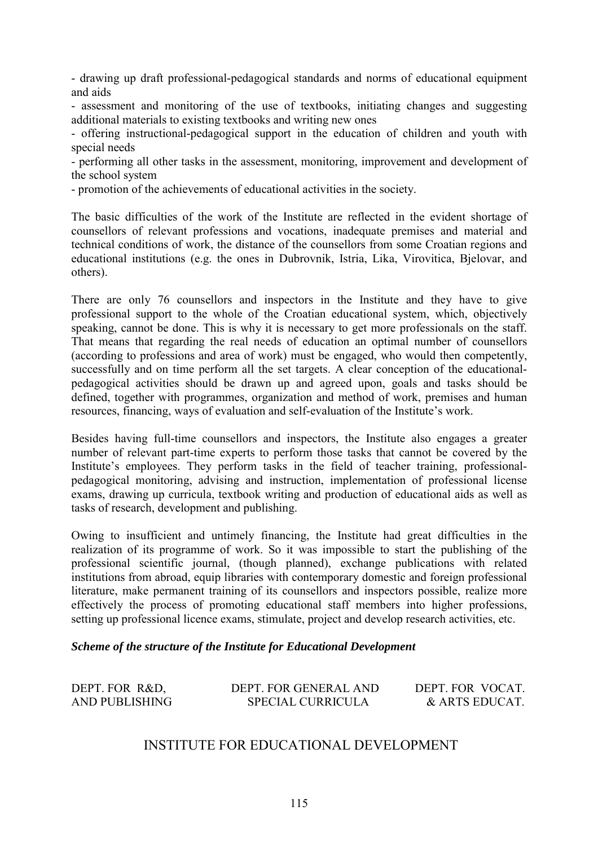- drawing up draft professional-pedagogical standards and norms of educational equipment and aids

- assessment and monitoring of the use of textbooks, initiating changes and suggesting additional materials to existing textbooks and writing new ones

- offering instructional-pedagogical support in the education of children and youth with special needs

- performing all other tasks in the assessment, monitoring, improvement and development of the school system

- promotion of the achievements of educational activities in the society.

The basic difficulties of the work of the Institute are reflected in the evident shortage of counsellors of relevant professions and vocations, inadequate premises and material and technical conditions of work, the distance of the counsellors from some Croatian regions and educational institutions (e.g. the ones in Dubrovnik, Istria, Lika, Virovitica, Bjelovar, and others).

There are only 76 counsellors and inspectors in the Institute and they have to give professional support to the whole of the Croatian educational system, which, objectively speaking, cannot be done. This is why it is necessary to get more professionals on the staff. That means that regarding the real needs of education an optimal number of counsellors (according to professions and area of work) must be engaged, who would then competently, successfully and on time perform all the set targets. A clear conception of the educationalpedagogical activities should be drawn up and agreed upon, goals and tasks should be defined, together with programmes, organization and method of work, premises and human resources, financing, ways of evaluation and self-evaluation of the Institute's work.

Besides having full-time counsellors and inspectors, the Institute also engages a greater number of relevant part-time experts to perform those tasks that cannot be covered by the Institute's employees. They perform tasks in the field of teacher training, professionalpedagogical monitoring, advising and instruction, implementation of professional license exams, drawing up curricula, textbook writing and production of educational aids as well as tasks of research, development and publishing.

Owing to insufficient and untimely financing, the Institute had great difficulties in the realization of its programme of work. So it was impossible to start the publishing of the professional scientific journal, (though planned), exchange publications with related institutions from abroad, equip libraries with contemporary domestic and foreign professional literature, make permanent training of its counsellors and inspectors possible, realize more effectively the process of promoting educational staff members into higher professions, setting up professional licence exams, stimulate, project and develop research activities, etc.

*Scheme of the structure of the Institute for Educational Development*

| DEPT. FOR R&D, | DEPT. FOR GENERAL AND    | DEPT. FOR VOCAT. |
|----------------|--------------------------|------------------|
| AND PUBLISHING | <b>SPECIAL CURRICULA</b> | & ARTS EDUCAT.   |

## INSTITUTE FOR EDUCATIONAL DEVELOPMENT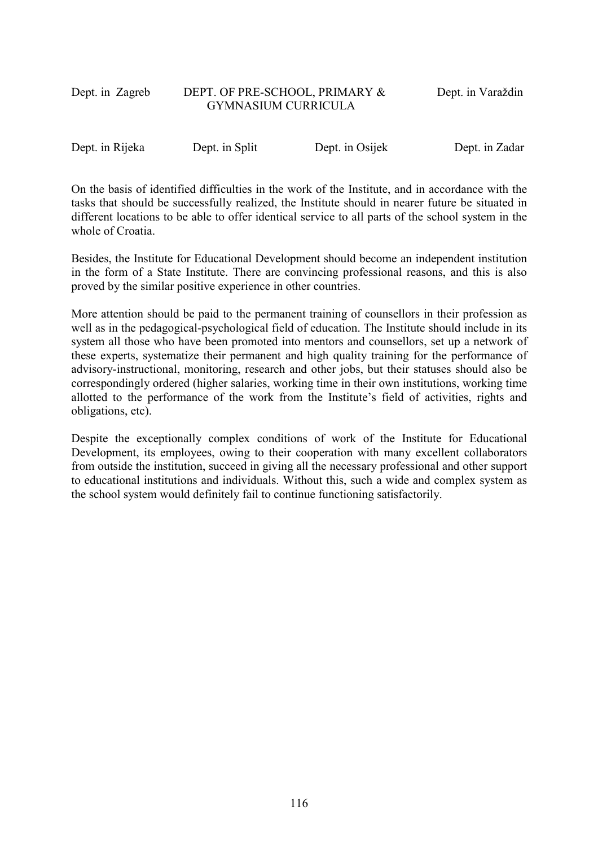## Dept. in Zagreb DEPT. OF PRE-SCHOOL, PRIMARY & Dept. in Varaždin GYMNASIUM CURRICULA

Dept. in Rijeka Dept. in Split Dept. in Osijek Dept. in Zadar

On the basis of identified difficulties in the work of the Institute, and in accordance with the tasks that should be successfully realized, the Institute should in nearer future be situated in different locations to be able to offer identical service to all parts of the school system in the whole of Croatia.

Besides, the Institute for Educational Development should become an independent institution in the form of a State Institute. There are convincing professional reasons, and this is also proved by the similar positive experience in other countries.

More attention should be paid to the permanent training of counsellors in their profession as well as in the pedagogical-psychological field of education. The Institute should include in its system all those who have been promoted into mentors and counsellors, set up a network of these experts, systematize their permanent and high quality training for the performance of advisory-instructional, monitoring, research and other jobs, but their statuses should also be correspondingly ordered (higher salaries, working time in their own institutions, working time allotted to the performance of the work from the Institute's field of activities, rights and obligations, etc).

Despite the exceptionally complex conditions of work of the Institute for Educational Development, its employees, owing to their cooperation with many excellent collaborators from outside the institution, succeed in giving all the necessary professional and other support to educational institutions and individuals. Without this, such a wide and complex system as the school system would definitely fail to continue functioning satisfactorily.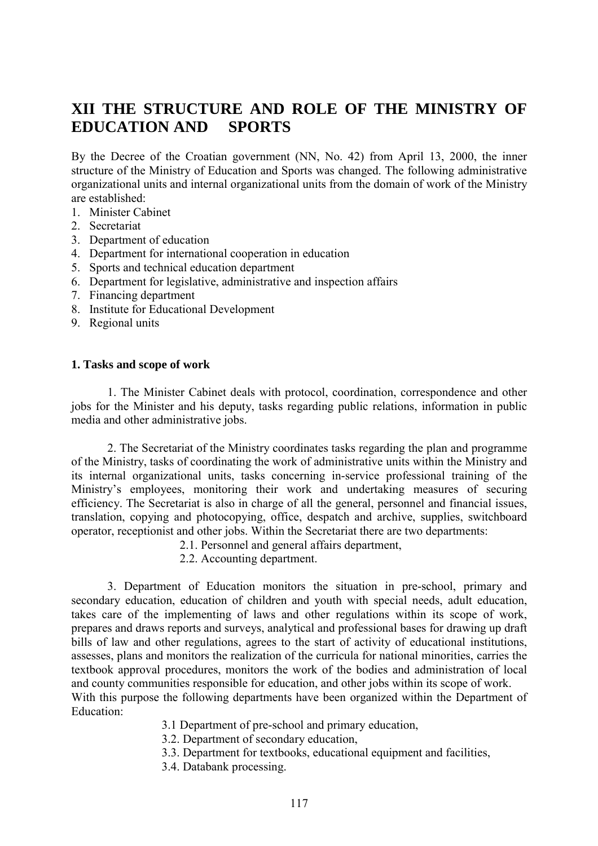# **XII THE STRUCTURE AND ROLE OF THE MINISTRY OF EDUCATION AND SPORTS**

By the Decree of the Croatian government (NN, No. 42) from April 13, 2000, the inner structure of the Ministry of Education and Sports was changed. The following administrative organizational units and internal organizational units from the domain of work of the Ministry are established:

- 1. Minister Cabinet
- 2. Secretariat
- 3. Department of education
- 4. Department for international cooperation in education
- 5. Sports and technical education department
- 6. Department for legislative, administrative and inspection affairs
- 7. Financing department
- 8. Institute for Educational Development
- 9. Regional units

#### **1. Tasks and scope of work**

1. The Minister Cabinet deals with protocol, coordination, correspondence and other jobs for the Minister and his deputy, tasks regarding public relations, information in public media and other administrative jobs.

2. The Secretariat of the Ministry coordinates tasks regarding the plan and programme of the Ministry, tasks of coordinating the work of administrative units within the Ministry and its internal organizational units, tasks concerning in-service professional training of the Ministry's employees, monitoring their work and undertaking measures of securing efficiency. The Secretariat is also in charge of all the general, personnel and financial issues, translation, copying and photocopying, office, despatch and archive, supplies, switchboard operator, receptionist and other jobs. Within the Secretariat there are two departments:

2.1. Personnel and general affairs department,

2.2. Accounting department.

3. Department of Education monitors the situation in pre-school, primary and secondary education, education of children and youth with special needs, adult education, takes care of the implementing of laws and other regulations within its scope of work, prepares and draws reports and surveys, analytical and professional bases for drawing up draft bills of law and other regulations, agrees to the start of activity of educational institutions, assesses, plans and monitors the realization of the curricula for national minorities, carries the textbook approval procedures, monitors the work of the bodies and administration of local and county communities responsible for education, and other jobs within its scope of work. With this purpose the following departments have been organized within the Department of Education:

- 3.1 Department of pre-school and primary education,
- 3.2. Department of secondary education,
- 3.3. Department for textbooks, educational equipment and facilities,
- 3.4. Databank processing.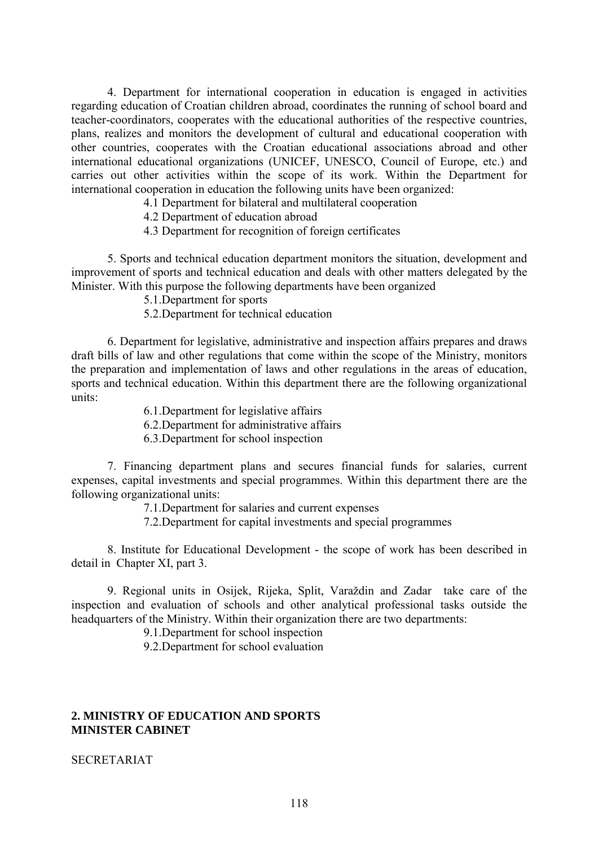4. Department for international cooperation in education is engaged in activities regarding education of Croatian children abroad, coordinates the running of school board and teacher-coordinators, cooperates with the educational authorities of the respective countries, plans, realizes and monitors the development of cultural and educational cooperation with other countries, cooperates with the Croatian educational associations abroad and other international educational organizations (UNICEF, UNESCO, Council of Europe, etc.) and carries out other activities within the scope of its work. Within the Department for international cooperation in education the following units have been organized:

4.1 Department for bilateral and multilateral cooperation

4.2 Department of education abroad

4.3 Department for recognition of foreign certificates

5. Sports and technical education department monitors the situation, development and improvement of sports and technical education and deals with other matters delegated by the Minister. With this purpose the following departments have been organized

5.1.Department for sports

5.2.Department for technical education

6. Department for legislative, administrative and inspection affairs prepares and draws draft bills of law and other regulations that come within the scope of the Ministry, monitors the preparation and implementation of laws and other regulations in the areas of education, sports and technical education. Within this department there are the following organizational units:

6.1.Department for legislative affairs

6.2.Department for administrative affairs

6.3.Department for school inspection

7. Financing department plans and secures financial funds for salaries, current expenses, capital investments and special programmes. Within this department there are the following organizational units:

7.1.Department for salaries and current expenses

7.2.Department for capital investments and special programmes

8. Institute for Educational Development - the scope of work has been described in detail in Chapter XI, part 3.

9. Regional units in Osijek, Rijeka, Split, Varaždin and Zadar take care of the inspection and evaluation of schools and other analytical professional tasks outside the headquarters of the Ministry. Within their organization there are two departments:

9.1.Department for school inspection

9.2.Department for school evaluation

#### **2. MINISTRY OF EDUCATION AND SPORTS MINISTER CABINET**

SECRETARIAT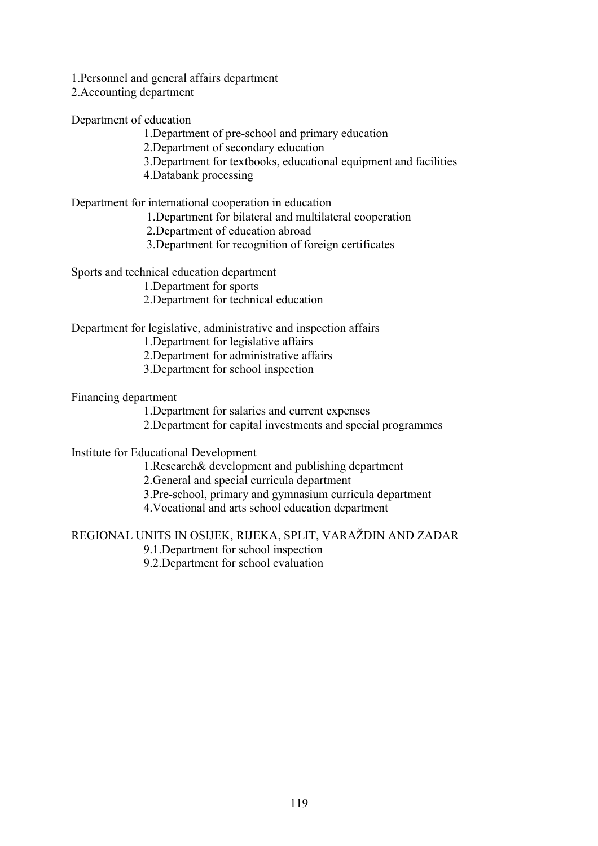1.Personnel and general affairs department

2.Accounting department

Department of education

1.Department of pre-school and primary education

2.Department of secondary education

- 3.Department for textbooks, educational equipment and facilities
- 4.Databank processing

Department for international cooperation in education

1.Department for bilateral and multilateral cooperation

2.Department of education abroad

3.Department for recognition of foreign certificates

Sports and technical education department

1.Department for sports

2.Department for technical education

#### Department for legislative, administrative and inspection affairs

1.Department for legislative affairs

2.Department for administrative affairs

3.Department for school inspection

Financing department

1.Department for salaries and current expenses

2.Department for capital investments and special programmes

Institute for Educational Development

1.Research& development and publishing department

2.General and special curricula department

3.Pre-school, primary and gymnasium curricula department

4.Vocational and arts school education department

REGIONAL UNITS IN OSIJEK, RIJEKA, SPLIT, VARAéDIN AND ZADAR

9.1.Department for school inspection

9.2.Department for school evaluation